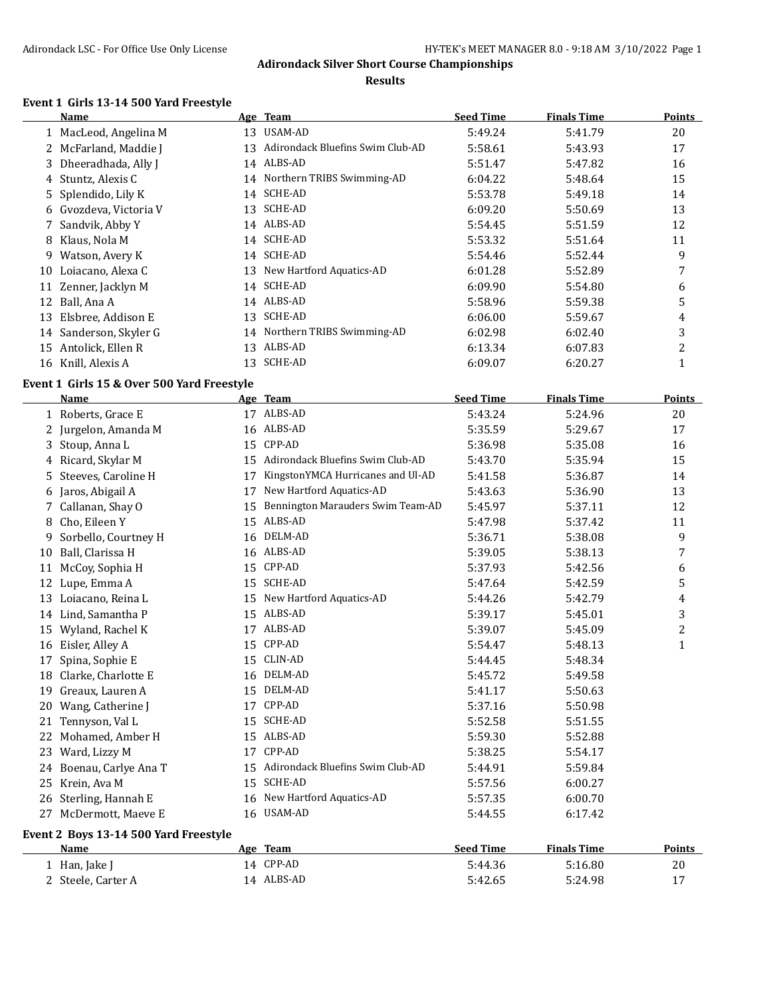#### **Results**

# **Event 1 Girls 13-14 500 Yard Freestyle**

 $\overline{a}$ 

|    | Name                   |    | Age Team                         | <b>Seed Time</b> | <b>Finals Time</b> | <b>Points</b> |
|----|------------------------|----|----------------------------------|------------------|--------------------|---------------|
|    | MacLeod, Angelina M    | 13 | USAM-AD                          | 5:49.24          | 5:41.79            | 20            |
|    | 2 McFarland, Maddie J  | 13 | Adirondack Bluefins Swim Club-AD | 5:58.61          | 5:43.93            | 17            |
|    | 3 Dheeradhada, Ally J  | 14 | ALBS-AD                          | 5:51.47          | 5:47.82            | 16            |
|    | 4 Stuntz, Alexis C     |    | 14 Northern TRIBS Swimming-AD    | 6:04.22          | 5:48.64            | 15            |
|    | 5 Splendido, Lily K    |    | 14 SCHE-AD                       | 5:53.78          | 5:49.18            | 14            |
|    | 6 Gvozdeva, Victoria V | 13 | SCHE-AD                          | 6:09.20          | 5:50.69            | 13            |
|    | Sandvik, Abby Y        |    | 14 ALBS-AD                       | 5:54.45          | 5:51.59            | 12            |
| 8  | Klaus, Nola M          |    | 14 SCHE-AD                       | 5:53.32          | 5:51.64            | 11            |
| 9  | Watson, Avery K        |    | 14 SCHE-AD                       | 5:54.46          | 5:52.44            | 9             |
| 10 | Loiacano, Alexa C      | 13 | New Hartford Aquatics-AD         | 6:01.28          | 5:52.89            |               |
| 11 | Zenner, Jacklyn M      | 14 | SCHE-AD                          | 6:09.90          | 5:54.80            | 6             |
| 12 | Ball, Ana A            |    | 14 ALBS-AD                       | 5:58.96          | 5:59.38            | 5             |
| 13 | Elsbree, Addison E     | 13 | SCHE-AD                          | 6:06.00          | 5:59.67            | 4             |
|    | 14 Sanderson, Skyler G |    | 14 Northern TRIBS Swimming-AD    | 6:02.98          | 6:02.40            | 3             |
| 15 | Antolick, Ellen R      | 13 | ALBS-AD                          | 6:13.34          | 6:07.83            | 2             |
|    | 16 Knill, Alexis A     | 13 | SCHE-AD                          | 6:09.07          | 6:20.27            |               |

### **Event 1 Girls 15 & Over 500 Yard Freestyle**

|    | <b>Name</b>                           |    | Age Team                          | <b>Seed Time</b> | <b>Finals Time</b> | Points       |
|----|---------------------------------------|----|-----------------------------------|------------------|--------------------|--------------|
|    | 1 Roberts, Grace E                    | 17 | ALBS-AD                           | 5:43.24          | 5:24.96            | 20           |
|    | 2 Jurgelon, Amanda M                  | 16 | ALBS-AD                           | 5:35.59          | 5:29.67            | 17           |
| 3  | Stoup, Anna L                         | 15 | CPP-AD                            | 5:36.98          | 5:35.08            | 16           |
|    | 4 Ricard, Skylar M                    | 15 | Adirondack Bluefins Swim Club-AD  | 5:43.70          | 5:35.94            | 15           |
| 5  | Steeves, Caroline H                   | 17 | KingstonYMCA Hurricanes and Ul-AD | 5:41.58          | 5:36.87            | 14           |
| 6  | Jaros, Abigail A                      | 17 | New Hartford Aquatics-AD          | 5:43.63          | 5:36.90            | 13           |
| 7  | Callanan, Shay O                      | 15 | Bennington Marauders Swim Team-AD | 5:45.97          | 5:37.11            | 12           |
| 8  | Cho, Eileen Y                         | 15 | ALBS-AD                           | 5:47.98          | 5:37.42            | 11           |
| 9  | Sorbello, Courtney H                  | 16 | DELM-AD                           | 5:36.71          | 5:38.08            | 9            |
| 10 | Ball, Clarissa H                      | 16 | ALBS-AD                           | 5:39.05          | 5:38.13            | 7            |
| 11 | McCoy, Sophia H                       | 15 | CPP-AD                            | 5:37.93          | 5:42.56            | 6            |
| 12 | Lupe, Emma A                          | 15 | <b>SCHE-AD</b>                    | 5:47.64          | 5:42.59            | 5            |
| 13 | Loiacano, Reina L                     | 15 | New Hartford Aquatics-AD          | 5:44.26          | 5:42.79            | 4            |
|    | 14 Lind, Samantha P                   | 15 | ALBS-AD                           | 5:39.17          | 5:45.01            | 3            |
| 15 | Wyland, Rachel K                      | 17 | ALBS-AD                           | 5:39.07          | 5:45.09            | 2            |
| 16 | Eisler, Alley A                       | 15 | CPP-AD                            | 5:54.47          | 5:48.13            | $\mathbf{1}$ |
| 17 | Spina, Sophie E                       | 15 | <b>CLIN-AD</b>                    | 5:44.45          | 5:48.34            |              |
| 18 | Clarke, Charlotte E                   | 16 | DELM-AD                           | 5:45.72          | 5:49.58            |              |
| 19 | Greaux, Lauren A                      | 15 | DELM-AD                           | 5:41.17          | 5:50.63            |              |
| 20 | Wang, Catherine J                     | 17 | CPP-AD                            | 5:37.16          | 5:50.98            |              |
| 21 | Tennyson, Val L                       | 15 | <b>SCHE-AD</b>                    | 5:52.58          | 5:51.55            |              |
| 22 | Mohamed, Amber H                      | 15 | ALBS-AD                           | 5:59.30          | 5:52.88            |              |
| 23 | Ward, Lizzy M                         | 17 | CPP-AD                            | 5:38.25          | 5:54.17            |              |
|    | 24 Boenau, Carlye Ana T               | 15 | Adirondack Bluefins Swim Club-AD  | 5:44.91          | 5:59.84            |              |
| 25 | Krein, Ava M                          | 15 | <b>SCHE-AD</b>                    | 5:57.56          | 6:00.27            |              |
|    | 26 Sterling, Hannah E                 | 16 | New Hartford Aquatics-AD          | 5:57.35          | 6:00.70            |              |
| 27 | McDermott, Maeve E                    |    | 16 USAM-AD                        | 5:44.55          | 6:17.42            |              |
|    | Event 2 Boys 13-14 500 Yard Freestyle |    |                                   |                  |                    |              |

| Name             | <b>Team</b><br>Age | <b>Seed Time</b> | <b>Finals Time</b> | Points |
|------------------|--------------------|------------------|--------------------|--------|
| ⊥ Han, Jake I    | 14 CPP-AD          | 5:44.36          | 5:16.80            | 20     |
| Steele, Carter A | ALBS-AD<br>14      | 5:42.65          | 5:24.98            | 17     |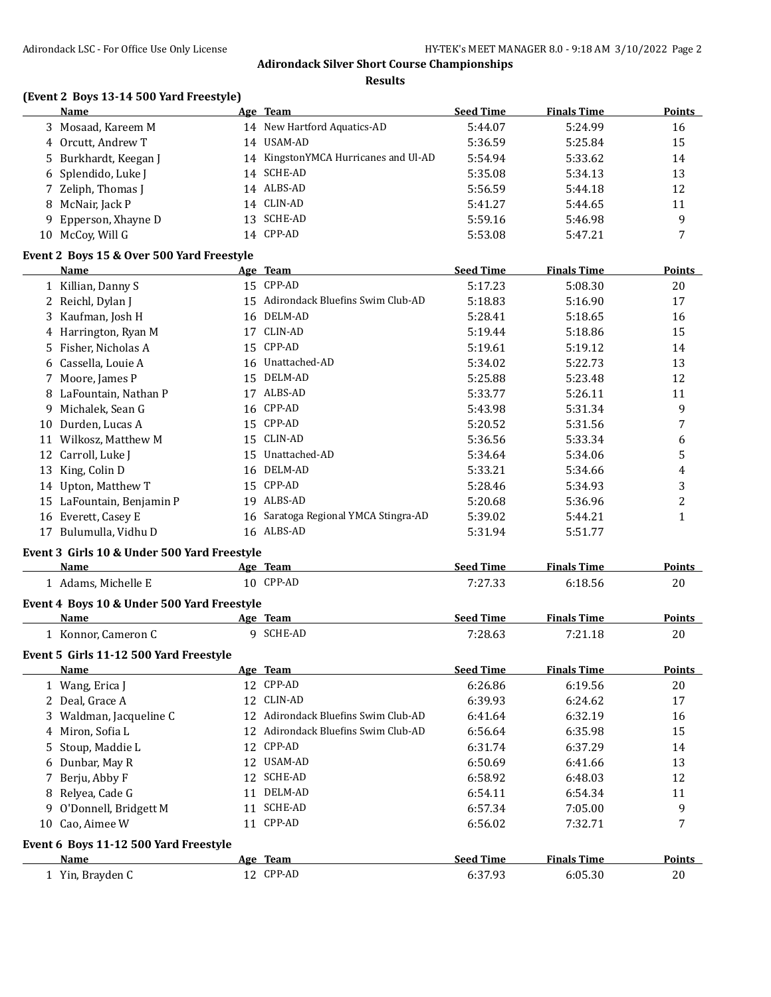**Results**

### **(Event 2 Boys 13-14 500 Yard Freestyle)**

| <b>Name</b>           | Age Team                             | <b>Seed Time</b> | <b>Finals Time</b> | <b>Points</b> |
|-----------------------|--------------------------------------|------------------|--------------------|---------------|
| 3 Mosaad, Kareem M    | 14 New Hartford Aquatics-AD          | 5:44.07          | 5:24.99            | 16            |
| 4 Orcutt, Andrew T    | 14 USAM-AD                           | 5:36.59          | 5:25.84            | 15            |
| 5 Burkhardt, Keegan J | 14 KingstonYMCA Hurricanes and Ul-AD | 5:54.94          | 5:33.62            | 14            |
| 6 Splendido, Luke J   | 14 SCHE-AD                           | 5:35.08          | 5:34.13            | 13            |
| 7 Zeliph, Thomas J    | 14 ALBS-AD                           | 5:56.59          | 5:44.18            | 12            |
| 8 McNair, Jack P      | 14 CLIN-AD                           | 5:41.27          | 5:44.65            | 11            |
| 9 Epperson, Xhayne D  | 13 SCHE-AD                           | 5:59.16          | 5:46.98            | q             |
| 10 McCoy, Will G      | 14 CPP-AD                            | 5:53.08          | 5:47.21            | 7             |
|                       |                                      |                  |                    |               |

#### **Event 2 Boys 15 & Over 500 Yard Freestyle**

|    | Name                   |    | Age Team                          | <b>Seed Time</b> | <b>Finals Time</b> | <b>Points</b> |
|----|------------------------|----|-----------------------------------|------------------|--------------------|---------------|
|    | 1 Killian, Danny S     |    | 15 CPP-AD                         | 5:17.23          | 5:08.30            | 20            |
|    | 2 Reichl, Dylan J      | 15 | Adirondack Bluefins Swim Club-AD  | 5:18.83          | 5:16.90            | 17            |
|    | 3 Kaufman, Josh H      | 16 | DELM-AD                           | 5:28.41          | 5:18.65            | 16            |
|    | 4 Harrington, Ryan M   | 17 | CLIN-AD                           | 5:19.44          | 5:18.86            | 15            |
|    | 5 Fisher, Nicholas A   | 15 | CPP-AD                            | 5:19.61          | 5:19.12            | 14            |
|    | 6 Cassella, Louie A    | 16 | Unattached-AD                     | 5:34.02          | 5:22.73            | 13            |
|    | 7 Moore, James P       | 15 | DELM-AD                           | 5:25.88          | 5:23.48            | 12            |
|    | 8 LaFountain, Nathan P | 17 | ALBS-AD                           | 5:33.77          | 5:26.11            | 11            |
| 9. | Michalek, Sean G       |    | 16 CPP-AD                         | 5:43.98          | 5:31.34            | 9             |
| 10 | Durden, Lucas A        |    | 15 CPP-AD                         | 5:20.52          | 5:31.56            | 7             |
| 11 | Wilkosz, Matthew M     | 15 | CLIN-AD                           | 5:36.56          | 5:33.34            | 6             |
|    | 12 Carroll, Luke J     | 15 | Unattached-AD                     | 5:34.64          | 5:34.06            | 5             |
| 13 | King, Colin D          | 16 | DELM-AD                           | 5:33.21          | 5:34.66            | 4             |
| 14 | Upton, Matthew T       | 15 | CPP-AD                            | 5:28.46          | 5:34.93            | 3             |
| 15 | LaFountain, Benjamin P | 19 | ALBS-AD                           | 5:20.68          | 5:36.96            | 2             |
| 16 | Everett, Casey E       | 16 | Saratoga Regional YMCA Stingra-AD | 5:39.02          | 5:44.21            |               |
| 17 | Bulumulla, Vidhu D     | 16 | ALBS-AD                           | 5:31.94          | 5:51.77            |               |
|    |                        |    |                                   |                  |                    |               |

# **Event 3 Girls 10 & Under 500 Yard Freestyle**

| <b>Name</b>         | Team<br>Age  | <b>Seed Time</b> | <b>Finals Time</b> | <b>Points</b> |
|---------------------|--------------|------------------|--------------------|---------------|
| Adams, Michelle E   | CPP-AD<br>10 | 7:27.33          | 6:18.56            | 20            |
| $\sim$<br>.<br>____ | --------     |                  |                    |               |

# **Event 4 Boys 10 & Under 500 Yard Freestyle**

| Name                     | Team<br>Age | Seed Time    | Time<br>--            | <b>Points</b>  |
|--------------------------|-------------|--------------|-----------------------|----------------|
| ≅ Cameron u<br>Konnor. ( | SCHE-AD     | 7:28.63<br>. | $-21$<br>.1.18<br>7 1 | $\Omega$<br>ZU |

### **Event 5 Girls 11-12 500 Yard Freestyle**

| <b>Name</b>                           |     | Age Team                         | <b>Seed Time</b> | <b>Finals Time</b> | <b>Points</b> |
|---------------------------------------|-----|----------------------------------|------------------|--------------------|---------------|
| 1 Wang, Erica J                       |     | 12 CPP-AD                        | 6:26.86          | 6:19.56            | 20            |
| 2 Deal, Grace A                       |     | 12 CLIN-AD                       | 6:39.93          | 6:24.62            | 17            |
| 3 Waldman, Jacqueline C               | 12  | Adirondack Bluefins Swim Club-AD | 6:41.64          | 6:32.19            | 16            |
| 4 Miron, Sofia L                      | 12  | Adirondack Bluefins Swim Club-AD | 6:56.64          | 6:35.98            | 15            |
| 5 Stoup, Maddie L                     | 12  | CPP-AD                           | 6:31.74          | 6:37.29            | 14            |
| 6 Dunbar, May R                       |     | 12 USAM-AD                       | 6:50.69          | 6:41.66            | 13            |
| 7 Berju, Abby F                       | 12  | SCHE-AD                          | 6:58.92          | 6:48.03            | 12            |
| 8 Relyea, Cade G                      | 11  | DELM-AD                          | 6:54.11          | 6:54.34            | 11            |
| 9 O'Donnell, Bridgett M               | 11  | <b>SCHE-AD</b>                   | 6:57.34          | 7:05.00            | 9             |
| 10 Cao, Aimee W                       |     | 11 CPP-AD                        | 6:56.02          | 7:32.71            |               |
| Event 6 Boys 11-12 500 Yard Freestyle |     |                                  |                  |                    |               |
| <b>Name</b>                           |     | Age Team                         | <b>Seed Time</b> | <b>Finals Time</b> | Points        |
| 1 Yin, Brayden C                      | 12. | CPP-AD                           | 6:37.93          | 6:05.30            | 20            |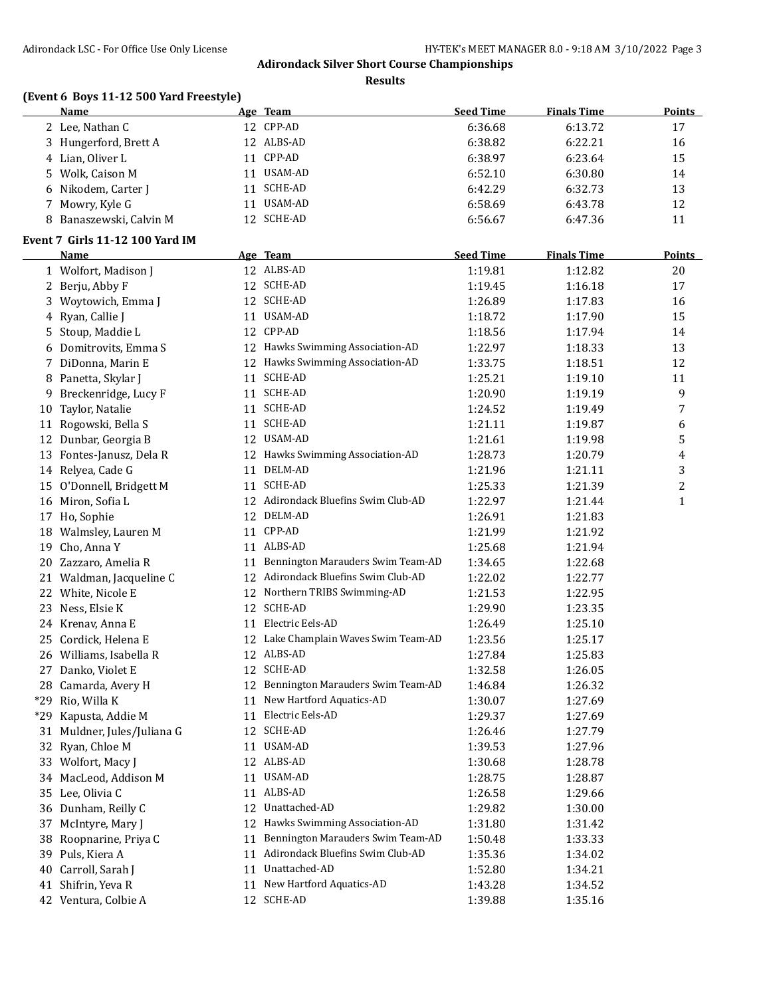**Results**

# **(Event 6 Boys 11-12 500 Yard Freestyle)**

|    | <b>Name</b>                     |    | Age Team                             | <b>Seed Time</b> | <b>Finals Time</b> | Points         |
|----|---------------------------------|----|--------------------------------------|------------------|--------------------|----------------|
|    | 2 Lee, Nathan C                 |    | 12 CPP-AD                            | 6:36.68          | 6:13.72            | 17             |
|    | 3 Hungerford, Brett A           |    | 12 ALBS-AD                           | 6:38.82          | 6:22.21            | 16             |
|    | 4 Lian, Oliver L                |    | 11 CPP-AD                            | 6:38.97          | 6:23.64            | 15             |
| 5  | Wolk, Caison M                  |    | 11 USAM-AD                           | 6:52.10          | 6:30.80            | 14             |
| 6  | Nikodem, Carter J               |    | 11 SCHE-AD                           | 6:42.29          | 6:32.73            | 13             |
| 7  | Mowry, Kyle G                   |    | 11 USAM-AD                           | 6:58.69          | 6:43.78            | 12             |
| 8  | Banaszewski, Calvin M           |    | 12 SCHE-AD                           | 6:56.67          | 6:47.36            | 11             |
|    | Event 7 Girls 11-12 100 Yard IM |    |                                      |                  |                    |                |
|    | <b>Name</b>                     |    | Age Team                             | <b>Seed Time</b> | <b>Finals Time</b> | <b>Points</b>  |
|    | 1 Wolfort, Madison J            |    | 12 ALBS-AD                           | 1:19.81          | 1:12.82            | 20             |
|    | 2 Berju, Abby F                 |    | 12 SCHE-AD                           | 1:19.45          | 1:16.18            | 17             |
|    | 3 Woytowich, Emma J             |    | 12 SCHE-AD                           | 1:26.89          | 1:17.83            | 16             |
| 4  | Ryan, Callie J                  |    | 11 USAM-AD                           | 1:18.72          | 1:17.90            | 15             |
| 5  | Stoup, Maddie L                 |    | 12 CPP-AD                            | 1:18.56          | 1:17.94            | 14             |
| 6  | Domitrovits, Emma S             |    | 12 Hawks Swimming Association-AD     | 1:22.97          | 1:18.33            | 13             |
|    | 7 DiDonna, Marin E              |    | 12 Hawks Swimming Association-AD     | 1:33.75          | 1:18.51            | 12             |
| 8  | Panetta, Skylar J               |    | 11 SCHE-AD                           | 1:25.21          | 1:19.10            | 11             |
| 9  | Breckenridge, Lucy F            |    | 11 SCHE-AD                           | 1:20.90          | 1:19.19            | 9              |
| 10 | Taylor, Natalie                 |    | 11 SCHE-AD                           | 1:24.52          | 1:19.49            | 7              |
|    | 11 Rogowski, Bella S            |    | 11 SCHE-AD                           | 1:21.11          | 1:19.87            | 6              |
| 12 | Dunbar, Georgia B               |    | 12 USAM-AD                           | 1:21.61          | 1:19.98            | 5              |
|    | 13 Fontes-Janusz, Dela R        |    | 12 Hawks Swimming Association-AD     | 1:28.73          | 1:20.79            | 4              |
|    | 14 Relyea, Cade G               |    | 11 DELM-AD                           | 1:21.96          | 1:21.11            | 3              |
| 15 | O'Donnell, Bridgett M           |    | 11 SCHE-AD                           | 1:25.33          | 1:21.39            | $\overline{c}$ |
|    | 16 Miron, Sofia L               |    | 12 Adirondack Bluefins Swim Club-AD  | 1:22.97          | 1:21.44            | $\mathbf{1}$   |
|    | 17 Ho, Sophie                   |    | 12 DELM-AD                           | 1:26.91          | 1:21.83            |                |
| 18 | Walmsley, Lauren M              |    | 11 CPP-AD                            | 1:21.99          | 1:21.92            |                |
| 19 | Cho, Anna Y                     |    | 11 ALBS-AD                           | 1:25.68          | 1:21.94            |                |
|    | 20 Zazzaro, Amelia R            |    | 11 Bennington Marauders Swim Team-AD | 1:34.65          | 1:22.68            |                |
|    | 21 Waldman, Jacqueline C        |    | 12 Adirondack Bluefins Swim Club-AD  | 1:22.02          | 1:22.77            |                |
|    | 22 White, Nicole E              |    | 12 Northern TRIBS Swimming-AD        | 1:21.53          | 1:22.95            |                |
|    | 23 Ness, Elsie K                |    | 12 SCHE-AD                           | 1:29.90          | 1:23.35            |                |
|    | 24 Krenav, Anna E               |    | 11 Electric Eels-AD                  | 1:26.49          | 1:25.10            |                |
|    | 25 Cordick, Helena E            |    | 12 Lake Champlain Waves Swim Team-AD | 1:23.56          | 1:25.17            |                |
|    | 26 Williams, Isabella R         |    | 12 ALBS-AD                           | 1:27.84          | 1:25.83            |                |
|    | 27 Danko, Violet E              |    | 12 SCHE-AD                           | 1:32.58          | 1:26.05            |                |
|    |                                 |    | 12 Bennington Marauders Swim Team-AD |                  |                    |                |
|    | 28 Camarda, Avery H             |    | 11 New Hartford Aquatics-AD          | 1:46.84          | 1:26.32            |                |
|    | *29 Rio, Willa K                |    | Electric Eels-AD                     | 1:30.07          | 1:27.69            |                |
|    | *29 Kapusta, Addie M            | 11 | 12 SCHE-AD                           | 1:29.37          | 1:27.69            |                |
|    | 31 Muldner, Jules/Juliana G     |    | 11 USAM-AD                           | 1:26.46          | 1:27.79            |                |
|    | 32 Ryan, Chloe M                |    | 12 ALBS-AD                           | 1:39.53          | 1:27.96            |                |
|    | 33 Wolfort, Macy J              |    | 11 USAM-AD                           | 1:30.68          | 1:28.78            |                |
|    | 34 MacLeod, Addison M           |    |                                      | 1:28.75          | 1:28.87            |                |
|    | 35 Lee, Olivia C                |    | 11 ALBS-AD                           | 1:26.58          | 1:29.66            |                |
|    | 36 Dunham, Reilly C             |    | 12 Unattached-AD                     | 1:29.82          | 1:30.00            |                |
| 37 | McIntyre, Mary J                |    | 12 Hawks Swimming Association-AD     | 1:31.80          | 1:31.42            |                |
| 38 | Roopnarine, Priya C             | 11 | Bennington Marauders Swim Team-AD    | 1:50.48          | 1:33.33            |                |
| 39 | Puls, Kiera A                   |    | 11 Adirondack Bluefins Swim Club-AD  | 1:35.36          | 1:34.02            |                |
| 40 | Carroll, Sarah J                |    | 11 Unattached-AD                     | 1:52.80          | 1:34.21            |                |
| 41 | Shifrin, Yeva R                 | 11 | New Hartford Aquatics-AD             | 1:43.28          | 1:34.52            |                |
|    | 42 Ventura, Colbie A            |    | 12 SCHE-AD                           | 1:39.88          | 1:35.16            |                |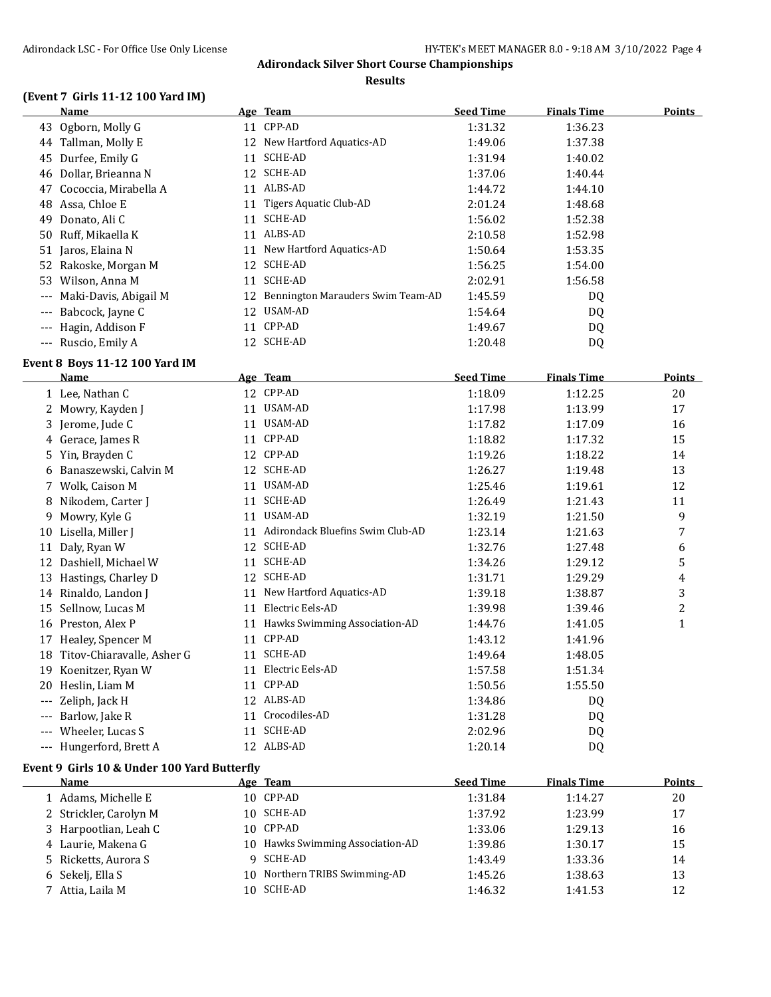#### **Results**

### **(Event 7 Girls 11-12 100 Yard IM)**

|                     | <b>Name</b>           |    | Age Team                          | <b>Seed Time</b> | <b>Finals Time</b> | <b>Points</b> |
|---------------------|-----------------------|----|-----------------------------------|------------------|--------------------|---------------|
| 43                  | Ogborn, Molly G       |    | 11 CPP-AD                         | 1:31.32          | 1:36.23            |               |
| 44                  | Tallman, Molly E      |    | 12 New Hartford Aquatics-AD       | 1:49.06          | 1:37.38            |               |
| 45                  | Durfee, Emily G       | 11 | SCHE-AD                           | 1:31.94          | 1:40.02            |               |
| 46                  | Dollar, Brieanna N    |    | 12 SCHE-AD                        | 1:37.06          | 1:40.44            |               |
| 47                  | Cococcia, Mirabella A | 11 | ALBS-AD                           | 1:44.72          | 1:44.10            |               |
| 48                  | Assa, Chloe E         | 11 | Tigers Aquatic Club-AD            | 2:01.24          | 1:48.68            |               |
| 49                  | Donato, Ali C         | 11 | SCHE-AD                           | 1:56.02          | 1:52.38            |               |
|                     | 50 Ruff, Mikaella K   | 11 | ALBS-AD                           | 2:10.58          | 1:52.98            |               |
|                     | 51 Jaros, Elaina N    | 11 | New Hartford Aquatics-AD          | 1:50.64          | 1:53.35            |               |
|                     | 52 Rakoske, Morgan M  | 12 | SCHE-AD                           | 1:56.25          | 1:54.00            |               |
| 53                  | Wilson, Anna M        | 11 | SCHE-AD                           | 2:02.91          | 1:56.58            |               |
| $---$               | Maki-Davis, Abigail M | 12 | Bennington Marauders Swim Team-AD | 1:45.59          | DQ                 |               |
| $---$               | Babcock, Jayne C      | 12 | USAM-AD                           | 1:54.64          | DQ                 |               |
| $---$               | Hagin, Addison F      | 11 | CPP-AD                            | 1:49.67          | DQ                 |               |
| $\qquad \qquad - -$ | Ruscio, Emily A       |    | 12 SCHE-AD                        | 1:20.48          | DQ                 |               |

# **Event 8 Boys 11-12 100 Yard IM**

|     | <b>Name</b>                | Age | <b>Team</b>                      | <b>Seed Time</b> | <b>Finals Time</b> | <b>Points</b> |
|-----|----------------------------|-----|----------------------------------|------------------|--------------------|---------------|
|     | 1 Lee, Nathan C            | 12  | CPP-AD                           | 1:18.09          | 1:12.25            | 20            |
| 2   | Mowry, Kayden J            | 11  | USAM-AD                          | 1:17.98          | 1:13.99            | 17            |
| 3   | Jerome, Jude C             | 11  | USAM-AD                          | 1:17.82          | 1:17.09            | 16            |
|     | 4 Gerace, James R          | 11  | CPP-AD                           | 1:18.82          | 1:17.32            | 15            |
| 5.  | Yin, Brayden C             | 12  | CPP-AD                           | 1:19.26          | 1:18.22            | 14            |
| 6   | Banaszewski, Calvin M      | 12  | <b>SCHE-AD</b>                   | 1:26.27          | 1:19.48            | 13            |
|     | Wolk, Caison M             | 11  | USAM-AD                          | 1:25.46          | 1:19.61            | 12            |
| 8   | Nikodem, Carter J          | 11  | <b>SCHE-AD</b>                   | 1:26.49          | 1:21.43            | 11            |
| 9   | Mowry, Kyle G              | 11  | USAM-AD                          | 1:32.19          | 1:21.50            | 9             |
| 10  | Lisella, Miller J          | 11  | Adirondack Bluefins Swim Club-AD | 1:23.14          | 1:21.63            | 7             |
| 11  | Daly, Ryan W               | 12  | <b>SCHE-AD</b>                   | 1:32.76          | 1:27.48            | 6             |
| 12  | Dashiell, Michael W        | 11  | <b>SCHE-AD</b>                   | 1:34.26          | 1:29.12            | 5             |
| 13  | Hastings, Charley D        | 12  | <b>SCHE-AD</b>                   | 1:31.71          | 1:29.29            | 4             |
| 14  | Rinaldo, Landon J          | 11  | New Hartford Aquatics-AD         | 1:39.18          | 1:38.87            | 3             |
| 15  | Sellnow, Lucas M           | 11  | Electric Eels-AD                 | 1:39.98          | 1:39.46            | 2             |
| 16  | Preston, Alex P            | 11  | Hawks Swimming Association-AD    | 1:44.76          | 1:41.05            | $\mathbf{1}$  |
| 17  | Healey, Spencer M          | 11  | CPP-AD                           | 1:43.12          | 1:41.96            |               |
| 18  | Titov-Chiaravalle, Asher G | 11  | SCHE-AD                          | 1:49.64          | 1:48.05            |               |
| 19  | Koenitzer, Ryan W          | 11  | Electric Eels-AD                 | 1:57.58          | 1:51.34            |               |
| 20  | Heslin, Liam M             | 11  | CPP-AD                           | 1:50.56          | 1:55.50            |               |
| --- | Zeliph, Jack H             | 12  | ALBS-AD                          | 1:34.86          | DQ                 |               |
| --- | Barlow, Jake R             | 11  | Crocodiles-AD                    | 1:31.28          | DQ                 |               |
| --- | Wheeler, Lucas S           | 11  | <b>SCHE-AD</b>                   | 2:02.96          | DQ                 |               |
| --- | Hungerford, Brett A        | 12  | ALBS-AD                          | 1:20.14          | DQ                 |               |

#### **Event 9 Girls 10 & Under 100 Yard Butterfly**

| Name                   | Age Team                         | <b>Seed Time</b> | <b>Finals Time</b> | <b>Points</b> |
|------------------------|----------------------------------|------------------|--------------------|---------------|
| 1 Adams, Michelle E    | 10 CPP-AD                        | 1:31.84          | 1:14.27            | 20            |
| 2 Strickler, Carolyn M | 10 SCHE-AD                       | 1:37.92          | 1:23.99            | 17            |
| 3 Harpootlian, Leah C  | 10 CPP-AD                        | 1:33.06          | 1:29.13            | 16            |
| 4 Laurie, Makena G     | 10 Hawks Swimming Association-AD | 1:39.86          | 1:30.17            | 15            |
| 5 Ricketts, Aurora S   | 9 SCHE-AD                        | 1:43.49          | 1:33.36            | 14            |
| 6 Sekeli, Ella S       | 10 Northern TRIBS Swimming-AD    | 1:45.26          | 1:38.63            | 13            |
| 7 Attia, Laila M       | 10 SCHE-AD                       | 1:46.32          | 1:41.53            | 12            |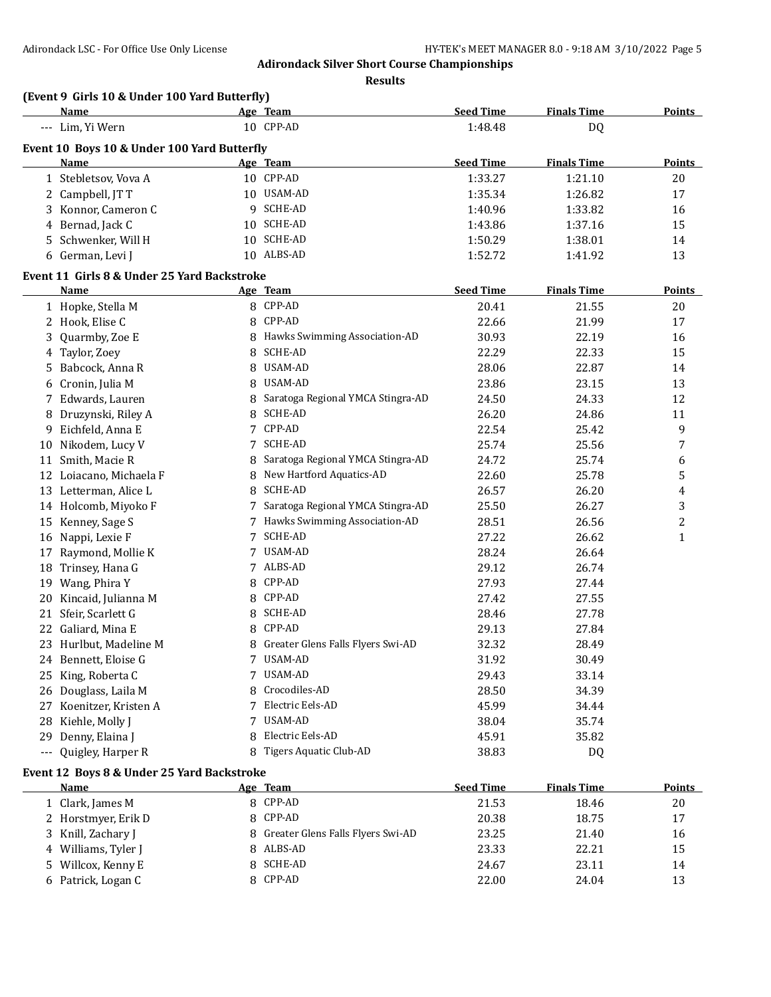**Results**

|                      | <b>Name</b>                                 |   | Age Team                            | <b>Seed Time</b> | <b>Finals Time</b> | <b>Points</b>  |
|----------------------|---------------------------------------------|---|-------------------------------------|------------------|--------------------|----------------|
|                      | --- Lim, Yi Wern                            |   | 10 CPP-AD                           | 1:48.48          | DQ                 |                |
|                      | Event 10 Boys 10 & Under 100 Yard Butterfly |   |                                     |                  |                    |                |
|                      | <b>Name</b>                                 |   | Age Team                            | <b>Seed Time</b> | <b>Finals Time</b> | <b>Points</b>  |
|                      | 1 Stebletsov, Vova A                        |   | 10 CPP-AD                           | 1:33.27          | 1:21.10            | 20             |
|                      | 2 Campbell, JT T                            |   | 10 USAM-AD                          | 1:35.34          | 1:26.82            | 17             |
|                      | 3 Konnor, Cameron C                         |   | 9 SCHE-AD                           | 1:40.96          | 1:33.82            | 16             |
| 4                    | Bernad, Jack C                              |   | 10 SCHE-AD                          | 1:43.86          | 1:37.16            | 15             |
|                      | 5 Schwenker, Will H                         |   | 10 SCHE-AD                          | 1:50.29          | 1:38.01            | 14             |
|                      | 6 German, Levi J                            |   | 10 ALBS-AD                          | 1:52.72          | 1:41.92            | 13             |
|                      | Event 11 Girls 8 & Under 25 Yard Backstroke |   |                                     |                  |                    |                |
|                      | <b>Name</b>                                 |   | Age Team                            | <b>Seed Time</b> | <b>Finals Time</b> | <b>Points</b>  |
|                      | 1 Hopke, Stella M                           |   | 8 CPP-AD                            | 20.41            | 21.55              | 20             |
|                      | 2 Hook, Elise C                             |   | 8 CPP-AD                            | 22.66            | 21.99              | 17             |
| 3                    | Quarmby, Zoe E                              |   | 8 Hawks Swimming Association-AD     | 30.93            | 22.19              | 16             |
|                      | 4 Taylor, Zoey                              |   | 8 SCHE-AD                           | 22.29            | 22.33              | 15             |
| 5                    | Babcock, Anna R                             |   | 8 USAM-AD                           | 28.06            | 22.87              | 14             |
| 6                    | Cronin, Julia M                             |   | 8 USAM-AD                           | 23.86            | 23.15              | 13             |
| 7                    | Edwards, Lauren                             |   | 8 Saratoga Regional YMCA Stingra-AD | 24.50            | 24.33              | 12             |
| 8                    | Druzynski, Riley A                          |   | 8 SCHE-AD                           | 26.20            | 24.86              | 11             |
| 9                    | Eichfeld, Anna E                            |   | 7 CPP-AD                            | 22.54            | 25.42              | 9              |
| 10                   | Nikodem, Lucy V                             |   | 7 SCHE-AD                           | 25.74            | 25.56              | 7              |
| 11                   | Smith, Macie R                              |   | 8 Saratoga Regional YMCA Stingra-AD | 24.72            | 25.74              | 6              |
| 12                   | Loiacano, Michaela F                        |   | 8 New Hartford Aquatics-AD          | 22.60            | 25.78              | 5              |
| 13                   | Letterman, Alice L                          |   | 8 SCHE-AD                           | 26.57            | 26.20              | 4              |
| 14                   | Holcomb, Miyoko F                           |   | 7 Saratoga Regional YMCA Stingra-AD | 25.50            | 26.27              | 3              |
| 15                   | Kenney, Sage S                              |   | 7 Hawks Swimming Association-AD     | 28.51            | 26.56              | $\overline{c}$ |
| 16                   | Nappi, Lexie F                              |   | 7 SCHE-AD                           | 27.22            | 26.62              | $\mathbf{1}$   |
| 17                   | Raymond, Mollie K                           |   | 7 USAM-AD                           | 28.24            | 26.64              |                |
| 18                   | Trinsey, Hana G                             |   | 7 ALBS-AD                           | 29.12            | 26.74              |                |
| 19                   | Wang, Phira Y                               |   | 8 CPP-AD                            | 27.93            | 27.44              |                |
| 20                   | Kincaid, Julianna M                         |   | 8 CPP-AD                            | 27.42            | 27.55              |                |
| 21                   | Sfeir, Scarlett G                           |   | 8 SCHE-AD                           | 28.46            | 27.78              |                |
| 22                   | Galiard, Mina E                             |   | 8 CPP-AD                            | 29.13            | 27.84              |                |
|                      | 23 Hurlbut, Madeline M                      |   | 8 Greater Glens Falls Flyers Swi-AD | 32.32            | 28.49              |                |
|                      | 24 Bennett, Eloise G                        |   | 7 USAM-AD                           | 31.92            | 30.49              |                |
| 25                   | King, Roberta C                             |   | 7 USAM-AD                           | 29.43            | 33.14              |                |
| 26                   | Douglass, Laila M                           | 8 | Crocodiles-AD                       | 28.50            | 34.39              |                |
| 27                   | Koenitzer, Kristen A                        |   | 7 Electric Eels-AD                  | 45.99            | 34.44              |                |
| 28                   | Kiehle, Molly J                             |   | 7 USAM-AD                           | 38.04            | 35.74              |                |
| 29                   | Denny, Elaina J                             | 8 | Electric Eels-AD                    | 45.91            | 35.82              |                |
| $\scriptstyle\cdots$ | Quigley, Harper R                           |   | 8 Tigers Aquatic Club-AD            | 38.83            | DQ                 |                |
|                      | Event 12 Boys 8 & Under 25 Yard Backstroke  |   |                                     |                  |                    |                |
|                      | <b>Name</b>                                 |   | Age Team                            | <b>Seed Time</b> | <b>Finals Time</b> | <b>Points</b>  |
|                      | 1 Clark, James M                            |   | 8 CPP-AD                            | 21.53            | 18.46              | 20             |
|                      | 2 Horstmyer, Erik D                         |   | 8 CPP-AD                            | 20.38            | 18.75              | 17             |
| 3                    | Knill, Zachary J                            |   | 8 Greater Glens Falls Flyers Swi-AD | 23.25            | 21.40              | 16             |
| 4                    | Williams, Tyler J                           |   | 8 ALBS-AD                           | 23.33            | 22.21              | 15             |
| 5                    | Willcox, Kenny E                            |   | 8 SCHE-AD                           | 24.67            | 23.11              | 14             |
|                      | 6 Patrick, Logan C                          |   | 8 CPP-AD                            | 22.00            | 24.04              | 13             |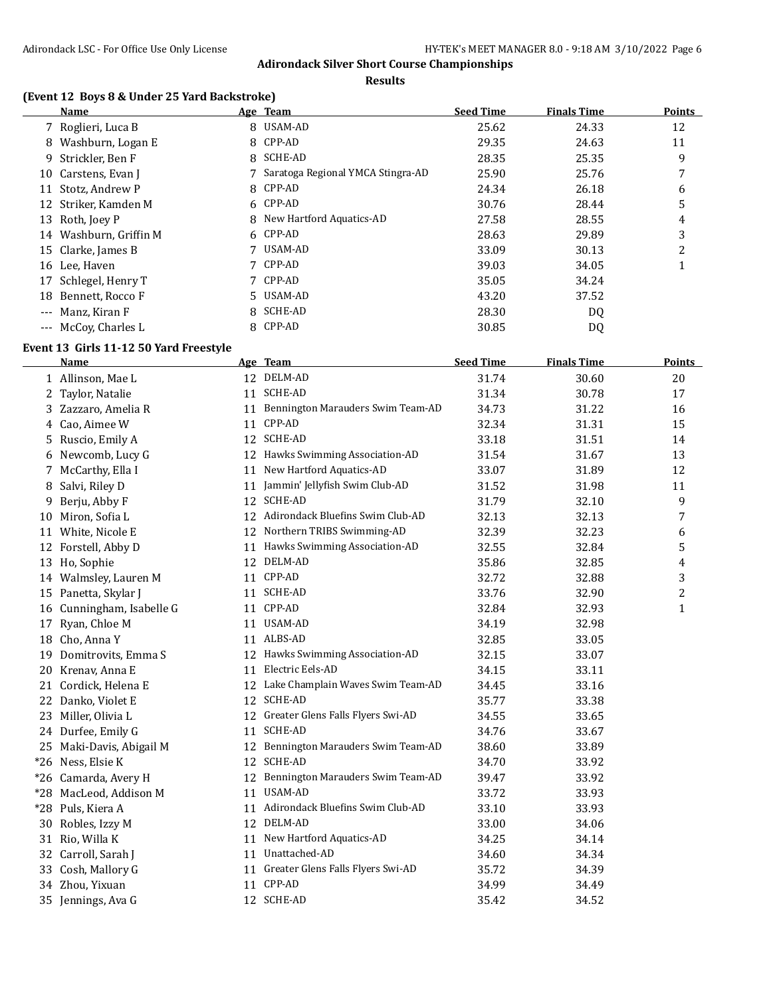**Results**

### **(Event 12 Boys 8 & Under 25 Yard Backstroke)**

|   | Name                   | Age Team                          | <b>Seed Time</b> | <b>Finals Time</b> | <b>Points</b> |
|---|------------------------|-----------------------------------|------------------|--------------------|---------------|
|   | 7 Roglieri, Luca B     | 8 USAM-AD                         | 25.62            | 24.33              | 12            |
| 8 | Washburn, Logan E      | 8 CPP-AD                          | 29.35            | 24.63              | 11            |
|   | 9 Strickler, Ben F     | 8 SCHE-AD                         | 28.35            | 25.35              | 9             |
|   | 10 Carstens, Evan I    | Saratoga Regional YMCA Stingra-AD | 25.90            | 25.76              | 7             |
|   | 11 Stotz, Andrew P     | 8 CPP-AD                          | 24.34            | 26.18              | 6             |
|   | 12 Striker, Kamden M   | 6 CPP-AD                          | 30.76            | 28.44              | 5             |
|   | 13 Roth, Joev P        | 8 New Hartford Aquatics-AD        | 27.58            | 28.55              | 4             |
|   | 14 Washburn, Griffin M | 6 CPP-AD                          | 28.63            | 29.89              | 3             |
|   | 15 Clarke, James B     | USAM-AD                           | 33.09            | 30.13              | 2             |
|   | 16 Lee, Haven          | 7 CPP-AD                          | 39.03            | 34.05              |               |
|   | 17 Schlegel, Henry T   | 7 CPP-AD                          | 35.05            | 34.24              |               |
|   | 18 Bennett, Rocco F    | 5 USAM-AD                         | 43.20            | 37.52              |               |
|   | --- Manz, Kiran F      | 8 SCHE-AD                         | 28.30            | DQ.                |               |
|   | --- McCoy, Charles L   | 8 CPP-AD                          | 30.85            | DQ                 |               |
|   |                        |                                   |                  |                    |               |

#### **Event 13 Girls 11-12 50 Yard Freestyle**

|       | Name                   |    | Age Team                             | <b>Seed Time</b> | <b>Finals Time</b> | <b>Points</b>  |
|-------|------------------------|----|--------------------------------------|------------------|--------------------|----------------|
|       | 1 Allinson, Mae L      |    | 12 DELM-AD                           | 31.74            | 30.60              | 20             |
|       | 2 Taylor, Natalie      |    | 11 SCHE-AD                           | 31.34            | 30.78              | 17             |
| 3     | Zazzaro, Amelia R      |    | 11 Bennington Marauders Swim Team-AD | 34.73            | 31.22              | 16             |
| 4     | Cao, Aimee W           | 11 | CPP-AD                               | 32.34            | 31.31              | 15             |
| 5     | Ruscio, Emily A        | 12 | <b>SCHE-AD</b>                       | 33.18            | 31.51              | 14             |
| 6     | Newcomb, Lucy G        | 12 | Hawks Swimming Association-AD        | 31.54            | 31.67              | 13             |
| 7     | McCarthy, Ella I       | 11 | New Hartford Aquatics-AD             | 33.07            | 31.89              | 12             |
| 8     | Salvi, Riley D         | 11 | Jammin' Jellyfish Swim Club-AD       | 31.52            | 31.98              | 11             |
| 9     | Berju, Abby F          |    | 12 SCHE-AD                           | 31.79            | 32.10              | 9              |
| 10    | Miron, Sofia L         |    | 12 Adirondack Bluefins Swim Club-AD  | 32.13            | 32.13              | 7              |
|       | 11 White, Nicole E     | 12 | Northern TRIBS Swimming-AD           | 32.39            | 32.23              | 6              |
| 12    | Forstell, Abby D       |    | 11 Hawks Swimming Association-AD     | 32.55            | 32.84              | 5              |
|       | 13 Ho, Sophie          |    | 12 DELM-AD                           | 35.86            | 32.85              | 4              |
|       | 14 Walmsley, Lauren M  |    | 11 CPP-AD                            | 32.72            | 32.88              | 3              |
| 15    | Panetta, Skylar J      |    | 11 SCHE-AD                           | 33.76            | 32.90              | $\overline{c}$ |
| 16    | Cunningham, Isabelle G | 11 | CPP-AD                               | 32.84            | 32.93              | $\mathbf{1}$   |
| 17    | Ryan, Chloe M          | 11 | USAM-AD                              | 34.19            | 32.98              |                |
|       | 18 Cho, Anna Y         |    | 11 ALBS-AD                           | 32.85            | 33.05              |                |
| 19    | Domitrovits, Emma S    |    | 12 Hawks Swimming Association-AD     | 32.15            | 33.07              |                |
| 20    | Krenav, Anna E         | 11 | Electric Eels-AD                     | 34.15            | 33.11              |                |
|       | 21 Cordick, Helena E   | 12 | Lake Champlain Waves Swim Team-AD    | 34.45            | 33.16              |                |
|       | 22 Danko, Violet E     | 12 | SCHE-AD                              | 35.77            | 33.38              |                |
|       | 23 Miller, Olivia L    | 12 | Greater Glens Falls Flyers Swi-AD    | 34.55            | 33.65              |                |
|       | 24 Durfee, Emily G     | 11 | <b>SCHE-AD</b>                       | 34.76            | 33.67              |                |
| 25    | Maki-Davis, Abigail M  | 12 | Bennington Marauders Swim Team-AD    | 38.60            | 33.89              |                |
| $*26$ | Ness, Elsie K          | 12 | SCHE-AD                              | 34.70            | 33.92              |                |
|       | *26 Camarda, Avery H   | 12 | Bennington Marauders Swim Team-AD    | 39.47            | 33.92              |                |
| $*28$ | MacLeod, Addison M     | 11 | USAM-AD                              | 33.72            | 33.93              |                |
| $*28$ | Puls, Kiera A          | 11 | Adirondack Bluefins Swim Club-AD     | 33.10            | 33.93              |                |
| 30    | Robles, Izzy M         |    | 12 DELM-AD                           | 33.00            | 34.06              |                |
|       | 31 Rio, Willa K        | 11 | New Hartford Aquatics-AD             | 34.25            | 34.14              |                |
|       | 32 Carroll, Sarah J    | 11 | Unattached-AD                        | 34.60            | 34.34              |                |
| 33    | Cosh, Mallory G        |    | 11 Greater Glens Falls Flyers Swi-AD | 35.72            | 34.39              |                |
|       | 34 Zhou, Yixuan        |    | 11 CPP-AD                            | 34.99            | 34.49              |                |
| 35    | Jennings, Ava G        |    | 12 SCHE-AD                           | 35.42            | 34.52              |                |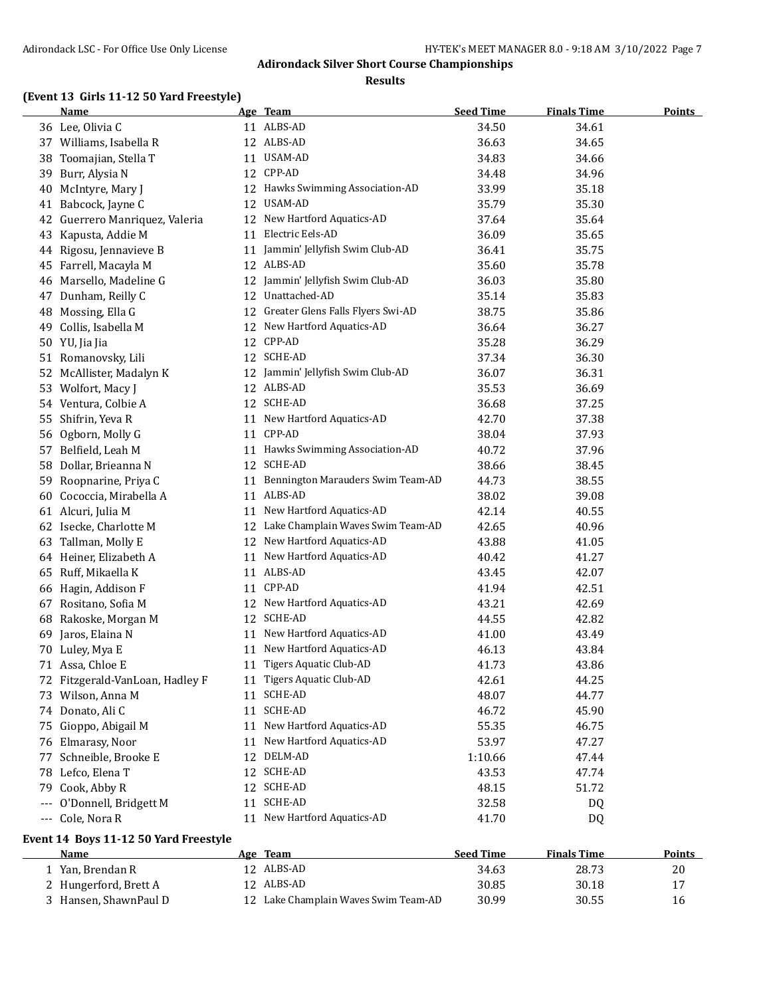**Results**

# **(Event 13 Girls 11-12 50 Yard Freestyle)**

|    | <b>Name</b>                     |    | Age Team                             | <b>Seed Time</b> | <b>Finals Time</b> | <b>Points</b> |
|----|---------------------------------|----|--------------------------------------|------------------|--------------------|---------------|
|    | 36 Lee, Olivia C                |    | 11 ALBS-AD                           | 34.50            | 34.61              |               |
|    | 37 Williams, Isabella R         |    | 12 ALBS-AD                           | 36.63            | 34.65              |               |
| 38 | Toomajian, Stella T             |    | 11 USAM-AD                           | 34.83            | 34.66              |               |
| 39 | Burr, Alysia N                  |    | 12 CPP-AD                            | 34.48            | 34.96              |               |
| 40 | McIntyre, Mary J                |    | 12 Hawks Swimming Association-AD     | 33.99            | 35.18              |               |
|    | 41 Babcock, Jayne C             |    | 12 USAM-AD                           | 35.79            | 35.30              |               |
| 42 | Guerrero Manriquez, Valeria     |    | 12 New Hartford Aquatics-AD          | 37.64            | 35.64              |               |
|    | 43 Kapusta, Addie M             |    | 11 Electric Eels-AD                  | 36.09            | 35.65              |               |
|    | 44 Rigosu, Jennavieve B         |    | 11 Jammin' Jellyfish Swim Club-AD    | 36.41            | 35.75              |               |
|    | 45 Farrell, Macayla M           |    | 12 ALBS-AD                           | 35.60            | 35.78              |               |
| 46 | Marsello, Madeline G            |    | 12 Jammin' Jellyfish Swim Club-AD    | 36.03            | 35.80              |               |
| 47 | Dunham, Reilly C                |    | 12 Unattached-AD                     | 35.14            | 35.83              |               |
| 48 | Mossing, Ella G                 |    | 12 Greater Glens Falls Flyers Swi-AD | 38.75            | 35.86              |               |
| 49 | Collis, Isabella M              | 12 | New Hartford Aquatics-AD             | 36.64            | 36.27              |               |
|    | 50 YU, Jia Jia                  | 12 | CPP-AD                               | 35.28            | 36.29              |               |
|    | 51 Romanovsky, Lili             |    | 12 SCHE-AD                           | 37.34            | 36.30              |               |
| 52 | McAllister, Madalyn K           | 12 | Jammin' Jellyfish Swim Club-AD       | 36.07            | 36.31              |               |
|    | 53 Wolfort, Macy J              |    | 12 ALBS-AD                           | 35.53            | 36.69              |               |
|    | 54 Ventura, Colbie A            |    | 12 SCHE-AD                           | 36.68            | 37.25              |               |
|    | 55 Shifrin, Yeva R              |    | 11 New Hartford Aquatics-AD          | 42.70            | 37.38              |               |
| 56 | Ogborn, Molly G                 |    | 11 CPP-AD                            | 38.04            | 37.93              |               |
| 57 | Belfield, Leah M                |    | 11 Hawks Swimming Association-AD     | 40.72            | 37.96              |               |
| 58 | Dollar, Brieanna N              |    | 12 SCHE-AD                           | 38.66            | 38.45              |               |
| 59 | Roopnarine, Priya C             |    | 11 Bennington Marauders Swim Team-AD | 44.73            | 38.55              |               |
| 60 | Cococcia, Mirabella A           |    | 11 ALBS-AD                           | 38.02            | 39.08              |               |
|    | 61 Alcuri, Julia M              |    | 11 New Hartford Aquatics-AD          | 42.14            | 40.55              |               |
|    | 62 Isecke, Charlotte M          |    | 12 Lake Champlain Waves Swim Team-AD | 42.65            | 40.96              |               |
| 63 | Tallman, Molly E                |    | 12 New Hartford Aquatics-AD          | 43.88            | 41.05              |               |
|    | 64 Heiner, Elizabeth A          | 11 | New Hartford Aquatics-AD             | 40.42            | 41.27              |               |
| 65 | Ruff, Mikaella K                |    | 11 ALBS-AD                           | 43.45            | 42.07              |               |
| 66 | Hagin, Addison F                |    | 11 CPP-AD                            | 41.94            | 42.51              |               |
| 67 | Rositano, Sofia M               |    | 12 New Hartford Aquatics-AD          | 43.21            | 42.69              |               |
| 68 | Rakoske, Morgan M               |    | 12 SCHE-AD                           | 44.55            | 42.82              |               |
|    | 69 Jaros, Elaina N              | 11 | New Hartford Aquatics-AD             | 41.00            | 43.49              |               |
|    | 70 Luley, Mya E                 |    | 11 New Hartford Aquatics-AD          | 46.13            | 43.84              |               |
|    | 71 Assa, Chloe E                |    | 11 Tigers Aquatic Club-AD            | 41.73            | 43.86              |               |
|    | 72 Fitzgerald-VanLoan, Hadley F |    | 11 Tigers Aquatic Club-AD            | 42.61            | 44.25              |               |
|    | 73 Wilson, Anna M               |    | 11 SCHE-AD                           | 48.07            | 44.77              |               |
|    | 74 Donato, Ali C                | 11 | SCHE-AD                              | 46.72            | 45.90              |               |
| 75 | Gioppo, Abigail M               |    | 11 New Hartford Aquatics-AD          | 55.35            | 46.75              |               |
|    | 76 Elmarasy, Noor               | 11 | New Hartford Aquatics-AD             | 53.97            | 47.27              |               |
| 77 | Schneible, Brooke E             |    | 12 DELM-AD                           | 1:10.66          | 47.44              |               |
| 78 | Lefco, Elena T                  |    | 12 SCHE-AD                           | 43.53            | 47.74              |               |
| 79 | Cook, Abby R                    |    | 12 SCHE-AD                           | 48.15            | 51.72              |               |
|    | --- O'Donnell, Bridgett M       | 11 | SCHE-AD                              | 32.58            | DQ                 |               |
|    | --- Cole, Nora R                |    | 11 New Hartford Aquatics-AD          | 41.70            | DQ                 |               |

### **Event 14 Boys 11-12 50 Yard Freestyle**

| <b>Name</b>             | Age Team                             | <b>Seed Time</b> | <b>Finals Time</b> | Points |
|-------------------------|--------------------------------------|------------------|--------------------|--------|
| 1 - Yan. Brendan R      | 12 ALBS-AD                           | 34.63            | 28.73              | 20     |
| 2 Hungerford, Brett A   | 12 ALBS-AD                           | 30.85            | 30.18              |        |
| 3   Hansen, ShawnPaul D | 12 Lake Champlain Waves Swim Team-AD | 30.99            | 30.55              | 16     |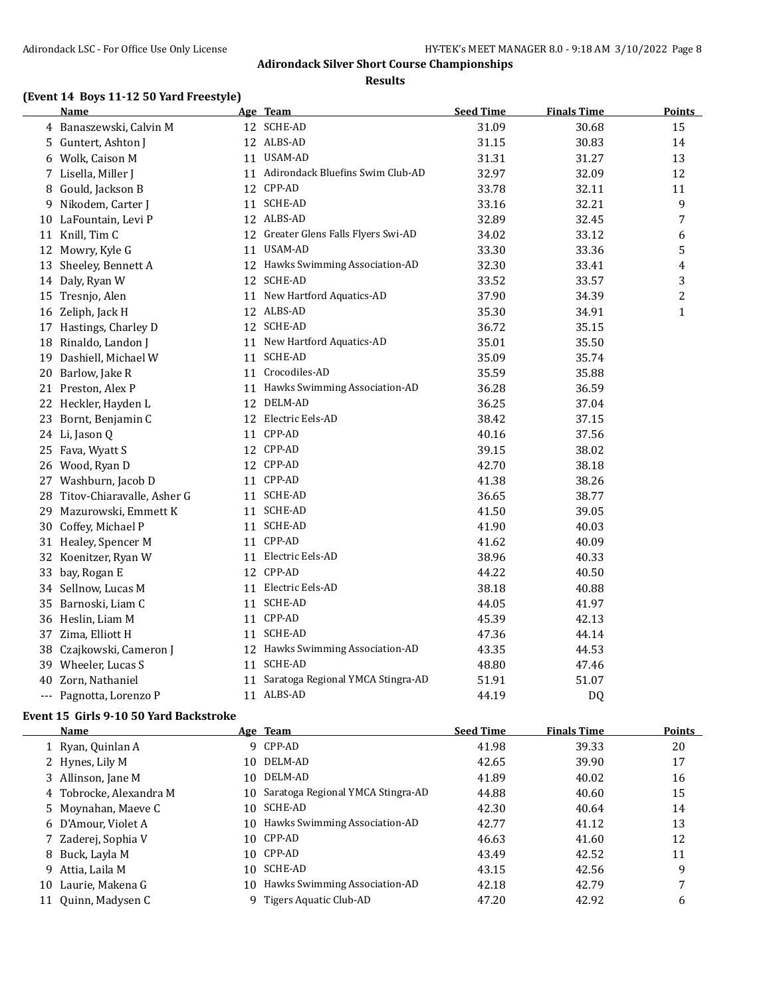**Results**

# **(Event 14 Boys 11-12 50 Yard Freestyle)**

|    | Name                       | Age Team                             | <b>Seed Time</b> | <b>Finals Time</b> | <u>Points</u>  |
|----|----------------------------|--------------------------------------|------------------|--------------------|----------------|
|    | 4 Banaszewski, Calvin M    | 12 SCHE-AD                           | 31.09            | 30.68              | 15             |
| 5. | Guntert, Ashton J          | 12 ALBS-AD                           | 31.15            | 30.83              | 14             |
| 6  | Wolk, Caison M             | 11 USAM-AD                           | 31.31            | 31.27              | 13             |
|    | 7 Lisella, Miller J        | 11 Adirondack Bluefins Swim Club-AD  | 32.97            | 32.09              | 12             |
| 8  | Gould, Jackson B           | 12 CPP-AD                            | 33.78            | 32.11              | 11             |
| 9  | Nikodem, Carter J          | 11 SCHE-AD                           | 33.16            | 32.21              | 9              |
|    | 10 LaFountain, Levi P      | 12 ALBS-AD                           | 32.89            | 32.45              | 7              |
|    | 11 Knill, Tim C            | 12 Greater Glens Falls Flyers Swi-AD | 34.02            | 33.12              | 6              |
|    | 12 Mowry, Kyle G           | 11 USAM-AD                           | 33.30            | 33.36              | 5              |
|    | 13 Sheeley, Bennett A      | 12 Hawks Swimming Association-AD     | 32.30            | 33.41              | 4              |
|    | 14 Daly, Ryan W            | 12 SCHE-AD                           | 33.52            | 33.57              | 3              |
|    | 15 Tresnjo, Alen           | 11 New Hartford Aquatics-AD          | 37.90            | 34.39              | $\overline{c}$ |
|    | 16 Zeliph, Jack H          | 12 ALBS-AD                           | 35.30            | 34.91              | $\mathbf{1}$   |
|    | 17 Hastings, Charley D     | 12 SCHE-AD                           | 36.72            | 35.15              |                |
|    | 18 Rinaldo, Landon J       | 11 New Hartford Aquatics-AD          | 35.01            | 35.50              |                |
| 19 | Dashiell, Michael W        | 11 SCHE-AD                           | 35.09            | 35.74              |                |
|    | 20 Barlow, Jake R          | 11 Crocodiles-AD                     | 35.59            | 35.88              |                |
|    | 21 Preston, Alex P         | 11 Hawks Swimming Association-AD     | 36.28            | 36.59              |                |
|    | 22 Heckler, Hayden L       | 12 DELM-AD                           | 36.25            | 37.04              |                |
| 23 | Bornt, Benjamin C          | 12 Electric Eels-AD                  | 38.42            | 37.15              |                |
| 24 | Li, Jason Q                | 11 CPP-AD                            | 40.16            | 37.56              |                |
|    | 25 Fava, Wyatt S           | 12 CPP-AD                            | 39.15            | 38.02              |                |
|    | 26 Wood, Ryan D            | 12 CPP-AD                            | 42.70            | 38.18              |                |
|    | 27 Washburn, Jacob D       | 11 CPP-AD                            | 41.38            | 38.26              |                |
| 28 | Titov-Chiaravalle, Asher G | 11 SCHE-AD                           | 36.65            | 38.77              |                |
| 29 | Mazurowski, Emmett K       | 11 SCHE-AD                           | 41.50            | 39.05              |                |
|    | 30 Coffey, Michael P       | 11 SCHE-AD                           | 41.90            | 40.03              |                |
|    | 31 Healey, Spencer M       | 11 CPP-AD                            | 41.62            | 40.09              |                |
| 32 | Koenitzer, Ryan W          | 11 Electric Eels-AD                  | 38.96            | 40.33              |                |
| 33 | bay, Rogan E               | 12 CPP-AD                            | 44.22            | 40.50              |                |
|    | 34 Sellnow, Lucas M        | 11 Electric Eels-AD                  | 38.18            | 40.88              |                |
| 35 | Barnoski, Liam C           | 11 SCHE-AD                           | 44.05            | 41.97              |                |
|    | 36 Heslin, Liam M          | 11 CPP-AD                            | 45.39            | 42.13              |                |
|    | 37 Zima, Elliott H         | 11 SCHE-AD                           | 47.36            | 44.14              |                |
| 38 | Czajkowski, Cameron J      | 12 Hawks Swimming Association-AD     | 43.35            | 44.53              |                |
|    | 39 Wheeler, Lucas S        | 11 SCHE-AD                           | 48.80            | 47.46              |                |
|    | 40 Zorn, Nathaniel         | 11 Saratoga Regional YMCA Stingra-AD | 51.91            | 51.07              |                |
|    | --- Pagnotta, Lorenzo P    | 11 ALBS-AD                           | 44.19            | <b>DQ</b>          |                |

### **Event 15 Girls 9-10 50 Yard Backstroke**

|    | Name                    |     | Age Team                          | <b>Seed Time</b> | <b>Finals Time</b> | <b>Points</b> |
|----|-------------------------|-----|-----------------------------------|------------------|--------------------|---------------|
|    | 1 Ryan, Quinlan A       |     | 9 CPP-AD                          | 41.98            | 39.33              | 20            |
|    | 2 Hynes, Lily M         | 10. | DELM-AD                           | 42.65            | 39.90              | 17            |
|    | 3 Allinson, Jane M      | 10. | DELM-AD                           | 41.89            | 40.02              | 16            |
|    | 4 Tobrocke, Alexandra M | 10. | Saratoga Regional YMCA Stingra-AD | 44.88            | 40.60              | 15            |
|    | 5 Moynahan, Maeye C     | 10. | SCHE-AD                           | 42.30            | 40.64              | 14            |
|    | 6 D'Amour, Violet A     | 10. | Hawks Swimming Association-AD     | 42.77            | 41.12              | 13            |
|    | 7 Zaderej, Sophia V     | 10. | CPP-AD                            | 46.63            | 41.60              | 12            |
|    | 8 Buck, Layla M         |     | 10 CPP-AD                         | 43.49            | 42.52              | 11            |
| 9  | Attia, Laila M          | 10  | SCHE-AD                           | 43.15            | 42.56              | 9             |
| 10 | Laurie, Makena G        | 10. | Hawks Swimming Association-AD     | 42.18            | 42.79              | 7             |
|    | 11 Quinn, Madysen C     |     | Tigers Aquatic Club-AD            | 47.20            | 42.92              | 6             |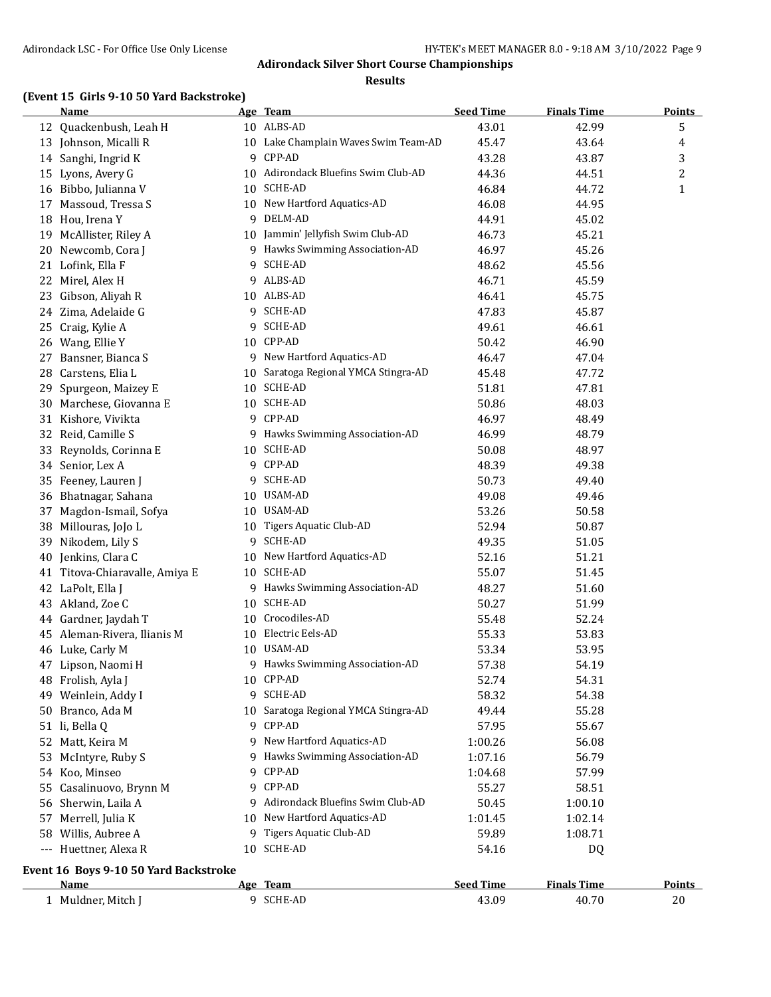#### **Results**

### **(Event 15 Girls 9-10 50 Yard Backstroke)**

|    | <b>Name</b>                           |    | Age Team                             | <b>Seed Time</b> | <b>Finals Time</b> | <b>Points</b> |
|----|---------------------------------------|----|--------------------------------------|------------------|--------------------|---------------|
|    | 12 Quackenbush, Leah H                |    | 10 ALBS-AD                           | 43.01            | 42.99              | 5             |
|    | 13 Johnson, Micalli R                 |    | 10 Lake Champlain Waves Swim Team-AD | 45.47            | 43.64              | 4             |
|    | 14 Sanghi, Ingrid K                   |    | 9 CPP-AD                             | 43.28            | 43.87              | 3             |
|    | 15 Lyons, Avery G                     |    | 10 Adirondack Bluefins Swim Club-AD  | 44.36            | 44.51              | 2             |
| 16 | Bibbo, Julianna V                     |    | 10 SCHE-AD                           | 46.84            | 44.72              | $\mathbf{1}$  |
|    | 17 Massoud, Tressa S                  |    | 10 New Hartford Aquatics-AD          | 46.08            | 44.95              |               |
| 18 | Hou, Irena Y                          |    | 9 DELM-AD                            | 44.91            | 45.02              |               |
| 19 | McAllister, Riley A                   |    | 10 Jammin' Jellyfish Swim Club-AD    | 46.73            | 45.21              |               |
| 20 | Newcomb, Cora J                       |    | 9 Hawks Swimming Association-AD      | 46.97            | 45.26              |               |
|    | 21 Lofink, Ella F                     | 9. | SCHE-AD                              | 48.62            | 45.56              |               |
| 22 | Mirel, Alex H                         |    | 9 ALBS-AD                            | 46.71            | 45.59              |               |
| 23 | Gibson, Aliyah R                      |    | 10 ALBS-AD                           | 46.41            | 45.75              |               |
|    | 24 Zima, Adelaide G                   |    | 9 SCHE-AD                            | 47.83            | 45.87              |               |
| 25 | Craig, Kylie A                        |    | 9 SCHE-AD                            | 49.61            | 46.61              |               |
|    | 26 Wang, Ellie Y                      |    | 10 CPP-AD                            | 50.42            | 46.90              |               |
| 27 | Bansner, Bianca S                     |    | 9 New Hartford Aquatics-AD           | 46.47            | 47.04              |               |
| 28 | Carstens, Elia L                      |    | 10 Saratoga Regional YMCA Stingra-AD | 45.48            | 47.72              |               |
| 29 | Spurgeon, Maizey E                    |    | 10 SCHE-AD                           | 51.81            | 47.81              |               |
| 30 | Marchese, Giovanna E                  |    | 10 SCHE-AD                           | 50.86            | 48.03              |               |
|    | 31 Kishore, Vivikta                   |    | 9 CPP-AD                             | 46.97            | 48.49              |               |
| 32 | Reid, Camille S                       |    | 9 Hawks Swimming Association-AD      | 46.99            | 48.79              |               |
| 33 | Reynolds, Corinna E                   |    | 10 SCHE-AD                           | 50.08            | 48.97              |               |
|    | 34 Senior, Lex A                      |    | 9 CPP-AD                             | 48.39            | 49.38              |               |
|    | 35 Feeney, Lauren J                   |    | 9 SCHE-AD                            | 50.73            | 49.40              |               |
|    | 36 Bhatnagar, Sahana                  |    | 10 USAM-AD                           | 49.08            | 49.46              |               |
| 37 | Magdon-Ismail, Sofya                  |    | 10 USAM-AD                           | 53.26            | 50.58              |               |
|    | 38 Millouras, JoJo L                  |    | 10 Tigers Aquatic Club-AD            | 52.94            | 50.87              |               |
| 39 | Nikodem, Lily S                       |    | 9 SCHE-AD                            | 49.35            | 51.05              |               |
| 40 | Jenkins, Clara C                      |    | 10 New Hartford Aquatics-AD          | 52.16            | 51.21              |               |
|    | 41 Titova-Chiaravalle, Amiya E        |    | 10 SCHE-AD                           | 55.07            | 51.45              |               |
|    | 42 LaPolt, Ella J                     |    | 9 Hawks Swimming Association-AD      | 48.27            |                    |               |
|    | 43 Akland, Zoe C                      |    | 10 SCHE-AD                           | 50.27            | 51.60              |               |
|    |                                       |    | 10 Crocodiles-AD                     |                  | 51.99              |               |
| 44 | Gardner, Jaydah T                     |    | 10 Electric Eels-AD                  | 55.48            | 52.24              |               |
| 45 | Aleman-Rivera, Ilianis M              |    | 10 USAM-AD                           | 55.33            | 53.83              |               |
| 46 | Luke, Carly M                         |    |                                      | 53.34            | 53.95              |               |
|    | 47 Lipson, Naomi H                    |    | 9 Hawks Swimming Association-AD      | 57.38            | 54.19              |               |
|    | 48 Frolish, Ayla J                    |    | 10 CPP-AD<br>9 SCHE-AD               | 52.74            | 54.31              |               |
| 49 | Weinlein, Addy I                      |    |                                      | 58.32            | 54.38              |               |
|    | 50 Branco, Ada M                      |    | 10 Saratoga Regional YMCA Stingra-AD | 49.44            | 55.28              |               |
|    | 51 li, Bella Q                        | 9  | CPP-AD                               | 57.95            | 55.67              |               |
|    | 52 Matt, Keira M                      | 9. | New Hartford Aquatics-AD             | 1:00.26          | 56.08              |               |
| 53 | McIntyre, Ruby S                      | 9. | Hawks Swimming Association-AD        | 1:07.16          | 56.79              |               |
|    | 54 Koo, Minseo                        | 9  | CPP-AD                               | 1:04.68          | 57.99              |               |
| 55 | Casalinuovo, Brynn M                  |    | 9 CPP-AD                             | 55.27            | 58.51              |               |
| 56 | Sherwin, Laila A                      | 9. | Adirondack Bluefins Swim Club-AD     | 50.45            | 1:00.10            |               |
|    | 57 Merrell, Julia K                   |    | 10 New Hartford Aquatics-AD          | 1:01.45          | 1:02.14            |               |
|    | 58 Willis, Aubree A                   |    | 9 Tigers Aquatic Club-AD             | 59.89            | 1:08.71            |               |
|    | --- Huettner, Alexa R                 |    | 10 SCHE-AD                           | 54.16            | DQ                 |               |
|    | Event 16 Boys 9-10 50 Yard Backstroke |    |                                      |                  |                    |               |
|    | <u>Name</u>                           |    | Age Team                             | <b>Seed Time</b> | <b>Finals Time</b> | <b>Points</b> |
|    | 1 Muldner, Mitch J                    |    | 9 SCHE-AD                            | 43.09            | 40.70              | 20            |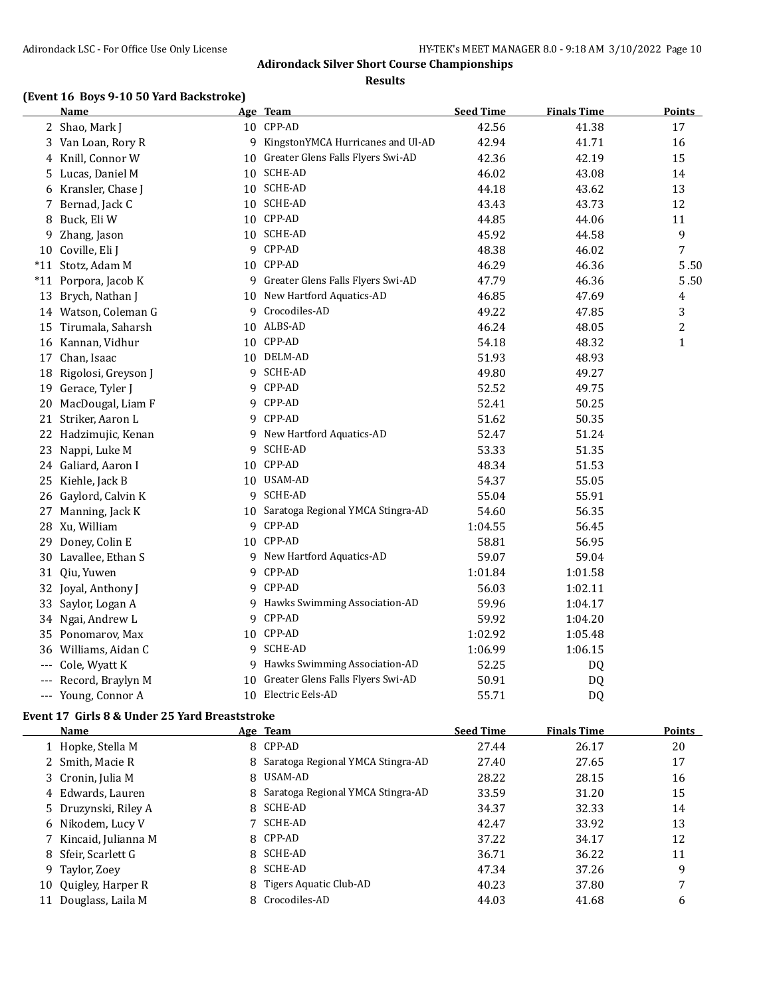#### **Results**

### **(Event 16 Boys 9-10 50 Yard Backstroke)**

|                     | <u>Name</u>            |    | Age Team                             | <b>Seed Time</b> | <b>Finals Time</b> | <u>Points</u>  |
|---------------------|------------------------|----|--------------------------------------|------------------|--------------------|----------------|
|                     | 2 Shao, Mark J         |    | 10 CPP-AD                            | 42.56            | 41.38              | 17             |
|                     | 3 Van Loan, Rory R     |    | 9 KingstonYMCA Hurricanes and Ul-AD  | 42.94            | 41.71              | 16             |
|                     | 4 Knill, Connor W      |    | 10 Greater Glens Falls Flyers Swi-AD | 42.36            | 42.19              | 15             |
|                     | 5 Lucas, Daniel M      |    | 10 SCHE-AD                           | 46.02            | 43.08              | 14             |
|                     | 6 Kransler, Chase J    |    | 10 SCHE-AD                           | 44.18            | 43.62              | 13             |
|                     | 7 Bernad, Jack C       |    | 10 SCHE-AD                           | 43.43            | 43.73              | 12             |
|                     | 8 Buck, Eli W          |    | 10 CPP-AD                            | 44.85            | 44.06              | 11             |
|                     | 9 Zhang, Jason         |    | 10 SCHE-AD                           | 45.92            | 44.58              | 9              |
|                     | 10 Coville, Eli J      |    | 9 CPP-AD                             | 48.38            | 46.02              | $\overline{7}$ |
|                     | *11 Stotz, Adam M      |    | 10 CPP-AD                            | 46.29            | 46.36              | 5.50           |
|                     | *11 Porpora, Jacob K   |    | 9 Greater Glens Falls Flyers Swi-AD  | 47.79            | 46.36              | 5.50           |
|                     | 13 Brych, Nathan J     |    | 10 New Hartford Aquatics-AD          | 46.85            | 47.69              | 4              |
|                     | 14 Watson, Coleman G   |    | 9 Crocodiles-AD                      | 49.22            | 47.85              | 3              |
|                     | 15 Tirumala, Saharsh   |    | 10 ALBS-AD                           | 46.24            | 48.05              | $\overline{c}$ |
|                     | 16 Kannan, Vidhur      |    | 10 CPP-AD                            | 54.18            | 48.32              | $\mathbf{1}$   |
|                     | 17 Chan, Isaac         |    | 10 DELM-AD                           | 51.93            | 48.93              |                |
|                     | 18 Rigolosi, Greyson J |    | 9 SCHE-AD                            | 49.80            | 49.27              |                |
|                     | 19 Gerace, Tyler J     |    | 9 CPP-AD                             | 52.52            | 49.75              |                |
|                     | 20 MacDougal, Liam F   |    | 9 CPP-AD                             | 52.41            | 50.25              |                |
| 21                  | Striker, Aaron L       |    | 9 CPP-AD                             | 51.62            | 50.35              |                |
|                     | 22 Hadzimujic, Kenan   |    | 9 New Hartford Aquatics-AD           | 52.47            | 51.24              |                |
|                     | 23 Nappi, Luke M       | 9  | SCHE-AD                              | 53.33            | 51.35              |                |
|                     | 24 Galiard, Aaron I    |    | 10 CPP-AD                            | 48.34            | 51.53              |                |
|                     | 25 Kiehle, Jack B      |    | 10 USAM-AD                           | 54.37            | 55.05              |                |
|                     | 26 Gaylord, Calvin K   |    | 9 SCHE-AD                            | 55.04            | 55.91              |                |
|                     | 27 Manning, Jack K     |    | 10 Saratoga Regional YMCA Stingra-AD | 54.60            | 56.35              |                |
|                     | 28 Xu, William         |    | 9 CPP-AD                             | 1:04.55          | 56.45              |                |
|                     | 29 Doney, Colin E      |    | 10 CPP-AD                            | 58.81            | 56.95              |                |
|                     | 30 Lavallee, Ethan S   |    | 9 New Hartford Aquatics-AD           | 59.07            | 59.04              |                |
|                     | 31 Qiu, Yuwen          |    | 9 CPP-AD                             | 1:01.84          | 1:01.58            |                |
|                     | 32 Joyal, Anthony J    |    | 9 CPP-AD                             | 56.03            | 1:02.11            |                |
|                     | 33 Saylor, Logan A     |    | 9 Hawks Swimming Association-AD      | 59.96            | 1:04.17            |                |
|                     | 34 Ngai, Andrew L      |    | 9 CPP-AD                             | 59.92            | 1:04.20            |                |
|                     | 35 Ponomarov, Max      |    | 10 CPP-AD                            | 1:02.92          | 1:05.48            |                |
|                     | 36 Williams, Aidan C   |    | 9 SCHE-AD                            | 1:06.99          | 1:06.15            |                |
|                     | --- Cole, Wyatt K      | 9. | Hawks Swimming Association-AD        | 52.25            | DQ                 |                |
| $\qquad \qquad - -$ | Record, Braylyn M      | 10 | Greater Glens Falls Flyers Swi-AD    | 50.91            | DQ                 |                |
|                     | --- Young, Connor A    |    | 10 Electric Eels-AD                  | 55.71            | DQ                 |                |

### **Event 17 Girls 8 & Under 25 Yard Breaststroke**

|    | Name                  |    | Age Team                            | <b>Seed Time</b> | <b>Finals Time</b> | <b>Points</b> |
|----|-----------------------|----|-------------------------------------|------------------|--------------------|---------------|
|    | 1 Hopke, Stella M     |    | 8 CPP-AD                            | 27.44            | 26.17              | 20            |
|    | 2 Smith, Macie R      |    | 8 Saratoga Regional YMCA Stingra-AD | 27.40            | 27.65              | 17            |
|    | 3 Cronin, Julia M     |    | 8 USAM-AD                           | 28.22            | 28.15              | 16            |
|    | 4 Edwards, Lauren     |    | 8 Saratoga Regional YMCA Stingra-AD | 33.59            | 31.20              | 15            |
|    | 5 Druzynski, Riley A  |    | 8 SCHE-AD                           | 34.37            | 32.33              | 14            |
|    | 6 Nikodem, Lucy V     |    | 7 SCHE-AD                           | 42.47            | 33.92              | 13            |
|    | 7 Kincaid, Julianna M |    | 8 CPP-AD                            | 37.22            | 34.17              | 12            |
|    | 8 Sfeir, Scarlett G   |    | 8 SCHE-AD                           | 36.71            | 36.22              | 11            |
|    | 9 Taylor, Zoey        |    | 8 SCHE-AD                           | 47.34            | 37.26              | 9             |
| 10 | Quigley, Harper R     | 8. | Tigers Aquatic Club-AD              | 40.23            | 37.80              | 7             |
| 11 | Douglass, Laila M     |    | 8 Crocodiles-AD                     | 44.03            | 41.68              | 6             |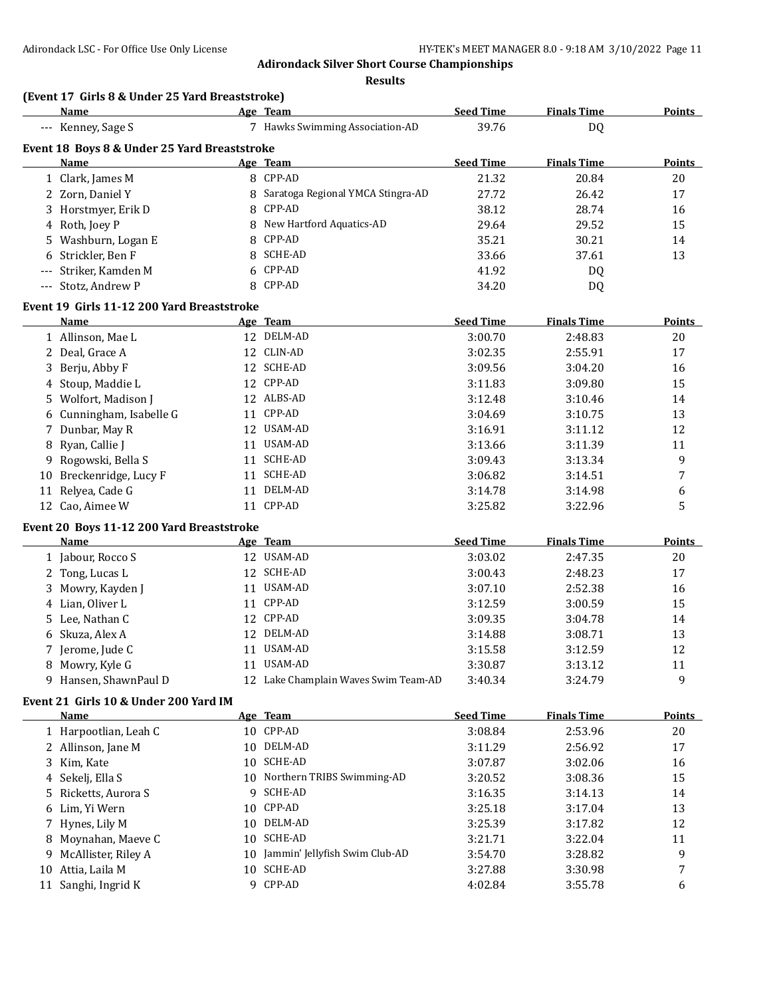**Results**

| (Event 17 Girls 8 & Under 25 Yard Breaststroke) |  |
|-------------------------------------------------|--|
|                                                 |  |

| <b>Name</b>                                  | Age Team                            | <b>Seed Time</b> | <b>Finals Time</b> | <b>Points</b> |
|----------------------------------------------|-------------------------------------|------------------|--------------------|---------------|
| --- Kenney, Sage S                           | Hawks Swimming Association-AD       | 39.76            | DQ.                |               |
| Event 18 Boys 8 & Under 25 Yard Breaststroke |                                     |                  |                    |               |
| <b>Name</b>                                  | Age Team                            | <b>Seed Time</b> | <b>Finals Time</b> | Points        |
| 1 Clark, James M                             | 8 CPP-AD                            | 21.32            | 20.84              | 20            |
| 2 Zorn, Daniel Y                             | 8 Saratoga Regional YMCA Stingra-AD | 27.72            | 26.42              | 17            |
| 3 Horstmyer, Erik D                          | 8 CPP-AD                            | 38.12            | 28.74              | 16            |
| 4 Roth, Joey P                               | 8 New Hartford Aquatics-AD          | 29.64            | 29.52              | 15            |
| 5 Washburn, Logan E                          | 8 CPP-AD                            | 35.21            | 30.21              | 14            |
| 6 Strickler, Ben F                           | 8 SCHE-AD                           | 33.66            | 37.61              | 13            |
| --- Striker, Kamden M                        | 6 CPP-AD                            | 41.92            | DQ                 |               |
| --- Stotz, Andrew P                          | 8 CPP-AD                            | 34.20            | DQ                 |               |
| Event 19 Cirls 11-12 200 Vard Breaststroke   |                                     |                  |                    |               |

#### **Event 19 Girls 11-12 200 Yard Breaststroke**

| Name                     |    | Age Team   | <b>Seed Time</b> | <b>Finals Time</b> | <b>Points</b> |
|--------------------------|----|------------|------------------|--------------------|---------------|
| 1 Allinson, Mae L        |    | 12 DELM-AD | 3:00.70          | 2:48.83            | 20            |
| 2 Deal, Grace A          |    | 12 CLIN-AD | 3:02.35          | 2:55.91            | 17            |
| 3 Berju, Abby F          |    | 12 SCHE-AD | 3:09.56          | 3:04.20            | 16            |
| 4 Stoup, Maddie L        |    | 12 CPP-AD  | 3:11.83          | 3:09.80            | 15            |
| 5 Wolfort, Madison J     |    | 12 ALBS-AD | 3:12.48          | 3:10.46            | 14            |
| 6 Cunningham, Isabelle G |    | 11 CPP-AD  | 3:04.69          | 3:10.75            | 13            |
| 7 Dunbar, May R          |    | 12 USAM-AD | 3:16.91          | 3:11.12            | 12            |
| 8 Ryan, Callie J         |    | 11 USAM-AD | 3:13.66          | 3:11.39            | 11            |
| 9 Rogowski, Bella S      | 11 | SCHE-AD    | 3:09.43          | 3:13.34            | 9             |
| 10 Breckenridge, Lucy F  | 11 | SCHE-AD    | 3:06.82          | 3:14.51            | 7             |
| 11 Relyea, Cade G        | 11 | DELM-AD    | 3:14.78          | 3:14.98            | 6             |
| 12 Cao, Aimee W          |    | 11 CPP-AD  | 3:25.82          | 3:22.96            | 5             |

#### **Event 20 Boys 11-12 200 Yard Breaststroke**

| Name                  | Age Team                             | <b>Seed Time</b> | <b>Finals Time</b> | Points |
|-----------------------|--------------------------------------|------------------|--------------------|--------|
| 1 Jabour, Rocco S     | 12 USAM-AD                           | 3:03.02          | 2:47.35            | 20     |
| 2 Tong, Lucas L       | 12 SCHE-AD                           | 3:00.43          | 2:48.23            | 17     |
| 3 Mowry, Kayden J     | 11 USAM-AD                           | 3:07.10          | 2:52.38            | 16     |
| 4 Lian, Oliver L      | 11 CPP-AD                            | 3:12.59          | 3:00.59            | 15     |
| 5 Lee, Nathan C       | 12 CPP-AD                            | 3:09.35          | 3:04.78            | 14     |
| 6 Skuza, Alex A       | 12 DELM-AD                           | 3:14.88          | 3:08.71            | 13     |
| 7 Jerome, Jude C      | 11 USAM-AD                           | 3:15.58          | 3:12.59            | 12     |
| 8 Mowry, Kyle G       | 11 USAM-AD                           | 3:30.87          | 3:13.12            | 11     |
| 9 Hansen, ShawnPaul D | 12 Lake Champlain Waves Swim Team-AD | 3:40.34          | 3:24.79            | 9      |

#### **Event 21 Girls 10 & Under 200 Yard IM**

|    | <b>Name</b>           |     | Age Team                       | <b>Seed Time</b> | <b>Finals Time</b> | <b>Points</b> |
|----|-----------------------|-----|--------------------------------|------------------|--------------------|---------------|
|    | 1 Harpootlian, Leah C | 10. | CPP-AD                         | 3:08.84          | 2:53.96            | 20            |
|    | 2 Allinson, Jane M    | 10. | DELM-AD                        | 3:11.29          | 2:56.92            | 17            |
|    | 3 Kim, Kate           | 10  | SCHE-AD                        | 3:07.87          | 3:02.06            | 16            |
|    | 4 Sekelj, Ella S      |     | 10 Northern TRIBS Swimming-AD  | 3:20.52          | 3:08.36            | 15            |
|    | 5 Ricketts, Aurora S  | Q.  | SCHE-AD                        | 3:16.35          | 3:14.13            | 14            |
|    | 6 Lim, Yi Wern        | 10. | CPP-AD                         | 3:25.18          | 3:17.04            | 13            |
|    | 7 Hynes, Lily M       | 10. | DELM-AD                        | 3:25.39          | 3:17.82            | 12            |
|    | 8 Moynahan, Maeve C   | 10. | SCHE-AD                        | 3:21.71          | 3:22.04            | 11            |
|    | 9 McAllister, Riley A | 10  | Jammin' Jellyfish Swim Club-AD | 3:54.70          | 3:28.82            | 9             |
| 10 | Attia, Laila M        | 10. | SCHE-AD                        | 3:27.88          | 3:30.98            | 7             |
| 11 | Sanghi, Ingrid K      | q   | CPP-AD                         | 4:02.84          | 3:55.78            | 6             |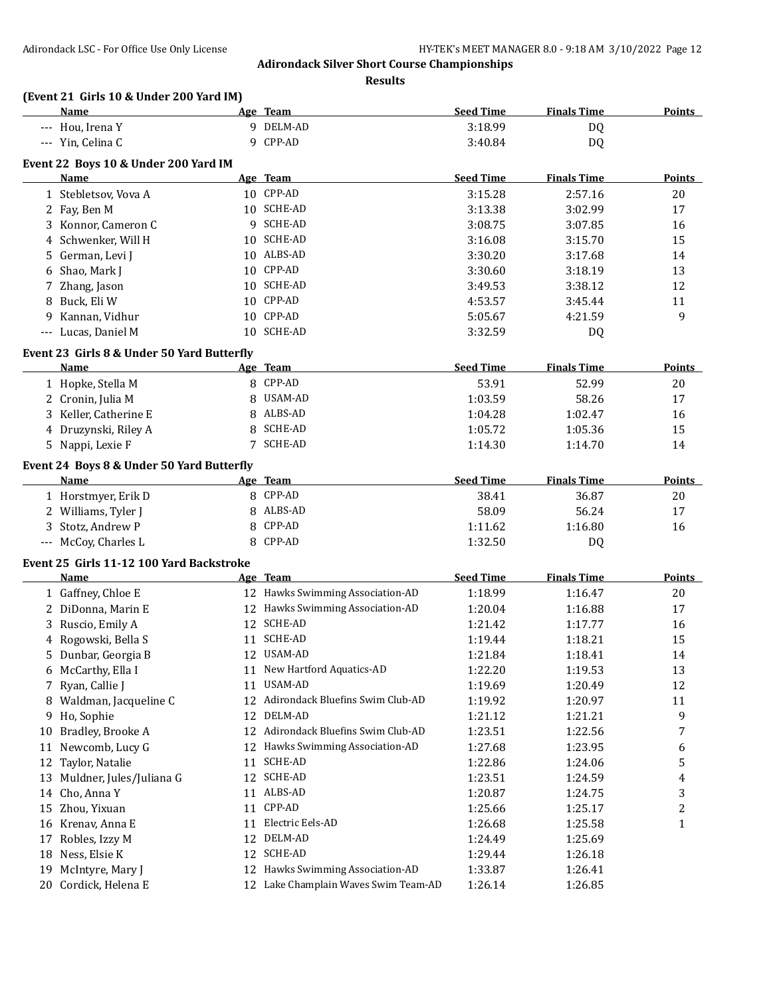**Results**

# **(Event 21 Girls 10 & Under 200 Yard IM)**

|    | Name                                         |   | Age Team                             | <b>Seed Time</b> | <b>Finals Time</b> | <b>Points</b> |
|----|----------------------------------------------|---|--------------------------------------|------------------|--------------------|---------------|
|    | --- Hou, Irena Y                             |   | 9 DELM-AD                            | 3:18.99          | DQ                 |               |
|    | --- Yin, Celina C                            |   | 9 CPP-AD                             | 3:40.84          | <b>DQ</b>          |               |
|    |                                              |   |                                      |                  |                    |               |
|    | Event 22 Boys 10 & Under 200 Yard IM<br>Name |   | Age Team                             | <b>Seed Time</b> | <b>Finals Time</b> | <b>Points</b> |
|    |                                              |   | 10 CPP-AD                            | 3:15.28          | 2:57.16            | 20            |
|    | 1 Stebletsov, Vova A                         |   |                                      |                  |                    |               |
|    | 2 Fay, Ben M                                 |   | 10 SCHE-AD                           | 3:13.38          | 3:02.99            | 17            |
|    | 3 Konnor, Cameron C                          |   | 9 SCHE-AD                            | 3:08.75          | 3:07.85            | 16            |
|    | 4 Schwenker, Will H                          |   | 10 SCHE-AD                           | 3:16.08          | 3:15.70            | 15            |
|    | 5 German, Levi J                             |   | 10 ALBS-AD                           | 3:30.20          | 3:17.68            | 14            |
|    | 6 Shao, Mark J                               |   | 10 CPP-AD                            | 3:30.60          | 3:18.19            | 13            |
|    | 7 Zhang, Jason                               |   | 10 SCHE-AD                           | 3:49.53          | 3:38.12            | 12            |
|    | 8 Buck, Eli W                                |   | 10 CPP-AD                            | 4:53.57          | 3:45.44            | 11            |
| 9  | Kannan, Vidhur                               |   | 10 CPP-AD                            | 5:05.67          | 4:21.59            | 9             |
|    | --- Lucas, Daniel M                          |   | 10 SCHE-AD                           | 3:32.59          | DQ                 |               |
|    | Event 23 Girls 8 & Under 50 Yard Butterfly   |   |                                      |                  |                    |               |
|    | Name                                         |   | Age Team                             | <b>Seed Time</b> | <b>Finals Time</b> | <b>Points</b> |
|    | 1 Hopke, Stella M                            |   | 8 CPP-AD                             | 53.91            | 52.99              | 20            |
|    | 2 Cronin, Julia M                            |   | 8 USAM-AD                            | 1:03.59          | 58.26              | 17            |
|    | 3 Keller, Catherine E                        | 8 | ALBS-AD                              | 1:04.28          | 1:02.47            | 16            |
|    | 4 Druzynski, Riley A                         | 8 | SCHE-AD                              | 1:05.72          | 1:05.36            | 15            |
|    | 5 Nappi, Lexie F                             |   | 7 SCHE-AD                            | 1:14.30          | 1:14.70            | 14            |
|    |                                              |   |                                      |                  |                    |               |
|    | Event 24 Boys 8 & Under 50 Yard Butterfly    |   |                                      |                  |                    |               |
|    | Name                                         |   | Age Team                             | <b>Seed Time</b> | <b>Finals Time</b> | <b>Points</b> |
|    | 1 Horstmyer, Erik D                          |   | 8 CPP-AD                             | 38.41            | 36.87              | 20            |
|    | 2 Williams, Tyler J                          |   | 8 ALBS-AD                            | 58.09            | 56.24              | 17            |
|    | 3 Stotz, Andrew P                            | 8 | CPP-AD                               | 1:11.62          | 1:16.80            | 16            |
|    | --- McCoy, Charles L                         |   | 8 CPP-AD                             | 1:32.50          | DQ                 |               |
|    | Event 25 Girls 11-12 100 Yard Backstroke     |   |                                      |                  |                    |               |
|    | Name                                         |   | Age Team                             | <b>Seed Time</b> | <b>Finals Time</b> | <b>Points</b> |
|    | 1 Gaffney, Chloe E                           |   | 12 Hawks Swimming Association-AD     | 1:18.99          | 1:16.47            | 20            |
|    | 2 DiDonna, Marin E                           |   | 12 Hawks Swimming Association-AD     | 1:20.04          | 1:16.88            | 17            |
|    | 3 Ruscio, Emily A                            |   | 12 SCHE-AD                           | 1:21.42          | 1:17.77            | 16            |
|    | 4 Rogowski, Bella S                          |   | 11 SCHE-AD                           | 1:19.44          | 1:18.21            | 15            |
|    | 5 Dunbar, Georgia B                          |   | 12 USAM-AD                           | 1:21.84          | 1:18.41            | 14            |
|    | 6 McCarthy, Ella I                           |   | 11 New Hartford Aquatics-AD          | 1:22.20          | 1:19.53            | 13            |
|    | 7 Ryan, Callie J                             |   | 11 USAM-AD                           | 1:19.69          | 1:20.49            | 12            |
|    | 8 Waldman, Jacqueline C                      |   | 12 Adirondack Bluefins Swim Club-AD  | 1:19.92          | 1:20.97            | 11            |
|    | 9 Ho, Sophie                                 |   | 12 DELM-AD                           | 1:21.12          | 1:21.21            | 9             |
|    | 10 Bradley, Brooke A                         |   | 12 Adirondack Bluefins Swim Club-AD  | 1:23.51          | 1:22.56            | 7             |
| 11 | Newcomb, Lucy G                              |   | 12 Hawks Swimming Association-AD     | 1:27.68          | 1:23.95            | 6             |
|    | 12 Taylor, Natalie                           |   | 11 SCHE-AD                           | 1:22.86          | 1:24.06            | 5             |
|    | 13 Muldner, Jules/Juliana G                  |   | 12 SCHE-AD                           | 1:23.51          | 1:24.59            | 4             |
|    | 14 Cho, Anna Y                               |   | 11 ALBS-AD                           |                  |                    |               |
|    |                                              |   | 11 CPP-AD                            | 1:20.87          | 1:24.75            | 3             |
|    | 15 Zhou, Yixuan                              |   |                                      | 1:25.66          | 1:25.17            | 2             |
|    | 16 Krenav, Anna E                            |   | 11 Electric Eels-AD                  | 1:26.68          | 1:25.58            | $\mathbf{1}$  |
|    | 17 Robles, Izzy M                            |   | 12 DELM-AD                           | 1:24.49          | 1:25.69            |               |
|    | 18 Ness, Elsie K                             |   | 12 SCHE-AD                           | 1:29.44          | 1:26.18            |               |
|    | 19 McIntyre, Mary J                          |   | 12 Hawks Swimming Association-AD     | 1:33.87          | 1:26.41            |               |
|    | 20 Cordick, Helena E                         |   | 12 Lake Champlain Waves Swim Team-AD | 1:26.14          | 1:26.85            |               |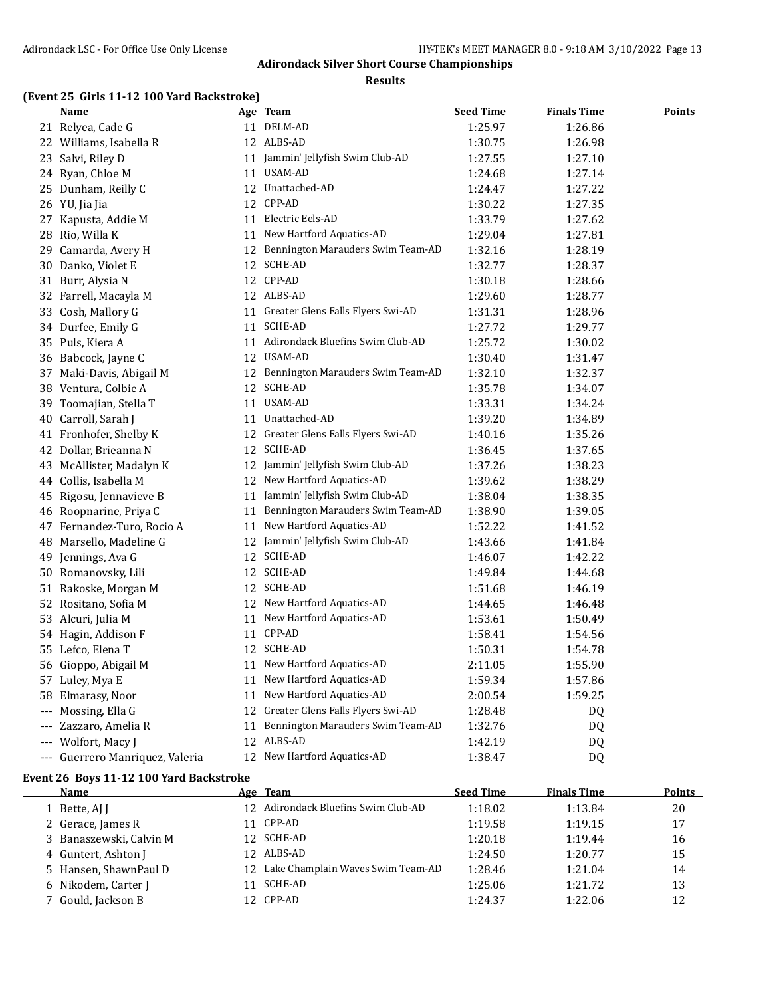**Results**

# **(Event 25 Girls 11-12 100 Yard Backstroke)**

|          | <b>Name</b>                     |    | <u>Age Team</u>                      | <b>Seed Time</b> | <b>Finals Time</b> | <u>Points</u> |
|----------|---------------------------------|----|--------------------------------------|------------------|--------------------|---------------|
|          | 21 Relyea, Cade G               |    | 11 DELM-AD                           | 1:25.97          | 1:26.86            |               |
|          | 22 Williams, Isabella R         |    | 12 ALBS-AD                           | 1:30.75          | 1:26.98            |               |
|          | 23 Salvi, Riley D               |    | 11 Jammin' Jellyfish Swim Club-AD    | 1:27.55          | 1:27.10            |               |
|          | 24 Ryan, Chloe M                |    | 11 USAM-AD                           | 1:24.68          | 1:27.14            |               |
|          | 25 Dunham, Reilly C             |    | 12 Unattached-AD                     | 1:24.47          | 1:27.22            |               |
|          | 26 YU, Jia Jia                  |    | 12 CPP-AD                            | 1:30.22          | 1:27.35            |               |
|          | 27 Kapusta, Addie M             |    | 11 Electric Eels-AD                  | 1:33.79          | 1:27.62            |               |
|          | 28 Rio, Willa K                 |    | 11 New Hartford Aquatics-AD          | 1:29.04          | 1:27.81            |               |
| 29       | Camarda, Avery H                | 12 | Bennington Marauders Swim Team-AD    | 1:32.16          | 1:28.19            |               |
|          | 30 Danko, Violet E              |    | 12 SCHE-AD                           | 1:32.77          | 1:28.37            |               |
|          | 31 Burr, Alysia N               |    | 12 CPP-AD                            | 1:30.18          | 1:28.66            |               |
|          | 32 Farrell, Macayla M           |    | 12 ALBS-AD                           | 1:29.60          | 1:28.77            |               |
|          | 33 Cosh, Mallory G              |    | 11 Greater Glens Falls Flyers Swi-AD | 1:31.31          | 1:28.96            |               |
|          | 34 Durfee, Emily G              |    | 11 SCHE-AD                           | 1:27.72          | 1:29.77            |               |
|          | 35 Puls, Kiera A                |    | 11 Adirondack Bluefins Swim Club-AD  | 1:25.72          | 1:30.02            |               |
|          | 36 Babcock, Jayne C             |    | 12 USAM-AD                           | 1:30.40          | 1:31.47            |               |
|          | 37 Maki-Davis, Abigail M        |    | 12 Bennington Marauders Swim Team-AD | 1:32.10          | 1:32.37            |               |
|          | 38 Ventura, Colbie A            |    | 12 SCHE-AD                           | 1:35.78          | 1:34.07            |               |
| 39       | Toomajian, Stella T             |    | 11 USAM-AD                           | 1:33.31          | 1:34.24            |               |
| 40       | Carroll, Sarah J                |    | 11 Unattached-AD                     | 1:39.20          | 1:34.89            |               |
|          | 41 Fronhofer, Shelby K          |    | 12 Greater Glens Falls Flyers Swi-AD | 1:40.16          | 1:35.26            |               |
|          | 42 Dollar, Brieanna N           |    | 12 SCHE-AD                           | 1:36.45          | 1:37.65            |               |
|          | 43 McAllister, Madalyn K        |    | 12 Jammin' Jellyfish Swim Club-AD    | 1:37.26          | 1:38.23            |               |
|          | 44 Collis, Isabella M           |    | 12 New Hartford Aquatics-AD          | 1:39.62          | 1:38.29            |               |
|          | 45 Rigosu, Jennavieve B         |    | 11 Jammin' Jellyfish Swim Club-AD    | 1:38.04          | 1:38.35            |               |
|          | 46 Roopnarine, Priya C          |    | 11 Bennington Marauders Swim Team-AD | 1:38.90          | 1:39.05            |               |
|          | 47 Fernandez-Turo, Rocio A      |    | 11 New Hartford Aquatics-AD          | 1:52.22          | 1:41.52            |               |
| 48       | Marsello, Madeline G            |    | 12 Jammin' Jellyfish Swim Club-AD    | 1:43.66          | 1:41.84            |               |
| 49       | Jennings, Ava G                 |    | 12 SCHE-AD                           | 1:46.07          | 1:42.22            |               |
|          | 50 Romanovsky, Lili             |    | 12 SCHE-AD                           | 1:49.84          | 1:44.68            |               |
|          | 51 Rakoske, Morgan M            |    | 12 SCHE-AD                           | 1:51.68          | 1:46.19            |               |
|          | 52 Rositano, Sofia M            |    | 12 New Hartford Aquatics-AD          | 1:44.65          | 1:46.48            |               |
|          | 53 Alcuri, Julia M              |    | 11 New Hartford Aquatics-AD          | 1:53.61          | 1:50.49            |               |
|          | 54 Hagin, Addison F             |    | 11 CPP-AD                            | 1:58.41          | 1:54.56            |               |
|          | 55 Lefco, Elena T               |    | 12 SCHE-AD                           | 1:50.31          | 1:54.78            |               |
|          | 56 Gioppo, Abigail M            |    | 11 New Hartford Aquatics-AD          | 2:11.05          | 1:55.90            |               |
|          | 57 Luley, Mya E                 |    | 11 New Hartford Aquatics-AD          | 1:59.34          | 1:57.86            |               |
| 58       | Elmarasy, Noor                  | 11 | New Hartford Aquatics-AD             | 2:00.54          | 1:59.25            |               |
| $\cdots$ | Mossing, Ella G                 | 12 | Greater Glens Falls Flyers Swi-AD    | 1:28.48          | DQ                 |               |
|          | Zazzaro, Amelia R               |    | 11 Bennington Marauders Swim Team-AD | 1:32.76          | DQ                 |               |
|          | --- Wolfort, Macy J             |    | 12 ALBS-AD                           | 1:42.19          | DQ                 |               |
|          | --- Guerrero Manriquez, Valeria |    | 12 New Hartford Aquatics-AD          | 1:38.47          | DQ                 |               |

#### **Event 26 Boys 11-12 100 Yard Backstroke**

| Name                    |    | Age Team                             | <b>Seed Time</b> | <b>Finals Time</b> | <b>Points</b> |
|-------------------------|----|--------------------------------------|------------------|--------------------|---------------|
| 1 Bette, AJ J           |    | 12 Adirondack Bluefins Swim Club-AD  | 1:18.02          | 1:13.84            | 20            |
| 2 Gerace, James R       |    | 11 CPP-AD                            | 1:19.58          | 1:19.15            | 17            |
| 3 Banaszewski, Calvin M |    | 12 SCHE-AD                           | 1:20.18          | 1:19.44            | 16            |
| 4 Guntert, Ashton J     |    | 12 ALBS-AD                           | 1:24.50          | 1:20.77            | 15            |
| 5 Hansen, ShawnPaul D   |    | 12 Lake Champlain Waves Swim Team-AD | 1:28.46          | 1:21.04            | 14            |
| 6 Nikodem, Carter J     | 11 | SCHE-AD                              | 1:25.06          | 1:21.72            | 13            |
| 7 Gould, Jackson B      |    | 12 CPP-AD                            | 1:24.37          | 1:22.06            | 12            |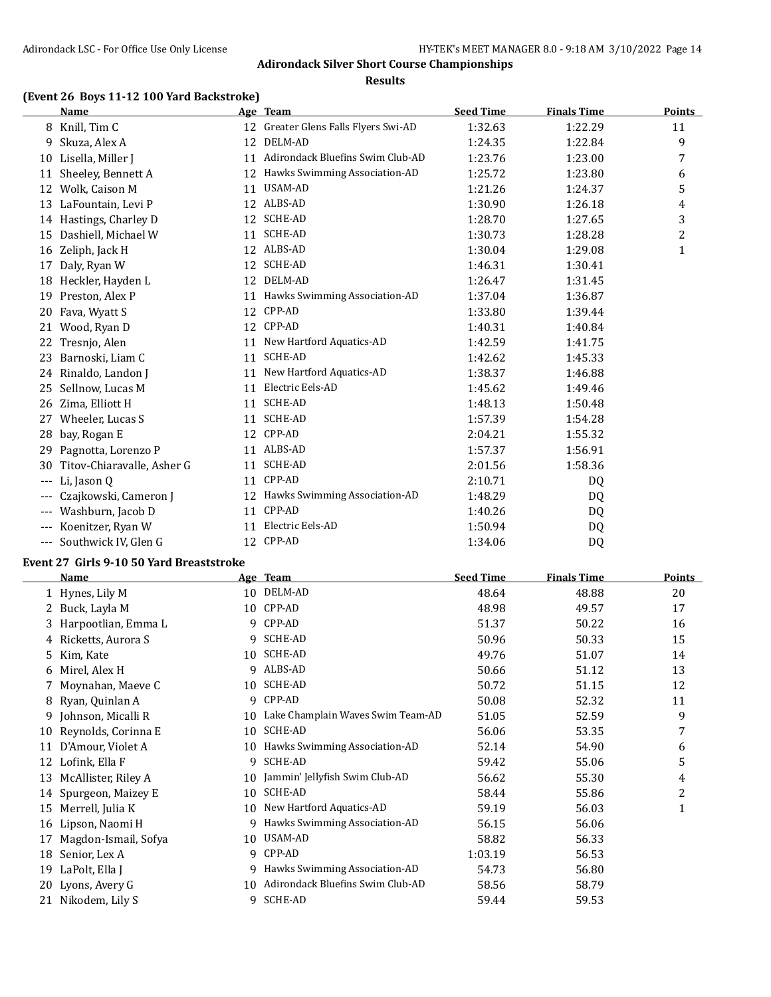#### **Results**

### **(Event 26 Boys 11-12 100 Yard Backstroke)**

|       | <b>Name</b>                |    | Age Team                          | <b>Seed Time</b> | <b>Finals Time</b> | <b>Points</b> |
|-------|----------------------------|----|-----------------------------------|------------------|--------------------|---------------|
| 8     | Knill, Tim C               | 12 | Greater Glens Falls Flyers Swi-AD | 1:32.63          | 1:22.29            | 11            |
| 9     | Skuza, Alex A              | 12 | DELM-AD                           | 1:24.35          | 1:22.84            | 9             |
| 10    | Lisella, Miller J          | 11 | Adirondack Bluefins Swim Club-AD  | 1:23.76          | 1:23.00            | 7             |
| 11    | Sheeley, Bennett A         | 12 | Hawks Swimming Association-AD     | 1:25.72          | 1:23.80            | 6             |
| 12    | Wolk, Caison M             | 11 | USAM-AD                           | 1:21.26          | 1:24.37            | 5             |
| 13    | LaFountain, Levi P         | 12 | ALBS-AD                           | 1:30.90          | 1:26.18            | 4             |
|       | 14 Hastings, Charley D     | 12 | <b>SCHE-AD</b>                    | 1:28.70          | 1:27.65            | 3             |
| 15    | Dashiell, Michael W        | 11 | <b>SCHE-AD</b>                    | 1:30.73          | 1:28.28            | 2             |
| 16    | Zeliph, Jack H             | 12 | ALBS-AD                           | 1:30.04          | 1:29.08            | 1             |
| 17    | Daly, Ryan W               | 12 | <b>SCHE-AD</b>                    | 1:46.31          | 1:30.41            |               |
| 18    | Heckler, Hayden L          | 12 | DELM-AD                           | 1:26.47          | 1:31.45            |               |
| 19    | Preston, Alex P            | 11 | Hawks Swimming Association-AD     | 1:37.04          | 1:36.87            |               |
| 20    | Fava, Wyatt S              | 12 | CPP-AD                            | 1:33.80          | 1:39.44            |               |
| 21    | Wood, Ryan D               | 12 | CPP-AD                            | 1:40.31          | 1:40.84            |               |
| 22    | Tresnio, Alen              | 11 | New Hartford Aquatics-AD          | 1:42.59          | 1:41.75            |               |
| 23    | Barnoski, Liam C           | 11 | <b>SCHE-AD</b>                    | 1:42.62          | 1:45.33            |               |
| 24    | Rinaldo, Landon J          | 11 | New Hartford Aquatics-AD          | 1:38.37          | 1:46.88            |               |
| 25    | Sellnow, Lucas M           | 11 | Electric Eels-AD                  | 1:45.62          | 1:49.46            |               |
| 26    | Zima, Elliott H            | 11 | <b>SCHE-AD</b>                    | 1:48.13          | 1:50.48            |               |
| 27    | Wheeler, Lucas S           | 11 | <b>SCHE-AD</b>                    | 1:57.39          | 1:54.28            |               |
| 28    | bay, Rogan E               | 12 | CPP-AD                            | 2:04.21          | 1:55.32            |               |
| 29    | Pagnotta, Lorenzo P        | 11 | ALBS-AD                           | 1:57.37          | 1:56.91            |               |
| 30    | Titov-Chiaravalle, Asher G | 11 | <b>SCHE-AD</b>                    | 2:01.56          | 1:58.36            |               |
| $---$ | Li, Jason Q                | 11 | CPP-AD                            | 2:10.71          | DQ                 |               |
|       | Czajkowski, Cameron J      | 12 | Hawks Swimming Association-AD     | 1:48.29          | DQ                 |               |
| $---$ | Washburn, Jacob D          | 11 | CPP-AD                            | 1:40.26          | DQ                 |               |
|       | Koenitzer, Ryan W          | 11 | Electric Eels-AD                  | 1:50.94          | DQ                 |               |
| ---   | Southwick IV, Glen G       | 12 | CPP-AD                            | 1:34.06          | DQ                 |               |

#### **Event 27 Girls 9-10 50 Yard Breaststroke**

|    | <b>Name</b>          | Age | <b>Team</b>                       | <b>Seed Time</b> | <b>Finals Time</b> | <b>Points</b> |
|----|----------------------|-----|-----------------------------------|------------------|--------------------|---------------|
|    | 1 Hynes, Lily M      | 10  | DELM-AD                           | 48.64            | 48.88              | 20            |
|    | Buck, Layla M        | 10  | CPP-AD                            | 48.98            | 49.57              | 17            |
| 3  | Harpootlian, Emma L  | 9   | CPP-AD                            | 51.37            | 50.22              | 16            |
| 4  | Ricketts, Aurora S   | 9   | SCHE-AD                           | 50.96            | 50.33              | 15            |
| 5  | Kim, Kate            | 10  | SCHE-AD                           | 49.76            | 51.07              | 14            |
| 6  | Mirel, Alex H        | 9   | ALBS-AD                           | 50.66            | 51.12              | 13            |
|    | Moynahan, Maeve C    | 10  | SCHE-AD                           | 50.72            | 51.15              | 12            |
| 8  | Ryan, Quinlan A      | 9   | CPP-AD                            | 50.08            | 52.32              | 11            |
| 9  | Johnson, Micalli R   | 10  | Lake Champlain Waves Swim Team-AD | 51.05            | 52.59              | 9             |
| 10 | Reynolds, Corinna E  | 10  | SCHE-AD                           | 56.06            | 53.35              | 7             |
| 11 | D'Amour, Violet A    | 10  | Hawks Swimming Association-AD     | 52.14            | 54.90              | 6             |
| 12 | Lofink, Ella F       | 9   | SCHE-AD                           | 59.42            | 55.06              | 5             |
| 13 | McAllister, Riley A  | 10  | Jammin' Jellyfish Swim Club-AD    | 56.62            | 55.30              | 4             |
| 14 | Spurgeon, Maizey E   | 10  | <b>SCHE-AD</b>                    | 58.44            | 55.86              | 2             |
| 15 | Merrell, Julia K     | 10  | New Hartford Aquatics-AD          | 59.19            | 56.03              | 1             |
| 16 | Lipson, Naomi H      | 9   | Hawks Swimming Association-AD     | 56.15            | 56.06              |               |
| 17 | Magdon-Ismail, Sofya | 10  | USAM-AD                           | 58.82            | 56.33              |               |
| 18 | Senior, Lex A        | 9   | CPP-AD                            | 1:03.19          | 56.53              |               |
| 19 | LaPolt, Ella J       | 9   | Hawks Swimming Association-AD     | 54.73            | 56.80              |               |
| 20 | Lyons, Avery G       | 10  | Adirondack Bluefins Swim Club-AD  | 58.56            | 58.79              |               |
| 21 | Nikodem, Lily S      | 9   | <b>SCHE-AD</b>                    | 59.44            | 59.53              |               |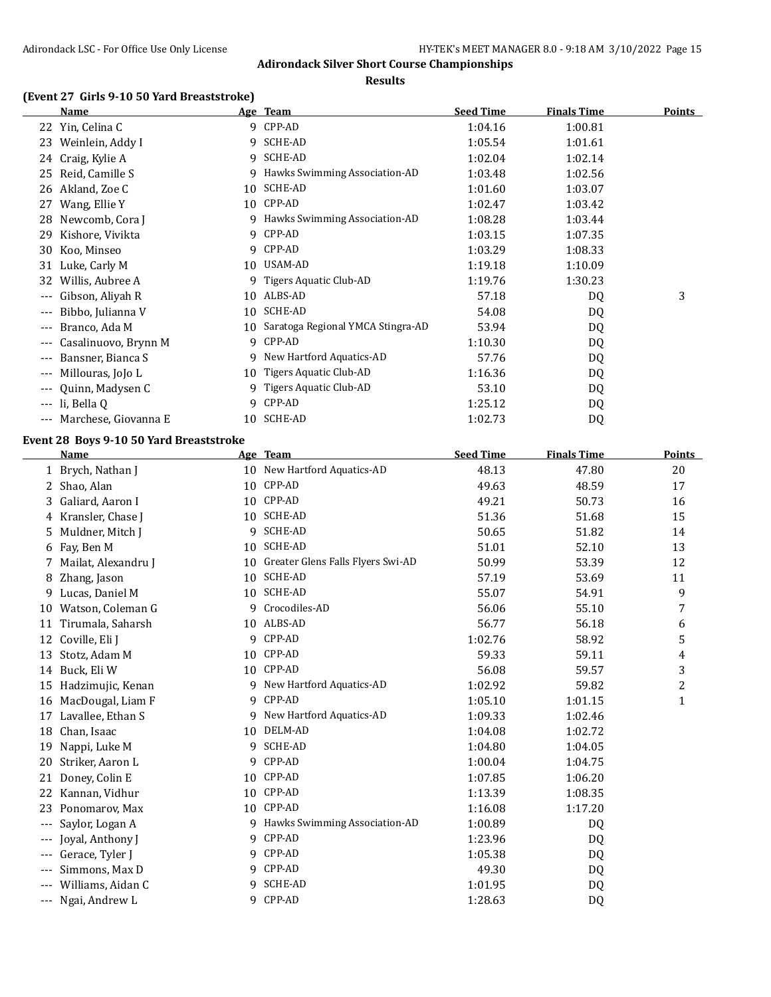**Results**

### **(Event 27 Girls 9-10 50 Yard Breaststroke)**

|                     | <b>Name</b>                                    |    | Age Team                             | <b>Seed Time</b> | <b>Finals Time</b> | <b>Points</b> |
|---------------------|------------------------------------------------|----|--------------------------------------|------------------|--------------------|---------------|
|                     | 22 Yin, Celina C                               |    | 9 CPP-AD                             | 1:04.16          | 1:00.81            |               |
|                     | 23 Weinlein, Addy I                            |    | 9 SCHE-AD                            | 1:05.54          | 1:01.61            |               |
|                     | 24 Craig, Kylie A                              | 9  | SCHE-AD                              | 1:02.04          | 1:02.14            |               |
|                     | 25 Reid, Camille S                             |    | 9 Hawks Swimming Association-AD      | 1:03.48          | 1:02.56            |               |
| 26                  | Akland, Zoe C                                  |    | 10 SCHE-AD                           | 1:01.60          | 1:03.07            |               |
| 27                  | Wang, Ellie Y                                  |    | 10 CPP-AD                            | 1:02.47          | 1:03.42            |               |
| 28                  | Newcomb, Cora J                                |    | 9 Hawks Swimming Association-AD      | 1:08.28          | 1:03.44            |               |
| 29                  | Kishore, Vivikta                               |    | 9 CPP-AD                             | 1:03.15          | 1:07.35            |               |
| 30                  | Koo, Minseo                                    |    | 9 CPP-AD                             | 1:03.29          | 1:08.33            |               |
|                     | 31 Luke, Carly M                               |    | 10 USAM-AD                           | 1:19.18          | 1:10.09            |               |
|                     | 32 Willis, Aubree A                            | 9. | Tigers Aquatic Club-AD               | 1:19.76          | 1:30.23            |               |
|                     | --- Gibson, Aliyah R                           |    | 10 ALBS-AD                           | 57.18            | DQ                 | 3             |
| $---$               | Bibbo, Julianna V                              |    | 10 SCHE-AD                           | 54.08            | DQ                 |               |
| $---$               | Branco, Ada M                                  |    | 10 Saratoga Regional YMCA Stingra-AD | 53.94            | DQ                 |               |
| $---$               | Casalinuovo, Brynn M                           |    | 9 CPP-AD                             | 1:10.30          | DQ                 |               |
| $\qquad \qquad - -$ | Bansner, Bianca S                              |    | 9 New Hartford Aquatics-AD           | 57.76            | DQ                 |               |
|                     | --- Millouras, JoJo L                          |    | 10 Tigers Aquatic Club-AD            | 1:16.36          | DQ                 |               |
|                     | --- Quinn, Madysen C                           |    | 9 Tigers Aquatic Club-AD             | 53.10            | DQ                 |               |
|                     | --- li, Bella Q                                |    | 9 CPP-AD                             | 1:25.12          | DQ                 |               |
|                     | --- Marchese, Giovanna E                       |    | 10 SCHE-AD                           | 1:02.73          | DQ                 |               |
|                     | <b>Event 28 Boys 9-10 50 Yard Breaststroke</b> |    |                                      |                  |                    |               |
|                     | <b>Name</b>                                    |    | Age Team                             | <b>Seed Time</b> | <b>Finals Time</b> | <b>Points</b> |
|                     | 1 Brych, Nathan J                              |    | 10 New Hartford Aquatics-AD          | 48.13            | 47.80              | 20            |
|                     | 2 Shao, Alan                                   |    | 10 CPP-AD                            | 49.63            | 48.59              | 17            |
| 3                   | Galiard, Aaron I                               |    | 10 CPP-AD                            | 49.21            | 50.73              | 16            |
| 4                   | Kransler, Chase J                              |    | 10 SCHE-AD                           | 51.36            | 51.68              | 15            |
| 5                   | Muldner, Mitch J                               |    | 9 SCHE-AD                            | 50.65            | 51.82              | 14            |
| 6                   | Fay, Ben M                                     |    | 10 SCHE-AD                           | 51.01            | 52.10              | 13            |
| 7                   | Mailat, Alexandru J                            |    | 10 Greater Glens Falls Flyers Swi-AD | 50.99            | 53.39              | 12            |
| 8                   | Zhang, Jason                                   |    | 10 SCHE-AD                           | 57.19            | 53.69              | 11            |
| 9                   | Lucas, Daniel M                                |    | 10 SCHE-AD                           | 55.07            | 54.91              | 9             |
| 10                  | Watson, Coleman G                              |    | 9 Crocodiles-AD                      | 56.06            | 55.10              | 7             |
|                     | 11 Tirumala, Saharsh                           |    | 10 ALBS-AD                           | 56.77            | 56.18              | 6             |
|                     | 12 Coville, Eli J                              |    | 9 CPP-AD                             | 1:02.76          | 58.92              | 5             |
|                     | 13 Stotz, Adam M                               |    | 10 CPP-AD                            | 59.33            | 59.11              | 4             |
|                     | 14 Buck, Eli W                                 |    | 10 CPP-AD                            | 56.08            | 59.57              | 3             |
|                     | 15 Hadzimujic, Kenan                           | 9. | New Hartford Aquatics-AD             | 1:02.92          | 59.82              | 2             |
|                     | 16 MacDougal, Liam F                           | 9  | CPP-AD                               | 1:05.10          | 1:01.15            | 1             |
|                     | 17 Lavallee, Ethan S                           | 9. | New Hartford Aquatics-AD             | 1:09.33          | 1:02.46            |               |
| 18                  | Chan, Isaac                                    | 10 | DELM-AD                              | 1:04.08          | 1:02.72            |               |
| 19                  | Nappi, Luke M                                  | 9. | SCHE-AD                              | 1:04.80          | 1:04.05            |               |
| 20                  | Striker, Aaron L                               | 9. | CPP-AD                               | 1:00.04          | 1:04.75            |               |
|                     | 21 Doney, Colin E                              |    | 10 CPP-AD                            | 1:07.85          | 1:06.20            |               |
|                     | 22 Kannan, Vidhur                              |    | 10 CPP-AD                            | 1:13.39          | 1:08.35            |               |
| 23                  |                                                |    | 10 CPP-AD                            |                  |                    |               |
|                     | Ponomarov, Max                                 |    |                                      | 1:16.08          | 1:17.20            |               |
| $\cdots$            | Saylor, Logan A                                |    | 9 Hawks Swimming Association-AD      | 1:00.89          | DQ                 |               |

--- Gerace, Tyler J 9 CPP-AD 1:05.38 DQ --- Simmons, Max D 9 CPP-AD 49.30 DQ --- Williams, Aidan C 9 SCHE-AD 1:01.95 DQ --- Ngai, Andrew L 9 CPP-AD 1:28.63 DQ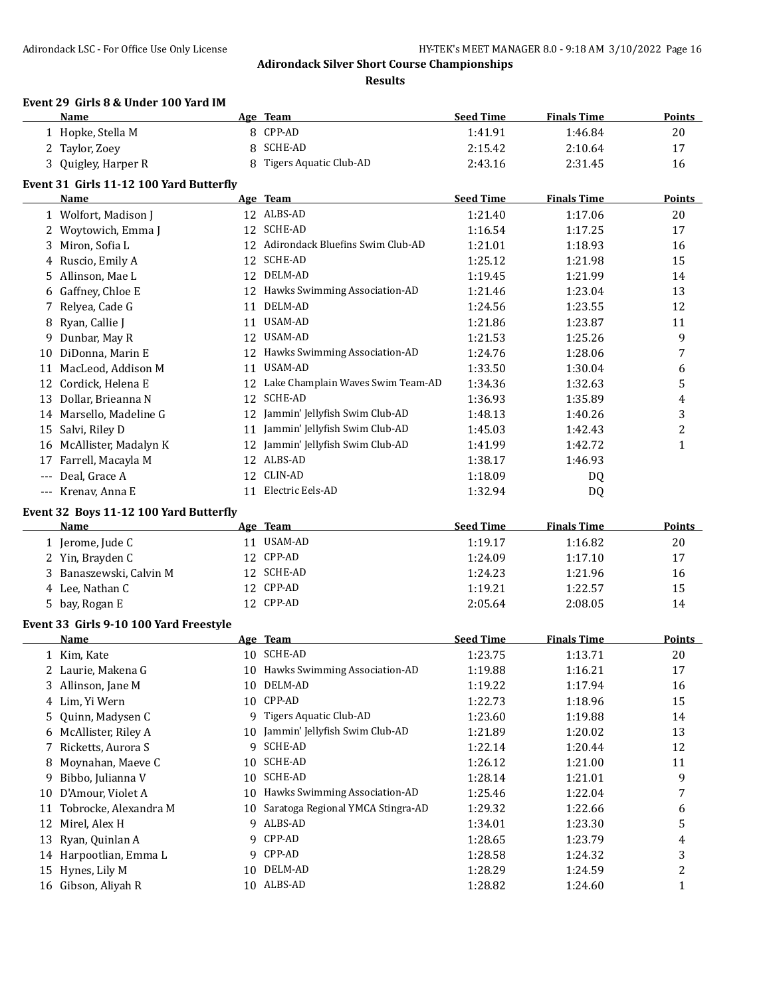**Results**

#### **Event 29 Girls 8 & Under 100 Yard IM**

|       | Name                                    |    | Age Team                             | <b>Seed Time</b> | <b>Finals Time</b> | <b>Points</b> |
|-------|-----------------------------------------|----|--------------------------------------|------------------|--------------------|---------------|
|       | 1 Hopke, Stella M                       | 8  | CPP-AD                               | 1:41.91          | 1:46.84            | 20            |
|       | 2 Taylor, Zoey                          | 8  | <b>SCHE-AD</b>                       | 2:15.42          | 2:10.64            | 17            |
|       | 3 Quigley, Harper R                     |    | 8 Tigers Aquatic Club-AD             | 2:43.16          | 2:31.45            | 16            |
|       | Event 31 Girls 11-12 100 Yard Butterfly |    |                                      |                  |                    |               |
|       | Name                                    |    | Age Team                             | <b>Seed Time</b> | <b>Finals Time</b> | Points        |
|       | 1 Wolfort, Madison J                    |    | 12 ALBS-AD                           | 1:21.40          | 1:17.06            | 20            |
|       | 2 Woytowich, Emma J                     |    | 12 SCHE-AD                           | 1:16.54          | 1:17.25            | 17            |
|       | 3 Miron, Sofia L                        |    | 12 Adirondack Bluefins Swim Club-AD  | 1:21.01          | 1:18.93            | 16            |
|       | 4 Ruscio, Emily A                       |    | 12 SCHE-AD                           | 1:25.12          | 1:21.98            | 15            |
|       | 5 Allinson, Mae L                       |    | 12 DELM-AD                           | 1:19.45          | 1:21.99            | 14            |
|       | 6 Gaffney, Chloe E                      |    | 12 Hawks Swimming Association-AD     | 1:21.46          | 1:23.04            | 13            |
| 7     | Relyea, Cade G                          | 11 | DELM-AD                              | 1:24.56          | 1:23.55            | 12            |
|       | 8 Ryan, Callie J                        |    | 11 USAM-AD                           | 1:21.86          | 1:23.87            | 11            |
| 9.    | Dunbar, May R                           |    | 12 USAM-AD                           | 1:21.53          | 1:25.26            | 9             |
|       | 10 DiDonna, Marin E                     |    | 12 Hawks Swimming Association-AD     | 1:24.76          | 1:28.06            | 7             |
|       | 11 MacLeod, Addison M                   | 11 | USAM-AD                              | 1:33.50          | 1:30.04            | 6             |
|       | 12 Cordick, Helena E                    |    | 12 Lake Champlain Waves Swim Team-AD | 1:34.36          | 1:32.63            | 5             |
|       | 13 Dollar, Brieanna N                   | 12 | SCHE-AD                              | 1:36.93          | 1:35.89            | 4             |
|       | 14 Marsello, Madeline G                 | 12 | Jammin' Jellyfish Swim Club-AD       | 1:48.13          | 1:40.26            | 3             |
|       | 15 Salvi, Riley D                       | 11 | Jammin' Jellyfish Swim Club-AD       | 1:45.03          | 1:42.43            | 2             |
|       | 16 McAllister, Madalyn K                | 12 | Jammin' Jellyfish Swim Club-AD       | 1:41.99          | 1:42.72            | 1             |
| 17    | Farrell, Macayla M                      |    | 12 ALBS-AD                           | 1:38.17          | 1:46.93            |               |
| $---$ | Deal, Grace A                           | 12 | CLIN-AD                              | 1:18.09          | DQ                 |               |
|       | --- Krenav, Anna E                      |    | 11 Electric Eels-AD                  | 1:32.94          | DQ                 |               |
|       |                                         |    |                                      |                  |                    |               |
|       | Event 32 Boys 11-12 100 Yard Butterfly  |    |                                      |                  |                    |               |
|       | Name                                    |    | Age Team                             | <b>Seed Time</b> | <b>Finals Time</b> | Points        |
|       | 1 Jerome, Jude C                        |    | 11 USAM-AD                           | 1:19.17          | 1:16.82            | 20            |
|       | 2 Yin, Brayden C                        |    | 12 CPP-AD                            | 1:24.09          | 1:17.10            | 17            |
|       | 3 Banaszewski, Calvin M                 |    | 12 SCHE-AD                           | 1:24.23          | 1:21.96            | 16            |
|       | 4 Lee, Nathan C                         |    | 12 CPP-AD                            | 1:19.21          | 1:22.57            | 15            |
|       | 5 bay, Rogan E                          |    | 12 CPP-AD                            | 2:05.64          | 2:08.05            | 14            |
|       | Event 33 Girls 9-10 100 Yard Freestyle  |    |                                      |                  |                    |               |
|       | Name                                    |    | Age Team                             | <b>Seed Time</b> | <b>Finals Time</b> | <b>Points</b> |
|       | 1 Kim, Kate                             |    | 10 SCHE-AD                           | 1:23.75          | 1:13.71            | 20            |
|       | 2 Laurie, Makena G                      |    | 10 Hawks Swimming Association-AD     | 1:19.88          | 1:16.21            | 17            |
|       | 3 Allinson, Jane M                      |    | 10 DELM-AD                           | 1:19.22          | 1:17.94            | 16            |
|       | 4 Lim, Yi Wern                          |    | 10 CPP-AD                            | 1:22.73          | 1:18.96            | 15            |
| 5.    | Quinn, Madysen C                        |    | 9 Tigers Aquatic Club-AD             | 1:23.60          | 1:19.88            | 14            |
| 6     | McAllister, Riley A                     |    | 10 Jammin' Jellyfish Swim Club-AD    | 1:21.89          | 1:20.02            | 13            |
| 7     | Ricketts, Aurora S                      |    | 9 SCHE-AD                            | 1:22.14          | 1:20.44            | 12            |
| 8     | Moynahan, Maeve C                       | 10 | SCHE-AD                              | 1:26.12          | 1:21.00            | 11            |
| 9     | Bibbo, Julianna V                       | 10 | SCHE-AD                              | 1:28.14          | 1:21.01            | 9             |
| 10    | D'Amour, Violet A                       | 10 | Hawks Swimming Association-AD        | 1:25.46          | 1:22.04            | 7             |
| 11    | Tobrocke, Alexandra M                   | 10 | Saratoga Regional YMCA Stingra-AD    | 1:29.32          | 1:22.66            | 6             |
|       | 12 Mirel, Alex H                        |    | 9 ALBS-AD                            | 1:34.01          | 1:23.30            | 5             |
| 13    | Ryan, Quinlan A                         | 9  | CPP-AD                               | 1:28.65          | 1:23.79            | 4             |
|       | 14 Harpootlian, Emma L                  | 9. | CPP-AD                               | 1:28.58          | 1:24.32            | 3             |
|       | 15 Hynes, Lily M                        | 10 | DELM-AD                              | 1:28.29          | 1:24.59            | 2             |
|       | 16 Gibson, Aliyah R                     |    | 10 ALBS-AD                           | 1:28.82          | 1:24.60            | 1             |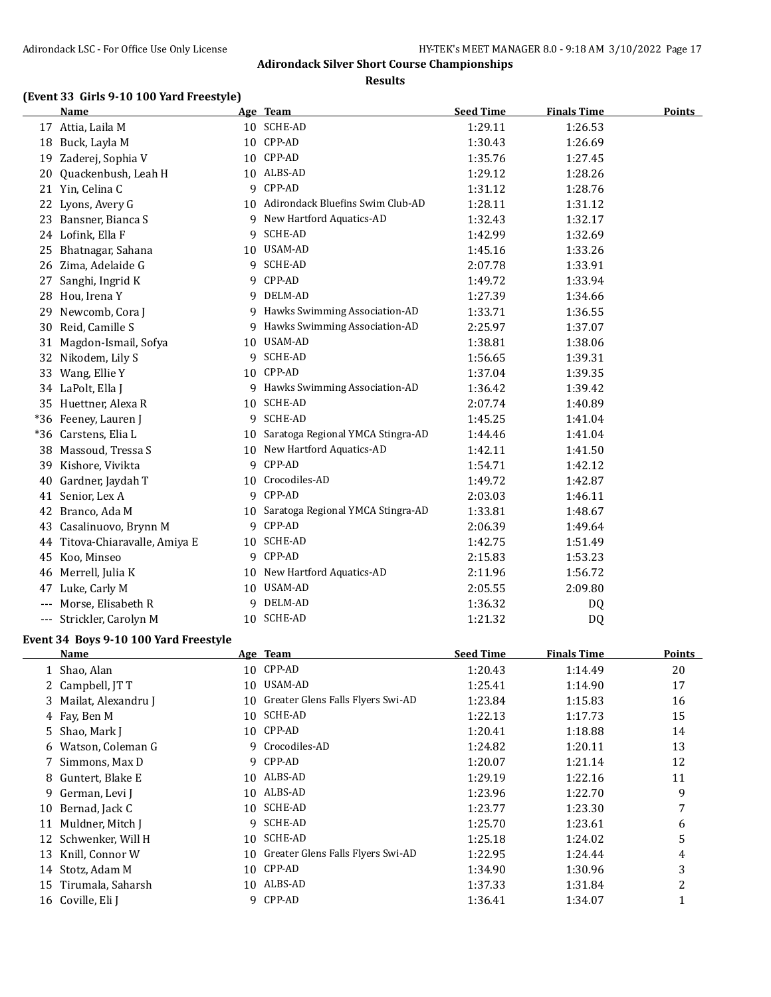**Results**

# **(Event 33 Girls 9-10 100 Yard Freestyle)**

|       | <b>Name</b>                 |    | Age Team                             | <b>Seed Time</b> | <b>Finals Time</b> | <b>Points</b> |
|-------|-----------------------------|----|--------------------------------------|------------------|--------------------|---------------|
|       | 17 Attia, Laila M           |    | 10 SCHE-AD                           | 1:29.11          | 1:26.53            |               |
| 18    | Buck, Layla M               |    | 10 CPP-AD                            | 1:30.43          | 1:26.69            |               |
| 19    | Zaderej, Sophia V           |    | 10 CPP-AD                            | 1:35.76          | 1:27.45            |               |
| 20    | Quackenbush, Leah H         |    | 10 ALBS-AD                           | 1:29.12          | 1:28.26            |               |
|       | 21 Yin, Celina C            |    | 9 CPP-AD                             | 1:31.12          | 1:28.76            |               |
| 22    | Lyons, Avery G              |    | 10 Adirondack Bluefins Swim Club-AD  | 1:28.11          | 1:31.12            |               |
| 23    | Bansner, Bianca S           | 9  | New Hartford Aquatics-AD             | 1:32.43          | 1:32.17            |               |
|       | 24 Lofink, Ella F           | 9  | <b>SCHE-AD</b>                       | 1:42.99          | 1:32.69            |               |
| 25    | Bhatnagar, Sahana           | 10 | USAM-AD                              | 1:45.16          | 1:33.26            |               |
| 26    | Zima, Adelaide G            |    | 9 SCHE-AD                            | 2:07.78          | 1:33.91            |               |
| 27    | Sanghi, Ingrid K            | 9  | CPP-AD                               | 1:49.72          | 1:33.94            |               |
| 28    | Hou, Irena Y                |    | 9 DELM-AD                            | 1:27.39          | 1:34.66            |               |
| 29    | Newcomb, Cora J             |    | 9 Hawks Swimming Association-AD      | 1:33.71          | 1:36.55            |               |
| 30    | Reid, Camille S             | 9. | Hawks Swimming Association-AD        | 2:25.97          | 1:37.07            |               |
| 31    | Magdon-Ismail, Sofya        |    | 10 USAM-AD                           | 1:38.81          | 1:38.06            |               |
| 32    | Nikodem, Lily S             | 9  | <b>SCHE-AD</b>                       | 1:56.65          | 1:39.31            |               |
| 33    | Wang, Ellie Y               |    | 10 CPP-AD                            | 1:37.04          | 1:39.35            |               |
|       | 34 LaPolt, Ella J           |    | 9 Hawks Swimming Association-AD      | 1:36.42          | 1:39.42            |               |
| 35    | Huettner, Alexa R           | 10 | SCHE-AD                              | 2:07.74          | 1:40.89            |               |
|       | *36 Feeney, Lauren J        | 9  | SCHE-AD                              | 1:45.25          | 1:41.04            |               |
| $*36$ | Carstens, Elia L            |    | 10 Saratoga Regional YMCA Stingra-AD | 1:44.46          | 1:41.04            |               |
| 38    | Massoud, Tressa S           | 10 | New Hartford Aquatics-AD             | 1:42.11          | 1:41.50            |               |
| 39    | Kishore, Vivikta            | 9  | CPP-AD                               | 1:54.71          | 1:42.12            |               |
| 40    | Gardner, Jaydah T           |    | 10 Crocodiles-AD                     | 1:49.72          | 1:42.87            |               |
|       | 41 Senior, Lex A            | 9  | CPP-AD                               | 2:03.03          | 1:46.11            |               |
| 42    | Branco, Ada M               | 10 | Saratoga Regional YMCA Stingra-AD    | 1:33.81          | 1:48.67            |               |
| 43    | Casalinuovo, Brynn M        | 9  | CPP-AD                               | 2:06.39          | 1:49.64            |               |
| 44    | Titova-Chiaravalle, Amiya E | 10 | <b>SCHE-AD</b>                       | 1:42.75          | 1:51.49            |               |
| 45    | Koo, Minseo                 |    | 9 CPP-AD                             | 2:15.83          | 1:53.23            |               |
| 46    | Merrell, Julia K            |    | 10 New Hartford Aquatics-AD          | 2:11.96          | 1:56.72            |               |
| 47    | Luke, Carly M               | 10 | USAM-AD                              | 2:05.55          | 2:09.80            |               |
| $---$ | Morse, Elisabeth R          | 9. | DELM-AD                              | 1:36.32          | DQ                 |               |
|       | Strickler, Carolyn M        |    | 10 SCHE-AD                           | 1:21.32          | D <sub>Q</sub>     |               |

### **Event 34 Boys 9-10 100 Yard Freestyle**

|    | Name                  |    | Age Team                          | <b>Seed Time</b> | <b>Finals Time</b> | Points |
|----|-----------------------|----|-----------------------------------|------------------|--------------------|--------|
|    | 1 Shao, Alan          | 10 | CPP-AD                            | 1:20.43          | 1:14.49            | 20     |
|    | 2 Campbell, IT T      | 10 | USAM-AD                           | 1:25.41          | 1:14.90            | 17     |
|    | 3 Mailat, Alexandru J | 10 | Greater Glens Falls Flyers Swi-AD | 1:23.84          | 1:15.83            | 16     |
|    | 4 Fay, Ben M          | 10 | SCHE-AD                           | 1:22.13          | 1:17.73            | 15     |
|    | 5 Shao, Mark J        | 10 | CPP-AD                            | 1:20.41          | 1:18.88            | 14     |
| 6  | Watson, Coleman G     |    | 9 Crocodiles-AD                   | 1:24.82          | 1:20.11            | 13     |
|    | 7 Simmons, Max D      |    | 9 CPP-AD                          | 1:20.07          | 1:21.14            | 12     |
| 8  | Guntert, Blake E      | 10 | ALBS-AD                           | 1:29.19          | 1:22.16            | 11     |
| 9  | German, Levi J        | 10 | ALBS-AD                           | 1:23.96          | 1:22.70            | 9      |
| 10 | Bernad, Jack C        | 10 | SCHE-AD                           | 1:23.77          | 1:23.30            | 7      |
| 11 | Muldner, Mitch J      | 9  | SCHE-AD                           | 1:25.70          | 1:23.61            | 6      |
|    | 12 Schwenker, Will H  | 10 | SCHE-AD                           | 1:25.18          | 1:24.02            | 5      |
|    | 13 Knill, Connor W    | 10 | Greater Glens Falls Flyers Swi-AD | 1:22.95          | 1:24.44            | 4      |
|    | 14 Stotz, Adam M      | 10 | CPP-AD                            | 1:34.90          | 1:30.96            | 3      |
| 15 | Tirumala, Saharsh     | 10 | ALBS-AD                           | 1:37.33          | 1:31.84            | 2      |
|    | 16 Coville, Eli J     |    | 9 CPP-AD                          | 1:36.41          | 1:34.07            |        |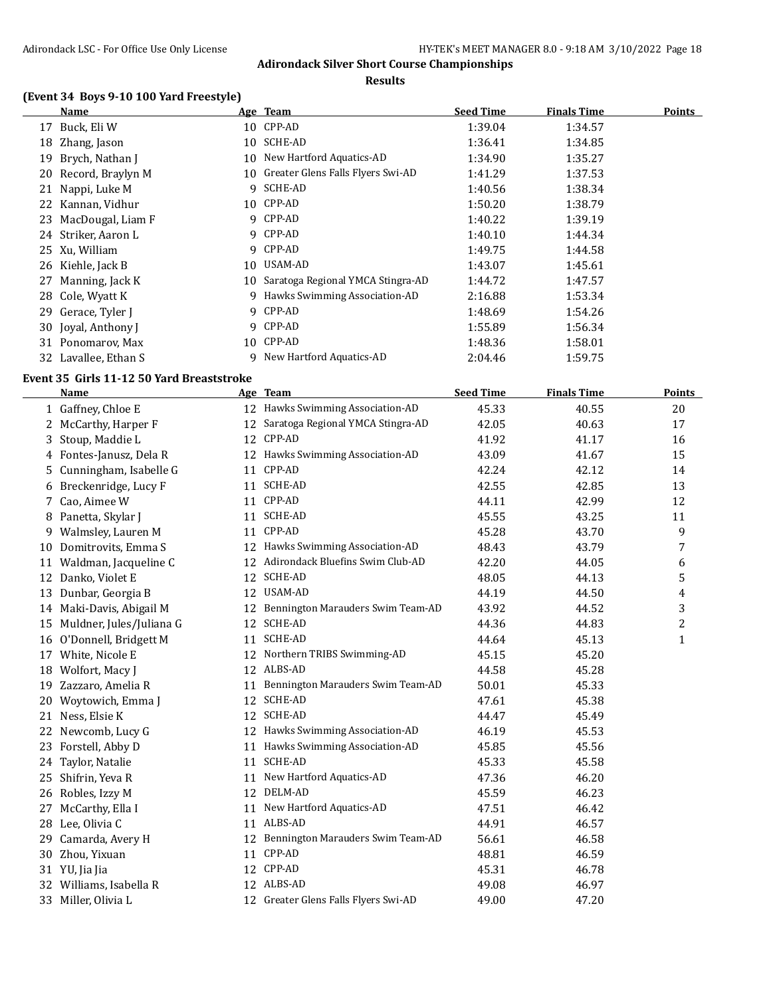#### **Results**

### **(Event 34 Boys 9-10 100 Yard Freestyle)**

|    | Name                 |     | Age Team                          | <b>Seed Time</b> | <b>Finals Time</b> | <b>Points</b> |
|----|----------------------|-----|-----------------------------------|------------------|--------------------|---------------|
| 17 | Buck, Eli W          |     | 10 CPP-AD                         | 1:39.04          | 1:34.57            |               |
| 18 | Zhang, Jason         | 10  | SCHE-AD                           | 1:36.41          | 1:34.85            |               |
| 19 | Brych, Nathan J      | 10  | New Hartford Aquatics-AD          | 1:34.90          | 1:35.27            |               |
|    | 20 Record, Braylyn M | 10. | Greater Glens Falls Flyers Swi-AD | 1:41.29          | 1:37.53            |               |
| 21 | Nappi, Luke M        |     | 9 SCHE-AD                         | 1:40.56          | 1:38.34            |               |
|    | 22 Kannan, Vidhur    | 10  | CPP-AD                            | 1:50.20          | 1:38.79            |               |
| 23 | MacDougal, Liam F    | 9   | CPP-AD                            | 1:40.22          | 1:39.19            |               |
|    | 24 Striker, Aaron L  |     | 9 CPP-AD                          | 1:40.10          | 1:44.34            |               |
|    | 25 Xu, William       | 9   | CPP-AD                            | 1:49.75          | 1:44.58            |               |
|    | 26 Kiehle, Jack B    | 10  | USAM-AD                           | 1:43.07          | 1:45.61            |               |
| 27 | Manning, Jack K      | 10. | Saratoga Regional YMCA Stingra-AD | 1:44.72          | 1:47.57            |               |
|    | 28 Cole, Wyatt K     | 9   | Hawks Swimming Association-AD     | 2:16.88          | 1:53.34            |               |
| 29 | Gerace, Tyler J      |     | 9 CPP-AD                          | 1:48.69          | 1:54.26            |               |
|    | 30 Joyal, Anthony J  | 9   | CPP-AD                            | 1:55.89          | 1:56.34            |               |
| 31 | Ponomarov, Max       | 10  | CPP-AD                            | 1:48.36          | 1:58.01            |               |
|    | 32 Lavallee, Ethan S | 9   | New Hartford Aquatics-AD          | 2:04.46          | 1:59.75            |               |

### **Event 35 Girls 11-12 50 Yard Breaststroke**

 $\equiv$ 

|    | <b>Name</b>              |    | Age Team                             | <b>Seed Time</b> | <b>Finals Time</b> | <b>Points</b> |
|----|--------------------------|----|--------------------------------------|------------------|--------------------|---------------|
|    | 1 Gaffney, Chloe E       |    | 12 Hawks Swimming Association-AD     | 45.33            | 40.55              | 20            |
| 2  | McCarthy, Harper F       | 12 | Saratoga Regional YMCA Stingra-AD    | 42.05            | 40.63              | 17            |
| 3  | Stoup, Maddie L          |    | 12 CPP-AD                            | 41.92            | 41.17              | 16            |
| 4  | Fontes-Janusz, Dela R    |    | 12 Hawks Swimming Association-AD     | 43.09            | 41.67              | 15            |
| 5. | Cunningham, Isabelle G   |    | 11 CPP-AD                            | 42.24            | 42.12              | 14            |
| 6  | Breckenridge, Lucy F     | 11 | SCHE-AD                              | 42.55            | 42.85              | 13            |
|    | Cao, Aimee W             |    | 11 CPP-AD                            | 44.11            | 42.99              | 12            |
|    | 8 Panetta, Skylar J      | 11 | SCHE-AD                              | 45.55            | 43.25              | 11            |
| 9  | Walmsley, Lauren M       | 11 | CPP-AD                               | 45.28            | 43.70              | 9             |
|    | 10 Domitrovits, Emma S   |    | 12 Hawks Swimming Association-AD     | 48.43            | 43.79              | 7             |
| 11 | Waldman, Jacqueline C    |    | 12 Adirondack Bluefins Swim Club-AD  | 42.20            | 44.05              | 6             |
|    | 12 Danko, Violet E       |    | 12 SCHE-AD                           | 48.05            | 44.13              | 5             |
| 13 | Dunbar, Georgia B        |    | 12 USAM-AD                           | 44.19            | 44.50              | 4             |
|    | 14 Maki-Davis, Abigail M | 12 | Bennington Marauders Swim Team-AD    | 43.92            | 44.52              | 3             |
| 15 | Muldner, Jules/Juliana G | 12 | SCHE-AD                              | 44.36            | 44.83              | 2             |
|    | 16 O'Donnell, Bridgett M | 11 | SCHE-AD                              | 44.64            | 45.13              | $\mathbf{1}$  |
| 17 | White, Nicole E          | 12 | Northern TRIBS Swimming-AD           | 45.15            | 45.20              |               |
| 18 | Wolfort, Macy J          | 12 | ALBS-AD                              | 44.58            | 45.28              |               |
| 19 | Zazzaro, Amelia R        | 11 | Bennington Marauders Swim Team-AD    | 50.01            | 45.33              |               |
|    | 20 Woytowich, Emma J     | 12 | <b>SCHE-AD</b>                       | 47.61            | 45.38              |               |
|    | 21 Ness, Elsie K         | 12 | <b>SCHE-AD</b>                       | 44.47            | 45.49              |               |
| 22 | Newcomb, Lucy G          |    | 12 Hawks Swimming Association-AD     | 46.19            | 45.53              |               |
| 23 | Forstell, Abby D         |    | 11 Hawks Swimming Association-AD     | 45.85            | 45.56              |               |
| 24 | Taylor, Natalie          |    | 11 SCHE-AD                           | 45.33            | 45.58              |               |
| 25 | Shifrin, Yeva R          | 11 | New Hartford Aquatics-AD             | 47.36            | 46.20              |               |
|    | 26 Robles, Izzy M        |    | 12 DELM-AD                           | 45.59            | 46.23              |               |
| 27 | McCarthy, Ella I         | 11 | New Hartford Aquatics-AD             | 47.51            | 46.42              |               |
|    | 28 Lee, Olivia C         |    | 11 ALBS-AD                           | 44.91            | 46.57              |               |
| 29 | Camarda, Avery H         | 12 | Bennington Marauders Swim Team-AD    | 56.61            | 46.58              |               |
| 30 | Zhou, Yixuan             | 11 | CPP-AD                               | 48.81            | 46.59              |               |
| 31 | YU, Jia Jia              |    | 12 CPP-AD                            | 45.31            | 46.78              |               |
| 32 | Williams, Isabella R     |    | 12 ALBS-AD                           | 49.08            | 46.97              |               |
| 33 | Miller, Olivia L         |    | 12 Greater Glens Falls Flyers Swi-AD | 49.00            | 47.20              |               |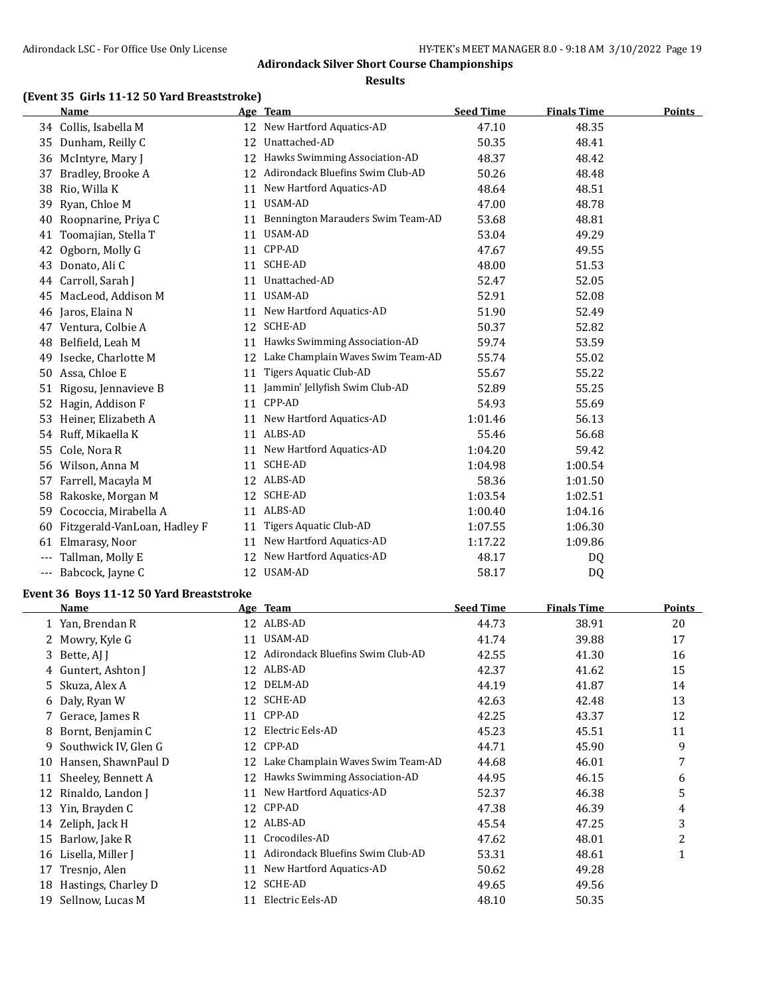#### **Results**

# **(Event 35 Girls 11-12 50 Yard Breaststroke)**

|       | <b>Name</b>                  |    | Age Team                          | <b>Seed Time</b> | <b>Finals Time</b> | Points |
|-------|------------------------------|----|-----------------------------------|------------------|--------------------|--------|
|       | 34 Collis, Isabella M        |    | 12 New Hartford Aquatics-AD       | 47.10            | 48.35              |        |
| 35    | Dunham, Reilly C             | 12 | Unattached-AD                     | 50.35            | 48.41              |        |
| 36    | McIntyre, Mary J             | 12 | Hawks Swimming Association-AD     | 48.37            | 48.42              |        |
| 37    | Bradley, Brooke A            | 12 | Adirondack Bluefins Swim Club-AD  | 50.26            | 48.48              |        |
| 38    | Rio, Willa K                 | 11 | New Hartford Aquatics-AD          | 48.64            | 48.51              |        |
| 39    | Ryan, Chloe M                | 11 | USAM-AD                           | 47.00            | 48.78              |        |
| 40    | Roopnarine, Priya C          | 11 | Bennington Marauders Swim Team-AD | 53.68            | 48.81              |        |
| 41    | Toomajian, Stella T          | 11 | <b>USAM-AD</b>                    | 53.04            | 49.29              |        |
| 42    | Ogborn, Molly G              | 11 | CPP-AD                            | 47.67            | 49.55              |        |
| 43    | Donato, Ali C                | 11 | SCHE-AD                           | 48.00            | 51.53              |        |
| 44    | Carroll, Sarah J             | 11 | Unattached-AD                     | 52.47            | 52.05              |        |
| 45    | MacLeod, Addison M           | 11 | USAM-AD                           | 52.91            | 52.08              |        |
| 46    | Jaros, Elaina N              | 11 | New Hartford Aquatics-AD          | 51.90            | 52.49              |        |
| 47    | Ventura, Colbie A            | 12 | <b>SCHE-AD</b>                    | 50.37            | 52.82              |        |
| 48    | Belfield, Leah M             | 11 | Hawks Swimming Association-AD     | 59.74            | 53.59              |        |
| 49    | Isecke, Charlotte M          | 12 | Lake Champlain Waves Swim Team-AD | 55.74            | 55.02              |        |
| 50    | Assa, Chloe E                | 11 | Tigers Aquatic Club-AD            | 55.67            | 55.22              |        |
| 51    | Rigosu, Jennavieve B         | 11 | Jammin' Jellyfish Swim Club-AD    | 52.89            | 55.25              |        |
| 52    | Hagin, Addison F             | 11 | CPP-AD                            | 54.93            | 55.69              |        |
| 53    | Heiner, Elizabeth A          | 11 | New Hartford Aquatics-AD          | 1:01.46          | 56.13              |        |
| 54    | Ruff, Mikaella K             |    | 11 ALBS-AD                        | 55.46            | 56.68              |        |
| 55    | Cole, Nora R                 | 11 | New Hartford Aquatics-AD          | 1:04.20          | 59.42              |        |
| 56    | Wilson, Anna M               | 11 | SCHE-AD                           | 1:04.98          | 1:00.54            |        |
| 57    | Farrell, Macayla M           |    | 12 ALBS-AD                        | 58.36            | 1:01.50            |        |
| 58    | Rakoske, Morgan M            | 12 | SCHE-AD                           | 1:03.54          | 1:02.51            |        |
| 59    | Cococcia, Mirabella A        | 11 | ALBS-AD                           | 1:00.40          | 1:04.16            |        |
| 60    | Fitzgerald-VanLoan, Hadley F | 11 | Tigers Aquatic Club-AD            | 1:07.55          | 1:06.30            |        |
| 61    | Elmarasy, Noor               | 11 | New Hartford Aquatics-AD          | 1:17.22          | 1:09.86            |        |
|       | Tallman, Molly E             | 12 | New Hartford Aquatics-AD          | 48.17            | DQ                 |        |
| $---$ | Babcock, Jayne C             | 12 | <b>USAM-AD</b>                    | 58.17            | D <sub>0</sub>     |        |

#### **Event 36 Boys 11-12 50 Yard Breaststroke**

|    | Name                 |    | Age Team                          | <b>Seed Time</b> | <b>Finals Time</b> | <b>Points</b> |
|----|----------------------|----|-----------------------------------|------------------|--------------------|---------------|
|    | 1 Yan, Brendan R     | 12 | ALBS-AD                           | 44.73            | 38.91              | 20            |
|    | 2 Mowry, Kyle G      | 11 | USAM-AD                           | 41.74            | 39.88              | 17            |
|    | 3 Bette, AJ J        |    | Adirondack Bluefins Swim Club-AD  | 42.55            | 41.30              | 16            |
| 4  | Guntert, Ashton J    | 12 | ALBS-AD                           | 42.37            | 41.62              | 15            |
| 5. | Skuza, Alex A        | 12 | DELM-AD                           | 44.19            | 41.87              | 14            |
| 6  | Daly, Ryan W         | 12 | <b>SCHE-AD</b>                    | 42.63            | 42.48              | 13            |
|    | 7 Gerace, James R    | 11 | CPP-AD                            | 42.25            | 43.37              | 12            |
| 8  | Bornt, Benjamin C    | 12 | Electric Eels-AD                  | 45.23            | 45.51              | 11            |
| 9  | Southwick IV, Glen G | 12 | CPP-AD                            | 44.71            | 45.90              | 9             |
| 10 | Hansen, ShawnPaul D  | 12 | Lake Champlain Waves Swim Team-AD | 44.68            | 46.01              | 7             |
| 11 | Sheeley, Bennett A   | 12 | Hawks Swimming Association-AD     | 44.95            | 46.15              | 6             |
| 12 | Rinaldo, Landon J    | 11 | New Hartford Aquatics-AD          | 52.37            | 46.38              | 5             |
| 13 | Yin, Brayden C       | 12 | CPP-AD                            | 47.38            | 46.39              | 4             |
| 14 | Zeliph, Jack H       | 12 | ALBS-AD                           | 45.54            | 47.25              | 3             |
| 15 | Barlow, Jake R       | 11 | Crocodiles-AD                     | 47.62            | 48.01              | 2             |
| 16 | Lisella, Miller J    | 11 | Adirondack Bluefins Swim Club-AD  | 53.31            | 48.61              | 1             |
| 17 | Tresnjo, Alen        | 11 | New Hartford Aquatics-AD          | 50.62            | 49.28              |               |
| 18 | Hastings, Charley D  | 12 | SCHE-AD                           | 49.65            | 49.56              |               |
| 19 | Sellnow, Lucas M     | 11 | Electric Eels-AD                  | 48.10            | 50.35              |               |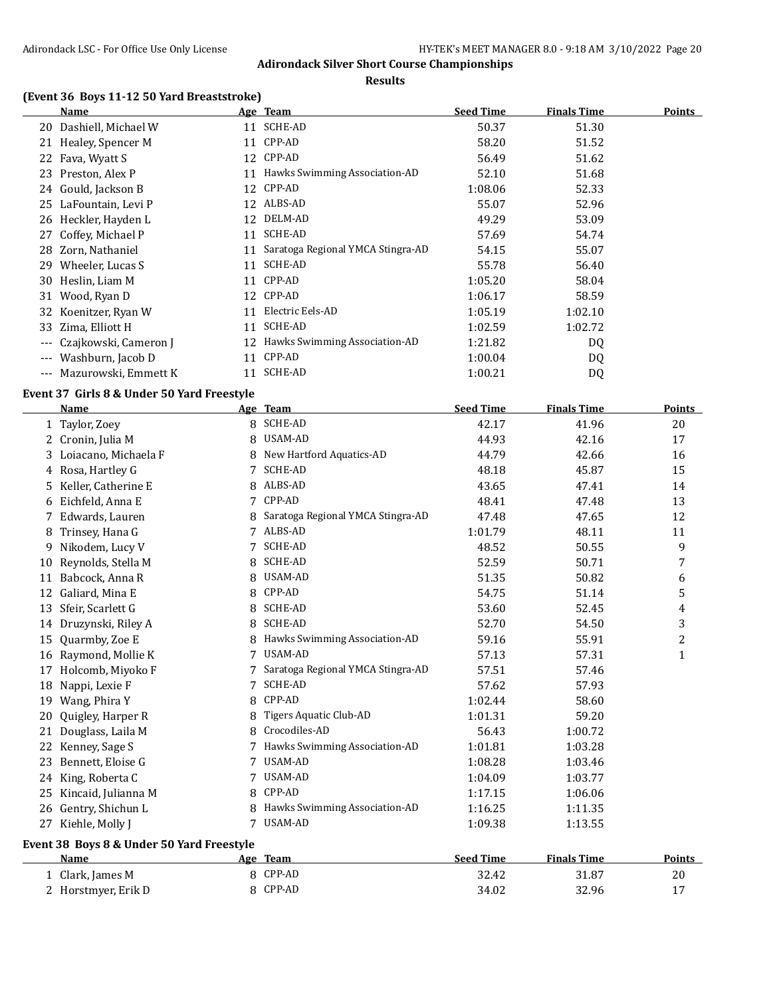**Results**

### **(Event 36 Boys 11-12 50 Yard Breaststroke)**

|       | Name                   |    | <u>Age Team</u>                   | <b>Seed Time</b> | <b>Finals Time</b> | Points |
|-------|------------------------|----|-----------------------------------|------------------|--------------------|--------|
|       | 20 Dashiell, Michael W | 11 | SCHE-AD                           | 50.37            | 51.30              |        |
|       | 21 Healey, Spencer M   |    | 11 CPP-AD                         | 58.20            | 51.52              |        |
| 22    | Fava, Wyatt S          |    | 12 CPP-AD                         | 56.49            | 51.62              |        |
| 23.   | Preston, Alex P        |    | 11 Hawks Swimming Association-AD  | 52.10            | 51.68              |        |
|       | 24 Gould, Jackson B    | 12 | CPP-AD                            | 1:08.06          | 52.33              |        |
|       | 25 LaFountain, Levi P  | 12 | ALBS-AD                           | 55.07            | 52.96              |        |
|       | 26 Heckler, Hayden L   | 12 | DELM-AD                           | 49.29            | 53.09              |        |
| 27    | Coffey, Michael P      | 11 | <b>SCHE-AD</b>                    | 57.69            | 54.74              |        |
| 28.   | Zorn, Nathaniel        | 11 | Saratoga Regional YMCA Stingra-AD | 54.15            | 55.07              |        |
| 29.   | Wheeler, Lucas S       | 11 | SCHE-AD                           | 55.78            | 56.40              |        |
| 30    | Heslin, Liam M         | 11 | CPP-AD                            | 1:05.20          | 58.04              |        |
| 31    | Wood, Ryan D           |    | 12 CPP-AD                         | 1:06.17          | 58.59              |        |
|       | 32 Koenitzer, Ryan W   | 11 | Electric Eels-AD                  | 1:05.19          | 1:02.10            |        |
| 33    | Zima, Elliott H        | 11 | SCHE-AD                           | 1:02.59          | 1:02.72            |        |
| $---$ | Czajkowski, Cameron J  |    | 12 Hawks Swimming Association-AD  | 1:21.82          | DQ                 |        |
| $---$ | Washburn, Jacob D      | 11 | CPP-AD                            | 1:00.04          | DQ                 |        |
| $---$ | Mazurowski, Emmett K   | 11 | SCHE-AD                           | 1:00.21          | DQ                 |        |
|       |                        |    |                                   |                  |                    |        |

### **Event 37 Girls 8 & Under 50 Yard Freestyle**

|    | <b>Name</b>                               |     | Age Team                          | <b>Seed Time</b> | <b>Finals Time</b> | <b>Points</b> |
|----|-------------------------------------------|-----|-----------------------------------|------------------|--------------------|---------------|
|    | 1 Taylor, Zoey                            |     | <b>SCHE-AD</b>                    | 42.17            | 41.96              | 20            |
| 2  | Cronin, Julia M                           | 8   | USAM-AD                           | 44.93            | 42.16              | 17            |
| 3  | Loiacano, Michaela F                      | 8   | New Hartford Aquatics-AD          | 44.79            | 42.66              | 16            |
| 4  | Rosa, Hartley G                           | 7   | SCHE-AD                           | 48.18            | 45.87              | 15            |
| 5  | Keller, Catherine E                       | 8   | ALBS-AD                           | 43.65            | 47.41              | 14            |
| 6  | Eichfeld, Anna E                          | 7   | CPP-AD                            | 48.41            | 47.48              | 13            |
|    | Edwards, Lauren                           |     | Saratoga Regional YMCA Stingra-AD | 47.48            | 47.65              | 12            |
| 8  | Trinsey, Hana G                           |     | ALBS-AD                           | 1:01.79          | 48.11              | 11            |
| 9  | Nikodem, Lucy V                           |     | <b>SCHE-AD</b>                    | 48.52            | 50.55              | 9             |
| 10 | Reynolds, Stella M                        | 8   | <b>SCHE-AD</b>                    | 52.59            | 50.71              | 7             |
| 11 | Babcock, Anna R                           | 8   | USAM-AD                           | 51.35            | 50.82              | 6             |
| 12 | Galiard, Mina E                           | 8   | CPP-AD                            | 54.75            | 51.14              | 5             |
| 13 | Sfeir, Scarlett G                         | 8   | <b>SCHE-AD</b>                    | 53.60            | 52.45              | 4             |
| 14 | Druzynski, Riley A                        | 8   | <b>SCHE-AD</b>                    | 52.70            | 54.50              | 3             |
| 15 | Quarmby, Zoe E                            |     | Hawks Swimming Association-AD     | 59.16            | 55.91              | 2             |
| 16 | Raymond, Mollie K                         | 7   | <b>USAM-AD</b>                    | 57.13            | 57.31              | 1             |
| 17 | Holcomb, Miyoko F                         |     | Saratoga Regional YMCA Stingra-AD | 57.51            | 57.46              |               |
| 18 | Nappi, Lexie F                            | 7   | <b>SCHE-AD</b>                    | 57.62            | 57.93              |               |
| 19 | Wang, Phira Y                             | 8   | CPP-AD                            | 1:02.44          | 58.60              |               |
| 20 | Quigley, Harper R                         | 8   | Tigers Aquatic Club-AD            | 1:01.31          | 59.20              |               |
| 21 | Douglass, Laila M                         | 8   | Crocodiles-AD                     | 56.43            | 1:00.72            |               |
| 22 | Kenney, Sage S                            |     | Hawks Swimming Association-AD     | 1:01.81          | 1:03.28            |               |
| 23 | Bennett, Eloise G                         |     | <b>USAM-AD</b>                    | 1:08.28          | 1:03.46            |               |
| 24 | King, Roberta C                           | 7   | USAM-AD                           | 1:04.09          | 1:03.77            |               |
| 25 | Kincaid, Julianna M                       | 8   | CPP-AD                            | 1:17.15          | 1:06.06            |               |
| 26 | Gentry, Shichun L                         | 8   | Hawks Swimming Association-AD     | 1:16.25          | 1:11.35            |               |
| 27 | Kiehle, Molly J                           | 7   | USAM-AD                           | 1:09.38          | 1:13.55            |               |
|    | Event 38 Boys 8 & Under 50 Yard Freestyle |     |                                   |                  |                    |               |
|    | <b>Name</b>                               | Age | <b>Team</b>                       | <b>Seed Time</b> | <b>Finals Time</b> | <b>Points</b> |

1 Clark, James M 8 CPP-AD 32.42 31.87 20<br>
2 Horstmyer, Erik D 8 CPP-AD 34.02 32.96 17 2 Horstmyer, Erik D 8 CPP-AD 34.02 32.96 17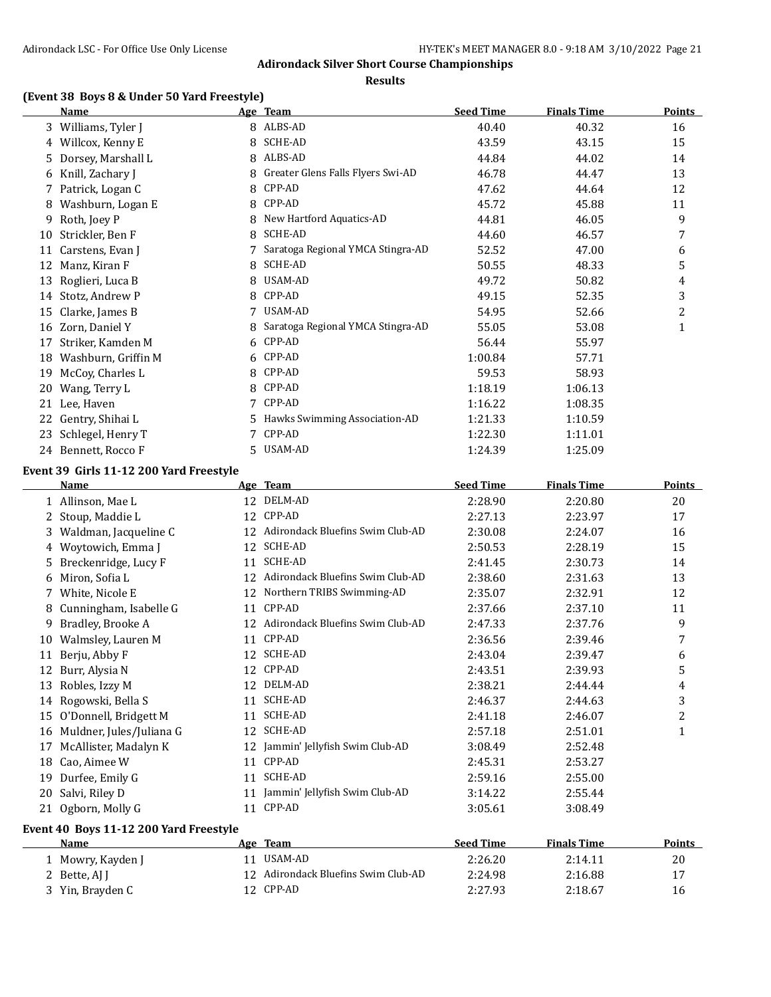**Results**

# **(Event 38 Boys 8 & Under 50 Yard Freestyle)**

|    | (Event 38 Boys 8 & Under 50 Yard Freestyle)<br>Name |    | Age Team                          | <b>Seed Time</b> | <b>Finals Time</b> | <b>Points</b> |
|----|-----------------------------------------------------|----|-----------------------------------|------------------|--------------------|---------------|
| 3  | Williams, Tyler J                                   | 8  | ALBS-AD                           | 40.40            | 40.32              | 16            |
|    | 4 Willcox, Kenny E                                  | 8  | <b>SCHE-AD</b>                    | 43.59            | 43.15              | 15            |
| 5. | Dorsey, Marshall L                                  | 8  | ALBS-AD                           | 44.84            | 44.02              | 14            |
|    | 6 Knill, Zachary J                                  | 8  | Greater Glens Falls Flyers Swi-AD | 46.78            | 44.47              | 13            |
|    | 7 Patrick, Logan C                                  | 8  | CPP-AD                            | 47.62            | 44.64              | 12            |
| 8  | Washburn, Logan E                                   | 8  | CPP-AD                            | 45.72            | 45.88              | 11            |
| 9  | Roth, Joey P                                        | 8  | New Hartford Aquatics-AD          | 44.81            | 46.05              | 9             |
| 10 | Strickler, Ben F                                    | 8  | <b>SCHE-AD</b>                    | 44.60            | 46.57              | 7             |
| 11 | Carstens, Evan J                                    |    | Saratoga Regional YMCA Stingra-AD | 52.52            | 47.00              | 6             |
| 12 | Manz, Kiran F                                       | 8  | <b>SCHE-AD</b>                    | 50.55            | 48.33              | 5             |
| 13 | Roglieri, Luca B                                    | 8  | USAM-AD                           | 49.72            | 50.82              | 4             |
| 14 | Stotz, Andrew P                                     | 8  | CPP-AD                            | 49.15            | 52.35              | 3             |
| 15 | Clarke, James B                                     |    | USAM-AD                           | 54.95            | 52.66              | 2             |
| 16 | Zorn, Daniel Y                                      | 8  | Saratoga Regional YMCA Stingra-AD | 55.05            | 53.08              | 1             |
| 17 | Striker, Kamden M                                   | 6  | CPP-AD                            | 56.44            | 55.97              |               |
| 18 | Washburn, Griffin M                                 | 6  | CPP-AD                            | 1:00.84          | 57.71              |               |
| 19 | McCoy, Charles L                                    | 8  | CPP-AD                            | 59.53            | 58.93              |               |
| 20 | Wang, Terry L                                       | 8  | CPP-AD                            | 1:18.19          | 1:06.13            |               |
| 21 | Lee, Haven                                          | 7  | CPP-AD                            | 1:16.22          | 1:08.35            |               |
| 22 | Gentry, Shihai L                                    | 5. | Hawks Swimming Association-AD     | 1:21.33          | 1:10.59            |               |
| 23 | Schlegel, Henry T                                   | 7  | CPP-AD                            | 1:22.30          | 1:11.01            |               |
|    | 24 Bennett, Rocco F                                 | 5. | USAM-AD                           | 1:24.39          | 1:25.09            |               |
|    | $\sim$ 00.01.1.44.40.000 V.1.                       |    |                                   |                  |                    |               |

#### **Event 39 Girls 11-12 200 Yard Freestyle**

|    | <b>Name</b>                            |    | Age Team                         | <b>Seed Time</b> | <b>Finals Time</b> | <b>Points</b> |
|----|----------------------------------------|----|----------------------------------|------------------|--------------------|---------------|
| 1  | Allinson, Mae L                        | 12 | DELM-AD                          | 2:28.90          | 2:20.80            | 20            |
|    | Stoup, Maddie L                        | 12 | CPP-AD                           | 2:27.13          | 2:23.97            | 17            |
| 3  | Waldman, Jacqueline C                  | 12 | Adirondack Bluefins Swim Club-AD | 2:30.08          | 2:24.07            | 16            |
| 4  | Woytowich, Emma J                      | 12 | <b>SCHE-AD</b>                   | 2:50.53          | 2:28.19            | 15            |
| 5. | Breckenridge, Lucy F                   | 11 | <b>SCHE-AD</b>                   | 2:41.45          | 2:30.73            | 14            |
| 6  | Miron, Sofia L                         | 12 | Adirondack Bluefins Swim Club-AD | 2:38.60          | 2:31.63            | 13            |
|    | White, Nicole E                        | 12 | Northern TRIBS Swimming-AD       | 2:35.07          | 2:32.91            | 12            |
| 8  | Cunningham, Isabelle G                 | 11 | CPP-AD                           | 2:37.66          | 2:37.10            | 11            |
| 9  | Bradley, Brooke A                      | 12 | Adirondack Bluefins Swim Club-AD | 2:47.33          | 2:37.76            | 9             |
| 10 | Walmsley, Lauren M                     | 11 | CPP-AD                           | 2:36.56          | 2:39.46            | 7             |
| 11 | Berju, Abby F                          | 12 | SCHE-AD                          | 2:43.04          | 2:39.47            | 6             |
| 12 | Burr, Alysia N                         | 12 | CPP-AD                           | 2:43.51          | 2:39.93            | 5             |
| 13 | Robles, Izzy M                         | 12 | DELM-AD                          | 2:38.21          | 2:44.44            | 4             |
| 14 | Rogowski, Bella S                      | 11 | <b>SCHE-AD</b>                   | 2:46.37          | 2:44.63            | 3             |
| 15 | O'Donnell, Bridgett M                  | 11 | <b>SCHE-AD</b>                   | 2:41.18          | 2:46.07            | 2             |
| 16 | Muldner, Jules/Juliana G               | 12 | <b>SCHE-AD</b>                   | 2:57.18          | 2:51.01            | $\mathbf{1}$  |
| 17 | McAllister, Madalyn K                  | 12 | Jammin' Jellyfish Swim Club-AD   | 3:08.49          | 2:52.48            |               |
| 18 | Cao, Aimee W                           | 11 | CPP-AD                           | 2:45.31          | 2:53.27            |               |
| 19 | Durfee, Emily G                        | 11 | <b>SCHE-AD</b>                   | 2:59.16          | 2:55.00            |               |
| 20 | Salvi, Riley D                         | 11 | Jammin' Jellyfish Swim Club-AD   | 3:14.22          | 2:55.44            |               |
| 21 | Ogborn, Molly G                        | 11 | CPP-AD                           | 3:05.61          | 3:08.49            |               |
|    | Event 40 Boys 11-12 200 Yard Freestyle |    |                                  |                  |                    |               |
|    | Name                                   |    | Age Team                         | <b>Seed Time</b> | <b>Finals Time</b> | <b>Points</b> |
|    | Mowry, Kayden J                        | 11 | USAM-AD                          | 2:26.20          | 2:14.11            | 20            |
|    | Bette, AJ J                            | 12 | Adirondack Bluefins Swim Club-AD | 2:24.98          | 2:16.88            | 17            |
| 3  | Yin, Brayden C                         | 12 | CPP-AD                           | 2:27.93          | 2:18.67            | 16            |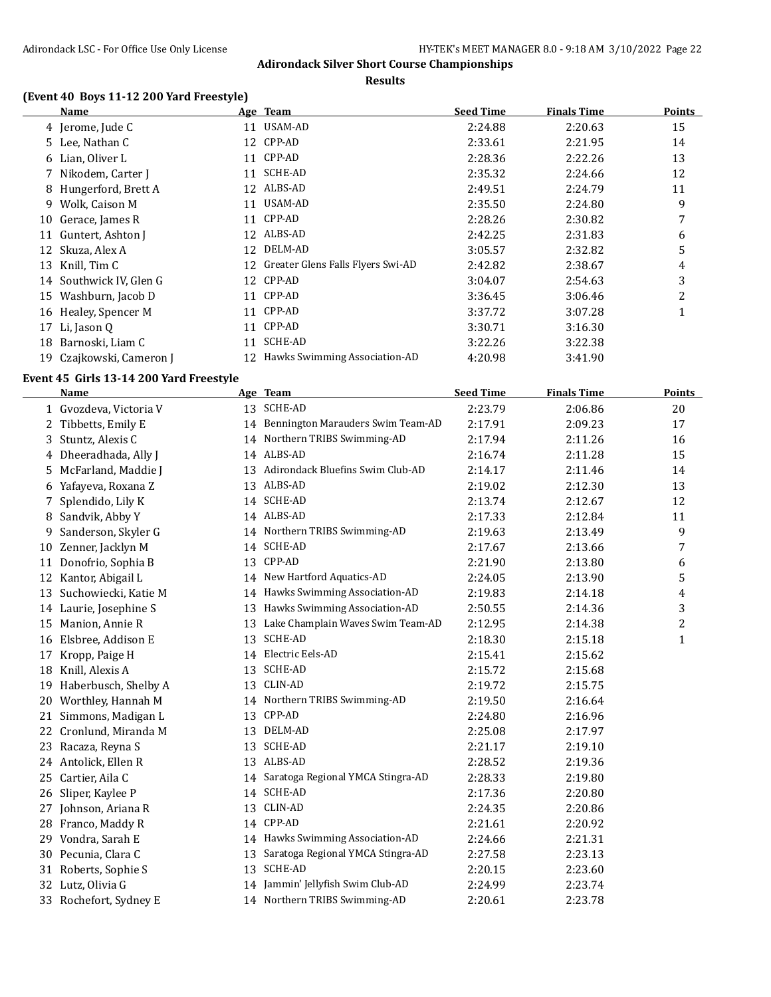**Results**

### **(Event 40 Boys 11-12 200 Yard Freestyle)**

|    | Name                  |    | Age Team                          | <b>Seed Time</b> | Finals Time | Points |
|----|-----------------------|----|-----------------------------------|------------------|-------------|--------|
|    | 4 Jerome, Jude C      | 11 | USAM-AD                           | 2:24.88          | 2:20.63     | 15     |
|    | 5 Lee, Nathan C       | 12 | CPP-AD                            | 2:33.61          | 2:21.95     | 14     |
|    | 6 Lian, Oliver L      | 11 | CPP-AD                            | 2:28.36          | 2:22.26     | 13     |
|    | 7 Nikodem, Carter J   | 11 | SCHE-AD                           | 2:35.32          | 2:24.66     | 12     |
|    | 8 Hungerford, Brett A |    | 12 ALBS-AD                        | 2:49.51          | 2:24.79     | 11     |
| 9. | Wolk, Caison M        | 11 | USAM-AD                           | 2:35.50          | 2:24.80     | 9      |
| 10 | Gerace, James R       | 11 | CPP-AD                            | 2:28.26          | 2:30.82     | 7      |
| 11 | Guntert, Ashton J     |    | 12 ALBS-AD                        | 2:42.25          | 2:31.83     | 6      |
| 12 | Skuza, Alex A         | 12 | DELM-AD                           | 3:05.57          | 2:32.82     | 5      |
| 13 | Knill, Tim C          | 12 | Greater Glens Falls Flyers Swi-AD | 2:42.82          | 2:38.67     | 4      |
| 14 | Southwick IV, Glen G  | 12 | CPP-AD                            | 3:04.07          | 2:54.63     | 3      |
| 15 | Washburn, Jacob D     | 11 | CPP-AD                            | 3:36.45          | 3:06.46     | 2      |
|    | 16 Healey, Spencer M  |    | 11 CPP-AD                         | 3:37.72          | 3:07.28     |        |
| 17 | Li, Jason Q           | 11 | CPP-AD                            | 3:30.71          | 3:16.30     |        |
| 18 | Barnoski, Liam C      | 11 | SCHE-AD                           | 3:22.26          | 3:22.38     |        |
| 19 | Czajkowski, Cameron J |    | 12 Hawks Swimming Association-AD  | 4:20.98          | 3:41.90     |        |

### **Event 45 Girls 13-14 200 Yard Freestyle**

|    | <b>Name</b>            |    | Age Team                             | <b>Seed Time</b> | <b>Finals Time</b> | <b>Points</b> |
|----|------------------------|----|--------------------------------------|------------------|--------------------|---------------|
|    | 1 Gvozdeva, Victoria V |    | 13 SCHE-AD                           | 2:23.79          | 2:06.86            | 20            |
| 2  | Tibbetts, Emily E      |    | 14 Bennington Marauders Swim Team-AD | 2:17.91          | 2:09.23            | 17            |
| 3  | Stuntz, Alexis C       |    | 14 Northern TRIBS Swimming-AD        | 2:17.94          | 2:11.26            | 16            |
|    | 4 Dheeradhada, Ally J  |    | 14 ALBS-AD                           | 2:16.74          | 2:11.28            | 15            |
| 5  | McFarland, Maddie J    | 13 | Adirondack Bluefins Swim Club-AD     | 2:14.17          | 2:11.46            | 14            |
|    | 6 Yafayeva, Roxana Z   |    | 13 ALBS-AD                           | 2:19.02          | 2:12.30            | 13            |
|    | Splendido, Lily K      |    | 14 SCHE-AD                           | 2:13.74          | 2:12.67            | 12            |
| 8  | Sandvik, Abby Y        |    | 14 ALBS-AD                           | 2:17.33          | 2:12.84            | 11            |
| 9  | Sanderson, Skyler G    |    | 14 Northern TRIBS Swimming-AD        | 2:19.63          | 2:13.49            | 9             |
| 10 | Zenner, Jacklyn M      | 14 | <b>SCHE-AD</b>                       | 2:17.67          | 2:13.66            | 7             |
| 11 | Donofrio, Sophia B     | 13 | CPP-AD                               | 2:21.90          | 2:13.80            | 6             |
|    | 12 Kantor, Abigail L   |    | 14 New Hartford Aquatics-AD          | 2:24.05          | 2:13.90            | 5             |
| 13 | Suchowiecki, Katie M   |    | 14 Hawks Swimming Association-AD     | 2:19.83          | 2:14.18            | 4             |
|    | 14 Laurie, Josephine S | 13 | Hawks Swimming Association-AD        | 2:50.55          | 2:14.36            | 3             |
| 15 | Manion, Annie R        | 13 | Lake Champlain Waves Swim Team-AD    | 2:12.95          | 2:14.38            | 2             |
|    | 16 Elsbree, Addison E  | 13 | <b>SCHE-AD</b>                       | 2:18.30          | 2:15.18            | $\mathbf{1}$  |
| 17 | Kropp, Paige H         | 14 | Electric Eels-AD                     | 2:15.41          | 2:15.62            |               |
| 18 | Knill, Alexis A        | 13 | SCHE-AD                              | 2:15.72          | 2:15.68            |               |
| 19 | Haberbusch, Shelby A   | 13 | CLIN-AD                              | 2:19.72          | 2:15.75            |               |
| 20 | Worthley, Hannah M     |    | 14 Northern TRIBS Swimming-AD        | 2:19.50          | 2:16.64            |               |
|    | 21 Simmons, Madigan L  | 13 | CPP-AD                               | 2:24.80          | 2:16.96            |               |
|    | 22 Cronlund, Miranda M | 13 | DELM-AD                              | 2:25.08          | 2:17.97            |               |
| 23 | Racaza, Reyna S        | 13 | SCHE-AD                              | 2:21.17          | 2:19.10            |               |
|    | 24 Antolick, Ellen R   |    | 13 ALBS-AD                           | 2:28.52          | 2:19.36            |               |
| 25 | Cartier, Aila C        |    | 14 Saratoga Regional YMCA Stingra-AD | 2:28.33          | 2:19.80            |               |
| 26 | Sliper, Kaylee P       |    | 14 SCHE-AD                           | 2:17.36          | 2:20.80            |               |
| 27 | Johnson, Ariana R      | 13 | CLIN-AD                              | 2:24.35          | 2:20.86            |               |
| 28 | Franco, Maddy R        | 14 | CPP-AD                               | 2:21.61          | 2:20.92            |               |
| 29 | Vondra, Sarah E        |    | 14 Hawks Swimming Association-AD     | 2:24.66          | 2:21.31            |               |
|    | 30 Pecunia, Clara C    | 13 | Saratoga Regional YMCA Stingra-AD    | 2:27.58          | 2:23.13            |               |
|    | 31 Roberts, Sophie S   | 13 | <b>SCHE-AD</b>                       | 2:20.15          | 2:23.60            |               |
|    | 32 Lutz, Olivia G      |    | 14 Jammin' Jellyfish Swim Club-AD    | 2:24.99          | 2:23.74            |               |
|    | 33 Rochefort, Sydney E |    | 14 Northern TRIBS Swimming-AD        | 2:20.61          | 2:23.78            |               |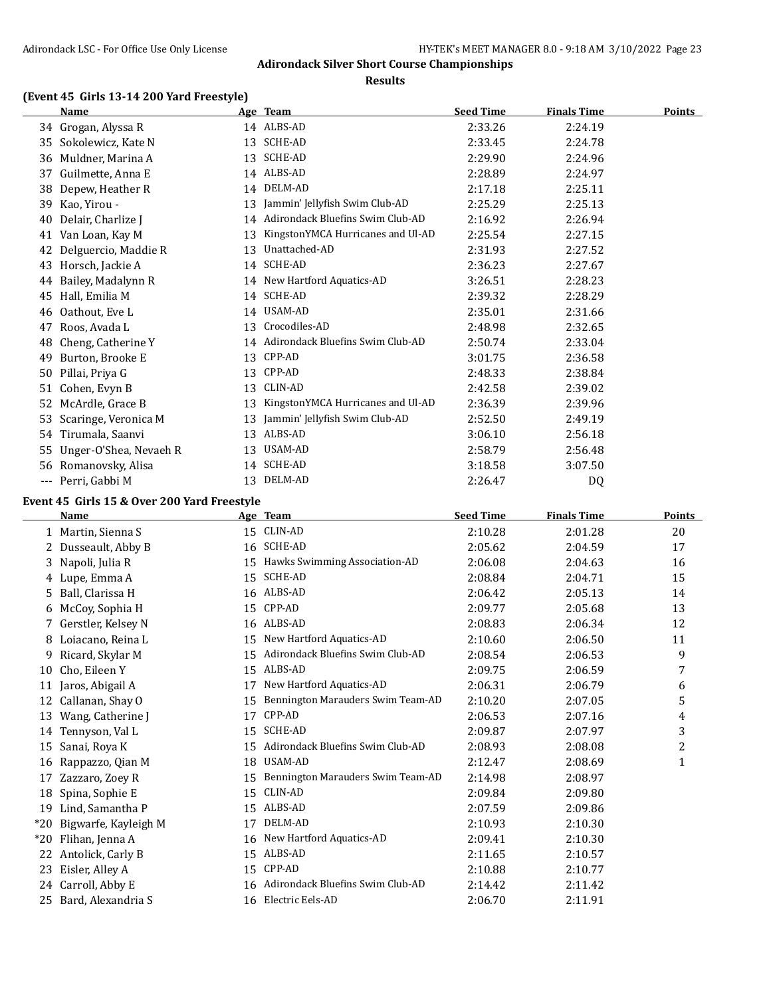**Results**

# **(Event 45 Girls 13-14 200 Yard Freestyle)**

|     | <b>Name</b>            |    | Age Team                          | <b>Seed Time</b> | <b>Finals Time</b> | <b>Points</b> |
|-----|------------------------|----|-----------------------------------|------------------|--------------------|---------------|
|     | 34 Grogan, Alyssa R    |    | 14 ALBS-AD                        | 2:33.26          | 2:24.19            |               |
| 35  | Sokolewicz, Kate N     | 13 | <b>SCHE-AD</b>                    | 2:33.45          | 2:24.78            |               |
| 36  | Muldner, Marina A      | 13 | <b>SCHE-AD</b>                    | 2:29.90          | 2:24.96            |               |
| 37  | Guilmette, Anna E      |    | 14 ALBS-AD                        | 2:28.89          | 2:24.97            |               |
| 38  | Depew, Heather R       | 14 | DELM-AD                           | 2:17.18          | 2:25.11            |               |
| 39  | Kao, Yirou -           | 13 | Jammin' Jellyfish Swim Club-AD    | 2:25.29          | 2:25.13            |               |
| 40  | Delair, Charlize J     | 14 | Adirondack Bluefins Swim Club-AD  | 2:16.92          | 2:26.94            |               |
| 41  | Van Loan, Kay M        | 13 | KingstonYMCA Hurricanes and Ul-AD | 2:25.54          | 2:27.15            |               |
| 42  | Delguercio, Maddie R   | 13 | Unattached-AD                     | 2:31.93          | 2:27.52            |               |
| 43  | Horsch, Jackie A       | 14 | <b>SCHE-AD</b>                    | 2:36.23          | 2:27.67            |               |
| 44  | Bailey, Madalynn R     | 14 | New Hartford Aquatics-AD          | 3:26.51          | 2:28.23            |               |
| 45  | Hall, Emilia M         | 14 | <b>SCHE-AD</b>                    | 2:39.32          | 2:28.29            |               |
| 46  | Oathout, Eve L         | 14 | USAM-AD                           | 2:35.01          | 2:31.66            |               |
| 47  | Roos, Avada L          | 13 | Crocodiles-AD                     | 2:48.98          | 2:32.65            |               |
| 48  | Cheng, Catherine Y     | 14 | Adirondack Bluefins Swim Club-AD  | 2:50.74          | 2:33.04            |               |
| 49  | Burton, Brooke E       | 13 | CPP-AD                            | 3:01.75          | 2:36.58            |               |
| 50  | Pillai, Priya G        | 13 | CPP-AD                            | 2:48.33          | 2:38.84            |               |
| 51  | Cohen, Evyn B          | 13 | CLIN-AD                           | 2:42.58          | 2:39.02            |               |
| 52  | McArdle, Grace B       | 13 | KingstonYMCA Hurricanes and Ul-AD | 2:36.39          | 2:39.96            |               |
| 53  | Scaringe, Veronica M   | 13 | Jammin' Jellyfish Swim Club-AD    | 2:52.50          | 2:49.19            |               |
| 54  | Tirumala, Saanvi       | 13 | ALBS-AD                           | 3:06.10          | 2:56.18            |               |
| 55  | Unger-O'Shea, Nevaeh R | 13 | USAM-AD                           | 2:58.79          | 2:56.48            |               |
| 56  | Romanovsky, Alisa      | 14 | <b>SCHE-AD</b>                    | 3:18.58          | 3:07.50            |               |
| --- | Perri, Gabbi M         | 13 | DELM-AD                           | 2:26.47          | D <sub>0</sub>     |               |

### **Event 45 Girls 15 & Over 200 Yard Freestyle**

|       | <b>Name</b>          |    | Age Team                          | <b>Seed Time</b> | <b>Finals Time</b> | <b>Points</b> |
|-------|----------------------|----|-----------------------------------|------------------|--------------------|---------------|
|       | Martin, Sienna S     | 15 | <b>CLIN-AD</b>                    | 2:10.28          | 2:01.28            | 20            |
|       | 2 Dusseault, Abby B  | 16 | <b>SCHE-AD</b>                    | 2:05.62          | 2:04.59            | 17            |
|       | 3 Napoli, Julia R    | 15 | Hawks Swimming Association-AD     | 2:06.08          | 2:04.63            | 16            |
| 4     | Lupe, Emma A         | 15 | <b>SCHE-AD</b>                    | 2:08.84          | 2:04.71            | 15            |
|       | 5 Ball, Clarissa H   | 16 | ALBS-AD                           | 2:06.42          | 2:05.13            | 14            |
| 6     | McCoy, Sophia H      | 15 | CPP-AD                            | 2:09.77          | 2:05.68            | 13            |
| 7     | Gerstler, Kelsey N   | 16 | ALBS-AD                           | 2:08.83          | 2:06.34            | 12            |
| 8     | Loiacano, Reina L    | 15 | New Hartford Aquatics-AD          | 2:10.60          | 2:06.50            | 11            |
| 9.    | Ricard, Skylar M     | 15 | Adirondack Bluefins Swim Club-AD  | 2:08.54          | 2:06.53            | 9             |
| 10    | Cho, Eileen Y        | 15 | ALBS-AD                           | 2:09.75          | 2:06.59            | 7             |
| 11    | Jaros, Abigail A     | 17 | New Hartford Aquatics-AD          | 2:06.31          | 2:06.79            | 6             |
| 12    | Callanan, Shay O     | 15 | Bennington Marauders Swim Team-AD | 2:10.20          | 2:07.05            | 5             |
| 13    | Wang, Catherine J    | 17 | CPP-AD                            | 2:06.53          | 2:07.16            | 4             |
| 14    | Tennyson, Val L      | 15 | <b>SCHE-AD</b>                    | 2:09.87          | 2:07.97            | 3             |
| 15    | Sanai, Roya K        | 15 | Adirondack Bluefins Swim Club-AD  | 2:08.93          | 2:08.08            | 2             |
| 16    | Rappazzo, Qian M     | 18 | USAM-AD                           | 2:12.47          | 2:08.69            | $\mathbf{1}$  |
| 17    | Zazzaro, Zoey R      | 15 | Bennington Marauders Swim Team-AD | 2:14.98          | 2:08.97            |               |
| 18    | Spina, Sophie E      | 15 | CLIN-AD                           | 2:09.84          | 2:09.80            |               |
| 19    | Lind, Samantha P     | 15 | ALBS-AD                           | 2:07.59          | 2:09.86            |               |
| $*20$ | Bigwarfe, Kayleigh M | 17 | DELM-AD                           | 2:10.93          | 2:10.30            |               |
| $*20$ | Flihan, Jenna A      | 16 | New Hartford Aquatics-AD          | 2:09.41          | 2:10.30            |               |
| 22    | Antolick, Carly B    | 15 | ALBS-AD                           | 2:11.65          | 2:10.57            |               |
| 23    | Eisler, Alley A      | 15 | CPP-AD                            | 2:10.88          | 2:10.77            |               |
| 24    | Carroll, Abby E      | 16 | Adirondack Bluefins Swim Club-AD  | 2:14.42          | 2:11.42            |               |
| 25    | Bard, Alexandria S   | 16 | Electric Eels-AD                  | 2:06.70          | 2:11.91            |               |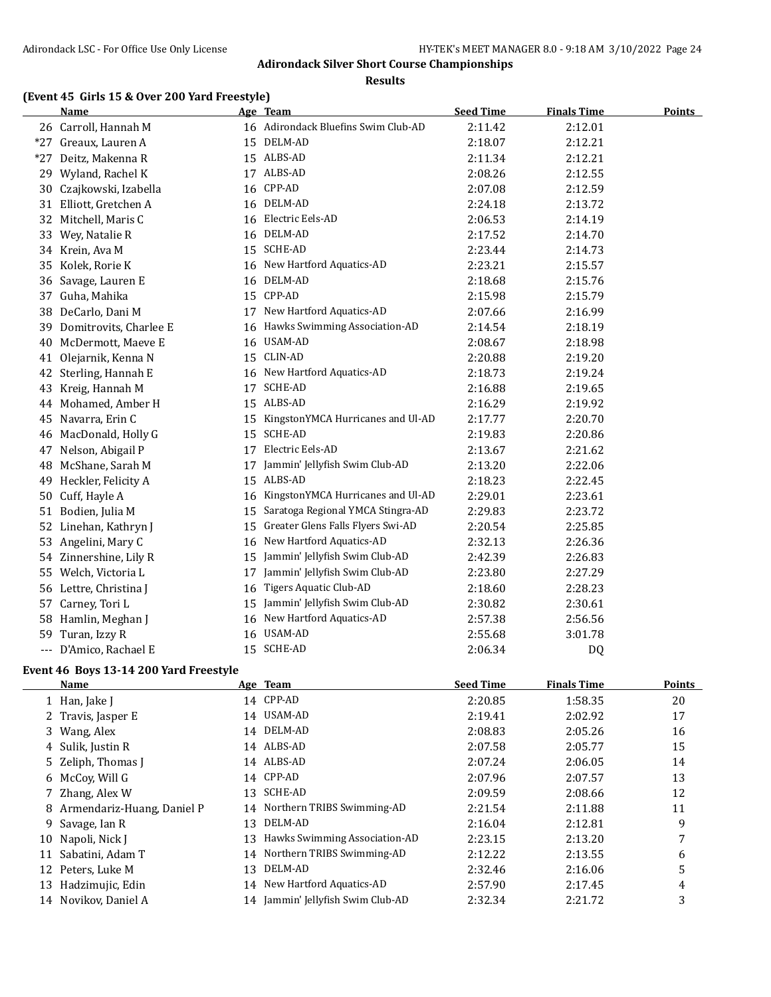**Results**

### **(Event 45 Girls 15 & Over 200 Yard Freestyle)**

|          | Name                      |    | Age Team                             | <b>Seed Time</b> | <b>Finals Time</b> | <b>Points</b> |
|----------|---------------------------|----|--------------------------------------|------------------|--------------------|---------------|
|          | 26 Carroll, Hannah M      |    | 16 Adirondack Bluefins Swim Club-AD  | 2:11.42          | 2:12.01            |               |
|          | *27 Greaux, Lauren A      |    | 15 DELM-AD                           | 2:18.07          | 2:12.21            |               |
|          | *27 Deitz, Makenna R      |    | 15 ALBS-AD                           | 2:11.34          | 2:12.21            |               |
|          | 29 Wyland, Rachel K       |    | 17 ALBS-AD                           | 2:08.26          | 2:12.55            |               |
| 30       | Czajkowski, Izabella      | 16 | CPP-AD                               | 2:07.08          | 2:12.59            |               |
|          | 31 Elliott, Gretchen A    |    | 16 DELM-AD                           | 2:24.18          | 2:13.72            |               |
| 32       | Mitchell, Maris C         | 16 | Electric Eels-AD                     | 2:06.53          | 2:14.19            |               |
|          | 33 Wey, Natalie R         |    | 16 DELM-AD                           | 2:17.52          | 2:14.70            |               |
|          | 34 Krein, Ava M           |    | 15 SCHE-AD                           | 2:23.44          | 2:14.73            |               |
|          | 35 Kolek, Rorie K         |    | 16 New Hartford Aquatics-AD          | 2:23.21          | 2:15.57            |               |
| 36       | Savage, Lauren E          |    | 16 DELM-AD                           | 2:18.68          | 2:15.76            |               |
|          | 37 Guha, Mahika           |    | 15 CPP-AD                            | 2:15.98          | 2:15.79            |               |
|          | 38 DeCarlo, Dani M        |    | 17 New Hartford Aquatics-AD          | 2:07.66          | 2:16.99            |               |
|          | 39 Domitrovits, Charlee E |    | 16 Hawks Swimming Association-AD     | 2:14.54          | 2:18.19            |               |
| 40       | McDermott, Maeve E        | 16 | USAM-AD                              | 2:08.67          | 2:18.98            |               |
| 41       | Olejarnik, Kenna N        | 15 | CLIN-AD                              | 2:20.88          | 2:19.20            |               |
| 42       | Sterling, Hannah E        |    | 16 New Hartford Aquatics-AD          | 2:18.73          | 2:19.24            |               |
| 43       | Kreig, Hannah M           | 17 | SCHE-AD                              | 2:16.88          | 2:19.65            |               |
|          | 44 Mohamed, Amber H       |    | 15 ALBS-AD                           | 2:16.29          | 2:19.92            |               |
|          | 45 Navarra, Erin C        |    | 15 KingstonYMCA Hurricanes and Ul-AD | 2:17.77          | 2:20.70            |               |
|          | 46 MacDonald, Holly G     | 15 | SCHE-AD                              | 2:19.83          | 2:20.86            |               |
|          | 47 Nelson, Abigail P      | 17 | Electric Eels-AD                     | 2:13.67          | 2:21.62            |               |
|          | 48 McShane, Sarah M       | 17 | Jammin' Jellyfish Swim Club-AD       | 2:13.20          | 2:22.06            |               |
| 49       | Heckler, Felicity A       | 15 | ALBS-AD                              | 2:18.23          | 2:22.45            |               |
|          | 50 Cuff, Hayle A          | 16 | KingstonYMCA Hurricanes and Ul-AD    | 2:29.01          | 2:23.61            |               |
| 51       | Bodien, Julia M           | 15 | Saratoga Regional YMCA Stingra-AD    | 2:29.83          | 2:23.72            |               |
| 52       | Linehan, Kathryn J        | 15 | Greater Glens Falls Flyers Swi-AD    | 2:20.54          | 2:25.85            |               |
| 53       | Angelini, Mary C          | 16 | New Hartford Aquatics-AD             | 2:32.13          | 2:26.36            |               |
|          | 54 Zinnershine, Lily R    | 15 | Jammin' Jellyfish Swim Club-AD       | 2:42.39          | 2:26.83            |               |
|          | 55 Welch, Victoria L      | 17 | Jammin' Jellyfish Swim Club-AD       | 2:23.80          | 2:27.29            |               |
|          | 56 Lettre, Christina J    | 16 | Tigers Aquatic Club-AD               | 2:18.60          | 2:28.23            |               |
|          | 57 Carney, Tori L         | 15 | Jammin' Jellyfish Swim Club-AD       | 2:30.82          | 2:30.61            |               |
| 58       | Hamlin, Meghan J          | 16 | New Hartford Aquatics-AD             | 2:57.38          | 2:56.56            |               |
| 59       | Turan, Izzy R             | 16 | <b>USAM-AD</b>                       | 2:55.68          | 3:01.78            |               |
| $\cdots$ | D'Amico, Rachael E        |    | 15 SCHE-AD                           | 2:06.34          | <b>DQ</b>          |               |

### **Event 46 Boys 13-14 200 Yard Freestyle**

|    | Name                         |    | Age Team                          | <b>Seed Time</b> | <b>Finals Time</b> | <b>Points</b> |
|----|------------------------------|----|-----------------------------------|------------------|--------------------|---------------|
|    | 1 Han, Jake J                |    | 14 CPP-AD                         | 2:20.85          | 1:58.35            | 20            |
|    | 2 Travis, Jasper E           |    | 14 USAM-AD                        | 2:19.41          | 2:02.92            | 17            |
|    | 3 Wang, Alex                 |    | 14 DELM-AD                        | 2:08.83          | 2:05.26            | 16            |
|    | 4 Sulik, Justin R            |    | 14 ALBS-AD                        | 2:07.58          | 2:05.77            | 15            |
|    | 5 Zeliph, Thomas J           |    | 14 ALBS-AD                        | 2:07.24          | 2:06.05            | 14            |
|    | 6 McCoy, Will G              |    | 14 CPP-AD                         | 2:07.96          | 2:07.57            | 13            |
|    | 7 Zhang, Alex W              | 13 | SCHE-AD                           | 2:09.59          | 2:08.66            | 12            |
|    | 8 Armendariz-Huang, Daniel P |    | 14 Northern TRIBS Swimming-AD     | 2:21.54          | 2:11.88            | 11            |
|    | 9 Savage, Ian R              | 13 | DELM-AD                           | 2:16.04          | 2:12.81            | 9             |
| 10 | Napoli, Nick J               | 13 | Hawks Swimming Association-AD     | 2:23.15          | 2:13.20            |               |
|    | 11 Sabatini, Adam T          |    | 14 Northern TRIBS Swimming-AD     | 2:12.22          | 2:13.55            | 6             |
|    | 12 Peters, Luke M            | 13 | DELM-AD                           | 2:32.46          | 2:16.06            | 5             |
| 13 | Hadzimujic, Edin             |    | 14 New Hartford Aquatics-AD       | 2:57.90          | 2:17.45            | 4             |
|    | 14 Novikov, Daniel A         |    | 14 Jammin' Jellyfish Swim Club-AD | 2:32.34          | 2:21.72            | 3             |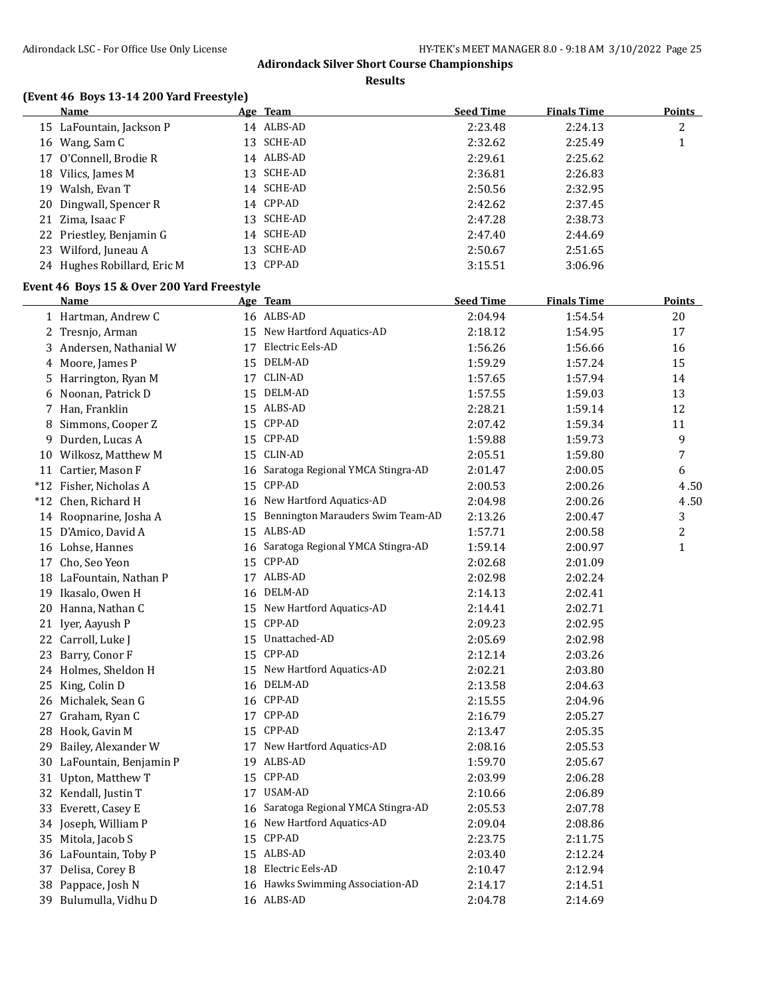**Results**

# **(Event 46 Boys 13-14 200 Yard Freestyle)**

|     | <b>Name</b>                                |    | Age Team                             | <b>Seed Time</b> | <b>Finals Time</b> | <b>Points</b>  |
|-----|--------------------------------------------|----|--------------------------------------|------------------|--------------------|----------------|
|     | 15 LaFountain, Jackson P                   |    | 14 ALBS-AD                           | 2:23.48          | 2:24.13            | 2              |
|     | 16 Wang, Sam C                             |    | 13 SCHE-AD                           | 2:32.62          | 2:25.49            | $\mathbf{1}$   |
|     | 17 O'Connell, Brodie R                     |    | 14 ALBS-AD                           | 2:29.61          | 2:25.62            |                |
|     | 18 Vilics, James M                         |    | 13 SCHE-AD                           | 2:36.81          | 2:26.83            |                |
|     | 19 Walsh, Evan T                           |    | 14 SCHE-AD                           | 2:50.56          | 2:32.95            |                |
| 20  | Dingwall, Spencer R                        |    | 14 CPP-AD                            | 2:42.62          | 2:37.45            |                |
|     | 21 Zima, Isaac F                           |    | 13 SCHE-AD                           | 2:47.28          | 2:38.73            |                |
|     | 22 Priestley, Benjamin G                   |    | 14 SCHE-AD                           | 2:47.40          | 2:44.69            |                |
|     | 23 Wilford, Juneau A                       |    | 13 SCHE-AD                           | 2:50.67          | 2:51.65            |                |
|     | 24 Hughes Robillard, Eric M                |    | 13 CPP-AD                            | 3:15.51          | 3:06.96            |                |
|     | Event 46 Boys 15 & Over 200 Yard Freestyle |    |                                      |                  |                    |                |
|     | <b>Name</b>                                |    | Age Team                             | <b>Seed Time</b> | <b>Finals Time</b> | <b>Points</b>  |
|     |                                            |    | 16 ALBS-AD                           | 2:04.94          | 1:54.54            | 20             |
|     | 1 Hartman, Andrew C                        |    | 15 New Hartford Aquatics-AD          |                  |                    | 17             |
|     | 2 Tresnjo, Arman                           |    | 17 Electric Eels-AD                  | 2:18.12          | 1:54.95            |                |
|     | 3 Andersen, Nathanial W                    |    |                                      | 1:56.26          | 1:56.66            | 16             |
|     | 4 Moore, James P                           |    | 15 DELM-AD                           | 1:59.29          | 1:57.24            | 15             |
| 5   | Harrington, Ryan M                         |    | 17 CLIN-AD                           | 1:57.65          | 1:57.94            | 14             |
| 6   | Noonan, Patrick D                          |    | 15 DELM-AD                           | 1:57.55          | 1:59.03            | 13             |
|     | 7 Han, Franklin                            |    | 15 ALBS-AD                           | 2:28.21          | 1:59.14            | 12             |
| 8   | Simmons, Cooper Z                          |    | 15 CPP-AD                            | 2:07.42          | 1:59.34            | 11             |
| 9   | Durden, Lucas A                            | 15 | CPP-AD                               | 1:59.88          | 1:59.73            | 9              |
|     | 10 Wilkosz, Matthew M                      | 15 | CLIN-AD                              | 2:05.51          | 1:59.80            | 7              |
|     | 11 Cartier, Mason F                        |    | 16 Saratoga Regional YMCA Stingra-AD | 2:01.47          | 2:00.05            | 6              |
|     | *12 Fisher, Nicholas A                     | 15 | CPP-AD                               | 2:00.53          | 2:00.26            | 4.50           |
|     | *12 Chen, Richard H                        |    | 16 New Hartford Aquatics-AD          | 2:04.98          | 2:00.26            | 4.50           |
|     | 14 Roopnarine, Josha A                     | 15 | Bennington Marauders Swim Team-AD    | 2:13.26          | 2:00.47            | 3              |
|     | 15 D'Amico, David A                        |    | 15 ALBS-AD                           | 1:57.71          | 2:00.58            | $\overline{c}$ |
|     | 16 Lohse, Hannes                           |    | 16 Saratoga Regional YMCA Stingra-AD | 1:59.14          | 2:00.97            | $\mathbf{1}$   |
|     | 17 Cho, Seo Yeon                           | 15 | CPP-AD                               | 2:02.68          | 2:01.09            |                |
|     | 18 LaFountain, Nathan P                    |    | 17 ALBS-AD                           | 2:02.98          | 2:02.24            |                |
|     | 19 Ikasalo, Owen H                         |    | 16 DELM-AD                           | 2:14.13          | 2:02.41            |                |
|     | 20 Hanna, Nathan C                         |    | 15 New Hartford Aquatics-AD          | 2:14.41          | 2:02.71            |                |
|     | 21 Iyer, Aayush P                          |    | 15 CPP-AD                            | 2:09.23          | 2:02.95            |                |
|     | 22 Carroll, Luke J                         |    | 15 Unattached-AD                     | 2:05.69          | 2:02.98            |                |
|     | 23 Barry, Conor F                          |    | 15 CPP-AD                            | 2:12.14          | 2:03.26            |                |
|     | 24 Holmes, Sheldon H                       |    | 15 New Hartford Aquatics-AD          | 2:02.21          | 2:03.80            |                |
|     | 25 King, Colin D                           |    | 16 DELM-AD                           | 2:13.58          | 2:04.63            |                |
|     | 26 Michalek, Sean G                        |    | 16 CPP-AD                            | 2:15.55          | 2:04.96            |                |
|     | 27 Graham, Ryan C                          |    | 17 CPP-AD                            | 2:16.79          | 2:05.27            |                |
|     | 28 Hook, Gavin M                           |    | 15 CPP-AD                            | 2:13.47          | 2:05.35            |                |
| 29. | Bailey, Alexander W                        |    | 17 New Hartford Aquatics-AD          | 2:08.16          | 2:05.53            |                |
|     | 30 LaFountain, Benjamin P                  | 19 | ALBS-AD                              | 1:59.70          | 2:05.67            |                |
|     | 31 Upton, Matthew T                        |    | 15 CPP-AD                            | 2:03.99          | 2:06.28            |                |
|     | 32 Kendall, Justin T                       |    | 17 USAM-AD                           | 2:10.66          | 2:06.89            |                |
|     | 33 Everett, Casey E                        |    | 16 Saratoga Regional YMCA Stingra-AD | 2:05.53          | 2:07.78            |                |
|     | 34 Joseph, William P                       |    | 16 New Hartford Aquatics-AD          | 2:09.04          | 2:08.86            |                |
|     | 35 Mitola, Jacob S                         |    | 15 CPP-AD                            | 2:23.75          | 2:11.75            |                |
|     | 36 LaFountain, Toby P                      |    | 15 ALBS-AD                           | 2:03.40          | 2:12.24            |                |
|     | 37 Delisa, Corey B                         |    | 18 Electric Eels-AD                  | 2:10.47          | 2:12.94            |                |
|     | 38 Pappace, Josh N                         |    | 16 Hawks Swimming Association-AD     | 2:14.17          | 2:14.51            |                |
|     | 39 Bulumulla, Vidhu D                      |    | 16 ALBS-AD                           | 2:04.78          | 2:14.69            |                |
|     |                                            |    |                                      |                  |                    |                |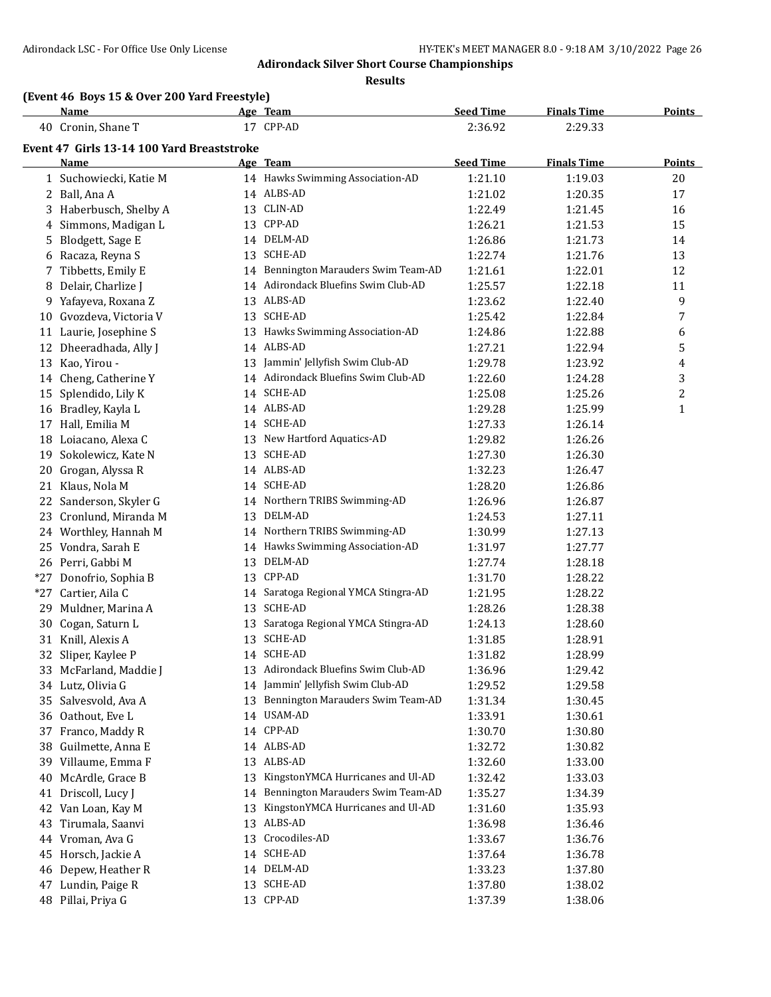**Results**

# **(Event 46 Boys 15 & Over 200 Yard Freestyle)**

|       | Name                                       |    | Age Team                             | <b>Seed Time</b> | <b>Finals Time</b> | <b>Points</b> |
|-------|--------------------------------------------|----|--------------------------------------|------------------|--------------------|---------------|
|       | 40 Cronin, Shane T                         |    | 17 CPP-AD                            | 2:36.92          | 2:29.33            |               |
|       | Event 47 Girls 13-14 100 Yard Breaststroke |    |                                      |                  |                    |               |
|       | Name                                       |    | Age Team                             | <b>Seed Time</b> | <b>Finals Time</b> | <b>Points</b> |
|       | 1 Suchowiecki, Katie M                     |    | 14 Hawks Swimming Association-AD     | 1:21.10          | 1:19.03            | 20            |
|       | 2 Ball, Ana A                              |    | 14 ALBS-AD                           | 1:21.02          | 1:20.35            | 17            |
|       | 3 Haberbusch, Shelby A                     |    | 13 CLIN-AD                           | 1:22.49          | 1:21.45            | 16            |
|       | 4 Simmons, Madigan L                       |    | 13 CPP-AD                            | 1:26.21          | 1:21.53            | 15            |
|       | 5 Blodgett, Sage E                         |    | 14 DELM-AD                           | 1:26.86          | 1:21.73            | 14            |
|       | 6 Racaza, Reyna S                          |    | 13 SCHE-AD                           | 1:22.74          | 1:21.76            | 13            |
|       | 7 Tibbetts, Emily E                        |    | 14 Bennington Marauders Swim Team-AD | 1:21.61          | 1:22.01            | 12            |
|       | 8 Delair, Charlize J                       |    | 14 Adirondack Bluefins Swim Club-AD  | 1:25.57          | 1:22.18            | 11            |
|       | 9 Yafayeva, Roxana Z                       |    | 13 ALBS-AD                           | 1:23.62          | 1:22.40            | 9             |
|       | 10 Gvozdeva, Victoria V                    |    | 13 SCHE-AD                           | 1:25.42          | 1:22.84            | 7             |
|       | 11 Laurie, Josephine S                     |    | 13 Hawks Swimming Association-AD     | 1:24.86          | 1:22.88            | 6             |
|       | 12 Dheeradhada, Ally J                     |    | 14 ALBS-AD                           | 1:27.21          | 1:22.94            | 5             |
|       | 13 Kao, Yirou -                            |    | 13 Jammin' Jellyfish Swim Club-AD    | 1:29.78          | 1:23.92            | 4             |
|       | 14 Cheng, Catherine Y                      |    | 14 Adirondack Bluefins Swim Club-AD  | 1:22.60          | 1:24.28            | 3             |
|       | 15 Splendido, Lily K                       |    | 14 SCHE-AD                           | 1:25.08          | 1:25.26            | 2             |
|       | 16 Bradley, Kayla L                        |    | 14 ALBS-AD                           | 1:29.28          | 1:25.99            | $\mathbf{1}$  |
|       | 17 Hall, Emilia M                          |    | 14 SCHE-AD                           | 1:27.33          | 1:26.14            |               |
|       | 18 Loiacano, Alexa C                       |    | 13 New Hartford Aquatics-AD          | 1:29.82          | 1:26.26            |               |
|       | 19 Sokolewicz, Kate N                      |    | 13 SCHE-AD                           | 1:27.30          | 1:26.30            |               |
|       | 20 Grogan, Alyssa R                        |    | 14 ALBS-AD                           | 1:32.23          | 1:26.47            |               |
|       | 21 Klaus, Nola M                           |    | 14 SCHE-AD                           | 1:28.20          | 1:26.86            |               |
|       | 22 Sanderson, Skyler G                     |    | 14 Northern TRIBS Swimming-AD        | 1:26.96          | 1:26.87            |               |
|       | 23 Cronlund, Miranda M                     |    | 13 DELM-AD                           | 1:24.53          | 1:27.11            |               |
|       | 24 Worthley, Hannah M                      |    | 14 Northern TRIBS Swimming-AD        | 1:30.99          | 1:27.13            |               |
|       | 25 Vondra, Sarah E                         |    | 14 Hawks Swimming Association-AD     | 1:31.97          | 1:27.77            |               |
|       | 26 Perri, Gabbi M                          |    | 13 DELM-AD                           | 1:27.74          | 1:28.18            |               |
| $*27$ | Donofrio, Sophia B                         |    | 13 CPP-AD                            | 1:31.70          | 1:28.22            |               |
| $*27$ | Cartier, Aila C                            |    | 14 Saratoga Regional YMCA Stingra-AD | 1:21.95          | 1:28.22            |               |
|       | 29 Muldner, Marina A                       |    | 13 SCHE-AD                           | 1:28.26          | 1:28.38            |               |
|       | 30 Cogan, Saturn L                         |    | 13 Saratoga Regional YMCA Stingra-AD | 1:24.13          | 1:28.60            |               |
|       | 31 Knill, Alexis A                         |    | 13 SCHE-AD                           | 1:31.85          | 1:28.91            |               |
|       | 32 Sliper, Kaylee P                        |    | 14 SCHE-AD                           | 1:31.82          | 1:28.99            |               |
|       | 33 McFarland, Maddie J                     |    | 13 Adirondack Bluefins Swim Club-AD  | 1:36.96          | 1:29.42            |               |
|       | 34 Lutz, Olivia G                          |    | 14 Jammin' Jellyfish Swim Club-AD    | 1:29.52          | 1:29.58            |               |
|       | 35 Salvesvold, Ava A                       |    | 13 Bennington Marauders Swim Team-AD | 1:31.34          | 1:30.45            |               |
|       | 36 Oathout, Eve L                          |    | 14 USAM-AD                           | 1:33.91          | 1:30.61            |               |
|       | 37 Franco, Maddy R                         |    | 14 CPP-AD                            | 1:30.70          | 1:30.80            |               |
|       | 38 Guilmette, Anna E                       |    | 14 ALBS-AD                           | 1:32.72          | 1:30.82            |               |
|       | 39 Villaume, Emma F                        |    | 13 ALBS-AD                           | 1:32.60          | 1:33.00            |               |
|       | 40 McArdle, Grace B                        | 13 | KingstonYMCA Hurricanes and Ul-AD    | 1:32.42          | 1:33.03            |               |
| 41    | Driscoll, Lucy J                           |    | 14 Bennington Marauders Swim Team-AD | 1:35.27          | 1:34.39            |               |
|       | 42 Van Loan, Kay M                         | 13 | KingstonYMCA Hurricanes and Ul-AD    | 1:31.60          | 1:35.93            |               |
| 43    | Tirumala, Saanvi                           |    | 13 ALBS-AD                           | 1:36.98          | 1:36.46            |               |
|       | 44 Vroman, Ava G                           |    | 13 Crocodiles-AD                     | 1:33.67          | 1:36.76            |               |
|       | 45 Horsch, Jackie A                        |    | 14 SCHE-AD                           | 1:37.64          | 1:36.78            |               |
|       | 46 Depew, Heather R                        |    | 14 DELM-AD                           | 1:33.23          | 1:37.80            |               |
|       | 47 Lundin, Paige R                         |    | 13 SCHE-AD                           | 1:37.80          | 1:38.02            |               |
|       | 48 Pillai, Priya G                         |    | 13 CPP-AD                            | 1:37.39          | 1:38.06            |               |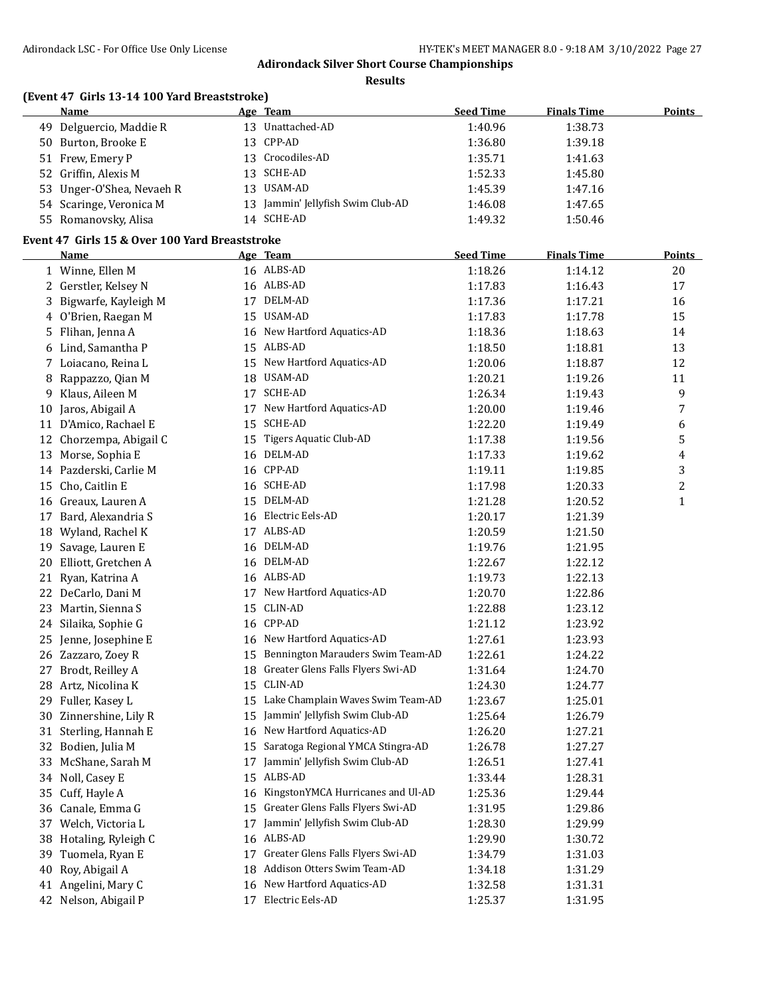**Results**

# **(Event 47 Girls 13-14 100 Yard Breaststroke)**

|    | Name                                           |    | Age Team                                  | <b>Seed Time</b> | <b>Finals Time</b> | <b>Points</b> |
|----|------------------------------------------------|----|-------------------------------------------|------------------|--------------------|---------------|
|    | 49 Delguercio, Maddie R                        |    | 13 Unattached-AD                          | 1:40.96          | 1:38.73            |               |
|    | 50 Burton, Brooke E                            |    | 13 CPP-AD                                 | 1:36.80          | 1:39.18            |               |
|    | 51 Frew, Emery P                               |    | 13 Crocodiles-AD                          | 1:35.71          | 1:41.63            |               |
|    | 52 Griffin, Alexis M                           |    | 13 SCHE-AD                                | 1:52.33          | 1:45.80            |               |
| 53 | Unger-O'Shea, Nevaeh R                         |    | 13 USAM-AD                                | 1:45.39          | 1:47.16            |               |
|    | 54 Scaringe, Veronica M                        |    | 13 Jammin' Jellyfish Swim Club-AD         | 1:46.08          | 1:47.65            |               |
|    | 55 Romanovsky, Alisa                           |    | 14 SCHE-AD                                | 1:49.32          | 1:50.46            |               |
|    | Event 47 Girls 15 & Over 100 Yard Breaststroke |    |                                           |                  |                    |               |
|    | <b>Name</b>                                    |    | Age Team                                  | <b>Seed Time</b> | <b>Finals Time</b> | <b>Points</b> |
|    | 1 Winne, Ellen M                               |    | 16 ALBS-AD                                | 1:18.26          | 1:14.12            | 20            |
|    | 2 Gerstler, Kelsey N                           |    | 16 ALBS-AD                                | 1:17.83          |                    | 17            |
|    | 3 Bigwarfe, Kayleigh M                         |    | 17 DELM-AD                                |                  | 1:16.43            | 16            |
|    |                                                |    | 15 USAM-AD                                | 1:17.36          | 1:17.21            |               |
|    | 4 O'Brien, Raegan M                            |    |                                           | 1:17.83          | 1:17.78            | 15            |
| 5  | Flihan, Jenna A                                |    | 16 New Hartford Aquatics-AD<br>15 ALBS-AD | 1:18.36          | 1:18.63            | 14            |
| 6  | Lind, Samantha P                               |    |                                           | 1:18.50          | 1:18.81            | 13            |
|    | 7 Loiacano, Reina L                            |    | 15 New Hartford Aquatics-AD               | 1:20.06          | 1:18.87            | 12            |
| 8  | Rappazzo, Qian M                               |    | 18 USAM-AD                                | 1:20.21          | 1:19.26            | 11            |
| 9  | Klaus, Aileen M                                |    | 17 SCHE-AD                                | 1:26.34          | 1:19.43            | 9             |
| 10 | Jaros, Abigail A                               |    | 17 New Hartford Aquatics-AD               | 1:20.00          | 1:19.46            | 7             |
|    | 11 D'Amico, Rachael E                          |    | 15 SCHE-AD                                | 1:22.20          | 1:19.49            | 6             |
| 12 | Chorzempa, Abigail C                           |    | 15 Tigers Aquatic Club-AD                 | 1:17.38          | 1:19.56            | 5             |
| 13 | Morse, Sophia E                                |    | 16 DELM-AD                                | 1:17.33          | 1:19.62            | 4             |
|    | 14 Pazderski, Carlie M                         |    | 16 CPP-AD                                 | 1:19.11          | 1:19.85            | 3             |
| 15 | Cho, Caitlin E                                 |    | 16 SCHE-AD                                | 1:17.98          | 1:20.33            | 2             |
|    | 16 Greaux, Lauren A                            |    | 15 DELM-AD                                | 1:21.28          | 1:20.52            | $\mathbf{1}$  |
|    | 17 Bard, Alexandria S                          |    | 16 Electric Eels-AD                       | 1:20.17          | 1:21.39            |               |
| 18 | Wyland, Rachel K                               |    | 17 ALBS-AD                                | 1:20.59          | 1:21.50            |               |
| 19 | Savage, Lauren E                               |    | 16 DELM-AD                                | 1:19.76          | 1:21.95            |               |
| 20 | Elliott, Gretchen A                            |    | 16 DELM-AD                                | 1:22.67          | 1:22.12            |               |
|    | 21 Ryan, Katrina A                             |    | 16 ALBS-AD                                | 1:19.73          | 1:22.13            |               |
|    | 22 DeCarlo, Dani M                             |    | 17 New Hartford Aquatics-AD               | 1:20.70          | 1:22.86            |               |
|    | 23 Martin, Sienna S                            |    | 15 CLIN-AD                                | 1:22.88          | 1:23.12            |               |
|    | 24 Silaika, Sophie G                           |    | 16 CPP-AD                                 | 1:21.12          | 1:23.92            |               |
|    | 25 Jenne, Josephine E                          |    | 16 New Hartford Aquatics-AD               | 1:27.61          | 1:23.93            |               |
|    | 26 Zazzaro, Zoey R                             |    | 15 Bennington Marauders Swim Team-AD      | 1:22.61          | 1:24.22            |               |
|    | 27 Brodt, Reilley A                            |    | 18 Greater Glens Falls Flyers Swi-AD      | 1:31.64          | 1:24.70            |               |
|    | 28 Artz, Nicolina K                            |    | 15 CLIN-AD                                | 1:24.30          | 1:24.77            |               |
| 29 | Fuller, Kasey L                                | 15 | Lake Champlain Waves Swim Team-AD         | 1:23.67          | 1:25.01            |               |
| 30 | Zinnershine, Lily R                            | 15 | Jammin' Jellyfish Swim Club-AD            | 1:25.64          | 1:26.79            |               |
|    | 31 Sterling, Hannah E                          | 16 | New Hartford Aquatics-AD                  | 1:26.20          | 1:27.21            |               |
|    | 32 Bodien, Julia M                             | 15 | Saratoga Regional YMCA Stingra-AD         | 1:26.78          | 1:27.27            |               |
|    | 33 McShane, Sarah M                            | 17 | Jammin' Jellyfish Swim Club-AD            | 1:26.51          | 1:27.41            |               |
|    | 34 Noll, Casey E                               | 15 | ALBS-AD                                   | 1:33.44          | 1:28.31            |               |
| 35 | Cuff, Hayle A                                  | 16 | KingstonYMCA Hurricanes and Ul-AD         | 1:25.36          | 1:29.44            |               |
| 36 | Canale, Emma G                                 | 15 | Greater Glens Falls Flyers Swi-AD         | 1:31.95          | 1:29.86            |               |
| 37 | Welch, Victoria L                              | 17 | Jammin' Jellyfish Swim Club-AD            | 1:28.30          | 1:29.99            |               |
| 38 | Hotaling, Ryleigh C                            | 16 | ALBS-AD                                   | 1:29.90          | 1:30.72            |               |
| 39 | Tuomela, Ryan E                                | 17 | Greater Glens Falls Flyers Swi-AD         | 1:34.79          | 1:31.03            |               |
| 40 | Roy, Abigail A                                 | 18 | Addison Otters Swim Team-AD               | 1:34.18          | 1:31.29            |               |
|    | 41 Angelini, Mary C                            | 16 | New Hartford Aquatics-AD                  | 1:32.58          | 1:31.31            |               |
|    | 42 Nelson, Abigail P                           | 17 | Electric Eels-AD                          | 1:25.37          | 1:31.95            |               |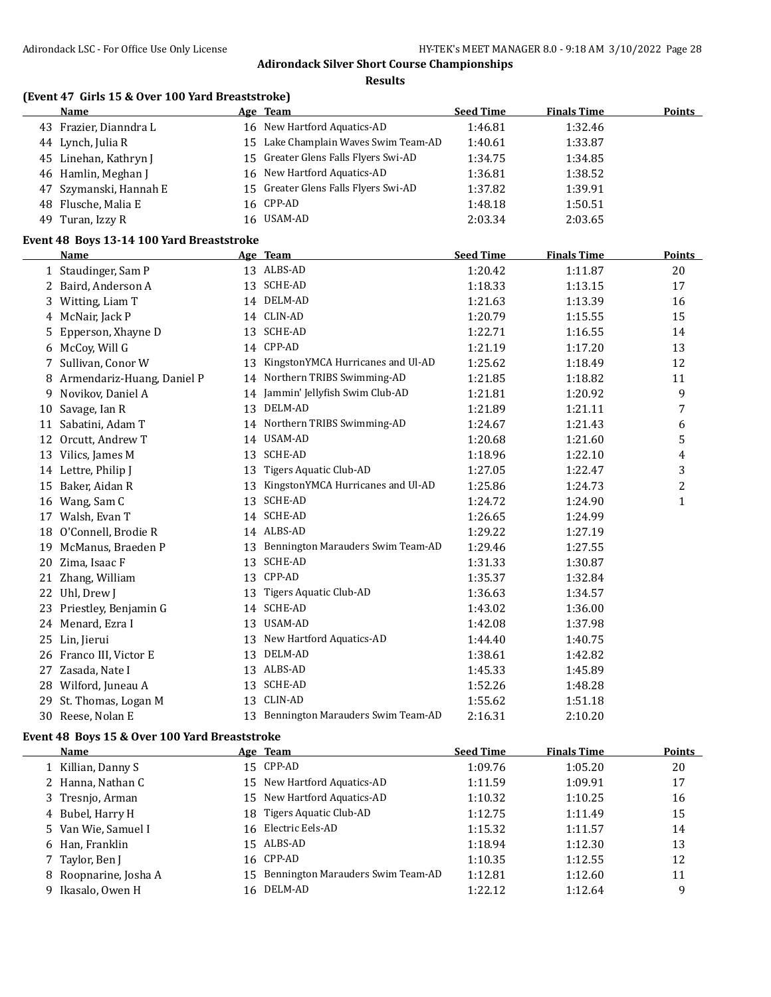**Results**

|  |  | (Event 47 Girls 15 & Over 100 Yard Breaststroke) |
|--|--|--------------------------------------------------|
|--|--|--------------------------------------------------|

|    | Name                                      |    | Age Team                             | <b>Seed Time</b> | <b>Finals Time</b> | <b>Points</b>  |
|----|-------------------------------------------|----|--------------------------------------|------------------|--------------------|----------------|
|    | 43 Frazier, Dianndra L                    |    | 16 New Hartford Aquatics-AD          | 1:46.81          | 1:32.46            |                |
|    | 44 Lynch, Julia R                         |    | 15 Lake Champlain Waves Swim Team-AD | 1:40.61          | 1:33.87            |                |
|    | 45 Linehan, Kathryn J                     |    | 15 Greater Glens Falls Flyers Swi-AD | 1:34.75          | 1:34.85            |                |
|    | 46 Hamlin, Meghan J                       |    | 16 New Hartford Aquatics-AD          | 1:36.81          | 1:38.52            |                |
|    | 47 Szymanski, Hannah E                    |    | 15 Greater Glens Falls Flyers Swi-AD | 1:37.82          | 1:39.91            |                |
| 48 | Flusche, Malia E                          |    | 16 CPP-AD                            | 1:48.18          | 1:50.51            |                |
|    | 49 Turan, Izzy R                          |    | 16 USAM-AD                           | 2:03.34          | 2:03.65            |                |
|    | Event 48 Boys 13-14 100 Yard Breaststroke |    |                                      |                  |                    |                |
|    | Name                                      |    | Age Team                             | <b>Seed Time</b> | <b>Finals Time</b> | <b>Points</b>  |
|    | 1 Staudinger, Sam P                       |    | 13 ALBS-AD                           | 1:20.42          | 1:11.87            | 20             |
|    | 2 Baird, Anderson A                       |    | 13 SCHE-AD                           | 1:18.33          | 1:13.15            | 17             |
|    | 3 Witting, Liam T                         |    | 14 DELM-AD                           | 1:21.63          | 1:13.39            | 16             |
|    | 4 McNair, Jack P                          |    | 14 CLIN-AD                           | 1:20.79          | 1:15.55            | 15             |
| 5  | Epperson, Xhayne D                        |    | 13 SCHE-AD                           | 1:22.71          | 1:16.55            | 14             |
|    | 6 McCoy, Will G                           |    | 14 CPP-AD                            | 1:21.19          | 1:17.20            | 13             |
|    | 7 Sullivan, Conor W                       | 13 | KingstonYMCA Hurricanes and Ul-AD    | 1:25.62          | 1:18.49            | 12             |
| 8  | Armendariz-Huang, Daniel P                |    | 14 Northern TRIBS Swimming-AD        | 1:21.85          | 1:18.82            | 11             |
| 9  | Novikov, Daniel A                         |    | 14 Jammin' Jellyfish Swim Club-AD    | 1:21.81          | 1:20.92            | 9              |
|    | 10 Savage, Ian R                          |    | 13 DELM-AD                           | 1:21.89          | 1:21.11            | 7              |
|    | 11 Sabatini, Adam T                       |    | 14 Northern TRIBS Swimming-AD        | 1:24.67          | 1:21.43            | 6              |
|    | 12 Orcutt, Andrew T                       |    | 14 USAM-AD                           | 1:20.68          | 1:21.60            | 5              |
|    | 13 Vilics, James M                        |    | 13 SCHE-AD                           | 1:18.96          | 1:22.10            | 4              |
|    | 14 Lettre, Philip J                       |    | 13 Tigers Aquatic Club-AD            | 1:27.05          | 1:22.47            | 3              |
|    | 15 Baker, Aidan R                         | 13 | KingstonYMCA Hurricanes and Ul-AD    | 1:25.86          | 1:24.73            | $\overline{2}$ |
|    | 16 Wang, Sam C                            |    | 13 SCHE-AD                           | 1:24.72          | 1:24.90            | $\mathbf{1}$   |
|    | 17 Walsh, Evan T                          |    | 14 SCHE-AD                           | 1:26.65          | 1:24.99            |                |
|    | 18 O'Connell, Brodie R                    |    | 14 ALBS-AD                           | 1:29.22          | 1:27.19            |                |
|    | 19 McManus, Braeden P                     |    | 13 Bennington Marauders Swim Team-AD | 1:29.46          | 1:27.55            |                |
|    | 20 Zima, Isaac F                          |    | 13 SCHE-AD                           | 1:31.33          | 1:30.87            |                |
|    | 21 Zhang, William                         |    | 13 CPP-AD                            | 1:35.37          | 1:32.84            |                |
|    | 22 Uhl, Drew J                            | 13 | Tigers Aquatic Club-AD               | 1:36.63          | 1:34.57            |                |
|    | 23 Priestley, Benjamin G                  |    | 14 SCHE-AD                           | 1:43.02          | 1:36.00            |                |
|    | 24 Menard, Ezra I                         |    | 13 USAM-AD                           | 1:42.08          | 1:37.98            |                |
|    | 25 Lin, Jierui                            |    | 13 New Hartford Aquatics-AD          | 1:44.40          | 1:40.75            |                |
|    | 26 Franco III, Victor E                   |    | 13 DELM-AD                           | 1:38.61          | 1:42.82            |                |
|    | 27 Zasada, Nate I                         |    | 13 ALBS-AD                           | 1:45.33          | 1:45.89            |                |
|    | 28 Wilford, Juneau A                      |    | 13 SCHE-AD                           | 1:52.26          | 1:48.28            |                |
|    | 29 St. Thomas, Logan M                    |    | 13 CLIN-AD                           | 1:55.62          | 1:51.18            |                |
| 30 | Reese, Nolan E                            | 13 | Bennington Marauders Swim Team-AD    | 2:16.31          | 2:10.20            |                |

### **Event 48 Boys 15 & Over 100 Yard Breaststroke**

| <b>Name</b>           |     | Age Team                          | <b>Seed Time</b> | <b>Finals Time</b> | <b>Points</b> |
|-----------------------|-----|-----------------------------------|------------------|--------------------|---------------|
| 1 Killian, Danny S    |     | 15 CPP-AD                         | 1:09.76          | 1:05.20            | 20            |
| 2 Hanna, Nathan C     |     | 15 New Hartford Aquatics-AD       | 1:11.59          | 1:09.91            | 17            |
| 3 Tresnjo, Arman      |     | 15 New Hartford Aquatics-AD       | 1:10.32          | 1:10.25            | 16            |
| 4 Bubel, Harry H      |     | 18 Tigers Aquatic Club-AD         | 1:12.75          | 1:11.49            | 15            |
| 5 Van Wie, Samuel I   | 16  | Electric Eels-AD                  | 1:15.32          | 1:11.57            | 14            |
| 6 Han, Franklin       |     | 15 ALBS-AD                        | 1:18.94          | 1:12.30            | 13            |
| 7 Taylor, Ben J       |     | 16 CPP-AD                         | 1:10.35          | 1:12.55            | 12            |
| 8 Roopnarine, Josha A | 15  | Bennington Marauders Swim Team-AD | 1:12.81          | 1:12.60            | 11            |
| 9 Ikasalo, Owen H     | 16. | DELM-AD                           | 1:22.12          | 1:12.64            | 9             |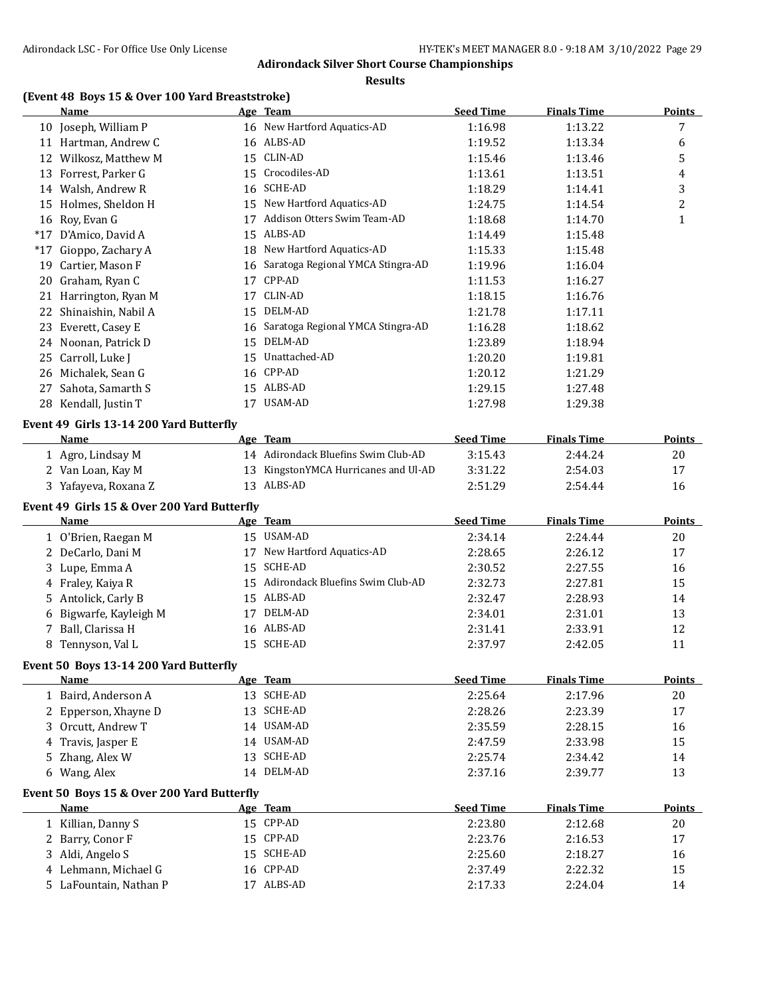**Results**

# **(Event 48 Boys 15 & Over 100 Yard Breaststroke)**

|       | Name                                        |    | Age Team                             | <b>Seed Time</b> | <b>Finals Time</b> | <b>Points</b> |
|-------|---------------------------------------------|----|--------------------------------------|------------------|--------------------|---------------|
|       | 10 Joseph, William P                        |    | 16 New Hartford Aquatics-AD          | 1:16.98          | 1:13.22            | 7             |
|       | 11 Hartman, Andrew C                        |    | 16 ALBS-AD                           | 1:19.52          | 1:13.34            | 6             |
|       | 12 Wilkosz, Matthew M                       |    | 15 CLIN-AD                           | 1:15.46          | 1:13.46            | 5             |
|       | 13 Forrest, Parker G                        | 15 | Crocodiles-AD                        | 1:13.61          | 1:13.51            | 4             |
|       | 14 Walsh, Andrew R                          | 16 | SCHE-AD                              | 1:18.29          | 1:14.41            | 3             |
|       | 15 Holmes, Sheldon H                        |    | 15 New Hartford Aquatics-AD          | 1:24.75          | 1:14.54            | 2             |
|       | 16 Roy, Evan G                              | 17 | Addison Otters Swim Team-AD          | 1:18.68          | 1:14.70            | $\mathbf{1}$  |
|       | *17 D'Amico, David A                        |    | 15 ALBS-AD                           | 1:14.49          | 1:15.48            |               |
| $*17$ | Gioppo, Zachary A                           |    | 18 New Hartford Aquatics-AD          | 1:15.33          | 1:15.48            |               |
|       | 19 Cartier, Mason F                         |    | 16 Saratoga Regional YMCA Stingra-AD | 1:19.96          | 1:16.04            |               |
|       | 20 Graham, Ryan C                           |    | 17 CPP-AD                            | 1:11.53          | 1:16.27            |               |
|       | 21 Harrington, Ryan M                       |    | 17 CLIN-AD                           | 1:18.15          | 1:16.76            |               |
|       | 22 Shinaishin, Nabil A                      |    | 15 DELM-AD                           | 1:21.78          | 1:17.11            |               |
|       | 23 Everett, Casey E                         |    | 16 Saratoga Regional YMCA Stingra-AD | 1:16.28          | 1:18.62            |               |
|       | 24 Noonan, Patrick D                        | 15 | DELM-AD                              | 1:23.89          | 1:18.94            |               |
|       | 25 Carroll, Luke J                          |    | 15 Unattached-AD                     | 1:20.20          | 1:19.81            |               |
|       | 26 Michalek, Sean G                         |    | 16 CPP-AD                            | 1:20.12          | 1:21.29            |               |
|       | 27 Sahota, Samarth S                        |    | 15 ALBS-AD                           | 1:29.15          | 1:27.48            |               |
|       | 28 Kendall, Justin T                        |    | 17 USAM-AD                           | 1:27.98          | 1:29.38            |               |
|       | Event 49 Girls 13-14 200 Yard Butterfly     |    |                                      |                  |                    |               |
|       | Name                                        |    | Age Team                             | <b>Seed Time</b> | <b>Finals Time</b> | Points        |
|       | 1 Agro, Lindsay M                           |    | 14 Adirondack Bluefins Swim Club-AD  | 3:15.43          | 2:44.24            | 20            |
|       | 2 Van Loan, Kay M                           |    | 13 KingstonYMCA Hurricanes and Ul-AD | 3:31.22          | 2:54.03            | 17            |
|       | 3 Yafayeva, Roxana Z                        |    | 13 ALBS-AD                           | 2:51.29          | 2:54.44            | 16            |
|       |                                             |    |                                      |                  |                    |               |
|       | Event 49 Girls 15 & Over 200 Yard Butterfly |    |                                      |                  |                    |               |
|       | <b>Name</b>                                 |    | Age Team                             | <b>Seed Time</b> | <b>Finals Time</b> | <b>Points</b> |
|       | 1 O'Brien, Raegan M                         |    | 15 USAM-AD                           | 2:34.14          | 2:24.44            | 20            |
|       | 2 DeCarlo, Dani M                           | 17 | New Hartford Aquatics-AD             | 2:28.65          | 2:26.12            | 17            |
|       | 3 Lupe, Emma A                              | 15 | <b>SCHE-AD</b>                       | 2:30.52          | 2:27.55            | 16            |
|       | 4 Fraley, Kaiya R                           |    | 15 Adirondack Bluefins Swim Club-AD  | 2:32.73          | 2:27.81            | 15            |
|       | 5 Antolick, Carly B                         |    | 15 ALBS-AD                           | 2:32.47          | 2:28.93            | 14            |
|       | 6 Bigwarfe, Kayleigh M                      |    | 17 DELM-AD                           | 2:34.01          | 2:31.01            | 13            |
|       | 7 Ball, Clarissa H                          |    | 16 ALBS-AD                           | 2:31.41          | 2:33.91            | 12            |
|       | 8 Tennyson, Val L                           |    | 15 SCHE-AD                           | 2:37.97          | 2:42.05            | 11            |
|       | Event 50 Boys 13-14 200 Yard Butterfly      |    |                                      |                  |                    |               |
|       | <b>Name</b>                                 |    | Age Team                             | <b>Seed Time</b> | <b>Finals Time</b> | <b>Points</b> |
|       | 1 Baird, Anderson A                         |    | 13 SCHE-AD                           | 2:25.64          | 2:17.96            | 20            |
|       | 2 Epperson, Xhayne D                        |    | 13 SCHE-AD                           | 2:28.26          | 2:23.39            | 17            |
|       | 3 Orcutt, Andrew T                          |    | 14 USAM-AD                           | 2:35.59          | 2:28.15            | 16            |
|       | 4 Travis, Jasper E                          |    | 14 USAM-AD                           | 2:47.59          | 2:33.98            | 15            |
| 5.    | Zhang, Alex W                               | 13 | SCHE-AD                              | 2:25.74          | 2:34.42            | 14            |
|       | 6 Wang, Alex                                |    | 14 DELM-AD                           | 2:37.16          | 2:39.77            | 13            |
|       | Event 50 Boys 15 & Over 200 Yard Butterfly  |    |                                      |                  |                    |               |
|       | <b>Name</b>                                 |    | Age Team                             | <b>Seed Time</b> | <b>Finals Time</b> | <b>Points</b> |
|       | 1 Killian, Danny S                          |    | 15 CPP-AD                            | 2:23.80          | 2:12.68            | 20            |
| 2     | Barry, Conor F                              |    | 15 CPP-AD                            | 2:23.76          | 2:16.53            | 17            |
|       | 3 Aldi, Angelo S                            |    | 15 SCHE-AD                           | 2:25.60          | 2:18.27            | 16            |
|       | 4 Lehmann, Michael G                        |    | 16 CPP-AD                            | 2:37.49          | 2:22.32            | 15            |
|       | 5 LaFountain, Nathan P                      |    | 17 ALBS-AD                           | 2:17.33          | 2:24.04            | 14            |
|       |                                             |    |                                      |                  |                    |               |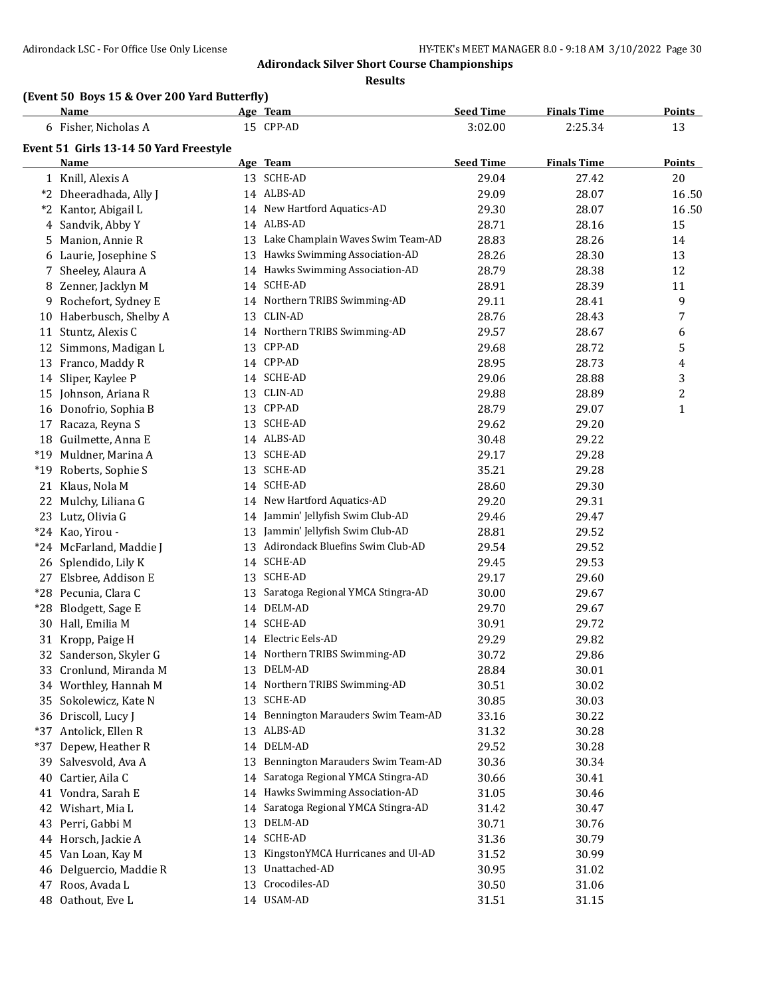**Results**

# **(Event 50 Boys 15 & Over 200 Yard Butterfly)**

|   | Name                                          |    | Age Team                             | <b>Seed Time</b> | <b>Finals Time</b> | <b>Points</b> |
|---|-----------------------------------------------|----|--------------------------------------|------------------|--------------------|---------------|
|   | 6 Fisher, Nicholas A                          |    | 15 CPP-AD                            | 3:02.00          | 2:25.34            | 13            |
|   | Event 51 Girls 13-14 50 Yard Freestyle        |    |                                      |                  |                    |               |
|   | Name                                          |    | Age Team                             | <b>Seed Time</b> | <b>Finals Time</b> | <b>Points</b> |
|   | 1 Knill, Alexis A                             |    | 13 SCHE-AD                           | 29.04            | 27.42              | 20            |
|   | *2 Dheeradhada, Ally J                        |    | 14 ALBS-AD                           | 29.09            | 28.07              | 16.50         |
|   | *2 Kantor, Abigail L                          |    | 14 New Hartford Aquatics-AD          | 29.30            | 28.07              | 16.50         |
|   | 4 Sandvik, Abby Y                             |    | 14 ALBS-AD                           | 28.71            | 28.16              | 15            |
|   | 5 Manion, Annie R                             |    | 13 Lake Champlain Waves Swim Team-AD | 28.83            | 28.26              | 14            |
|   | 6 Laurie, Josephine S                         |    | 13 Hawks Swimming Association-AD     | 28.26            | 28.30              | 13            |
|   | 7 Sheeley, Alaura A                           |    | 14 Hawks Swimming Association-AD     | 28.79            | 28.38              | 12            |
|   | 8 Zenner, Jacklyn M                           |    | 14 SCHE-AD                           | 28.91            | 28.39              | 11            |
| 9 | Rochefort, Sydney E                           |    | 14 Northern TRIBS Swimming-AD        | 29.11            | 28.41              | 9             |
|   | 10 Haberbusch, Shelby A                       |    | 13 CLIN-AD                           | 28.76            | 28.43              | 7             |
|   | 11 Stuntz, Alexis C                           |    | 14 Northern TRIBS Swimming-AD        | 29.57            | 28.67              | 6             |
|   | 12 Simmons, Madigan L                         |    | 13 CPP-AD                            | 29.68            | 28.72              | 5             |
|   | 13 Franco, Maddy R                            |    | 14 CPP-AD                            | 28.95            | 28.73              | 4             |
|   | 14 Sliper, Kaylee P                           |    | 14 SCHE-AD                           | 29.06            | 28.88              | 3             |
|   | 15 Johnson, Ariana R                          |    | 13 CLIN-AD                           | 29.88            | 28.89              | 2             |
|   | 16 Donofrio, Sophia B                         |    | 13 CPP-AD                            | 28.79            | 29.07              | $\mathbf{1}$  |
|   | 17 Racaza, Reyna S                            |    | 13 SCHE-AD                           | 29.62            | 29.20              |               |
|   | 18 Guilmette, Anna E                          |    | 14 ALBS-AD                           | 30.48            | 29.22              |               |
|   | *19 Muldner, Marina A                         |    | 13 SCHE-AD                           | 29.17            | 29.28              |               |
|   | *19 Roberts, Sophie S                         |    | 13 SCHE-AD                           | 35.21            | 29.28              |               |
|   | 21 Klaus, Nola M                              |    | 14 SCHE-AD                           | 28.60            | 29.30              |               |
|   | 22 Mulchy, Liliana G                          |    | 14 New Hartford Aquatics-AD          | 29.20            | 29.31              |               |
|   | 23 Lutz, Olivia G                             |    | 14 Jammin' Jellyfish Swim Club-AD    | 29.46            | 29.47              |               |
|   | *24 Kao, Yirou -                              |    | 13 Jammin' Jellyfish Swim Club-AD    | 28.81            | 29.52              |               |
|   | *24 McFarland, Maddie J                       | 13 | Adirondack Bluefins Swim Club-AD     | 29.54            | 29.52              |               |
|   |                                               |    | 14 SCHE-AD                           |                  | 29.53              |               |
|   | 26 Splendido, Lily K                          |    | 13 SCHE-AD                           | 29.45            |                    |               |
|   | 27 Elsbree, Addison E<br>*28 Pecunia, Clara C |    | Saratoga Regional YMCA Stingra-AD    | 29.17            | 29.60              |               |
|   |                                               | 13 | 14 DELM-AD                           | 30.00            | 29.67              |               |
|   | *28 Blodgett, Sage E                          |    | 14 SCHE-AD                           | 29.70            | 29.67              |               |
|   | 30 Hall, Emilia M                             |    |                                      | 30.91            | 29.72              |               |
|   | 31 Kropp, Paige H                             |    | 14 Electric Eels-AD                  | 29.29            | 29.82              |               |
|   | 32 Sanderson, Skyler G                        |    | 14 Northern TRIBS Swimming-AD        | 30.72            | 29.86              |               |
|   | 33 Cronlund, Miranda M                        |    | 13 DELM-AD                           | 28.84            | 30.01              |               |
|   | 34 Worthley, Hannah M                         |    | 14 Northern TRIBS Swimming-AD        | 30.51            | 30.02              |               |
|   | 35 Sokolewicz, Kate N                         |    | 13 SCHE-AD                           | 30.85            | 30.03              |               |
|   | 36 Driscoll, Lucy J                           |    | 14 Bennington Marauders Swim Team-AD | 33.16            | 30.22              |               |
|   | *37 Antolick, Ellen R                         |    | 13 ALBS-AD                           | 31.32            | 30.28              |               |
|   | *37 Depew, Heather R                          |    | 14 DELM-AD                           | 29.52            | 30.28              |               |
|   | 39 Salvesvold, Ava A                          | 13 | Bennington Marauders Swim Team-AD    | 30.36            | 30.34              |               |
|   | 40 Cartier, Aila C                            | 14 | Saratoga Regional YMCA Stingra-AD    | 30.66            | 30.41              |               |
|   | 41 Vondra, Sarah E                            |    | 14 Hawks Swimming Association-AD     | 31.05            | 30.46              |               |
|   | 42 Wishart, Mia L                             | 14 | Saratoga Regional YMCA Stingra-AD    | 31.42            | 30.47              |               |
|   | 43 Perri, Gabbi M                             | 13 | DELM-AD                              | 30.71            | 30.76              |               |
|   | 44 Horsch, Jackie A                           |    | 14 SCHE-AD                           | 31.36            | 30.79              |               |
|   | 45 Van Loan, Kay M                            | 13 | KingstonYMCA Hurricanes and Ul-AD    | 31.52            | 30.99              |               |
|   | 46 Delguercio, Maddie R                       |    | 13 Unattached-AD                     | 30.95            | 31.02              |               |
|   | 47 Roos, Avada L                              |    | 13 Crocodiles-AD                     | 30.50            | 31.06              |               |
|   | 48 Oathout, Eve L                             |    | 14 USAM-AD                           | 31.51            | 31.15              |               |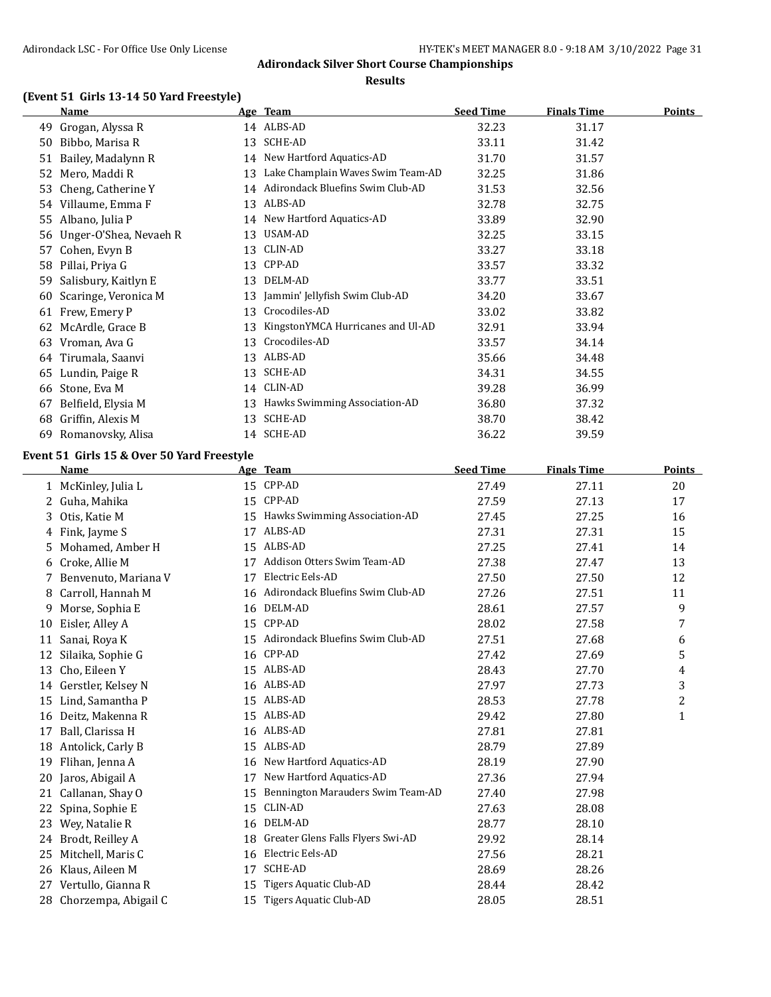#### **Results**

### **(Event 51 Girls 13-14 50 Yard Freestyle)**

|    | Name                   |    | <u>Age Team</u>                     | <b>Seed Time</b> | <b>Finals Time</b> | Points |
|----|------------------------|----|-------------------------------------|------------------|--------------------|--------|
| 49 | Grogan, Alyssa R       |    | 14 ALBS-AD                          | 32.23            | 31.17              |        |
| 50 | Bibbo, Marisa R        | 13 | SCHE-AD                             | 33.11            | 31.42              |        |
| 51 | Bailey, Madalynn R     |    | 14 New Hartford Aquatics-AD         | 31.70            | 31.57              |        |
| 52 | Mero, Maddi R          | 13 | Lake Champlain Waves Swim Team-AD   | 32.25            | 31.86              |        |
| 53 | Cheng, Catherine Y     |    | 14 Adirondack Bluefins Swim Club-AD | 31.53            | 32.56              |        |
| 54 | Villaume, Emma F       | 13 | ALBS-AD                             | 32.78            | 32.75              |        |
| 55 | Albano, Julia P        | 14 | New Hartford Aquatics-AD            | 33.89            | 32.90              |        |
| 56 | Unger-O'Shea, Nevaeh R | 13 | USAM-AD                             | 32.25            | 33.15              |        |
| 57 | Cohen, Evyn B          | 13 | CLIN-AD                             | 33.27            | 33.18              |        |
| 58 | Pillai, Priya G        | 13 | CPP-AD                              | 33.57            | 33.32              |        |
| 59 | Salisbury, Kaitlyn E   | 13 | DELM-AD                             | 33.77            | 33.51              |        |
| 60 | Scaringe, Veronica M   | 13 | Jammin' Jellyfish Swim Club-AD      | 34.20            | 33.67              |        |
| 61 | Frew, Emery P          | 13 | Crocodiles-AD                       | 33.02            | 33.82              |        |
| 62 | McArdle, Grace B       | 13 | KingstonYMCA Hurricanes and Ul-AD   | 32.91            | 33.94              |        |
| 63 | Vroman, Ava G          | 13 | Crocodiles-AD                       | 33.57            | 34.14              |        |
| 64 | Tirumala, Saanvi       | 13 | ALBS-AD                             | 35.66            | 34.48              |        |
| 65 | Lundin, Paige R        | 13 | SCHE-AD                             | 34.31            | 34.55              |        |
| 66 | Stone, Eva M           | 14 | CLIN-AD                             | 39.28            | 36.99              |        |
| 67 | Belfield, Elysia M     | 13 | Hawks Swimming Association-AD       | 36.80            | 37.32              |        |
| 68 | Griffin, Alexis M      | 13 | SCHE-AD                             | 38.70            | 38.42              |        |
| 69 | Romanovsky, Alisa      | 14 | SCHE-AD                             | 36.22            | 39.59              |        |

#### **Event 51 Girls 15 & Over 50 Yard Freestyle**

|    | <b>Name</b>            |    | Age Team                          | <b>Seed Time</b> | <b>Finals Time</b> | Points       |
|----|------------------------|----|-----------------------------------|------------------|--------------------|--------------|
|    | 1 McKinley, Julia L    | 15 | CPP-AD                            | 27.49            | 27.11              | 20           |
| 2  | Guha, Mahika           | 15 | CPP-AD                            | 27.59            | 27.13              | 17           |
| 3. | Otis, Katie M          | 15 | Hawks Swimming Association-AD     | 27.45            | 27.25              | 16           |
|    | 4 Fink, Jayme S        | 17 | ALBS-AD                           | 27.31            | 27.31              | 15           |
| 5. | Mohamed, Amber H       | 15 | ALBS-AD                           | 27.25            | 27.41              | 14           |
| 6  | Croke, Allie M         | 17 | Addison Otters Swim Team-AD       | 27.38            | 27.47              | 13           |
|    | 7 Benvenuto, Mariana V | 17 | Electric Eels-AD                  | 27.50            | 27.50              | 12           |
| 8  | Carroll, Hannah M      | 16 | Adirondack Bluefins Swim Club-AD  | 27.26            | 27.51              | 11           |
| 9  | Morse, Sophia E        | 16 | DELM-AD                           | 28.61            | 27.57              | 9            |
| 10 | Eisler, Alley A        | 15 | CPP-AD                            | 28.02            | 27.58              | 7            |
| 11 | Sanai, Roya K          | 15 | Adirondack Bluefins Swim Club-AD  | 27.51            | 27.68              | 6            |
| 12 | Silaika, Sophie G      | 16 | CPP-AD                            | 27.42            | 27.69              | 5            |
| 13 | Cho, Eileen Y          | 15 | ALBS-AD                           | 28.43            | 27.70              | 4            |
| 14 | Gerstler, Kelsey N     | 16 | ALBS-AD                           | 27.97            | 27.73              | 3            |
| 15 | Lind, Samantha P       | 15 | ALBS-AD                           | 28.53            | 27.78              | 2            |
| 16 | Deitz, Makenna R       | 15 | ALBS-AD                           | 29.42            | 27.80              | $\mathbf{1}$ |
| 17 | Ball, Clarissa H       |    | 16 ALBS-AD                        | 27.81            | 27.81              |              |
| 18 | Antolick, Carly B      | 15 | ALBS-AD                           | 28.79            | 27.89              |              |
| 19 | Flihan, Jenna A        | 16 | New Hartford Aquatics-AD          | 28.19            | 27.90              |              |
| 20 | Jaros, Abigail A       | 17 | New Hartford Aquatics-AD          | 27.36            | 27.94              |              |
| 21 | Callanan, Shay O       | 15 | Bennington Marauders Swim Team-AD | 27.40            | 27.98              |              |
| 22 | Spina, Sophie E        | 15 | CLIN-AD                           | 27.63            | 28.08              |              |
| 23 | Wey, Natalie R         | 16 | DELM-AD                           | 28.77            | 28.10              |              |
| 24 | Brodt, Reilley A       | 18 | Greater Glens Falls Flyers Swi-AD | 29.92            | 28.14              |              |
| 25 | Mitchell, Maris C      | 16 | Electric Eels-AD                  | 27.56            | 28.21              |              |
| 26 | Klaus, Aileen M        | 17 | SCHE-AD                           | 28.69            | 28.26              |              |
| 27 | Vertullo, Gianna R     | 15 | Tigers Aquatic Club-AD            | 28.44            | 28.42              |              |
| 28 | Chorzempa, Abigail C   | 15 | Tigers Aquatic Club-AD            | 28.05            | 28.51              |              |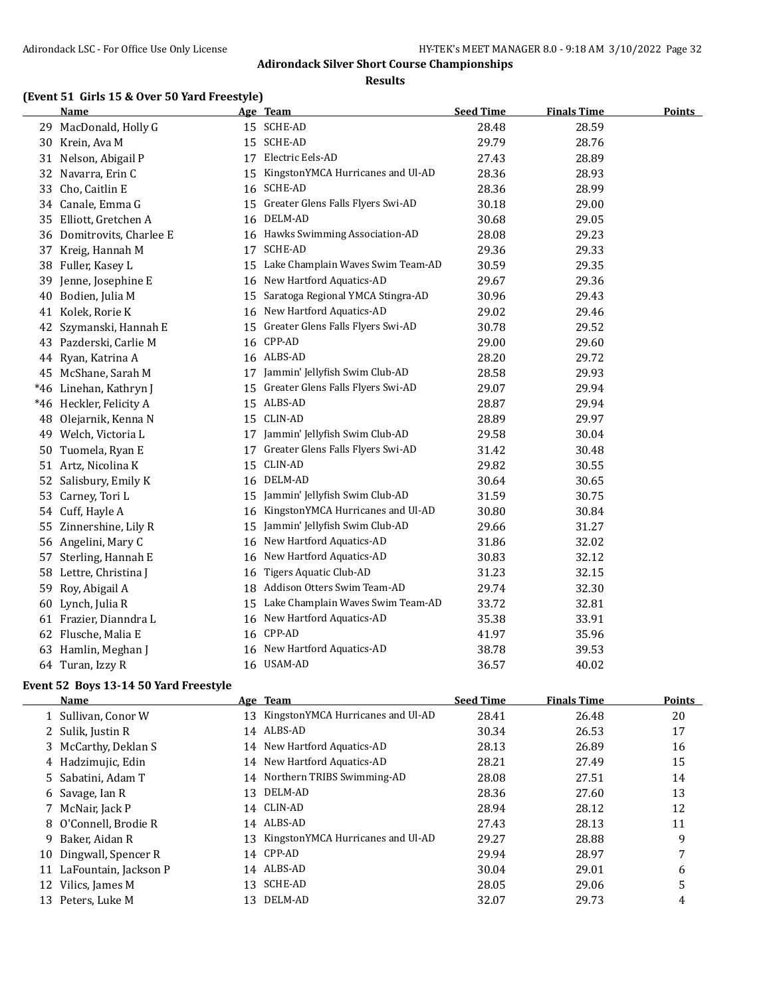**Results**

### **(Event 51 Girls 15 & Over 50 Yard Freestyle)**

|       | <b>Name</b>               |    | Age Team                          | <b>Seed Time</b> | <b>Finals Time</b> | <b>Points</b> |
|-------|---------------------------|----|-----------------------------------|------------------|--------------------|---------------|
| 29    | MacDonald, Holly G        |    | 15 SCHE-AD                        | 28.48            | 28.59              |               |
| 30    | Krein, Ava M              |    | 15 SCHE-AD                        | 29.79            | 28.76              |               |
| 31    | Nelson, Abigail P         | 17 | Electric Eels-AD                  | 27.43            | 28.89              |               |
| 32    | Navarra, Erin C           | 15 | KingstonYMCA Hurricanes and Ul-AD | 28.36            | 28.93              |               |
| 33    | Cho, Caitlin E            | 16 | SCHE-AD                           | 28.36            | 28.99              |               |
| 34    | Canale, Emma G            | 15 | Greater Glens Falls Flyers Swi-AD | 30.18            | 29.00              |               |
| 35    | Elliott, Gretchen A       | 16 | DELM-AD                           | 30.68            | 29.05              |               |
|       | 36 Domitrovits, Charlee E |    | 16 Hawks Swimming Association-AD  | 28.08            | 29.23              |               |
| 37    | Kreig, Hannah M           | 17 | <b>SCHE-AD</b>                    | 29.36            | 29.33              |               |
| 38    | Fuller, Kasey L           | 15 | Lake Champlain Waves Swim Team-AD | 30.59            | 29.35              |               |
| 39    | Jenne, Josephine E        | 16 | New Hartford Aquatics-AD          | 29.67            | 29.36              |               |
| 40    | Bodien, Julia M           | 15 | Saratoga Regional YMCA Stingra-AD | 30.96            | 29.43              |               |
| 41    | Kolek, Rorie K            | 16 | New Hartford Aquatics-AD          | 29.02            | 29.46              |               |
| 42    | Szymanski, Hannah E       | 15 | Greater Glens Falls Flyers Swi-AD | 30.78            | 29.52              |               |
| 43    | Pazderski, Carlie M       | 16 | CPP-AD                            | 29.00            | 29.60              |               |
| 44    | Ryan, Katrina A           |    | 16 ALBS-AD                        | 28.20            | 29.72              |               |
| 45    | McShane, Sarah M          | 17 | Jammin' Jellyfish Swim Club-AD    | 28.58            | 29.93              |               |
| *46   | Linehan, Kathryn J        | 15 | Greater Glens Falls Flyers Swi-AD | 29.07            | 29.94              |               |
| $*46$ | Heckler, Felicity A       |    | 15 ALBS-AD                        | 28.87            | 29.94              |               |
| 48    | Olejarnik, Kenna N        |    | 15 CLIN-AD                        | 28.89            | 29.97              |               |
| 49    | Welch, Victoria L         |    | 17 Jammin' Jellyfish Swim Club-AD | 29.58            | 30.04              |               |
| 50    | Tuomela, Ryan E           | 17 | Greater Glens Falls Flyers Swi-AD | 31.42            | 30.48              |               |
| 51    | Artz, Nicolina K          | 15 | CLIN-AD                           | 29.82            | 30.55              |               |
| 52    | Salisbury, Emily K        | 16 | DELM-AD                           | 30.64            | 30.65              |               |
| 53    | Carney, Tori L            | 15 | Jammin' Jellyfish Swim Club-AD    | 31.59            | 30.75              |               |
| 54    | Cuff, Hayle A             | 16 | KingstonYMCA Hurricanes and Ul-AD | 30.80            | 30.84              |               |
| 55    | Zinnershine, Lily R       | 15 | Jammin' Jellyfish Swim Club-AD    | 29.66            | 31.27              |               |
|       | 56 Angelini, Mary C       | 16 | New Hartford Aquatics-AD          | 31.86            | 32.02              |               |
| 57    | Sterling, Hannah E        | 16 | New Hartford Aquatics-AD          | 30.83            | 32.12              |               |
| 58    | Lettre, Christina J       | 16 | <b>Tigers Aquatic Club-AD</b>     | 31.23            | 32.15              |               |
| 59    | Roy, Abigail A            | 18 | Addison Otters Swim Team-AD       | 29.74            | 32.30              |               |
|       | 60 Lynch, Julia R         | 15 | Lake Champlain Waves Swim Team-AD | 33.72            | 32.81              |               |
|       | 61 Frazier, Dianndra L    | 16 | New Hartford Aquatics-AD          | 35.38            | 33.91              |               |
|       | 62 Flusche, Malia E       |    | 16 CPP-AD                         | 41.97            | 35.96              |               |
| 63    | Hamlin, Meghan J          | 16 | New Hartford Aquatics-AD          | 38.78            | 39.53              |               |
|       | 64 Turan, Izzy R          |    | 16 USAM-AD                        | 36.57            | 40.02              |               |

#### **Event 52 Boys 13-14 50 Yard Freestyle**

 $\overline{\phantom{a}}$ 

|    | Name                     |    | Age Team                             | <b>Seed Time</b> | <b>Finals Time</b> | Points |
|----|--------------------------|----|--------------------------------------|------------------|--------------------|--------|
|    | 1 Sullivan, Conor W      |    | 13 KingstonYMCA Hurricanes and Ul-AD | 28.41            | 26.48              | 20     |
|    | 2 Sulik, Justin R        |    | 14 ALBS-AD                           | 30.34            | 26.53              | 17     |
|    | 3 McCarthy, Deklan S     |    | 14 New Hartford Aquatics-AD          | 28.13            | 26.89              | 16     |
|    | 4 Hadzimujic, Edin       |    | 14 New Hartford Aquatics-AD          | 28.21            | 27.49              | 15     |
|    | 5 Sabatini, Adam T       |    | 14 Northern TRIBS Swimming-AD        | 28.08            | 27.51              | 14     |
|    | 6 Savage, Ian R          | 13 | DELM-AD                              | 28.36            | 27.60              | 13     |
|    | McNair, Jack P           |    | 14 CLIN-AD                           | 28.94            | 28.12              | 12     |
|    | 8 O'Connell, Brodie R    |    | 14 ALBS-AD                           | 27.43            | 28.13              | 11     |
| 9. | Baker, Aidan R           | 13 | KingstonYMCA Hurricanes and Ul-AD    | 29.27            | 28.88              | 9      |
|    | 10 Dingwall, Spencer R   |    | 14 CPP-AD                            | 29.94            | 28.97              | 7      |
|    | 11 LaFountain, Jackson P |    | 14 ALBS-AD                           | 30.04            | 29.01              | 6      |
|    | 12 Vilics, James M       | 13 | SCHE-AD                              | 28.05            | 29.06              | 5      |
|    | 13 Peters, Luke M        | 13 | DELM-AD                              | 32.07            | 29.73              | 4      |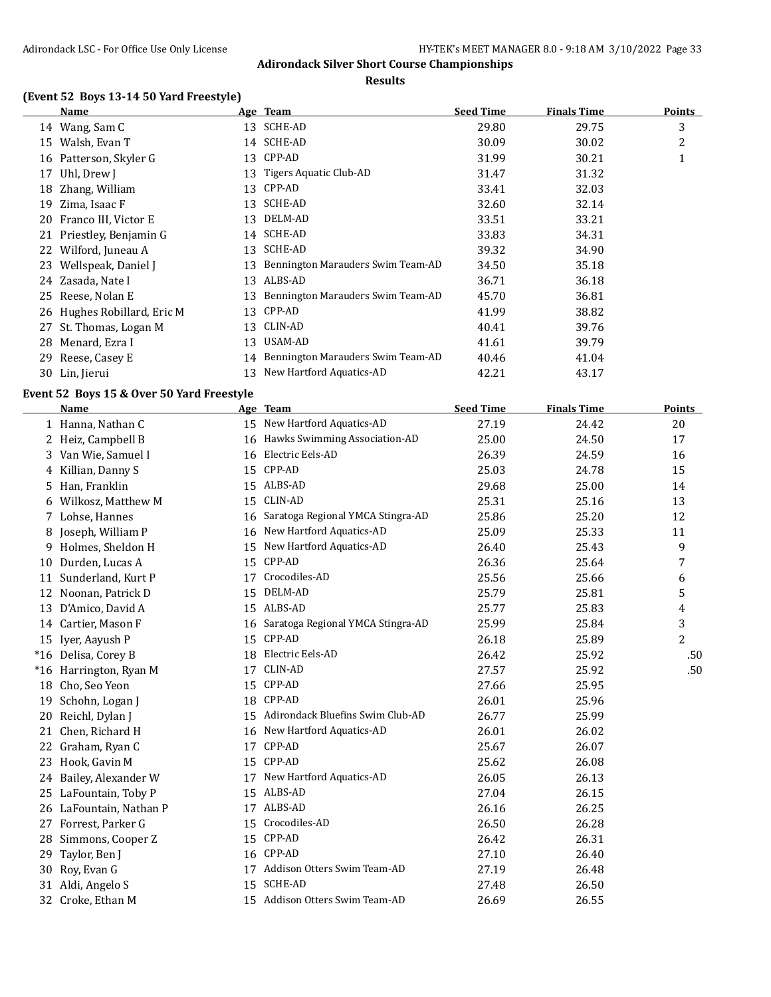**Results**

### **(Event 52 Boys 13-14 50 Yard Freestyle)**

|    | Name                        |    | Age Team                          | <b>Seed Time</b> | <b>Finals Time</b> | Points |
|----|-----------------------------|----|-----------------------------------|------------------|--------------------|--------|
|    | 14 Wang, Sam C              | 13 | SCHE-AD                           | 29.80            | 29.75              | 3      |
| 15 | Walsh, Evan T               |    | 14 SCHE-AD                        | 30.09            | 30.02              | 2      |
| 16 | Patterson, Skyler G         | 13 | CPP-AD                            | 31.99            | 30.21              | 1      |
| 17 | Uhl, Drew J                 | 13 | Tigers Aquatic Club-AD            | 31.47            | 31.32              |        |
| 18 | Zhang, William              | 13 | CPP-AD                            | 33.41            | 32.03              |        |
| 19 | Zima, Isaac F               | 13 | SCHE-AD                           | 32.60            | 32.14              |        |
| 20 | Franco III, Victor E        | 13 | DELM-AD                           | 33.51            | 33.21              |        |
| 21 | Priestley, Benjamin G       | 14 | SCHE-AD                           | 33.83            | 34.31              |        |
|    | 22 Wilford, Juneau A        | 13 | SCHE-AD                           | 39.32            | 34.90              |        |
| 23 | Wellspeak, Daniel J         | 13 | Bennington Marauders Swim Team-AD | 34.50            | 35.18              |        |
|    | 24 Zasada, Nate I           | 13 | ALBS-AD                           | 36.71            | 36.18              |        |
| 25 | Reese, Nolan E              | 13 | Bennington Marauders Swim Team-AD | 45.70            | 36.81              |        |
|    | 26 Hughes Robillard, Eric M | 13 | CPP-AD                            | 41.99            | 38.82              |        |
| 27 | St. Thomas, Logan M         | 13 | CLIN-AD                           | 40.41            | 39.76              |        |
| 28 | Menard, Ezra I              | 13 | USAM-AD                           | 41.61            | 39.79              |        |
| 29 | Reese, Casey E              | 14 | Bennington Marauders Swim Team-AD | 40.46            | 41.04              |        |
| 30 | Lin, Jierui                 | 13 | New Hartford Aquatics-AD          | 42.21            | 43.17              |        |

#### **Event 52 Boys 15 & Over 50 Yard Freestyle**

 $\overline{a}$ 

|    | <b>Name</b>             |    | Age Team                          | <b>Seed Time</b> | <b>Finals Time</b> | Points         |
|----|-------------------------|----|-----------------------------------|------------------|--------------------|----------------|
|    | 1 Hanna, Nathan C       |    | 15 New Hartford Aquatics-AD       | 27.19            | 24.42              | 20             |
|    | 2 Heiz, Campbell B      |    | 16 Hawks Swimming Association-AD  | 25.00            | 24.50              | 17             |
| 3  | Van Wie, Samuel I       | 16 | Electric Eels-AD                  | 26.39            | 24.59              | 16             |
| 4  | Killian, Danny S        | 15 | CPP-AD                            | 25.03            | 24.78              | 15             |
| 5  | Han, Franklin           | 15 | ALBS-AD                           | 29.68            | 25.00              | 14             |
| 6  | Wilkosz, Matthew M      | 15 | CLIN-AD                           | 25.31            | 25.16              | 13             |
|    | 7 Lohse, Hannes         | 16 | Saratoga Regional YMCA Stingra-AD | 25.86            | 25.20              | 12             |
| 8  | Joseph, William P       | 16 | New Hartford Aquatics-AD          | 25.09            | 25.33              | 11             |
| 9  | Holmes, Sheldon H       | 15 | New Hartford Aquatics-AD          | 26.40            | 25.43              | 9              |
| 10 | Durden, Lucas A         | 15 | CPP-AD                            | 26.36            | 25.64              | 7              |
| 11 | Sunderland, Kurt P      | 17 | Crocodiles-AD                     | 25.56            | 25.66              | 6              |
| 12 | Noonan, Patrick D       | 15 | DELM-AD                           | 25.79            | 25.81              | 5              |
| 13 | D'Amico, David A        | 15 | ALBS-AD                           | 25.77            | 25.83              | 4              |
| 14 | Cartier, Mason F        | 16 | Saratoga Regional YMCA Stingra-AD | 25.99            | 25.84              | 3              |
|    | 15 Iyer, Aayush P       | 15 | CPP-AD                            | 26.18            | 25.89              | $\overline{2}$ |
|    | *16 Delisa, Corey B     | 18 | Electric Eels-AD                  | 26.42            | 25.92              | .50            |
|    | *16 Harrington, Ryan M  | 17 | CLIN-AD                           | 27.57            | 25.92              | .50            |
| 18 | Cho, Seo Yeon           | 15 | CPP-AD                            | 27.66            | 25.95              |                |
| 19 | Schohn, Logan J         | 18 | CPP-AD                            | 26.01            | 25.96              |                |
| 20 | Reichl, Dylan J         | 15 | Adirondack Bluefins Swim Club-AD  | 26.77            | 25.99              |                |
| 21 | Chen, Richard H         | 16 | New Hartford Aquatics-AD          | 26.01            | 26.02              |                |
| 22 | Graham, Ryan C          | 17 | CPP-AD                            | 25.67            | 26.07              |                |
| 23 | Hook, Gavin M           | 15 | CPP-AD                            | 25.62            | 26.08              |                |
| 24 | Bailey, Alexander W     | 17 | New Hartford Aquatics-AD          | 26.05            | 26.13              |                |
| 25 | LaFountain, Toby P      |    | 15 ALBS-AD                        | 27.04            | 26.15              |                |
|    | 26 LaFountain, Nathan P | 17 | ALBS-AD                           | 26.16            | 26.25              |                |
| 27 | Forrest, Parker G       | 15 | Crocodiles-AD                     | 26.50            | 26.28              |                |
| 28 | Simmons, Cooper Z       | 15 | CPP-AD                            | 26.42            | 26.31              |                |
| 29 | Taylor, Ben J           | 16 | CPP-AD                            | 27.10            | 26.40              |                |
| 30 | Roy, Evan G             | 17 | Addison Otters Swim Team-AD       | 27.19            | 26.48              |                |
| 31 | Aldi, Angelo S          | 15 | <b>SCHE-AD</b>                    | 27.48            | 26.50              |                |
|    | 32 Croke, Ethan M       |    | 15 Addison Otters Swim Team-AD    | 26.69            | 26.55              |                |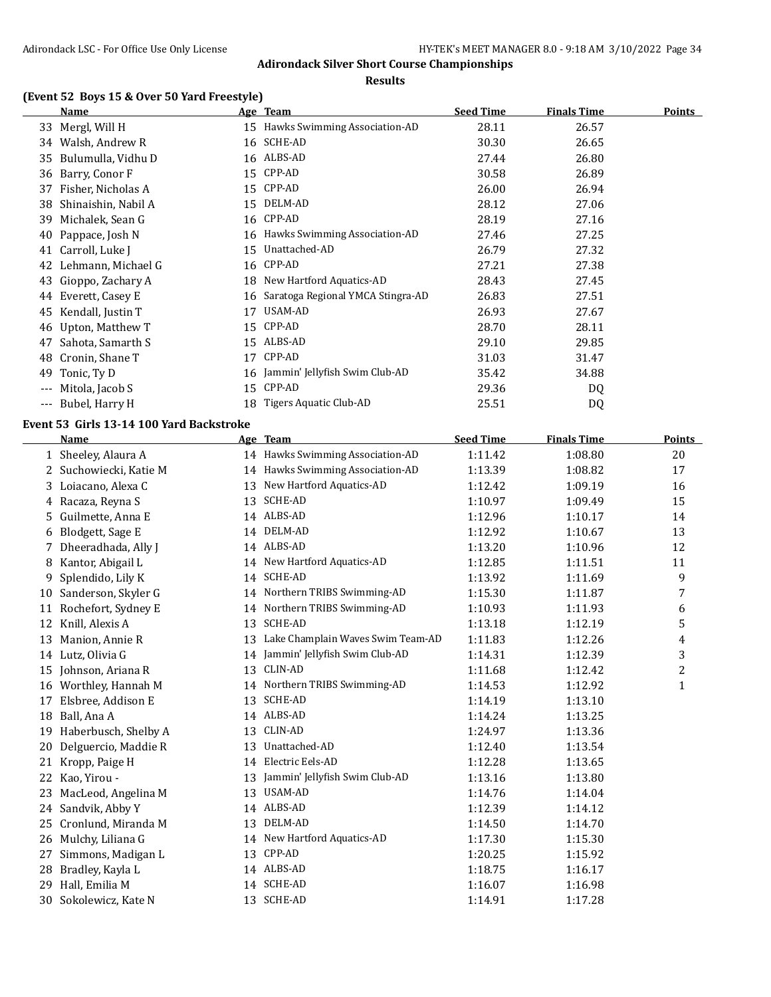#### **Results**

### **(Event 52 Boys 15 & Over 50 Yard Freestyle)**

|       | Name                | <u>Age </u> | <b>Team</b>                       | <b>Seed Time</b> | <b>Finals Time</b> | <b>Points</b> |
|-------|---------------------|-------------|-----------------------------------|------------------|--------------------|---------------|
| 33    | Mergl, Will H       | 15          | Hawks Swimming Association-AD     | 28.11            | 26.57              |               |
| 34    | Walsh, Andrew R     | 16          | SCHE-AD                           | 30.30            | 26.65              |               |
| 35    | Bulumulla, Vidhu D  | 16          | ALBS-AD                           | 27.44            | 26.80              |               |
| 36    | Barry, Conor F      | 15          | CPP-AD                            | 30.58            | 26.89              |               |
| 37    | Fisher, Nicholas A  | 15          | CPP-AD                            | 26.00            | 26.94              |               |
| 38    | Shinaishin, Nabil A | 15          | DELM-AD                           | 28.12            | 27.06              |               |
| 39    | Michalek, Sean G    | 16          | CPP-AD                            | 28.19            | 27.16              |               |
| 40    | Pappace, Josh N     | 16          | Hawks Swimming Association-AD     | 27.46            | 27.25              |               |
| 41    | Carroll, Luke J     | 15          | Unattached-AD                     | 26.79            | 27.32              |               |
| 42    | Lehmann, Michael G  | 16          | CPP-AD                            | 27.21            | 27.38              |               |
| 43    | Gioppo, Zachary A   | 18          | New Hartford Aquatics-AD          | 28.43            | 27.45              |               |
| 44    | Everett, Casey E    | 16          | Saratoga Regional YMCA Stingra-AD | 26.83            | 27.51              |               |
| 45    | Kendall, Justin T   | 17          | USAM-AD                           | 26.93            | 27.67              |               |
| 46    | Upton, Matthew T    | 15          | CPP-AD                            | 28.70            | 28.11              |               |
| 47    | Sahota, Samarth S   | 15          | ALBS-AD                           | 29.10            | 29.85              |               |
| 48    | Cronin, Shane T     | 17          | CPP-AD                            | 31.03            | 31.47              |               |
| 49    | Tonic, Ty D         | 16          | Jammin' Jellyfish Swim Club-AD    | 35.42            | 34.88              |               |
| $---$ | Mitola, Jacob S     | 15          | CPP-AD                            | 29.36            | DQ                 |               |
| ---   | Bubel, Harry H      | 18          | Tigers Aquatic Club-AD            | 25.51            | DQ                 |               |

### **Event 53 Girls 13-14 100 Yard Backstroke**

|    | Name                   |    | Age Team                          | <b>Seed Time</b> | <b>Finals Time</b> | <b>Points</b> |
|----|------------------------|----|-----------------------------------|------------------|--------------------|---------------|
|    | 1 Sheeley, Alaura A    |    | 14 Hawks Swimming Association-AD  | 1:11.42          | 1:08.80            | 20            |
|    | 2 Suchowiecki, Katie M |    | 14 Hawks Swimming Association-AD  | 1:13.39          | 1:08.82            | 17            |
| 3  | Loiacano, Alexa C      | 13 | New Hartford Aquatics-AD          | 1:12.42          | 1:09.19            | 16            |
|    | 4 Racaza, Reyna S      | 13 | <b>SCHE-AD</b>                    | 1:10.97          | 1:09.49            | 15            |
| 5. | Guilmette, Anna E      |    | 14 ALBS-AD                        | 1:12.96          | 1:10.17            | 14            |
| 6  | Blodgett, Sage E       |    | 14 DELM-AD                        | 1:12.92          | 1:10.67            | 13            |
|    | 7 Dheeradhada, Ally J  |    | 14 ALBS-AD                        | 1:13.20          | 1:10.96            | 12            |
| 8  | Kantor, Abigail L      |    | 14 New Hartford Aquatics-AD       | 1:12.85          | 1:11.51            | 11            |
| 9  | Splendido, Lily K      | 14 | <b>SCHE-AD</b>                    | 1:13.92          | 1:11.69            | 9             |
| 10 | Sanderson, Skyler G    |    | 14 Northern TRIBS Swimming-AD     | 1:15.30          | 1:11.87            | 7             |
| 11 | Rochefort, Sydney E    |    | 14 Northern TRIBS Swimming-AD     | 1:10.93          | 1:11.93            | 6             |
| 12 | Knill, Alexis A        | 13 | <b>SCHE-AD</b>                    | 1:13.18          | 1:12.19            | 5             |
| 13 | Manion, Annie R        | 13 | Lake Champlain Waves Swim Team-AD | 1:11.83          | 1:12.26            | 4             |
| 14 | Lutz, Olivia G         | 14 | Jammin' Jellyfish Swim Club-AD    | 1:14.31          | 1:12.39            | 3             |
| 15 | Johnson, Ariana R      | 13 | <b>CLIN-AD</b>                    | 1:11.68          | 1:12.42            | 2             |
| 16 | Worthley, Hannah M     |    | 14 Northern TRIBS Swimming-AD     | 1:14.53          | 1:12.92            | 1             |
| 17 | Elsbree, Addison E     | 13 | <b>SCHE-AD</b>                    | 1:14.19          | 1:13.10            |               |
| 18 | Ball, Ana A            |    | 14 ALBS-AD                        | 1:14.24          | 1:13.25            |               |
| 19 | Haberbusch, Shelby A   | 13 | CLIN-AD                           | 1:24.97          | 1:13.36            |               |
| 20 | Delguercio, Maddie R   | 13 | Unattached-AD                     | 1:12.40          | 1:13.54            |               |
| 21 | Kropp, Paige H         |    | 14 Electric Eels-AD               | 1:12.28          | 1:13.65            |               |
| 22 | Kao, Yirou -           | 13 | Jammin' Jellyfish Swim Club-AD    | 1:13.16          | 1:13.80            |               |
| 23 | MacLeod, Angelina M    | 13 | <b>USAM-AD</b>                    | 1:14.76          | 1:14.04            |               |
| 24 | Sandvik, Abby Y        |    | 14 ALBS-AD                        | 1:12.39          | 1:14.12            |               |
| 25 | Cronlund, Miranda M    | 13 | DELM-AD                           | 1:14.50          | 1:14.70            |               |
| 26 | Mulchy, Liliana G      |    | 14 New Hartford Aquatics-AD       | 1:17.30          | 1:15.30            |               |
| 27 | Simmons, Madigan L     | 13 | CPP-AD                            | 1:20.25          | 1:15.92            |               |
| 28 | Bradley, Kayla L       |    | 14 ALBS-AD                        | 1:18.75          | 1:16.17            |               |
| 29 | Hall, Emilia M         |    | 14 SCHE-AD                        | 1:16.07          | 1:16.98            |               |
| 30 | Sokolewicz, Kate N     |    | 13 SCHE-AD                        | 1:14.91          | 1:17.28            |               |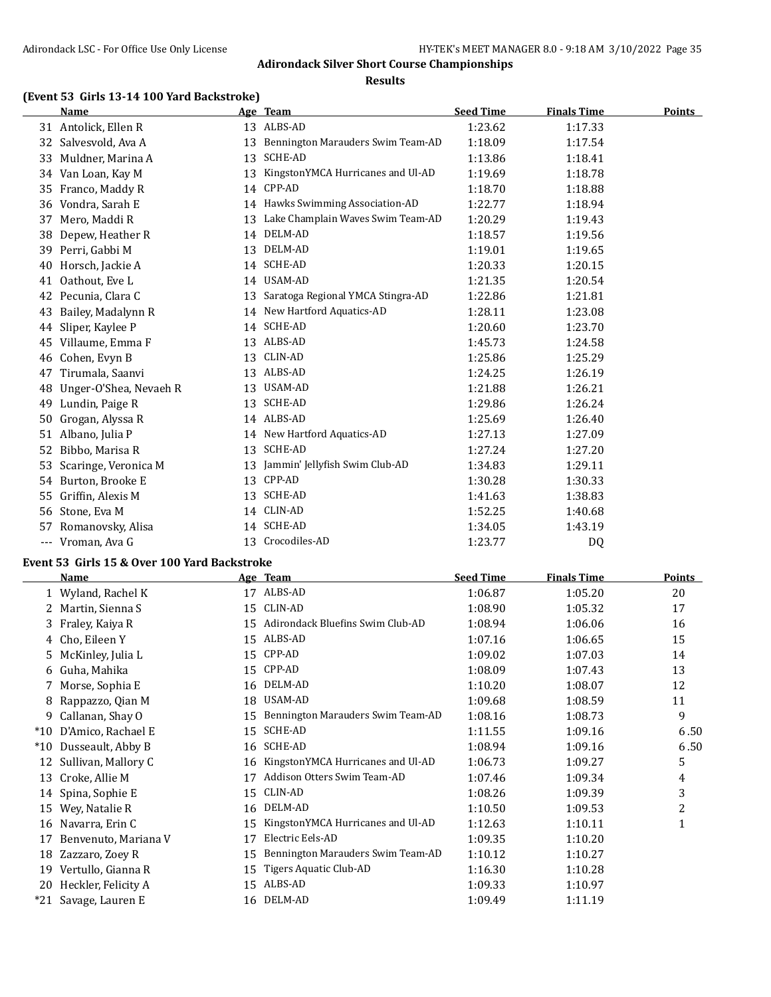#### **Results**

### **(Event 53 Girls 13-14 100 Yard Backstroke)**

|     | Name                   |    | Age Team                          | <b>Seed Time</b> | <b>Finals Time</b> | <b>Points</b> |
|-----|------------------------|----|-----------------------------------|------------------|--------------------|---------------|
|     | 31 Antolick, Ellen R   |    | 13 ALBS-AD                        | 1:23.62          | 1:17.33            |               |
| 32  | Salvesvold, Ava A      | 13 | Bennington Marauders Swim Team-AD | 1:18.09          | 1:17.54            |               |
| 33  | Muldner, Marina A      | 13 | <b>SCHE-AD</b>                    | 1:13.86          | 1:18.41            |               |
| 34  | Van Loan, Kay M        | 13 | KingstonYMCA Hurricanes and Ul-AD | 1:19.69          | 1:18.78            |               |
| 35  | Franco, Maddy R        | 14 | CPP-AD                            | 1:18.70          | 1:18.88            |               |
| 36  | Vondra, Sarah E        | 14 | Hawks Swimming Association-AD     | 1:22.77          | 1:18.94            |               |
| 37  | Mero, Maddi R          | 13 | Lake Champlain Waves Swim Team-AD | 1:20.29          | 1:19.43            |               |
| 38  | Depew, Heather R       | 14 | DELM-AD                           | 1:18.57          | 1:19.56            |               |
| 39  | Perri, Gabbi M         | 13 | DELM-AD                           | 1:19.01          | 1:19.65            |               |
| 40  | Horsch, Jackie A       | 14 | <b>SCHE-AD</b>                    | 1:20.33          | 1:20.15            |               |
| 41  | Oathout, Eve L         |    | 14 USAM-AD                        | 1:21.35          | 1:20.54            |               |
| 42  | Pecunia, Clara C       | 13 | Saratoga Regional YMCA Stingra-AD | 1:22.86          | 1:21.81            |               |
| 43  | Bailey, Madalynn R     | 14 | New Hartford Aquatics-AD          | 1:28.11          | 1:23.08            |               |
| 44  | Sliper, Kaylee P       | 14 | <b>SCHE-AD</b>                    | 1:20.60          | 1:23.70            |               |
| 45  | Villaume, Emma F       | 13 | ALBS-AD                           | 1:45.73          | 1:24.58            |               |
| 46  | Cohen, Evyn B          | 13 | CLIN-AD                           | 1:25.86          | 1:25.29            |               |
| 47  | Tirumala, Saanvi       | 13 | ALBS-AD                           | 1:24.25          | 1:26.19            |               |
| 48  | Unger-O'Shea, Nevaeh R | 13 | USAM-AD                           | 1:21.88          | 1:26.21            |               |
| 49  | Lundin, Paige R        | 13 | <b>SCHE-AD</b>                    | 1:29.86          | 1:26.24            |               |
| 50  | Grogan, Alyssa R       | 14 | ALBS-AD                           | 1:25.69          | 1:26.40            |               |
| 51  | Albano, Julia P        |    | 14 New Hartford Aquatics-AD       | 1:27.13          | 1:27.09            |               |
| 52  | Bibbo, Marisa R        | 13 | <b>SCHE-AD</b>                    | 1:27.24          | 1:27.20            |               |
| 53  | Scaringe, Veronica M   | 13 | Jammin' Jellyfish Swim Club-AD    | 1:34.83          | 1:29.11            |               |
| 54  | Burton, Brooke E       | 13 | CPP-AD                            | 1:30.28          | 1:30.33            |               |
| 55  | Griffin, Alexis M      | 13 | <b>SCHE-AD</b>                    | 1:41.63          | 1:38.83            |               |
| 56  | Stone, Eva M           |    | 14 CLIN-AD                        | 1:52.25          | 1:40.68            |               |
| 57  | Romanovsky, Alisa      |    | 14 SCHE-AD                        | 1:34.05          | 1:43.19            |               |
| --- | Vroman, Ava G          | 13 | Crocodiles-AD                     | 1:23.77          | DQ                 |               |

### **Event 53 Girls 15 & Over 100 Yard Backstroke**

|       | <b>Name</b>          |    | Age Team                          | <b>Seed Time</b> | <b>Finals Time</b> | <b>Points</b> |
|-------|----------------------|----|-----------------------------------|------------------|--------------------|---------------|
|       | 1 Wyland, Rachel K   | 17 | ALBS-AD                           | 1:06.87          | 1:05.20            | 20            |
|       | 2 Martin, Sienna S   | 15 | CLIN-AD                           | 1:08.90          | 1:05.32            | 17            |
| 3     | Fraley, Kaiya R      | 15 | Adirondack Bluefins Swim Club-AD  | 1:08.94          | 1:06.06            | 16            |
|       | 4 Cho, Eileen Y      | 15 | ALBS-AD                           | 1:07.16          | 1:06.65            | 15            |
| 5.    | McKinley, Julia L    | 15 | CPP-AD                            | 1:09.02          | 1:07.03            | 14            |
| 6     | Guha, Mahika         | 15 | CPP-AD                            | 1:08.09          | 1:07.43            | 13            |
|       | 7 Morse, Sophia E    | 16 | DELM-AD                           | 1:10.20          | 1:08.07            | 12            |
| 8     | Rappazzo, Qian M     | 18 | USAM-AD                           | 1:09.68          | 1:08.59            | 11            |
| 9     | Callanan, Shay O     | 15 | Bennington Marauders Swim Team-AD | 1:08.16          | 1:08.73            | 9             |
| $*10$ | D'Amico, Rachael E   | 15 | <b>SCHE-AD</b>                    | 1:11.55          | 1:09.16            | 6.50          |
| $*10$ | Dusseault, Abby B    | 16 | SCHE-AD                           | 1:08.94          | 1:09.16            | 6.50          |
| 12    | Sullivan, Mallory C  | 16 | KingstonYMCA Hurricanes and Ul-AD | 1:06.73          | 1:09.27            | 5             |
| 13    | Croke, Allie M       | 17 | Addison Otters Swim Team-AD       | 1:07.46          | 1:09.34            | 4             |
| 14    | Spina, Sophie E      | 15 | CLIN-AD                           | 1:08.26          | 1:09.39            | 3             |
| 15    | Wey, Natalie R       | 16 | DELM-AD                           | 1:10.50          | 1:09.53            | 2             |
| 16    | Navarra, Erin C      | 15 | KingstonYMCA Hurricanes and Ul-AD | 1:12.63          | 1:10.11            | 1             |
| 17    | Benvenuto, Mariana V | 17 | Electric Eels-AD                  | 1:09.35          | 1:10.20            |               |
| 18    | Zazzaro, Zoey R      | 15 | Bennington Marauders Swim Team-AD | 1:10.12          | 1:10.27            |               |
| 19    | Vertullo, Gianna R   | 15 | Tigers Aquatic Club-AD            | 1:16.30          | 1:10.28            |               |
| 20    | Heckler, Felicity A  | 15 | ALBS-AD                           | 1:09.33          | 1:10.97            |               |
|       | *21 Savage, Lauren E | 16 | DELM-AD                           | 1:09.49          | 1:11.19            |               |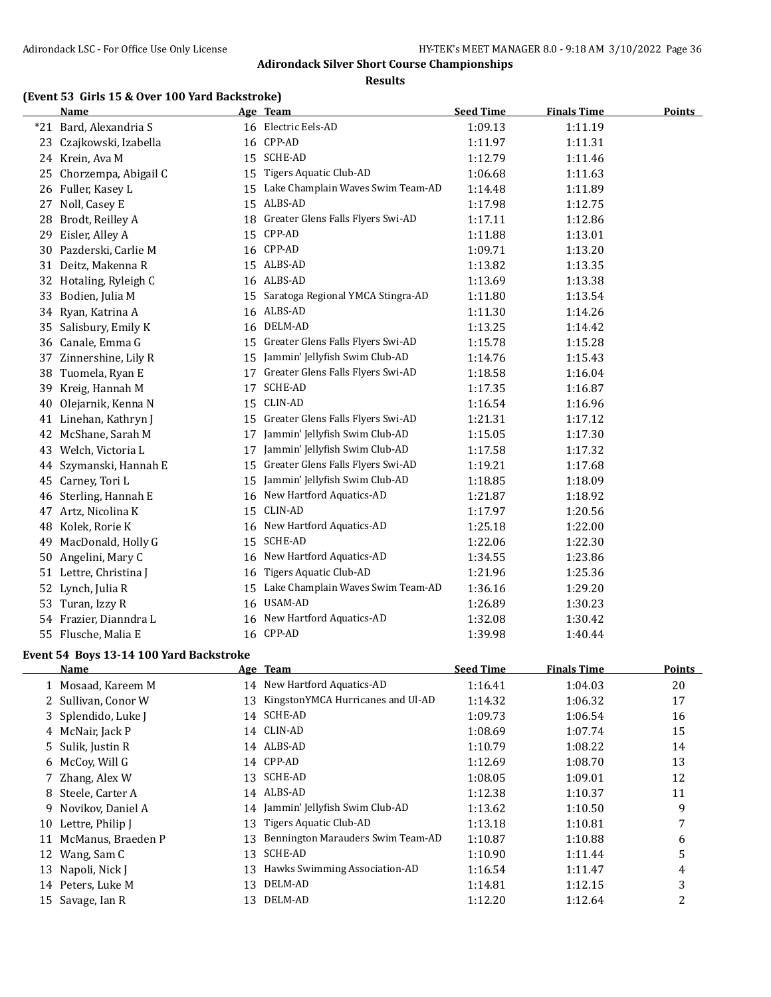**Results**

### **(Event 53 Girls 15 & Over 100 Yard Backstroke)**

|    | Name                   |    | Age Team                          | <b>Seed Time</b> | <b>Finals Time</b> | <b>Points</b> |
|----|------------------------|----|-----------------------------------|------------------|--------------------|---------------|
|    | *21 Bard, Alexandria S |    | 16 Electric Eels-AD               | 1:09.13          | 1:11.19            |               |
| 23 | Czajkowski, Izabella   |    | 16 CPP-AD                         | 1:11.97          | 1:11.31            |               |
|    | 24 Krein, Ava M        | 15 | <b>SCHE-AD</b>                    | 1:12.79          | 1:11.46            |               |
| 25 | Chorzempa, Abigail C   | 15 | Tigers Aquatic Club-AD            | 1:06.68          | 1:11.63            |               |
|    | 26 Fuller, Kasey L     | 15 | Lake Champlain Waves Swim Team-AD | 1:14.48          | 1:11.89            |               |
| 27 | Noll, Casey E          |    | 15 ALBS-AD                        | 1:17.98          | 1:12.75            |               |
| 28 | Brodt, Reilley A       | 18 | Greater Glens Falls Flyers Swi-AD | 1:17.11          | 1:12.86            |               |
| 29 | Eisler, Alley A        | 15 | CPP-AD                            | 1:11.88          | 1:13.01            |               |
| 30 | Pazderski, Carlie M    |    | 16 CPP-AD                         | 1:09.71          | 1:13.20            |               |
| 31 | Deitz, Makenna R       | 15 | ALBS-AD                           | 1:13.82          | 1:13.35            |               |
|    | 32 Hotaling, Ryleigh C |    | 16 ALBS-AD                        | 1:13.69          | 1:13.38            |               |
| 33 | Bodien, Julia M        | 15 | Saratoga Regional YMCA Stingra-AD | 1:11.80          | 1:13.54            |               |
|    | 34 Ryan, Katrina A     | 16 | ALBS-AD                           | 1:11.30          | 1:14.26            |               |
| 35 | Salisbury, Emily K     | 16 | DELM-AD                           | 1:13.25          | 1:14.42            |               |
| 36 | Canale, Emma G         | 15 | Greater Glens Falls Flyers Swi-AD | 1:15.78          | 1:15.28            |               |
| 37 | Zinnershine, Lily R    | 15 | Jammin' Jellyfish Swim Club-AD    | 1:14.76          | 1:15.43            |               |
| 38 | Tuomela, Ryan E        | 17 | Greater Glens Falls Flyers Swi-AD | 1:18.58          | 1:16.04            |               |
| 39 | Kreig, Hannah M        | 17 | <b>SCHE-AD</b>                    | 1:17.35          | 1:16.87            |               |
| 40 | Olejarnik, Kenna N     | 15 | CLIN-AD                           | 1:16.54          | 1:16.96            |               |
|    | 41 Linehan, Kathryn J  | 15 | Greater Glens Falls Flyers Swi-AD | 1:21.31          | 1:17.12            |               |
| 42 | McShane, Sarah M       | 17 | Jammin' Jellyfish Swim Club-AD    | 1:15.05          | 1:17.30            |               |
| 43 | Welch, Victoria L      | 17 | Jammin' Jellyfish Swim Club-AD    | 1:17.58          | 1:17.32            |               |
| 44 | Szymanski, Hannah E    | 15 | Greater Glens Falls Flyers Swi-AD | 1:19.21          | 1:17.68            |               |
| 45 | Carney, Tori L         | 15 | Jammin' Jellyfish Swim Club-AD    | 1:18.85          | 1:18.09            |               |
| 46 | Sterling, Hannah E     | 16 | New Hartford Aquatics-AD          | 1:21.87          | 1:18.92            |               |
| 47 | Artz, Nicolina K       | 15 | CLIN-AD                           | 1:17.97          | 1:20.56            |               |
| 48 | Kolek, Rorie K         |    | 16 New Hartford Aquatics-AD       | 1:25.18          | 1:22.00            |               |
| 49 | MacDonald, Holly G     | 15 | SCHE-AD                           | 1:22.06          | 1:22.30            |               |
| 50 | Angelini, Mary C       | 16 | New Hartford Aquatics-AD          | 1:34.55          | 1:23.86            |               |
|    | 51 Lettre, Christina J | 16 | <b>Tigers Aquatic Club-AD</b>     | 1:21.96          | 1:25.36            |               |
| 52 | Lynch, Julia R         | 15 | Lake Champlain Waves Swim Team-AD | 1:36.16          | 1:29.20            |               |
| 53 | Turan, Izzy R          | 16 | USAM-AD                           | 1:26.89          | 1:30.23            |               |
|    | 54 Frazier, Dianndra L | 16 | New Hartford Aquatics-AD          | 1:32.08          | 1:30.42            |               |
| 55 | Flusche, Malia E       |    | 16 CPP-AD                         | 1:39.98          | 1:40.44            |               |

#### **Event 54 Boys 13-14 100 Yard Backstroke**

 $\overline{a}$ 

|    | <b>Name</b>         |    | Age Team                          | <b>Seed Time</b> | <b>Finals Time</b> | Points |
|----|---------------------|----|-----------------------------------|------------------|--------------------|--------|
|    | 1 Mosaad, Kareem M  | 14 | New Hartford Aquatics-AD          | 1:16.41          | 1:04.03            | 20     |
|    | 2 Sullivan, Conor W | 13 | KingstonYMCA Hurricanes and Ul-AD | 1:14.32          | 1:06.32            | 17     |
|    | 3 Splendido, Luke J | 14 | SCHE-AD                           | 1:09.73          | 1:06.54            | 16     |
|    | 4 McNair, Jack P    |    | 14 CLIN-AD                        | 1:08.69          | 1:07.74            | 15     |
|    | 5 Sulik, Justin R   |    | 14 ALBS-AD                        | 1:10.79          | 1:08.22            | 14     |
| 6  | McCoy, Will G       |    | 14 CPP-AD                         | 1:12.69          | 1:08.70            | 13     |
|    | 7 Zhang, Alex W     | 13 | SCHE-AD                           | 1:08.05          | 1:09.01            | 12     |
|    | 8 Steele, Carter A  |    | 14 ALBS-AD                        | 1:12.38          | 1:10.37            | 11     |
| 9. | Novikov, Daniel A   | 14 | Jammin' Jellyfish Swim Club-AD    | 1:13.62          | 1:10.50            | 9      |
|    | 10 Lettre, Philip J | 13 | Tigers Aquatic Club-AD            | 1:13.18          | 1:10.81            | 7      |
|    | McManus, Braeden P  | 13 | Bennington Marauders Swim Team-AD | 1:10.87          | 1:10.88            | 6      |
|    | 12 Wang, Sam C      | 13 | SCHE-AD                           | 1:10.90          | 1:11.44            | 5      |
|    | 13 Napoli, Nick J   | 13 | Hawks Swimming Association-AD     | 1:16.54          | 1:11.47            | 4      |
| 14 | Peters, Luke M      | 13 | DELM-AD                           | 1:14.81          | 1:12.15            | 3      |
|    | 15 Savage, Ian R    | 13 | DELM-AD                           | 1:12.20          | 1:12.64            | 2      |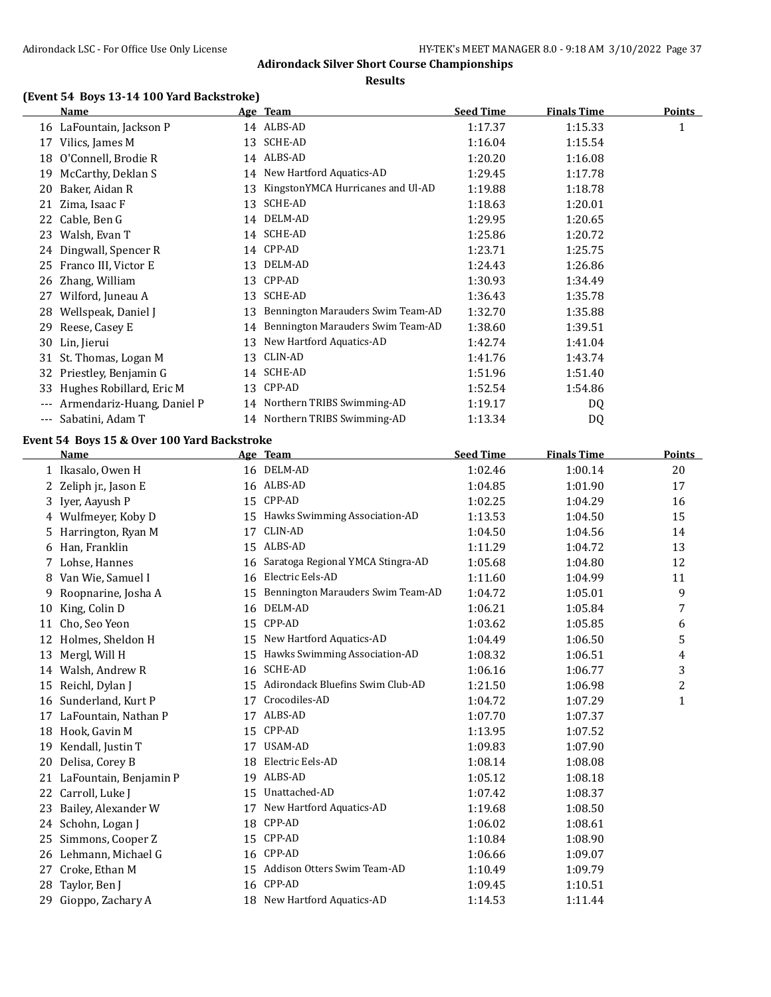**Results**

# **(Event 54 Boys 13-14 100 Yard Backstroke)**

|     | <b>Name</b>                |    | Age Team                          | <b>Seed Time</b> | <b>Finals Time</b> | <b>Points</b> |
|-----|----------------------------|----|-----------------------------------|------------------|--------------------|---------------|
|     | 16 LaFountain, Jackson P   |    | 14 ALBS-AD                        | 1:17.37          | 1:15.33            | 1             |
| 17  | Vilics, James M            | 13 | <b>SCHE-AD</b>                    | 1:16.04          | 1:15.54            |               |
| 18  | O'Connell, Brodie R        |    | 14 ALBS-AD                        | 1:20.20          | 1:16.08            |               |
| 19  | McCarthy, Deklan S         |    | 14 New Hartford Aquatics-AD       | 1:29.45          | 1:17.78            |               |
| 20  | Baker, Aidan R             | 13 | KingstonYMCA Hurricanes and Ul-AD | 1:19.88          | 1:18.78            |               |
| 21  | Zima, Isaac F              | 13 | SCHE-AD                           | 1:18.63          | 1:20.01            |               |
| 22  | Cable, Ben G               | 14 | DELM-AD                           | 1:29.95          | 1:20.65            |               |
| 23  | Walsh, Evan T              | 14 | <b>SCHE-AD</b>                    | 1:25.86          | 1:20.72            |               |
| 24  | Dingwall, Spencer R        |    | 14 CPP-AD                         | 1:23.71          | 1:25.75            |               |
| 25  | Franco III, Victor E       | 13 | DELM-AD                           | 1:24.43          | 1:26.86            |               |
| 26  | Zhang, William             | 13 | CPP-AD                            | 1:30.93          | 1:34.49            |               |
| 27  | Wilford, Juneau A          | 13 | SCHE-AD                           | 1:36.43          | 1:35.78            |               |
| 28  | Wellspeak, Daniel J        | 13 | Bennington Marauders Swim Team-AD | 1:32.70          | 1:35.88            |               |
| 29  | Reese, Casey E             | 14 | Bennington Marauders Swim Team-AD | 1:38.60          | 1:39.51            |               |
| 30  | Lin, Jierui                | 13 | New Hartford Aquatics-AD          | 1:42.74          | 1:41.04            |               |
| 31  | St. Thomas, Logan M        | 13 | CLIN-AD                           | 1:41.76          | 1:43.74            |               |
| 32  | Priestley, Benjamin G      | 14 | SCHE-AD                           | 1:51.96          | 1:51.40            |               |
| 33  | Hughes Robillard, Eric M   | 13 | CPP-AD                            | 1:52.54          | 1:54.86            |               |
|     | Armendariz-Huang, Daniel P |    | 14 Northern TRIBS Swimming-AD     | 1:19.17          | DQ                 |               |
| --- | Sabatini, Adam T           |    | 14 Northern TRIBS Swimming-AD     | 1:13.34          | D <sub>0</sub>     |               |

# **Event 54 Boys 15 & Over 100 Yard Backstroke**

|    | <b>Name</b>            |    | Age Team                          | <b>Seed Time</b> | <b>Finals Time</b> | <b>Points</b> |
|----|------------------------|----|-----------------------------------|------------------|--------------------|---------------|
|    | 1 Ikasalo, Owen H      |    | 16 DELM-AD                        | 1:02.46          | 1:00.14            | 20            |
| 2  | Zeliph jr., Jason E    | 16 | ALBS-AD                           | 1:04.85          | 1:01.90            | 17            |
| 3  | Iyer, Aayush P         | 15 | CPP-AD                            | 1:02.25          | 1:04.29            | 16            |
| 4  | Wulfmeyer, Koby D      | 15 | Hawks Swimming Association-AD     | 1:13.53          | 1:04.50            | 15            |
| 5  | Harrington, Ryan M     | 17 | CLIN-AD                           | 1:04.50          | 1:04.56            | 14            |
| 6  | Han, Franklin          | 15 | ALBS-AD                           | 1:11.29          | 1:04.72            | 13            |
| 7  | Lohse, Hannes          | 16 | Saratoga Regional YMCA Stingra-AD | 1:05.68          | 1:04.80            | 12            |
| 8  | Van Wie, Samuel I      | 16 | Electric Eels-AD                  | 1:11.60          | 1:04.99            | 11            |
| 9  | Roopnarine, Josha A    | 15 | Bennington Marauders Swim Team-AD | 1:04.72          | 1:05.01            | 9             |
| 10 | King, Colin D          | 16 | DELM-AD                           | 1:06.21          | 1:05.84            | 7             |
| 11 | Cho, Seo Yeon          | 15 | CPP-AD                            | 1:03.62          | 1:05.85            | 6             |
| 12 | Holmes, Sheldon H      | 15 | New Hartford Aquatics-AD          | 1:04.49          | 1:06.50            | 5             |
| 13 | Mergl, Will H          | 15 | Hawks Swimming Association-AD     | 1:08.32          | 1:06.51            | 4             |
| 14 | Walsh, Andrew R        | 16 | <b>SCHE-AD</b>                    | 1:06.16          | 1:06.77            | 3             |
| 15 | Reichl, Dylan J        | 15 | Adirondack Bluefins Swim Club-AD  | 1:21.50          | 1:06.98            | 2             |
| 16 | Sunderland, Kurt P     | 17 | Crocodiles-AD                     | 1:04.72          | 1:07.29            | $\mathbf{1}$  |
| 17 | LaFountain, Nathan P   | 17 | ALBS-AD                           | 1:07.70          | 1:07.37            |               |
| 18 | Hook, Gavin M          | 15 | CPP-AD                            | 1:13.95          | 1:07.52            |               |
| 19 | Kendall, Justin T      | 17 | USAM-AD                           | 1:09.83          | 1:07.90            |               |
| 20 | Delisa, Corey B        | 18 | Electric Eels-AD                  | 1:08.14          | 1:08.08            |               |
| 21 | LaFountain, Benjamin P | 19 | ALBS-AD                           | 1:05.12          | 1:08.18            |               |
| 22 | Carroll, Luke J        | 15 | Unattached-AD                     | 1:07.42          | 1:08.37            |               |
| 23 | Bailey, Alexander W    | 17 | New Hartford Aquatics-AD          | 1:19.68          | 1:08.50            |               |
| 24 | Schohn, Logan J        | 18 | CPP-AD                            | 1:06.02          | 1:08.61            |               |
| 25 | Simmons, Cooper Z      | 15 | CPP-AD                            | 1:10.84          | 1:08.90            |               |
| 26 | Lehmann, Michael G     | 16 | CPP-AD                            | 1:06.66          | 1:09.07            |               |
| 27 | Croke, Ethan M         | 15 | Addison Otters Swim Team-AD       | 1:10.49          | 1:09.79            |               |
| 28 | Taylor, Ben J          | 16 | CPP-AD                            | 1:09.45          | 1:10.51            |               |
| 29 | Gioppo, Zachary A      | 18 | New Hartford Aquatics-AD          | 1:14.53          | 1:11.44            |               |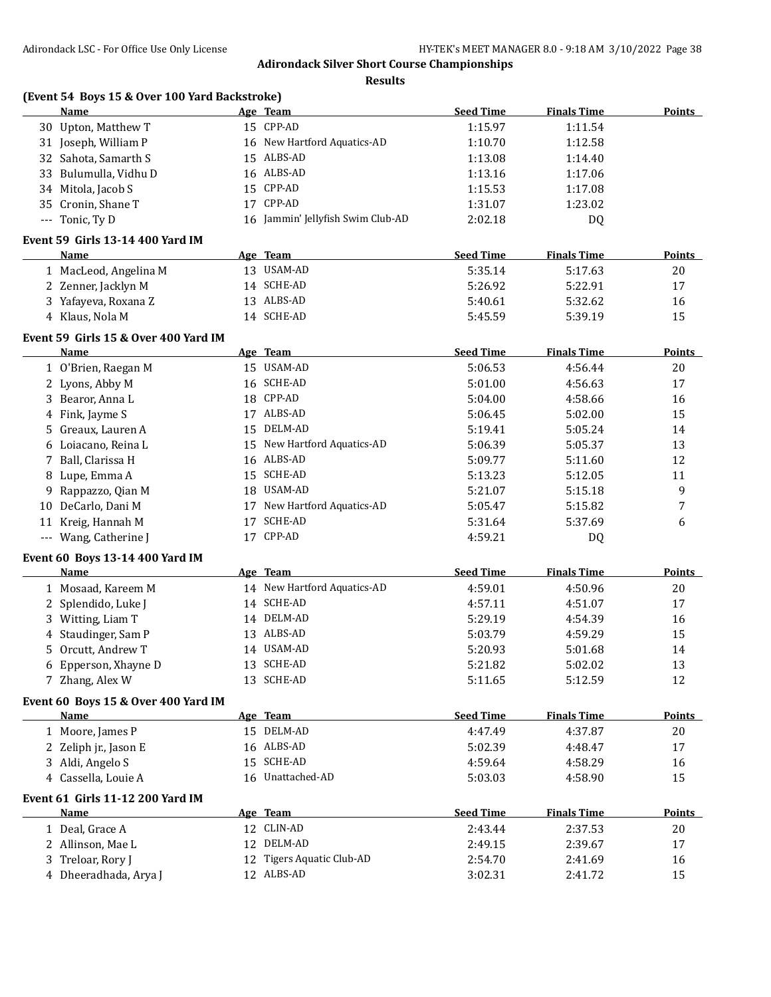**Results**

|   | (Event 54 Boys 15 & Over 100 Yard Backstroke)<br>Name | Age Team                          | <b>Seed Time</b> | <b>Finals Time</b> | <b>Points</b> |
|---|-------------------------------------------------------|-----------------------------------|------------------|--------------------|---------------|
|   | 30 Upton, Matthew T                                   | 15 CPP-AD                         | 1:15.97          | 1:11.54            |               |
|   | 31 Joseph, William P                                  | 16 New Hartford Aquatics-AD       | 1:10.70          | 1:12.58            |               |
|   | 32 Sahota, Samarth S                                  | 15 ALBS-AD                        | 1:13.08          | 1:14.40            |               |
|   | 33 Bulumulla, Vidhu D                                 | 16 ALBS-AD                        | 1:13.16          | 1:17.06            |               |
|   | 34 Mitola, Jacob S                                    | 15 CPP-AD                         | 1:15.53          | 1:17.08            |               |
|   | 35 Cronin, Shane T                                    | 17 CPP-AD                         | 1:31.07          | 1:23.02            |               |
|   | --- Tonic, Ty D                                       | 16 Jammin' Jellyfish Swim Club-AD | 2:02.18          | DQ                 |               |
|   | Event 59 Girls 13-14 400 Yard IM                      |                                   |                  |                    |               |
|   | Name                                                  | Age Team                          | <b>Seed Time</b> | <b>Finals Time</b> | <b>Points</b> |
|   | 1 MacLeod, Angelina M                                 | 13 USAM-AD                        | 5:35.14          | 5:17.63            | 20            |
|   | 2 Zenner, Jacklyn M                                   | 14 SCHE-AD                        | 5:26.92          | 5:22.91            | 17            |
|   | 3 Yafayeva, Roxana Z                                  | 13 ALBS-AD                        | 5:40.61          | 5:32.62            | 16            |
|   | 4 Klaus, Nola M                                       | 14 SCHE-AD                        | 5:45.59          | 5:39.19            | 15            |
|   | Event 59 Girls 15 & Over 400 Yard IM                  |                                   |                  |                    |               |
|   | Name                                                  | Age Team                          | <b>Seed Time</b> | <b>Finals Time</b> | <b>Points</b> |
|   | 1 O'Brien, Raegan M                                   | 15 USAM-AD                        | 5:06.53          | 4:56.44            | 20            |
|   | 2 Lyons, Abby M                                       | 16 SCHE-AD                        | 5:01.00          | 4:56.63            | 17            |
|   | 3 Bearor, Anna L                                      | 18 CPP-AD                         | 5:04.00          | 4:58.66            | 16            |
|   | 4 Fink, Jayme S                                       | 17 ALBS-AD                        | 5:06.45          | 5:02.00            | 15            |
|   | 5 Greaux, Lauren A                                    | 15 DELM-AD                        | 5:19.41          | 5:05.24            | 14            |
|   | 6 Loiacano, Reina L                                   | 15 New Hartford Aquatics-AD       | 5:06.39          | 5:05.37            | 13            |
|   | 7 Ball, Clarissa H                                    | 16 ALBS-AD                        | 5:09.77          | 5:11.60            | 12            |
| 8 | Lupe, Emma A                                          | 15 SCHE-AD                        | 5:13.23          | 5:12.05            | 11            |
| 9 | Rappazzo, Qian M                                      | 18 USAM-AD                        | 5:21.07          | 5:15.18            | 9             |
|   | 10 DeCarlo, Dani M                                    | 17 New Hartford Aquatics-AD       | 5:05.47          | 5:15.82            | 7             |
|   | 11 Kreig, Hannah M                                    | 17 SCHE-AD                        | 5:31.64          | 5:37.69            | 6             |
|   | --- Wang, Catherine J                                 | 17 CPP-AD                         | 4:59.21          | DQ                 |               |
|   | <b>Event 60 Boys 13-14 400 Yard IM</b>                |                                   |                  |                    |               |
|   | Name                                                  | Age Team                          | <b>Seed Time</b> | <b>Finals Time</b> | Points        |
|   | 1 Mosaad, Kareem M                                    | 14 New Hartford Aquatics-AD       | 4:59.01          | 4:50.96            | 20            |
|   | 2 Splendido, Luke J                                   | 14 SCHE-AD                        | 4:57.11          | 4:51.07            | 17            |
|   | 3 Witting, Liam T                                     | 14 DELM-AD                        | 5:29.19          | 4:54.39            | 16            |
| 4 | Staudinger, Sam P                                     | 13 ALBS-AD                        | 5:03.79          | 4:59.29            | 15            |
|   | 5 Orcutt, Andrew T                                    | 14 USAM-AD                        | 5:20.93          | 5:01.68            | 14            |
|   | 6 Epperson, Xhayne D                                  | 13 SCHE-AD                        | 5:21.82          | 5:02.02            | 13            |
|   | 7 Zhang, Alex W                                       | 13 SCHE-AD                        | 5:11.65          | 5:12.59            | 12            |
|   | Event 60 Boys 15 & Over 400 Yard IM                   |                                   |                  |                    |               |
|   | Name                                                  | Age Team                          | <b>Seed Time</b> | <b>Finals Time</b> | <b>Points</b> |
|   | 1 Moore, James P                                      | 15 DELM-AD                        | 4:47.49          | 4:37.87            | $20\,$        |
|   | 2 Zeliph jr., Jason E                                 | 16 ALBS-AD                        | 5:02.39          | 4:48.47            | 17            |
|   | 3 Aldi, Angelo S                                      | 15 SCHE-AD                        | 4:59.64          | 4:58.29            | 16            |
|   | 4 Cassella, Louie A                                   | 16 Unattached-AD                  | 5:03.03          | 4:58.90            | 15            |
|   | Event 61 Girls 11-12 200 Yard IM                      |                                   |                  |                    |               |
|   | Name                                                  | Age Team                          | <b>Seed Time</b> | <b>Finals Time</b> | <b>Points</b> |
|   | 1 Deal, Grace A                                       | 12 CLIN-AD                        | 2:43.44          | 2:37.53            | 20            |
|   | 2 Allinson, Mae L                                     | 12 DELM-AD                        | 2:49.15          | 2:39.67            | 17            |
|   | 3 Treloar, Rory J                                     | 12 Tigers Aquatic Club-AD         | 2:54.70          | 2:41.69            | 16            |
|   |                                                       |                                   |                  |                    |               |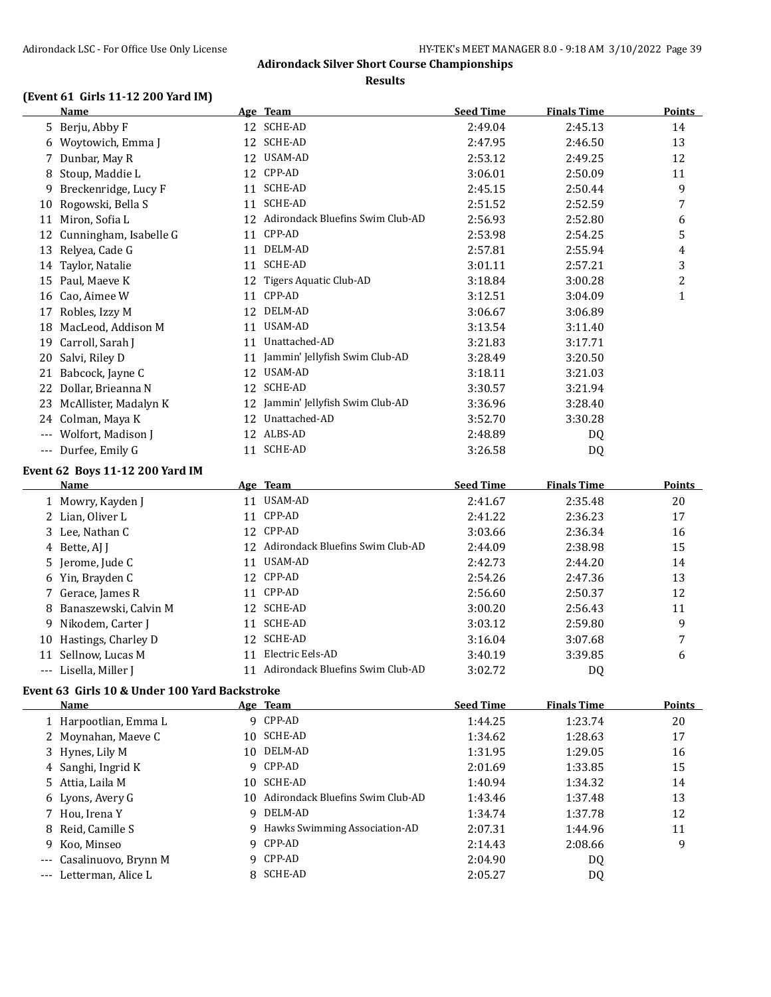**Results**

# **(Event 61 Girls 11-12 200 Yard IM)**

|    | Name                                          |    | Age Team                            | <b>Seed Time</b> | <b>Finals Time</b> | <b>Points</b>  |
|----|-----------------------------------------------|----|-------------------------------------|------------------|--------------------|----------------|
|    | 5 Berju, Abby F                               |    | 12 SCHE-AD                          | 2:49.04          | 2:45.13            | 14             |
|    | 6 Woytowich, Emma J                           |    | 12 SCHE-AD                          | 2:47.95          | 2:46.50            | 13             |
|    | 7 Dunbar, May R                               |    | 12 USAM-AD                          | 2:53.12          | 2:49.25            | 12             |
|    | 8 Stoup, Maddie L                             |    | 12 CPP-AD                           | 3:06.01          | 2:50.09            | 11             |
|    | 9 Breckenridge, Lucy F                        |    | 11 SCHE-AD                          | 2:45.15          | 2:50.44            | 9              |
|    | 10 Rogowski, Bella S                          | 11 | <b>SCHE-AD</b>                      | 2:51.52          | 2:52.59            | 7              |
|    | 11 Miron, Sofia L                             |    | 12 Adirondack Bluefins Swim Club-AD | 2:56.93          | 2:52.80            | 6              |
|    | 12 Cunningham, Isabelle G                     |    | 11 CPP-AD                           | 2:53.98          | 2:54.25            | 5              |
|    | 13 Relyea, Cade G                             |    | 11 DELM-AD                          | 2:57.81          | 2:55.94            | 4              |
|    | 14 Taylor, Natalie                            |    | 11 SCHE-AD                          | 3:01.11          | 2:57.21            | 3              |
|    | 15 Paul, Maeve K                              |    | 12 Tigers Aquatic Club-AD           | 3:18.84          | 3:00.28            | $\overline{c}$ |
|    | 16 Cao, Aimee W                               |    | 11 CPP-AD                           | 3:12.51          | 3:04.09            | $\mathbf{1}$   |
|    | 17 Robles, Izzy M                             |    | 12 DELM-AD                          | 3:06.67          | 3:06.89            |                |
|    | 18 MacLeod, Addison M                         |    | 11 USAM-AD                          | 3:13.54          | 3:11.40            |                |
|    | 19 Carroll, Sarah J                           |    | 11 Unattached-AD                    | 3:21.83          | 3:17.71            |                |
|    | 20 Salvi, Riley D                             |    | 11 Jammin' Jellyfish Swim Club-AD   | 3:28.49          | 3:20.50            |                |
|    | 21 Babcock, Jayne C                           |    | 12 USAM-AD                          | 3:18.11          | 3:21.03            |                |
|    | 22 Dollar, Brieanna N                         |    | 12 SCHE-AD                          | 3:30.57          | 3:21.94            |                |
|    | 23 McAllister, Madalyn K                      |    | 12 Jammin' Jellyfish Swim Club-AD   | 3:36.96          | 3:28.40            |                |
|    | 24 Colman, Maya K                             |    | 12 Unattached-AD                    | 3:52.70          | 3:30.28            |                |
|    | --- Wolfort, Madison J                        |    | 12 ALBS-AD                          | 2:48.89          | DQ                 |                |
|    | --- Durfee, Emily G                           |    | 11 SCHE-AD                          | 3:26.58          | DQ                 |                |
|    | Event 62 Boys 11-12 200 Yard IM               |    |                                     |                  |                    |                |
|    | <u>Name</u>                                   |    | Age Team                            | <b>Seed Time</b> | <b>Finals Time</b> | <b>Points</b>  |
|    | 1 Mowry, Kayden J                             |    | 11 USAM-AD                          | 2:41.67          | 2:35.48            | 20             |
|    | 2 Lian, Oliver L                              |    | 11 CPP-AD                           | 2:41.22          | 2:36.23            | 17             |
|    | 3 Lee, Nathan C                               |    | 12 CPP-AD                           | 3:03.66          | 2:36.34            | 16             |
|    | 4 Bette, AJ J                                 |    | 12 Adirondack Bluefins Swim Club-AD | 2:44.09          | 2:38.98            | 15             |
|    | 5 Jerome, Jude C                              |    | 11 USAM-AD                          | 2:42.73          | 2:44.20            | 14             |
|    | 6 Yin, Brayden C                              |    | 12 CPP-AD                           | 2:54.26          | 2:47.36            | 13             |
|    | 7 Gerace, James R                             |    | 11 CPP-AD                           | 2:56.60          | 2:50.37            | 12             |
|    | 8 Banaszewski, Calvin M                       |    | 12 SCHE-AD                          | 3:00.20          | 2:56.43            | 11             |
| 9. | Nikodem, Carter J                             | 11 | SCHE-AD                             | 3:03.12          | 2:59.80            | 9              |
|    | 10 Hastings, Charley D                        | 12 | <b>SCHE-AD</b>                      | 3:16.04          | 3:07.68            | 7              |
|    | 11 Sellnow, Lucas M                           | 11 | Electric Eels-AD                    | 3:40.19          | 3:39.85            | 6              |
|    | --- Lisella, Miller J                         |    | 11 Adirondack Bluefins Swim Club-AD | 3:02.72          | DQ                 |                |
|    | Event 63 Girls 10 & Under 100 Yard Backstroke |    |                                     |                  |                    |                |

| Name                     |     | Age Team                         | <b>Seed Time</b> | <b>Finals Time</b> | Points |
|--------------------------|-----|----------------------------------|------------------|--------------------|--------|
| 1 Harpootlian, Emma L    |     | 9 CPP-AD                         | 1:44.25          | 1:23.74            | 20     |
| 2 Moynahan, Maeve C      |     | 10 SCHE-AD                       | 1:34.62          | 1:28.63            | 17     |
| 3 Hynes, Lily M          |     | 10 DELM-AD                       | 1:31.95          | 1:29.05            | 16     |
| 4 Sanghi, Ingrid K       |     | 9 CPP-AD                         | 2:01.69          | 1:33.85            | 15     |
| 5 Attia, Laila M         | 10  | SCHE-AD                          | 1:40.94          | 1:34.32            | 14     |
| 6 Lyons, Avery G         | 10. | Adirondack Bluefins Swim Club-AD | 1:43.46          | 1:37.48            | 13     |
| 7 Hou, Irena Y           |     | 9 DELM-AD                        | 1:34.74          | 1:37.78            | 12     |
| 8 Reid, Camille S        |     | 9 Hawks Swimming Association-AD  | 2:07.31          | 1:44.96            | 11     |
| 9 Koo, Minseo            |     | 9 CPP-AD                         | 2:14.43          | 2:08.66            | 9      |
| --- Casalinuovo, Brynn M |     | 9 CPP-AD                         | 2:04.90          | DQ                 |        |
| --- Letterman, Alice L   |     | 8 SCHE-AD                        | 2:05.27          | DQ                 |        |
|                          |     |                                  |                  |                    |        |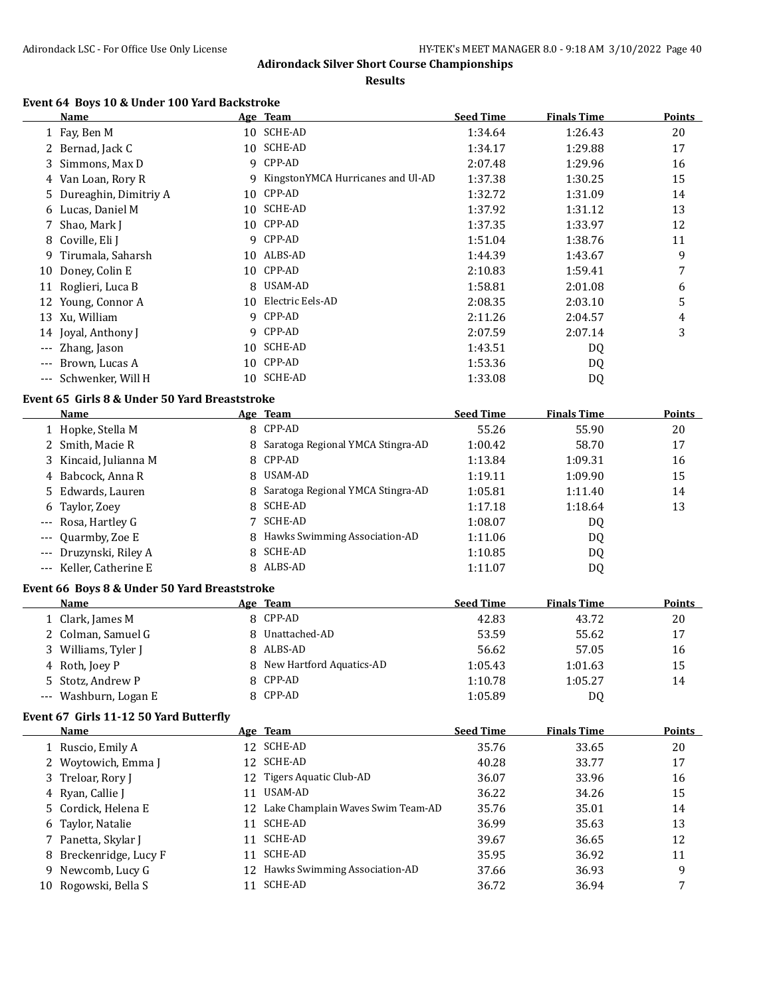**Results**

# **Event 64 Boys 10 & Under 100 Yard Backstroke**

|       | Name                    |    | Age Team                          | <b>Seed Time</b> | <b>Finals Time</b> | <b>Points</b> |
|-------|-------------------------|----|-----------------------------------|------------------|--------------------|---------------|
|       | 1 Fay, Ben M            |    | 10 SCHE-AD                        | 1:34.64          | 1:26.43            | 20            |
|       | 2 Bernad, Jack C        |    | 10 SCHE-AD                        | 1:34.17          | 1:29.88            | 17            |
|       | 3 Simmons, Max D        | 9  | CPP-AD                            | 2:07.48          | 1:29.96            | 16            |
|       | 4 Van Loan, Rory R      | 9  | KingstonYMCA Hurricanes and Ul-AD | 1:37.38          | 1:30.25            | 15            |
|       | 5 Dureaghin, Dimitriy A |    | 10 CPP-AD                         | 1:32.72          | 1:31.09            | 14            |
|       | 6 Lucas, Daniel M       | 10 | SCHE-AD                           | 1:37.92          | 1:31.12            | 13            |
|       | 7 Shao, Mark J          |    | 10 CPP-AD                         | 1:37.35          | 1:33.97            | 12            |
|       | 8 Coville, Eli J        |    | 9 CPP-AD                          | 1:51.04          | 1:38.76            | 11            |
| 9.    | Tirumala, Saharsh       |    | 10 ALBS-AD                        | 1:44.39          | 1:43.67            | 9             |
|       | 10 Doney, Colin E       |    | 10 CPP-AD                         | 2:10.83          | 1:59.41            | 7             |
| 11    | Roglieri, Luca B        | 8  | USAM-AD                           | 1:58.81          | 2:01.08            | 6             |
| 12    | Young, Connor A         | 10 | Electric Eels-AD                  | 2:08.35          | 2:03.10            | 5             |
|       | 13 Xu, William          | 9  | CPP-AD                            | 2:11.26          | 2:04.57            | 4             |
|       | 14 Joyal, Anthony J     |    | 9 CPP-AD                          | 2:07.59          | 2:07.14            | 3             |
| $---$ | Zhang, Jason            |    | 10 SCHE-AD                        | 1:43.51          | DQ                 |               |
| $---$ | Brown, Lucas A          |    | 10 CPP-AD                         | 1:53.36          | DQ                 |               |
| $---$ | Schwenker, Will H       | 10 | SCHE-AD                           | 1:33.08          | D <sub>0</sub>     |               |

#### **Event 65 Girls 8 & Under 50 Yard Breaststroke**

| <b>Name</b> |                                                                                                                                                                                                                              |         | <b>Seed Time</b>                                                                                                                                                                                      | <b>Finals Time</b> | <b>Points</b> |
|-------------|------------------------------------------------------------------------------------------------------------------------------------------------------------------------------------------------------------------------------|---------|-------------------------------------------------------------------------------------------------------------------------------------------------------------------------------------------------------|--------------------|---------------|
|             |                                                                                                                                                                                                                              |         | 55.26                                                                                                                                                                                                 | 55.90              | 20            |
|             |                                                                                                                                                                                                                              |         | 1:00.42                                                                                                                                                                                               | 58.70              | 17            |
|             |                                                                                                                                                                                                                              |         | 1:13.84                                                                                                                                                                                               | 1:09.31            | 16            |
|             |                                                                                                                                                                                                                              |         | 1:19.11                                                                                                                                                                                               | 1:09.90            | 15            |
|             |                                                                                                                                                                                                                              |         | 1:05.81                                                                                                                                                                                               | 1:11.40            | 14            |
|             |                                                                                                                                                                                                                              |         | 1:17.18                                                                                                                                                                                               | 1:18.64            | 13            |
|             |                                                                                                                                                                                                                              | SCHE-AD | 1:08.07                                                                                                                                                                                               | DQ                 |               |
|             |                                                                                                                                                                                                                              |         | 1:11.06                                                                                                                                                                                               | DQ.                |               |
|             |                                                                                                                                                                                                                              |         | 1:10.85                                                                                                                                                                                               | DQ                 |               |
|             |                                                                                                                                                                                                                              |         | 1:11.07                                                                                                                                                                                               | DQ                 |               |
|             | 1 Hopke, Stella M<br>2 Smith, Macie R<br>3 Kincaid, Julianna M<br>4 Babcock, Anna R<br>5 Edwards, Lauren<br>6 Taylor, Zoey<br>--- Rosa, Hartley G<br>--- Quarmby, Zoe E<br>--- Druzynski, Riley A<br>--- Keller. Catherine E |         | Age Team<br>8 CPP-AD<br>8 Saratoga Regional YMCA Stingra-AD<br>8 CPP-AD<br>8 USAM-AD<br>8 Saratoga Regional YMCA Stingra-AD<br>8 SCHE-AD<br>8 Hawks Swimming Association-AD<br>8 SCHE-AD<br>8 ALBS-AD |                    |               |

#### **Event 66 Boys 8 & Under 50 Yard Breaststroke**

| <b>Name</b>           | Age Team                   | <b>Seed Time</b> | <b>Finals Time</b> | Points |
|-----------------------|----------------------------|------------------|--------------------|--------|
| 1 Clark, James M      | 8 CPP-AD                   | 42.83            | 43.72              | 20     |
| 2 Colman, Samuel G    | 8 Unattached-AD            | 53.59            | 55.62              | 17     |
| 3 Williams, Tyler J   | 8 ALBS-AD                  | 56.62            | 57.05              | 16     |
| 4 Roth, Joev P        | 8 New Hartford Aquatics-AD | 1:05.43          | 1:01.63            | 15     |
| 5 Stotz, Andrew P     | 8 CPP-AD                   | 1:10.78          | 1:05.27            | 14     |
| --- Washburn, Logan E | 8 CPP-AD                   | 1:05.89          | D0                 |        |

#### **Event 67 Girls 11-12 50 Yard Butterfly**

| <b>Name</b>            |    | Age Team                             | <b>Seed Time</b> | <b>Finals Time</b> | <b>Points</b> |
|------------------------|----|--------------------------------------|------------------|--------------------|---------------|
| 1 Ruscio, Emily A      |    | 12 SCHE-AD                           | 35.76            | 33.65              | 20            |
| 2 Woytowich, Emma J    |    | 12 SCHE-AD                           | 40.28            | 33.77              | 17            |
| 3 Treloar, Rory J      | 12 | Tigers Aquatic Club-AD               | 36.07            | 33.96              | 16            |
| 4 Ryan, Callie J       | 11 | USAM-AD                              | 36.22            | 34.26              | 15            |
| 5 Cordick, Helena E    |    | 12 Lake Champlain Waves Swim Team-AD | 35.76            | 35.01              | 14            |
| 6 Taylor, Natalie      | 11 | SCHE-AD                              | 36.99            | 35.63              | 13            |
| 7 Panetta, Skylar J    | 11 | SCHE-AD                              | 39.67            | 36.65              | 12            |
| 8 Breckenridge, Lucy F | 11 | SCHE-AD                              | 35.95            | 36.92              | 11            |
| 9 Newcomb, Lucy G      |    | 12 Hawks Swimming Association-AD     | 37.66            | 36.93              | 9             |
| 10 Rogowski, Bella S   |    | SCHE-AD                              | 36.72            | 36.94              |               |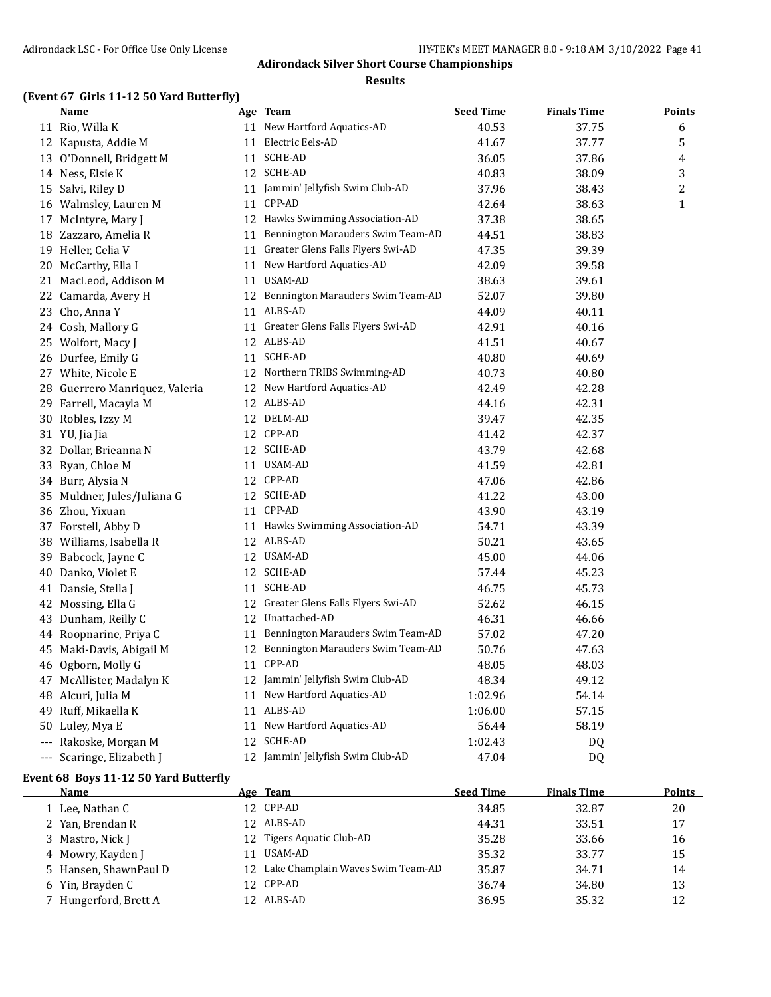#### **Results**

# **(Event 67 Girls 11-12 50 Yard Butterfly)**

|    | <u>Name</u>                    | Age Team                             | <b>Seed Time</b> | <b>Finals Time</b> | <u>Points</u>  |
|----|--------------------------------|--------------------------------------|------------------|--------------------|----------------|
|    | 11 Rio, Willa K                | 11 New Hartford Aquatics-AD          | 40.53            | 37.75              | 6              |
|    | 12 Kapusta, Addie M            | 11 Electric Eels-AD                  | 41.67            | 37.77              | 5              |
|    | 13 O'Donnell, Bridgett M       | 11 SCHE-AD                           | 36.05            | 37.86              | 4              |
|    | 14 Ness, Elsie K               | 12 SCHE-AD                           | 40.83            | 38.09              | 3              |
|    | 15 Salvi, Riley D              | 11 Jammin' Jellyfish Swim Club-AD    | 37.96            | 38.43              | $\overline{c}$ |
|    | 16 Walmsley, Lauren M          | 11 CPP-AD                            | 42.64            | 38.63              | $\mathbf{1}$   |
|    | 17 McIntyre, Mary J            | 12 Hawks Swimming Association-AD     | 37.38            | 38.65              |                |
|    | 18 Zazzaro, Amelia R           | 11 Bennington Marauders Swim Team-AD | 44.51            | 38.83              |                |
|    | 19 Heller, Celia V             | 11 Greater Glens Falls Flyers Swi-AD | 47.35            | 39.39              |                |
|    | 20 McCarthy, Ella I            | 11 New Hartford Aquatics-AD          | 42.09            | 39.58              |                |
|    | 21 MacLeod, Addison M          | 11 USAM-AD                           | 38.63            | 39.61              |                |
|    | 22 Camarda, Avery H            | 12 Bennington Marauders Swim Team-AD | 52.07            | 39.80              |                |
|    | 23 Cho, Anna Y                 | 11 ALBS-AD                           | 44.09            | 40.11              |                |
|    | 24 Cosh, Mallory G             | 11 Greater Glens Falls Flyers Swi-AD | 42.91            | 40.16              |                |
|    | 25 Wolfort, Macy J             | 12 ALBS-AD                           | 41.51            | 40.67              |                |
|    | 26 Durfee, Emily G             | 11 SCHE-AD                           | 40.80            | 40.69              |                |
|    | 27 White, Nicole E             | 12 Northern TRIBS Swimming-AD        | 40.73            | 40.80              |                |
|    | 28 Guerrero Manriquez, Valeria | 12 New Hartford Aquatics-AD          | 42.49            | 42.28              |                |
|    | 29 Farrell, Macayla M          | 12 ALBS-AD                           | 44.16            | 42.31              |                |
|    | 30 Robles, Izzy M              | 12 DELM-AD                           | 39.47            | 42.35              |                |
|    | 31 YU, Jia Jia                 | 12 CPP-AD                            | 41.42            | 42.37              |                |
|    | 32 Dollar, Brieanna N          | 12 SCHE-AD                           | 43.79            | 42.68              |                |
|    | 33 Ryan, Chloe M               | 11 USAM-AD                           | 41.59            | 42.81              |                |
|    | 34 Burr, Alysia N              | 12 CPP-AD                            | 47.06            | 42.86              |                |
|    | 35 Muldner, Jules/Juliana G    | 12 SCHE-AD                           | 41.22            | 43.00              |                |
|    | 36 Zhou, Yixuan                | 11 CPP-AD                            | 43.90            | 43.19              |                |
|    | 37 Forstell, Abby D            | 11 Hawks Swimming Association-AD     | 54.71            | 43.39              |                |
|    | 38 Williams, Isabella R        | 12 ALBS-AD                           | 50.21            | 43.65              |                |
|    | 39 Babcock, Jayne C            | 12 USAM-AD                           | 45.00            | 44.06              |                |
| 40 | Danko, Violet E                | 12 SCHE-AD                           | 57.44            | 45.23              |                |
|    | 41 Dansie, Stella J            | 11 SCHE-AD                           | 46.75            | 45.73              |                |
|    | 42 Mossing, Ella G             | 12 Greater Glens Falls Flyers Swi-AD | 52.62            | 46.15              |                |
|    | 43 Dunham, Reilly C            | 12 Unattached-AD                     | 46.31            | 46.66              |                |
|    | 44 Roopnarine, Priya C         | 11 Bennington Marauders Swim Team-AD | 57.02            | 47.20              |                |
|    | 45 Maki-Davis, Abigail M       | 12 Bennington Marauders Swim Team-AD | 50.76            | 47.63              |                |
|    | 46 Ogborn, Molly G             | 11 CPP-AD                            | 48.05            | 48.03              |                |
|    | 47 McAllister, Madalyn K       | 12 Jammin' Jellyfish Swim Club-AD    | 48.34            | 49.12              |                |
| 48 | Alcuri, Julia M                | 11 New Hartford Aquatics-AD          | 1:02.96          | 54.14              |                |
|    | 49 Ruff, Mikaella K            | 11 ALBS-AD                           | 1:06.00          | 57.15              |                |
|    | 50 Luley, Mya E                | 11 New Hartford Aquatics-AD          | 56.44            | 58.19              |                |
|    | --- Rakoske, Morgan M          | 12 SCHE-AD                           | 1:02.43          | DQ                 |                |
|    | --- Scaringe, Elizabeth J      | 12 Jammin' Jellyfish Swim Club-AD    | 47.04            | D <sub>Q</sub>     |                |

# **Event 68 Boys 11-12 50 Yard Butterfly**

| Name                  | Age Team                             | <b>Seed Time</b> | <b>Finals Time</b> | Points |
|-----------------------|--------------------------------------|------------------|--------------------|--------|
| 1 Lee, Nathan C       | 12 CPP-AD                            | 34.85            | 32.87              | 20     |
| 2 Yan, Brendan R      | 12 ALBS-AD                           | 44.31            | 33.51              | 17     |
| 3 Mastro, Nick J      | 12 Tigers Aquatic Club-AD            | 35.28            | 33.66              | 16     |
| 4 Mowry, Kayden J     | USAM-AD                              | 35.32            | 33.77              | 15     |
| 5 Hansen, ShawnPaul D | 12 Lake Champlain Waves Swim Team-AD | 35.87            | 34.71              | 14     |
| 6 Yin, Brayden C      | 12 CPP-AD                            | 36.74            | 34.80              | 13     |
| 7 Hungerford, Brett A | 12 ALBS-AD                           | 36.95            | 35.32              | 12     |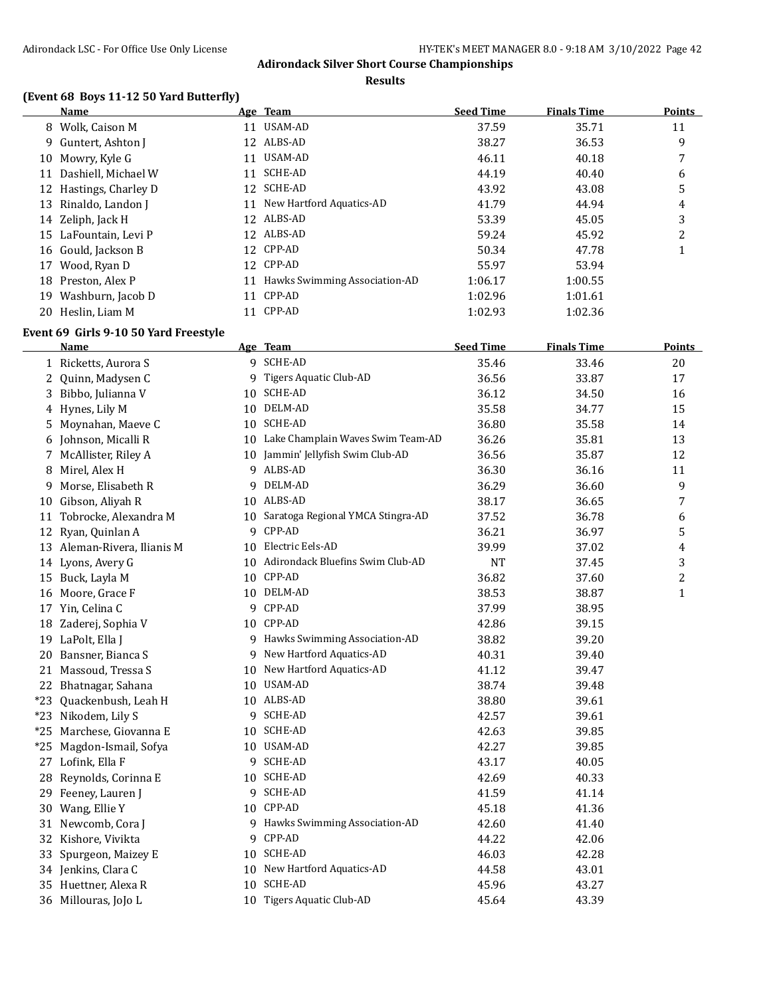**Results**

# **(Event 68 Boys 11-12 50 Yard Butterfly)**

|    | Name                   |    | Age Team                         | <b>Seed Time</b> | <b>Finals Time</b> | <b>Points</b> |
|----|------------------------|----|----------------------------------|------------------|--------------------|---------------|
| 8  | Wolk, Caison M         | 11 | USAM-AD                          | 37.59            | 35.71              | 11            |
|    | 9 Guntert, Ashton I    |    | 12 ALBS-AD                       | 38.27            | 36.53              | 9             |
|    | 10 Mowry, Kyle G       | 11 | USAM-AD                          | 46.11            | 40.18              | 7             |
| 11 | Dashiell, Michael W    | 11 | SCHE-AD                          | 44.19            | 40.40              | 6             |
|    | 12 Hastings, Charley D |    | 12 SCHE-AD                       | 43.92            | 43.08              | 5             |
|    | 13 Rinaldo, Landon J   |    | 11 New Hartford Aquatics-AD      | 41.79            | 44.94              | 4             |
|    | 14 Zeliph, Jack H      |    | 12 ALBS-AD                       | 53.39            | 45.05              | 3             |
|    | 15 LaFountain, Levi P  |    | 12 ALBS-AD                       | 59.24            | 45.92              | 2             |
|    | 16 Gould, Jackson B    |    | 12 CPP-AD                        | 50.34            | 47.78              |               |
| 17 | Wood, Ryan D           |    | 12 CPP-AD                        | 55.97            | 53.94              |               |
| 18 | Preston, Alex P        |    | 11 Hawks Swimming Association-AD | 1:06.17          | 1:00.55            |               |
| 19 | Washburn, Jacob D      | 11 | CPP-AD                           | 1:02.96          | 1:01.61            |               |
|    | 20 Heslin, Liam M      | 11 | CPP-AD                           | 1:02.93          | 1:02.36            |               |

# **Event 69 Girls 9-10 50 Yard Freestyle**

|       | <b>Name</b>                 |    | Age Team                             | <b>Seed Time</b> | <b>Finals Time</b> | <b>Points</b> |
|-------|-----------------------------|----|--------------------------------------|------------------|--------------------|---------------|
|       | 1 Ricketts, Aurora S        |    | 9 SCHE-AD                            | 35.46            | 33.46              | 20            |
| 2     | Quinn, Madysen C            |    | 9 Tigers Aquatic Club-AD             | 36.56            | 33.87              | 17            |
|       | 3 Bibbo, Julianna V         | 10 | SCHE-AD                              | 36.12            | 34.50              | 16            |
|       | 4 Hynes, Lily M             |    | 10 DELM-AD                           | 35.58            | 34.77              | 15            |
|       | 5 Moynahan, Maeve C         |    | 10 SCHE-AD                           | 36.80            | 35.58              | 14            |
|       | 6 Johnson, Micalli R        |    | 10 Lake Champlain Waves Swim Team-AD | 36.26            | 35.81              | 13            |
|       | 7 McAllister, Riley A       |    | 10 Jammin' Jellyfish Swim Club-AD    | 36.56            | 35.87              | 12            |
| 8     | Mirel, Alex H               |    | 9 ALBS-AD                            | 36.30            | 36.16              | 11            |
| 9     | Morse, Elisabeth R          |    | 9 DELM-AD                            | 36.29            | 36.60              | 9             |
| 10    | Gibson, Aliyah R            |    | 10 ALBS-AD                           | 38.17            | 36.65              | 7             |
| 11    | Tobrocke, Alexandra M       |    | 10 Saratoga Regional YMCA Stingra-AD | 37.52            | 36.78              | 6             |
|       | 12 Ryan, Quinlan A          |    | 9 CPP-AD                             | 36.21            | 36.97              | 5             |
|       | 13 Aleman-Rivera, Ilianis M |    | 10 Electric Eels-AD                  | 39.99            | 37.02              | 4             |
|       | 14 Lyons, Avery G           |    | 10 Adirondack Bluefins Swim Club-AD  | <b>NT</b>        | 37.45              | 3             |
|       | 15 Buck, Layla M            |    | 10 CPP-AD                            | 36.82            | 37.60              | 2             |
|       | 16 Moore, Grace F           |    | 10 DELM-AD                           | 38.53            | 38.87              | $\mathbf{1}$  |
|       | 17 Yin, Celina C            |    | 9 CPP-AD                             | 37.99            | 38.95              |               |
|       | 18 Zaderej, Sophia V        |    | 10 CPP-AD                            | 42.86            | 39.15              |               |
|       | 19 LaPolt, Ella J           |    | 9 Hawks Swimming Association-AD      | 38.82            | 39.20              |               |
| 20    | Bansner, Bianca S           |    | 9 New Hartford Aquatics-AD           | 40.31            | 39.40              |               |
|       | 21 Massoud, Tressa S        | 10 | New Hartford Aquatics-AD             | 41.12            | 39.47              |               |
|       | 22 Bhatnagar, Sahana        | 10 | USAM-AD                              | 38.74            | 39.48              |               |
| $*23$ | Quackenbush, Leah H         |    | 10 ALBS-AD                           | 38.80            | 39.61              |               |
|       | *23 Nikodem, Lily S         |    | 9 SCHE-AD                            | 42.57            | 39.61              |               |
|       | *25 Marchese, Giovanna E    |    | 10 SCHE-AD                           | 42.63            | 39.85              |               |
|       | *25 Magdon-Ismail, Sofya    |    | 10 USAM-AD                           | 42.27            | 39.85              |               |
|       | 27 Lofink, Ella F           |    | 9 SCHE-AD                            | 43.17            | 40.05              |               |
|       | 28 Reynolds, Corinna E      |    | 10 SCHE-AD                           | 42.69            | 40.33              |               |
|       | 29 Feeney, Lauren J         |    | 9 SCHE-AD                            | 41.59            | 41.14              |               |
|       | 30 Wang, Ellie Y            |    | 10 CPP-AD                            | 45.18            | 41.36              |               |
|       | 31 Newcomb, Cora J          |    | 9 Hawks Swimming Association-AD      | 42.60            | 41.40              |               |
|       | 32 Kishore, Vivikta         |    | 9 CPP-AD                             | 44.22            | 42.06              |               |
| 33    | Spurgeon, Maizey E          |    | 10 SCHE-AD                           | 46.03            | 42.28              |               |
|       | 34 Jenkins, Clara C         |    | 10 New Hartford Aquatics-AD          | 44.58            | 43.01              |               |
|       | 35 Huettner, Alexa R        | 10 | <b>SCHE-AD</b>                       | 45.96            | 43.27              |               |
|       | 36 Millouras, JoJo L        |    | 10 Tigers Aquatic Club-AD            | 45.64            | 43.39              |               |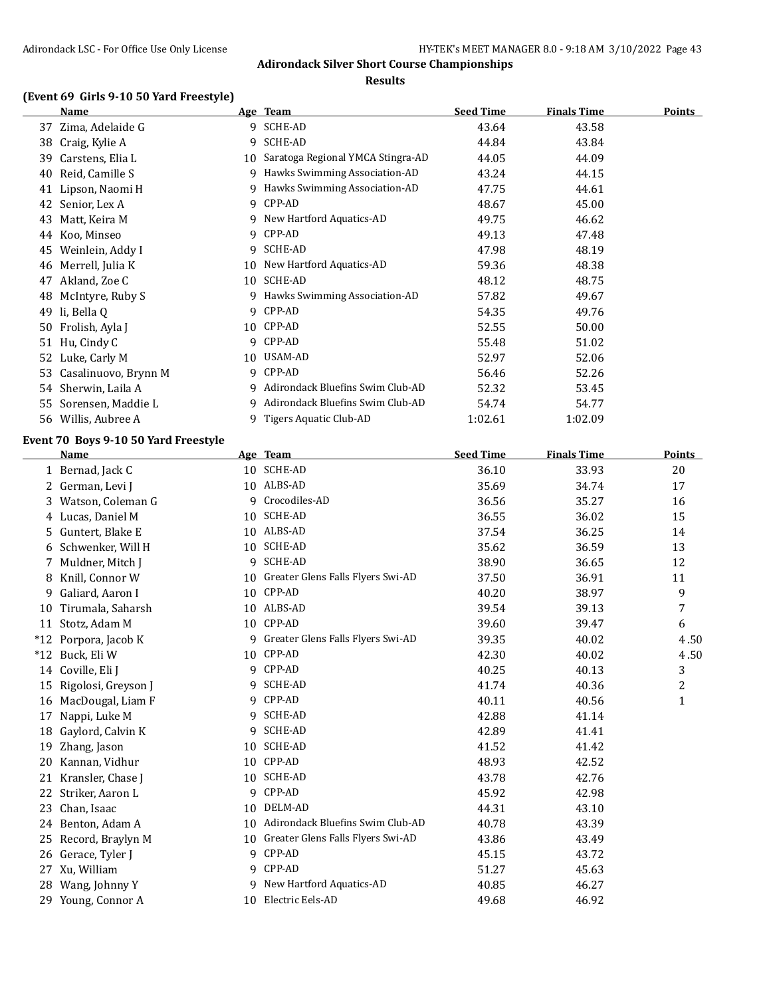#### **Results**

# **(Event 69 Girls 9-10 50 Yard Freestyle)**

|    | Name                 |    | Age Team                          | <b>Seed Time</b> | <b>Finals Time</b> | <b>Points</b> |
|----|----------------------|----|-----------------------------------|------------------|--------------------|---------------|
| 37 | Zima, Adelaide G     | 9  | SCHE-AD                           | 43.64            | 43.58              |               |
| 38 | Craig, Kylie A       | 9  | SCHE-AD                           | 44.84            | 43.84              |               |
| 39 | Carstens, Elia L     | 10 | Saratoga Regional YMCA Stingra-AD | 44.05            | 44.09              |               |
| 40 | Reid, Camille S      | 9  | Hawks Swimming Association-AD     | 43.24            | 44.15              |               |
|    | 41 Lipson, Naomi H   | 9  | Hawks Swimming Association-AD     | 47.75            | 44.61              |               |
| 42 | Senior, Lex A        | 9  | CPP-AD                            | 48.67            | 45.00              |               |
| 43 | Matt, Keira M        | 9  | New Hartford Aquatics-AD          | 49.75            | 46.62              |               |
| 44 | Koo, Minseo          | 9  | CPP-AD                            | 49.13            | 47.48              |               |
| 45 | Weinlein, Addy I     | 9  | SCHE-AD                           | 47.98            | 48.19              |               |
| 46 | Merrell, Julia K     |    | 10 New Hartford Aquatics-AD       | 59.36            | 48.38              |               |
| 47 | Akland, Zoe C        | 10 | <b>SCHE-AD</b>                    | 48.12            | 48.75              |               |
| 48 | McIntyre, Ruby S     | 9  | Hawks Swimming Association-AD     | 57.82            | 49.67              |               |
| 49 | li, Bella O          | 9  | CPP-AD                            | 54.35            | 49.76              |               |
| 50 | Frolish, Ayla J      | 10 | CPP-AD                            | 52.55            | 50.00              |               |
|    | 51 Hu, Cindy C       | 9  | CPP-AD                            | 55.48            | 51.02              |               |
| 52 | Luke, Carly M        | 10 | USAM-AD                           | 52.97            | 52.06              |               |
| 53 | Casalinuovo, Brynn M | 9  | CPP-AD                            | 56.46            | 52.26              |               |
| 54 | Sherwin, Laila A     | 9  | Adirondack Bluefins Swim Club-AD  | 52.32            | 53.45              |               |
| 55 | Sorensen, Maddie L   | 9  | Adirondack Bluefins Swim Club-AD  | 54.74            | 54.77              |               |
| 56 | Willis, Aubree A     | 9  | Tigers Aquatic Club-AD            | 1:02.61          | 1:02.09            |               |

# **Event 70 Boys 9-10 50 Yard Freestyle**

|       | <b>Name</b>         |    | Age Team                          | <b>Seed Time</b> | <b>Finals Time</b> | <b>Points</b> |
|-------|---------------------|----|-----------------------------------|------------------|--------------------|---------------|
|       | 1 Bernad, Jack C    | 10 | <b>SCHE-AD</b>                    | 36.10            | 33.93              | 20            |
|       | 2 German, Levi J    |    | 10 ALBS-AD                        | 35.69            | 34.74              | 17            |
| 3     | Watson, Coleman G   | 9  | Crocodiles-AD                     | 36.56            | 35.27              | 16            |
| 4     | Lucas, Daniel M     | 10 | <b>SCHE-AD</b>                    | 36.55            | 36.02              | 15            |
| 5.    | Guntert, Blake E    |    | 10 ALBS-AD                        | 37.54            | 36.25              | 14            |
| 6     | Schwenker, Will H   | 10 | <b>SCHE-AD</b>                    | 35.62            | 36.59              | 13            |
| 7     | Muldner, Mitch J    | 9  | <b>SCHE-AD</b>                    | 38.90            | 36.65              | 12            |
| 8     | Knill, Connor W     | 10 | Greater Glens Falls Flyers Swi-AD | 37.50            | 36.91              | 11            |
| 9     | Galiard, Aaron I    |    | 10 CPP-AD                         | 40.20            | 38.97              | 9             |
| 10    | Tirumala, Saharsh   |    | 10 ALBS-AD                        | 39.54            | 39.13              | 7             |
| 11    | Stotz, Adam M       | 10 | CPP-AD                            | 39.60            | 39.47              | 6             |
| $*12$ | Porpora, Jacob K    | 9  | Greater Glens Falls Flyers Swi-AD | 39.35            | 40.02              | 4.50          |
| $*12$ | Buck, Eli W         | 10 | CPP-AD                            | 42.30            | 40.02              | 4.50          |
| 14    | Coville, Eli J      | 9  | CPP-AD                            | 40.25            | 40.13              | 3             |
| 15    | Rigolosi, Greyson J | 9  | <b>SCHE-AD</b>                    | 41.74            | 40.36              | 2             |
| 16    | MacDougal, Liam F   | 9  | CPP-AD                            | 40.11            | 40.56              | $\mathbf{1}$  |
| 17    | Nappi, Luke M       | 9  | SCHE-AD                           | 42.88            | 41.14              |               |
| 18    | Gaylord, Calvin K   | 9  | <b>SCHE-AD</b>                    | 42.89            | 41.41              |               |
| 19    | Zhang, Jason        | 10 | <b>SCHE-AD</b>                    | 41.52            | 41.42              |               |
| 20    | Kannan, Vidhur      | 10 | CPP-AD                            | 48.93            | 42.52              |               |
| 21    | Kransler, Chase J   | 10 | <b>SCHE-AD</b>                    | 43.78            | 42.76              |               |
| 22    | Striker, Aaron L    | 9  | CPP-AD                            | 45.92            | 42.98              |               |
| 23    | Chan, Isaac         | 10 | DELM-AD                           | 44.31            | 43.10              |               |
| 24    | Benton, Adam A      | 10 | Adirondack Bluefins Swim Club-AD  | 40.78            | 43.39              |               |
| 25    | Record, Braylyn M   | 10 | Greater Glens Falls Flyers Swi-AD | 43.86            | 43.49              |               |
| 26    | Gerace, Tyler J     | 9  | CPP-AD                            | 45.15            | 43.72              |               |
| 27    | Xu, William         | 9  | CPP-AD                            | 51.27            | 45.63              |               |
| 28    | Wang, Johnny Y      | 9  | New Hartford Aquatics-AD          | 40.85            | 46.27              |               |
|       | 29 Young, Connor A  | 10 | Electric Eels-AD                  | 49.68            | 46.92              |               |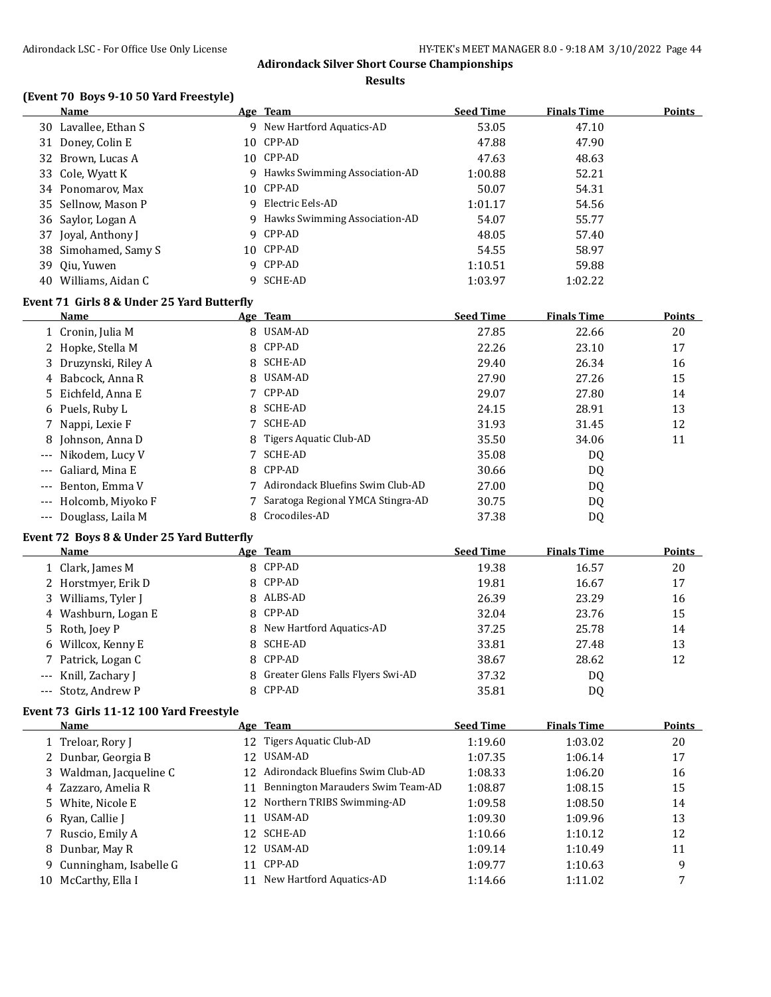**Results**

# **(Event 70 Boys 9-10 50 Yard Freestyle)**

|    | <b>Name</b>          |   | <u>Age Team</u>               | <b>Seed Time</b> | <b>Finals Time</b> | <b>Points</b> |
|----|----------------------|---|-------------------------------|------------------|--------------------|---------------|
|    | 30 Lavallee, Ethan S |   | 9 New Hartford Aquatics-AD    | 53.05            | 47.10              |               |
|    | 31 Doney, Colin E    |   | 10 CPP-AD                     | 47.88            | 47.90              |               |
|    | 32 Brown, Lucas A    |   | 10 CPP-AD                     | 47.63            | 48.63              |               |
|    | 33 Cole, Wyatt K     | 9 | Hawks Swimming Association-AD | 1:00.88          | 52.21              |               |
|    | 34 Ponomarov, Max    |   | 10 CPP-AD                     | 50.07            | 54.31              |               |
|    | 35 Sellnow, Mason P  | 9 | Electric Eels-AD              | 1:01.17          | 54.56              |               |
|    | 36 Saylor, Logan A   | 9 | Hawks Swimming Association-AD | 54.07            | 55.77              |               |
|    | 37 Joyal, Anthony J  |   | 9 CPP-AD                      | 48.05            | 57.40              |               |
|    | 38 Simohamed, Samy S |   | 10 CPP-AD                     | 54.55            | 58.97              |               |
|    | 39 Oiu, Yuwen        |   | 9 CPP-AD                      | 1:10.51          | 59.88              |               |
| 40 | Williams, Aidan C    |   | 9 SCHE-AD                     | 1:03.97          | 1:02.22            |               |

# **Event 71 Girls 8 & Under 25 Yard Butterfly**

| Name                  |   | Age Team                           | <b>Seed Time</b> | <b>Finals Time</b> | <b>Points</b> |
|-----------------------|---|------------------------------------|------------------|--------------------|---------------|
| 1 Cronin, Julia M     |   | 8 USAM-AD                          | 27.85            | 22.66              | 20            |
| 2 Hopke, Stella M     |   | 8 CPP-AD                           | 22.26            | 23.10              | 17            |
| 3 Druzynski, Riley A  |   | 8 SCHE-AD                          | 29.40            | 26.34              | 16            |
| 4 Babcock, Anna R     |   | 8 USAM-AD                          | 27.90            | 27.26              | 15            |
| 5 Eichfeld, Anna E    |   | 7 CPP-AD                           | 29.07            | 27.80              | 14            |
| 6 Puels, Ruby L       |   | 8 SCHE-AD                          | 24.15            | 28.91              | 13            |
| 7 Nappi, Lexie F      |   | SCHE-AD                            | 31.93            | 31.45              | 12            |
| 8 Johnson, Anna D     |   | 8 Tigers Aquatic Club-AD           | 35.50            | 34.06              | 11            |
| --- Nikodem, Lucy V   |   | SCHE-AD                            | 35.08            | DQ                 |               |
| --- Galiard, Mina E   |   | 8 CPP-AD                           | 30.66            | DQ                 |               |
| --- Benton, Emma V    |   | 7 Adirondack Bluefins Swim Club-AD | 27.00            | DQ                 |               |
| --- Holcomb, Miyoko F |   | Saratoga Regional YMCA Stingra-AD  | 30.75            | DQ                 |               |
| --- Douglass, Laila M | 8 | Crocodiles-AD                      | 37.38            | DQ                 |               |

# **Event 72 Boys 8 & Under 25 Yard Butterfly**

| Name                 | Age Team                            | <b>Seed Time</b> | <b>Finals Time</b> | <b>Points</b> |
|----------------------|-------------------------------------|------------------|--------------------|---------------|
| 1 Clark, James M     | 8 CPP-AD                            | 19.38            | 16.57              | 20            |
| 2 Horstmyer, Erik D  | 8 CPP-AD                            | 19.81            | 16.67              | 17            |
| 3 Williams, Tyler J  | 8 ALBS-AD                           | 26.39            | 23.29              | 16            |
| 4 Washburn, Logan E  | 8 CPP-AD                            | 32.04            | 23.76              | 15            |
| 5 Roth, Joey P       | 8 New Hartford Aquatics-AD          | 37.25            | 25.78              | 14            |
| 6 Willcox, Kenny E   | 8 SCHE-AD                           | 33.81            | 27.48              | 13            |
| 7 Patrick, Logan C   | 8 CPP-AD                            | 38.67            | 28.62              | 12            |
| --- Knill, Zachary J | 8 Greater Glens Falls Flyers Swi-AD | 37.32            | D <sub>0</sub>     |               |
| --- Stotz, Andrew P  | 8 CPP-AD                            | 35.81            | DQ                 |               |

#### **Event 73 Girls 11-12 100 Yard Freestyle**

|    | Name                     |    | Age Team                            | <b>Seed Time</b> | <b>Finals Time</b> | <b>Points</b> |
|----|--------------------------|----|-------------------------------------|------------------|--------------------|---------------|
|    | 1 Treloar, Rory J        |    | 12 Tigers Aquatic Club-AD           | 1:19.60          | 1:03.02            | 20            |
|    | 2 Dunbar, Georgia B      |    | 12 USAM-AD                          | 1:07.35          | 1:06.14            | 17            |
|    | 3 Waldman, Jacqueline C  |    | 12 Adirondack Bluefins Swim Club-AD | 1:08.33          | 1:06.20            | 16            |
|    | 4 Zazzaro, Amelia R      | 11 | Bennington Marauders Swim Team-AD   | 1:08.87          | 1:08.15            | 15            |
|    | 5 White, Nicole E        |    | 12 Northern TRIBS Swimming-AD       | 1:09.58          | 1:08.50            | 14            |
|    | 6 Ryan, Callie J         | 11 | USAM-AD                             | 1:09.30          | 1:09.96            | 13            |
|    | 7 Ruscio, Emily A        |    | 12 SCHE-AD                          | 1:10.66          | 1:10.12            | 12            |
|    | 8 Dunbar, May R          |    | 12 USAM-AD                          | 1:09.14          | 1:10.49            | 11            |
|    | 9 Cunningham, Isabelle G | 11 | CPP-AD                              | 1:09.77          | 1:10.63            | 9             |
| 10 | McCarthy, Ella I         | 11 | New Hartford Aquatics-AD            | 1:14.66          | 1:11.02            | 7             |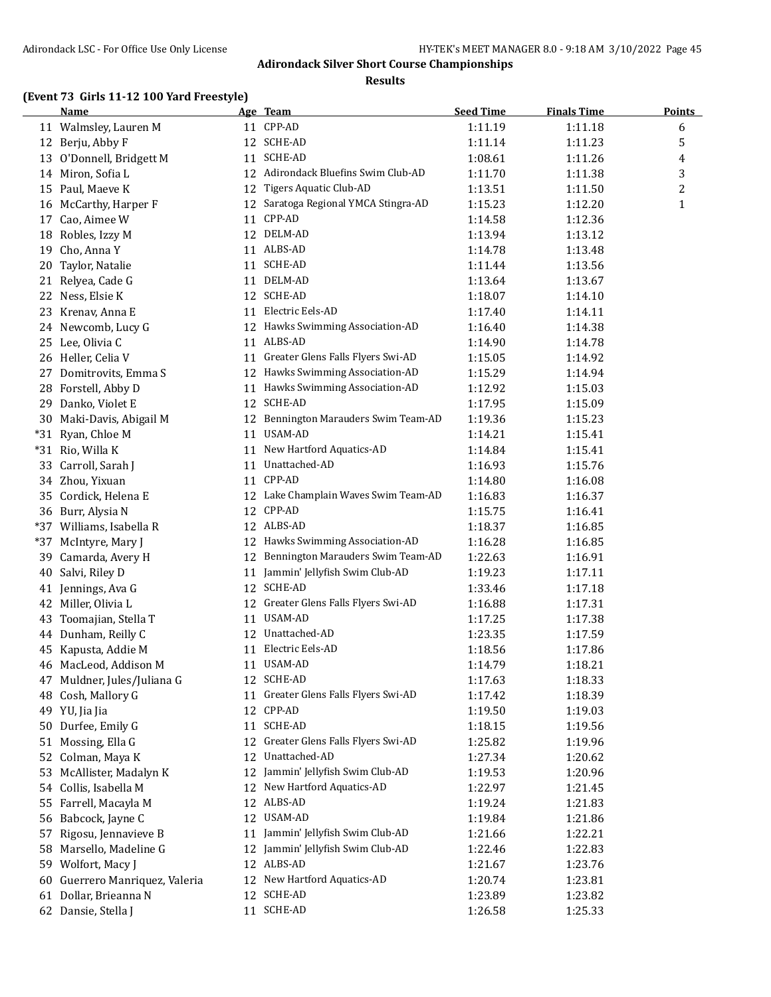**Results**

# **(Event 73 Girls 11-12 100 Yard Freestyle)**

|     | <b>Name</b>                                   |    | Age Team                                           | <b>Seed Time</b> | <b>Finals Time</b> | <b>Points</b> |
|-----|-----------------------------------------------|----|----------------------------------------------------|------------------|--------------------|---------------|
|     | 11 Walmsley, Lauren M                         |    | 11 CPP-AD                                          | 1:11.19          | 1:11.18            | 6             |
|     | 12 Berju, Abby F                              |    | 12 SCHE-AD                                         | 1:11.14          | 1:11.23            | 5             |
|     | 13 O'Donnell, Bridgett M                      |    | 11 SCHE-AD                                         | 1:08.61          | 1:11.26            | 4             |
|     | 14 Miron, Sofia L                             |    | 12 Adirondack Bluefins Swim Club-AD                | 1:11.70          | 1:11.38            | 3             |
|     | 15 Paul, Maeve K                              | 12 | <b>Tigers Aquatic Club-AD</b>                      | 1:13.51          | 1:11.50            | 2             |
|     | 16 McCarthy, Harper F                         |    | 12 Saratoga Regional YMCA Stingra-AD               | 1:15.23          | 1:12.20            | $\mathbf{1}$  |
| 17  | Cao, Aimee W                                  | 11 | CPP-AD                                             | 1:14.58          | 1:12.36            |               |
| 18  | Robles, Izzy M                                |    | 12 DELM-AD                                         | 1:13.94          | 1:13.12            |               |
| 19  | Cho, Anna Y                                   |    | 11 ALBS-AD                                         | 1:14.78          | 1:13.48            |               |
| 20  | Taylor, Natalie                               |    | 11 SCHE-AD                                         | 1:11.44          | 1:13.56            |               |
| 21  | Relyea, Cade G                                | 11 | DELM-AD                                            | 1:13.64          | 1:13.67            |               |
| 22  | Ness, Elsie K                                 |    | 12 SCHE-AD                                         | 1:18.07          | 1:14.10            |               |
| 23  | Krenav, Anna E                                | 11 | Electric Eels-AD                                   | 1:17.40          | 1:14.11            |               |
| 24  | Newcomb, Lucy G                               |    | 12 Hawks Swimming Association-AD                   | 1:16.40          | 1:14.38            |               |
|     | 25 Lee, Olivia C                              |    | 11 ALBS-AD                                         | 1:14.90          | 1:14.78            |               |
|     | 26 Heller, Celia V                            | 11 | Greater Glens Falls Flyers Swi-AD                  | 1:15.05          | 1:14.92            |               |
| 27  | Domitrovits, Emma S                           |    | 12 Hawks Swimming Association-AD                   | 1:15.29          | 1:14.94            |               |
|     | 28 Forstell, Abby D                           |    | 11 Hawks Swimming Association-AD                   | 1:12.92          | 1:15.03            |               |
| 29  | Danko, Violet E                               |    | 12 SCHE-AD                                         | 1:17.95          | 1:15.09            |               |
| 30  | Maki-Davis, Abigail M                         |    | 12 Bennington Marauders Swim Team-AD               | 1:19.36          | 1:15.23            |               |
|     |                                               |    | 11 USAM-AD                                         |                  |                    |               |
|     | *31 Ryan, Chloe M                             |    | New Hartford Aquatics-AD                           | 1:14.21          | 1:15.41            |               |
|     | *31 Rio, Willa K                              | 11 | Unattached-AD                                      | 1:14.84          | 1:15.41            |               |
| 33  | Carroll, Sarah J                              | 11 | CPP-AD                                             | 1:16.93          | 1:15.76            |               |
|     | 34 Zhou, Yixuan                               | 11 |                                                    | 1:14.80          | 1:16.08            |               |
|     | 35 Cordick, Helena E                          |    | 12 Lake Champlain Waves Swim Team-AD<br>12 CPP-AD  | 1:16.83          | 1:16.37            |               |
|     | 36 Burr, Alysia N<br>*37 Williams, Isabella R |    | 12 ALBS-AD                                         | 1:15.75          | 1:16.41            |               |
|     |                                               | 12 | Hawks Swimming Association-AD                      | 1:18.37          | 1:16.85            |               |
| *37 | McIntyre, Mary J                              |    | Bennington Marauders Swim Team-AD                  | 1:16.28          | 1:16.85            |               |
| 39  | Camarda, Avery H                              | 12 | 11 Jammin' Jellyfish Swim Club-AD                  | 1:22.63          | 1:16.91            |               |
| 40  | Salvi, Riley D                                |    | 12 SCHE-AD                                         | 1:19.23          | 1:17.11            |               |
|     | 41 Jennings, Ava G                            |    |                                                    | 1:33.46          | 1:17.18            |               |
|     | 42 Miller, Olivia L                           |    | 12 Greater Glens Falls Flyers Swi-AD<br>11 USAM-AD | 1:16.88          | 1:17.31            |               |
| 43  | Toomajian, Stella T                           |    |                                                    | 1:17.25          | 1:17.38            |               |
|     | 44 Dunham, Reilly C                           |    | 12 Unattached-AD                                   | 1:23.35          | 1:17.59            |               |
|     | 45 Kapusta, Addie M                           |    | 11 Electric Eels-AD                                | 1:18.56          | 1:17.86            |               |
|     | 46 MacLeod, Addison M                         |    | 11 USAM-AD                                         | 1:14.79          | 1:18.21            |               |
| 47  | Muldner, Jules/Juliana G                      |    | 12 SCHE-AD                                         | 1:17.63          | 1:18.33            |               |
| 48  | Cosh, Mallory G                               | 11 | Greater Glens Falls Flyers Swi-AD                  | 1:17.42          | 1:18.39            |               |
|     | 49 YU, Jia Jia                                | 12 | CPP-AD                                             | 1:19.50          | 1:19.03            |               |
| 50  | Durfee, Emily G                               | 11 | SCHE-AD                                            | 1:18.15          | 1:19.56            |               |
| 51  | Mossing, Ella G                               | 12 | Greater Glens Falls Flyers Swi-AD                  | 1:25.82          | 1:19.96            |               |
| 52  | Colman, Maya K                                | 12 | Unattached-AD                                      | 1:27.34          | 1:20.62            |               |
| 53  | McAllister, Madalyn K                         | 12 | Jammin' Jellyfish Swim Club-AD                     | 1:19.53          | 1:20.96            |               |
| 54  | Collis, Isabella M                            | 12 | New Hartford Aquatics-AD                           | 1:22.97          | 1:21.45            |               |
| 55  | Farrell, Macayla M                            | 12 | ALBS-AD                                            | 1:19.24          | 1:21.83            |               |
| 56  | Babcock, Jayne C                              | 12 | USAM-AD                                            | 1:19.84          | 1:21.86            |               |
| 57  | Rigosu, Jennavieve B                          | 11 | Jammin' Jellyfish Swim Club-AD                     | 1:21.66          | 1:22.21            |               |
| 58  | Marsello, Madeline G                          | 12 | Jammin' Jellyfish Swim Club-AD                     | 1:22.46          | 1:22.83            |               |
|     | 59 Wolfort, Macy J                            |    | 12 ALBS-AD                                         | 1:21.67          | 1:23.76            |               |
| 60  | Guerrero Manriquez, Valeria                   | 12 | New Hartford Aquatics-AD                           | 1:20.74          | 1:23.81            |               |
|     | 61 Dollar, Brieanna N                         |    | 12 SCHE-AD                                         | 1:23.89          | 1:23.82            |               |
|     | 62 Dansie, Stella J                           |    | 11 SCHE-AD                                         | 1:26.58          | 1:25.33            |               |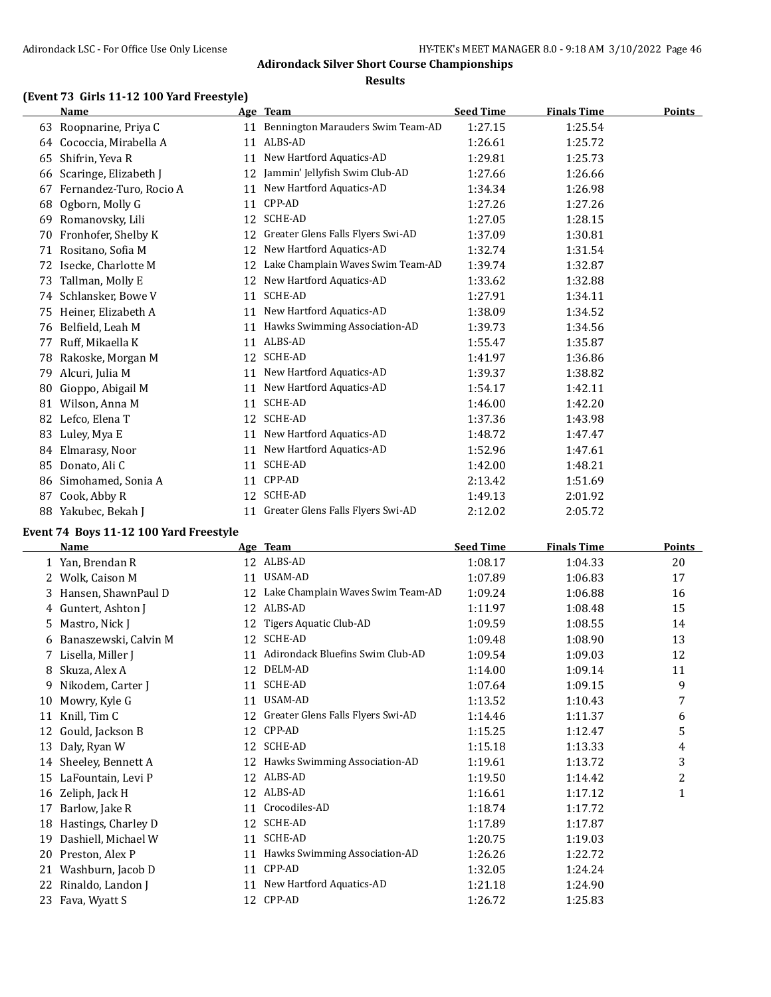#### **Results**

# **(Event 73 Girls 11-12 100 Yard Freestyle)**

|    | <b>Name</b>             |    | Age Team                             | <b>Seed Time</b> | <b>Finals Time</b> | <b>Points</b> |
|----|-------------------------|----|--------------------------------------|------------------|--------------------|---------------|
| 63 | Roopnarine, Priya C     | 11 | Bennington Marauders Swim Team-AD    | 1:27.15          | 1:25.54            |               |
| 64 | Cococcia, Mirabella A   | 11 | ALBS-AD                              | 1:26.61          | 1:25.72            |               |
| 65 | Shifrin, Yeva R         | 11 | New Hartford Aquatics-AD             | 1:29.81          | 1:25.73            |               |
| 66 | Scaringe, Elizabeth J   | 12 | Jammin' Jellyfish Swim Club-AD       | 1:27.66          | 1:26.66            |               |
| 67 | Fernandez-Turo, Rocio A | 11 | New Hartford Aquatics-AD             | 1:34.34          | 1:26.98            |               |
| 68 | Ogborn, Molly G         | 11 | CPP-AD                               | 1:27.26          | 1:27.26            |               |
| 69 | Romanovsky, Lili        | 12 | <b>SCHE-AD</b>                       | 1:27.05          | 1:28.15            |               |
| 70 | Fronhofer, Shelby K     | 12 | Greater Glens Falls Flyers Swi-AD    | 1:37.09          | 1:30.81            |               |
| 71 | Rositano, Sofia M       | 12 | New Hartford Aquatics-AD             | 1:32.74          | 1:31.54            |               |
| 72 | Isecke, Charlotte M     | 12 | Lake Champlain Waves Swim Team-AD    | 1:39.74          | 1:32.87            |               |
| 73 | Tallman, Molly E        | 12 | New Hartford Aquatics-AD             | 1:33.62          | 1:32.88            |               |
| 74 | Schlansker, Bowe V      | 11 | <b>SCHE-AD</b>                       | 1:27.91          | 1:34.11            |               |
| 75 | Heiner, Elizabeth A     | 11 | New Hartford Aquatics-AD             | 1:38.09          | 1:34.52            |               |
| 76 | Belfield, Leah M        | 11 | Hawks Swimming Association-AD        | 1:39.73          | 1:34.56            |               |
| 77 | Ruff, Mikaella K        | 11 | ALBS-AD                              | 1:55.47          | 1:35.87            |               |
| 78 | Rakoske, Morgan M       | 12 | <b>SCHE-AD</b>                       | 1:41.97          | 1:36.86            |               |
| 79 | Alcuri, Julia M         | 11 | New Hartford Aquatics-AD             | 1:39.37          | 1:38.82            |               |
| 80 | Gioppo, Abigail M       | 11 | New Hartford Aquatics-AD             | 1:54.17          | 1:42.11            |               |
| 81 | Wilson, Anna M          | 11 | <b>SCHE-AD</b>                       | 1:46.00          | 1:42.20            |               |
| 82 | Lefco, Elena T          | 12 | <b>SCHE-AD</b>                       | 1:37.36          | 1:43.98            |               |
| 83 | Luley, Mya E            | 11 | New Hartford Aquatics-AD             | 1:48.72          | 1:47.47            |               |
| 84 | Elmarasy, Noor          | 11 | New Hartford Aquatics-AD             | 1:52.96          | 1:47.61            |               |
| 85 | Donato, Ali C           | 11 | SCHE-AD                              | 1:42.00          | 1:48.21            |               |
| 86 | Simohamed, Sonia A      | 11 | CPP-AD                               | 2:13.42          | 1:51.69            |               |
| 87 | Cook, Abby R            | 12 | <b>SCHE-AD</b>                       | 1:49.13          | 2:01.92            |               |
| 88 | Yakubec, Bekah J        |    | 11 Greater Glens Falls Flyers Swi-AD | 2:12.02          | 2:05.72            |               |

# **Event 74 Boys 11-12 100 Yard Freestyle**

 $\frac{1}{2}$ 

|    | <b>Name</b>           |    | Age Team                          | <b>Seed Time</b> | <b>Finals Time</b> | <b>Points</b> |
|----|-----------------------|----|-----------------------------------|------------------|--------------------|---------------|
|    | 1 Yan, Brendan R      |    | 12 ALBS-AD                        | 1:08.17          | 1:04.33            | 20            |
|    | 2 Wolk, Caison M      | 11 | USAM-AD                           | 1:07.89          | 1:06.83            | 17            |
| 3  | Hansen, ShawnPaul D   | 12 | Lake Champlain Waves Swim Team-AD | 1:09.24          | 1:06.88            | 16            |
| 4  | Guntert, Ashton J     |    | 12 ALBS-AD                        | 1:11.97          | 1:08.48            | 15            |
| 5. | Mastro, Nick J        | 12 | Tigers Aquatic Club-AD            | 1:09.59          | 1:08.55            | 14            |
| 6  | Banaszewski, Calvin M | 12 | <b>SCHE-AD</b>                    | 1:09.48          | 1:08.90            | 13            |
| 7  | Lisella, Miller J     | 11 | Adirondack Bluefins Swim Club-AD  | 1:09.54          | 1:09.03            | 12            |
| 8  | Skuza, Alex A         | 12 | DELM-AD                           | 1:14.00          | 1:09.14            | 11            |
| 9  | Nikodem, Carter J     | 11 | SCHE-AD                           | 1:07.64          | 1:09.15            | 9             |
| 10 | Mowry, Kyle G         | 11 | USAM-AD                           | 1:13.52          | 1:10.43            | 7             |
| 11 | Knill, Tim C          | 12 | Greater Glens Falls Flyers Swi-AD | 1:14.46          | 1:11.37            | 6             |
| 12 | Gould, Jackson B      | 12 | CPP-AD                            | 1:15.25          | 1:12.47            | 5             |
| 13 | Daly, Ryan W          |    | 12 SCHE-AD                        | 1:15.18          | 1:13.33            | 4             |
| 14 | Sheeley, Bennett A    | 12 | Hawks Swimming Association-AD     | 1:19.61          | 1:13.72            | 3             |
| 15 | LaFountain, Levi P    |    | 12 ALBS-AD                        | 1:19.50          | 1:14.42            | 2             |
| 16 | Zeliph, Jack H        |    | 12 ALBS-AD                        | 1:16.61          | 1:17.12            | $\mathbf{1}$  |
| 17 | Barlow, Jake R        | 11 | Crocodiles-AD                     | 1:18.74          | 1:17.72            |               |
| 18 | Hastings, Charley D   | 12 | SCHE-AD                           | 1:17.89          | 1:17.87            |               |
| 19 | Dashiell, Michael W   | 11 | SCHE-AD                           | 1:20.75          | 1:19.03            |               |
| 20 | Preston, Alex P       | 11 | Hawks Swimming Association-AD     | 1:26.26          | 1:22.72            |               |
| 21 | Washburn, Jacob D     | 11 | CPP-AD                            | 1:32.05          | 1:24.24            |               |
| 22 | Rinaldo, Landon J     | 11 | New Hartford Aquatics-AD          | 1:21.18          | 1:24.90            |               |
| 23 | Fava, Wyatt S         |    | 12 CPP-AD                         | 1:26.72          | 1:25.83            |               |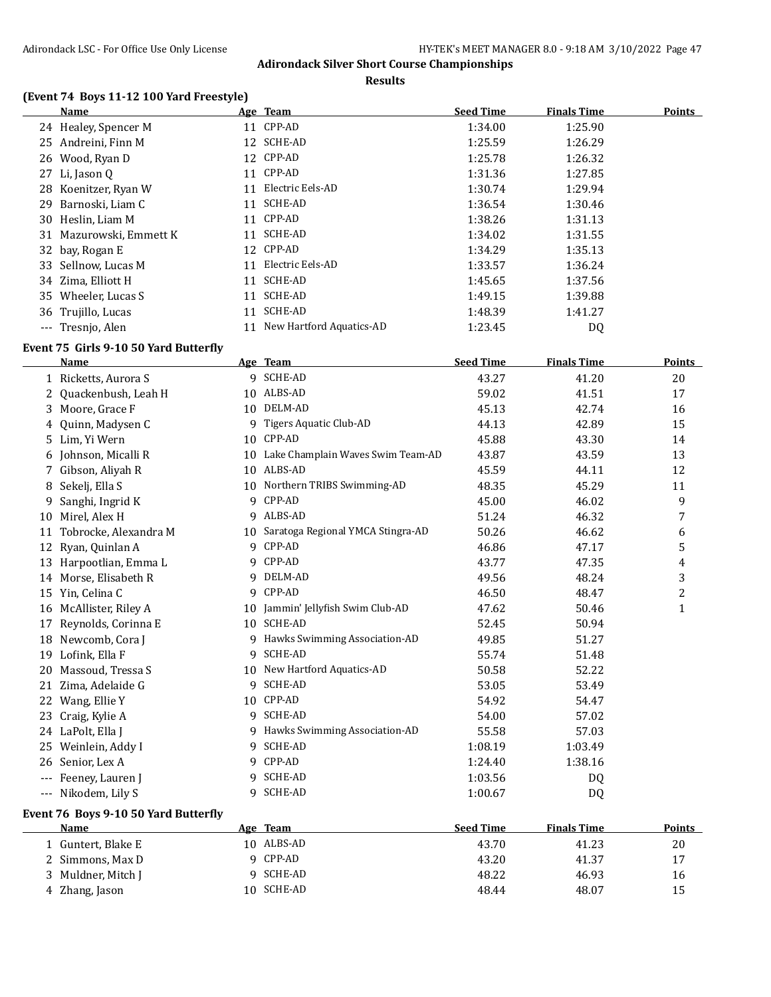**Results**

# **(Event 74 Boys 11-12 100 Yard Freestyle)**

|    | <b>Name</b>                                         |    | Age Team                             | <b>Seed Time</b> | <b>Finals Time</b> | <b>Points</b> |
|----|-----------------------------------------------------|----|--------------------------------------|------------------|--------------------|---------------|
|    | 24 Healey, Spencer M                                |    | 11 CPP-AD                            | 1:34.00          | 1:25.90            |               |
| 25 | Andreini, Finn M                                    |    | 12 SCHE-AD                           | 1:25.59          | 1:26.29            |               |
| 26 | Wood, Ryan D                                        |    | 12 CPP-AD                            | 1:25.78          | 1:26.32            |               |
| 27 | Li, Jason Q                                         |    | 11 CPP-AD                            | 1:31.36          | 1:27.85            |               |
| 28 | Koenitzer, Ryan W                                   | 11 | Electric Eels-AD                     | 1:30.74          | 1:29.94            |               |
| 29 | Barnoski, Liam C                                    |    | 11 SCHE-AD                           | 1:36.54          | 1:30.46            |               |
|    | 30 Heslin, Liam M                                   |    | 11 CPP-AD                            | 1:38.26          | 1:31.13            |               |
|    | 31 Mazurowski, Emmett K                             |    | 11 SCHE-AD                           | 1:34.02          | 1:31.55            |               |
| 32 | bay, Rogan E                                        |    | 12 CPP-AD                            | 1:34.29          | 1:35.13            |               |
| 33 | Sellnow, Lucas M                                    |    | 11 Electric Eels-AD                  | 1:33.57          | 1:36.24            |               |
|    | 34 Zima, Elliott H                                  |    | 11 SCHE-AD                           | 1:45.65          | 1:37.56            |               |
|    | 35 Wheeler, Lucas S                                 |    | 11 SCHE-AD                           | 1:49.15          | 1:39.88            |               |
|    | 36 Trujillo, Lucas                                  |    | 11 SCHE-AD                           | 1:48.39          | 1:41.27            |               |
|    | --- Tresnjo, Alen                                   |    | 11 New Hartford Aquatics-AD          | 1:23.45          | DQ                 |               |
|    |                                                     |    |                                      |                  |                    |               |
|    | Event 75 Girls 9-10 50 Yard Butterfly               |    |                                      |                  |                    |               |
|    | <b>Name</b>                                         |    | Age Team                             | <b>Seed Time</b> | <b>Finals Time</b> | <b>Points</b> |
|    | 1 Ricketts, Aurora S                                |    | 9 SCHE-AD                            | 43.27            | 41.20              | 20            |
| 2  | Quackenbush, Leah H                                 |    | 10 ALBS-AD                           | 59.02            | 41.51              | 17            |
| 3  | Moore, Grace F                                      |    | 10 DELM-AD                           | 45.13            | 42.74              | 16            |
| 4  | Quinn, Madysen C                                    | 9  | Tigers Aquatic Club-AD               | 44.13            | 42.89              | 15            |
| 5  | Lim, Yi Wern                                        |    | 10 CPP-AD                            | 45.88            | 43.30              | 14            |
| 6  | Johnson, Micalli R                                  |    | 10 Lake Champlain Waves Swim Team-AD | 43.87            | 43.59              | 13            |
| 7. | Gibson, Aliyah R                                    |    | 10 ALBS-AD                           | 45.59            | 44.11              | 12            |
| 8  | Sekelj, Ella S                                      |    | 10 Northern TRIBS Swimming-AD        | 48.35            | 45.29              | 11            |
| 9  | Sanghi, Ingrid K                                    |    | 9 CPP-AD                             | 45.00            | 46.02              | 9             |
| 10 | Mirel, Alex H                                       |    | 9 ALBS-AD                            | 51.24            | 46.32              | 7             |
| 11 | Tobrocke, Alexandra M                               |    | 10 Saratoga Regional YMCA Stingra-AD | 50.26            | 46.62              | 6             |
| 12 | Ryan, Quinlan A                                     |    | 9 CPP-AD                             | 46.86            | 47.17              | 5             |
| 13 | Harpootlian, Emma L                                 |    | 9 CPP-AD                             | 43.77            | 47.35              | 4             |
|    | 14 Morse, Elisabeth R                               |    | 9 DELM-AD                            | 49.56            | 48.24              | 3             |
|    | 15 Yin, Celina C                                    | 9  | CPP-AD                               | 46.50            | 48.47              | 2             |
|    | 16 McAllister, Riley A                              |    | 10 Jammin' Jellyfish Swim Club-AD    | 47.62            | 50.46              | $\mathbf{1}$  |
| 17 | Reynolds, Corinna E                                 |    | 10 SCHE-AD                           | 52.45            | 50.94              |               |
|    | 18 Newcomb, Cora J                                  |    | 9 Hawks Swimming Association-AD      | 49.85            | 51.27              |               |
|    | 19 Lofink, Ella F                                   |    | 9 SCHE-AD                            | 55.74            | 51.48              |               |
|    | 20 Massoud, Tressa S                                |    | 10 New Hartford Aquatics-AD          | 50.58            | 52.22              |               |
|    | 21 Zima, Adelaide G                                 |    | 9 SCHE-AD                            | 53.05            | 53.49              |               |
|    | 22 Wang, Ellie Y                                    |    | 10 CPP-AD                            | 54.92            | 54.47              |               |
|    | 23 Craig, Kylie A                                   |    | 9 SCHE-AD                            | 54.00            | 57.02              |               |
|    | 24 LaPolt, Ella J                                   |    | 9 Hawks Swimming Association-AD      | 55.58            | 57.03              |               |
| 25 | Weinlein, Addy I                                    |    | 9 SCHE-AD                            | 1:08.19          | 1:03.49            |               |
| 26 | Senior, Lex A                                       |    | 9 CPP-AD                             | 1:24.40          | 1:38.16            |               |
|    | --- Feeney, Lauren J                                |    | 9 SCHE-AD                            | 1:03.56          | DQ                 |               |
|    | --- Nikodem, Lily S                                 |    | 9 SCHE-AD                            | 1:00.67          | DQ                 |               |
|    |                                                     |    |                                      |                  |                    |               |
|    | Event 76 Boys 9-10 50 Yard Butterfly<br><b>Name</b> |    | Age Team                             | <b>Seed Time</b> | <b>Finals Time</b> | <b>Points</b> |
|    |                                                     |    |                                      |                  |                    |               |
|    | 1 Guntert, Blake E                                  |    | 10 ALBS-AD                           | 43.70            | 41.23              | 20            |
|    | 2 Simmons, Max D                                    |    | 9 CPP-AD                             | 43.20            | 41.37              | 17            |
| 3  | Muldner, Mitch J                                    |    | 9 SCHE-AD                            | 48.22            | 46.93              | 16            |
|    | 4 Zhang, Jason                                      |    | 10 SCHE-AD                           | 48.44            | 48.07              | 15            |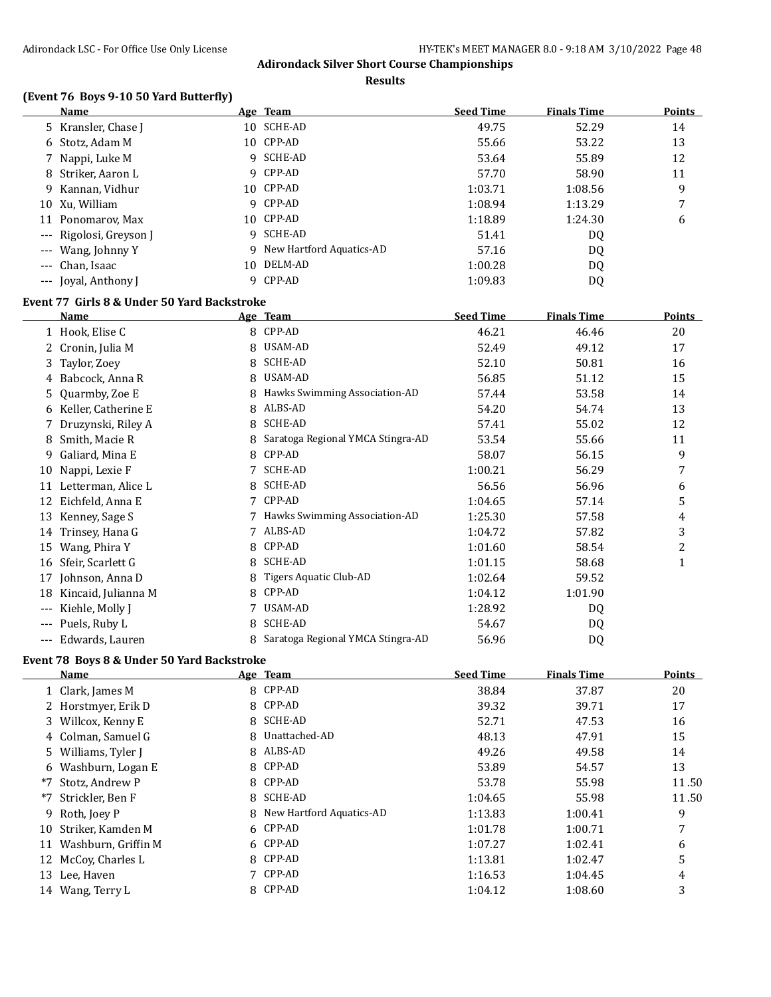**Results**

# **(Event 76 Boys 9-10 50 Yard Butterfly)**

| <b>Name</b>             | Age Team                   | <b>Seed Time</b> | <b>Finals Time</b> | <b>Points</b> |
|-------------------------|----------------------------|------------------|--------------------|---------------|
| 5 Kransler, Chase J     | 10 SCHE-AD                 | 49.75            | 52.29              | 14            |
| 6 Stotz, Adam M         | 10 CPP-AD                  | 55.66            | 53.22              | 13            |
| 7 Nappi, Luke M         | 9 SCHE-AD                  | 53.64            | 55.89              | 12            |
| 8 Striker, Aaron L      | 9 CPP-AD                   | 57.70            | 58.90              | 11            |
| 9 Kannan, Vidhur        | 10 CPP-AD                  | 1:03.71          | 1:08.56            | 9             |
| 10 Xu, William          | 9 CPP-AD                   | 1:08.94          | 1:13.29            |               |
| 11 Ponomarov, Max       | 10 CPP-AD                  | 1:18.89          | 1:24.30            | 6             |
| --- Rigolosi, Greyson J | 9 SCHE-AD                  | 51.41            | DQ                 |               |
| --- Wang, Johnny Y      | 9 New Hartford Aquatics-AD | 57.16            | DQ                 |               |
| --- Chan, Isaac         | 10 DELM-AD                 | 1:00.28          | DQ                 |               |
| --- Joval, Anthony J    | 9 CPP-AD                   | 1:09.83          | DQ                 |               |

# **Event 77 Girls 8 & Under 50 Yard Backstroke**

|     | <b>Name</b>         |   | Age Team                          | <b>Seed Time</b> | <b>Finals Time</b> | Points       |
|-----|---------------------|---|-----------------------------------|------------------|--------------------|--------------|
|     | 1 Hook, Elise C     | 8 | CPP-AD                            | 46.21            | 46.46              | 20           |
| 2   | Cronin, Julia M     | 8 | USAM-AD                           | 52.49            | 49.12              | 17           |
| 3.  | Taylor, Zoey        | 8 | SCHE-AD                           | 52.10            | 50.81              | 16           |
|     | 4 Babcock, Anna R   | 8 | USAM-AD                           | 56.85            | 51.12              | 15           |
|     | 5 Quarmby, Zoe E    |   | Hawks Swimming Association-AD     | 57.44            | 53.58              | 14           |
| 6   | Keller, Catherine E | 8 | ALBS-AD                           | 54.20            | 54.74              | 13           |
|     | Druzynski, Riley A  | 8 | SCHE-AD                           | 57.41            | 55.02              | 12           |
| 8   | Smith, Macie R      |   | Saratoga Regional YMCA Stingra-AD | 53.54            | 55.66              | 11           |
| 9   | Galiard, Mina E     | 8 | CPP-AD                            | 58.07            | 56.15              | 9            |
| 10  | Nappi, Lexie F      |   | <b>SCHE-AD</b>                    | 1:00.21          | 56.29              | 7            |
| 11  | Letterman, Alice L  | 8 | <b>SCHE-AD</b>                    | 56.56            | 56.96              | 6            |
| 12  | Eichfeld, Anna E    | 7 | CPP-AD                            | 1:04.65          | 57.14              | 5            |
| 13  | Kenney, Sage S      |   | Hawks Swimming Association-AD     | 1:25.30          | 57.58              | 4            |
| 14  | Trinsey, Hana G     |   | ALBS-AD                           | 1:04.72          | 57.82              | 3            |
| 15  | Wang, Phira Y       | 8 | CPP-AD                            | 1:01.60          | 58.54              | 2            |
| 16  | Sfeir, Scarlett G   | 8 | <b>SCHE-AD</b>                    | 1:01.15          | 58.68              | $\mathbf{1}$ |
| 17  | Johnson, Anna D     | 8 | Tigers Aquatic Club-AD            | 1:02.64          | 59.52              |              |
| 18  | Kincaid, Julianna M |   | CPP-AD                            | 1:04.12          | 1:01.90            |              |
| --- | Kiehle, Molly J     |   | USAM-AD                           | 1:28.92          | DQ                 |              |
|     | Puels, Ruby L       | 8 | <b>SCHE-AD</b>                    | 54.67            | DQ                 |              |
| --- | Edwards, Lauren     |   | Saratoga Regional YMCA Stingra-AD | 56.96            | DQ                 |              |

# **Event 78 Boys 8 & Under 50 Yard Backstroke**

|      | Name                | Age Team                   | <b>Seed Time</b> | <b>Finals Time</b> | Points |
|------|---------------------|----------------------------|------------------|--------------------|--------|
|      | 1 Clark, James M    | 8 CPP-AD                   | 38.84            | 37.87              | 20     |
|      | 2 Horstmyer, Erik D | 8 CPP-AD                   | 39.32            | 39.71              | 17     |
|      | 3 Willcox, Kenny E  | 8 SCHE-AD                  | 52.71            | 47.53              | 16     |
|      | 4 Colman, Samuel G  | 8 Unattached-AD            | 48.13            | 47.91              | 15     |
|      | 5 Williams, Tyler J | 8 ALBS-AD                  | 49.26            | 49.58              | 14     |
|      | 6 Washburn, Logan E | 8 CPP-AD                   | 53.89            | 54.57              | 13     |
| $*7$ | Stotz. Andrew P     | 8 CPP-AD                   | 53.78            | 55.98              | 11.50  |
|      | *7 Strickler, Ben F | 8 SCHE-AD                  | 1:04.65          | 55.98              | 11.50  |
|      | 9 Roth, Joey P      | 8 New Hartford Aquatics-AD | 1:13.83          | 1:00.41            | 9      |
| 10   | Striker, Kamden M   | 6 CPP-AD                   | 1:01.78          | 1:00.71            | 7      |
| 11   | Washburn, Griffin M | 6 CPP-AD                   | 1:07.27          | 1:02.41            | 6      |
| 12   | McCoy, Charles L    | 8 CPP-AD                   | 1:13.81          | 1:02.47            | 5      |
| 13   | Lee, Haven          | 7 CPP-AD                   | 1:16.53          | 1:04.45            | 4      |
|      | 14 Wang, Terry L    | 8 CPP-AD                   | 1:04.12          | 1:08.60            | 3      |
|      |                     |                            |                  |                    |        |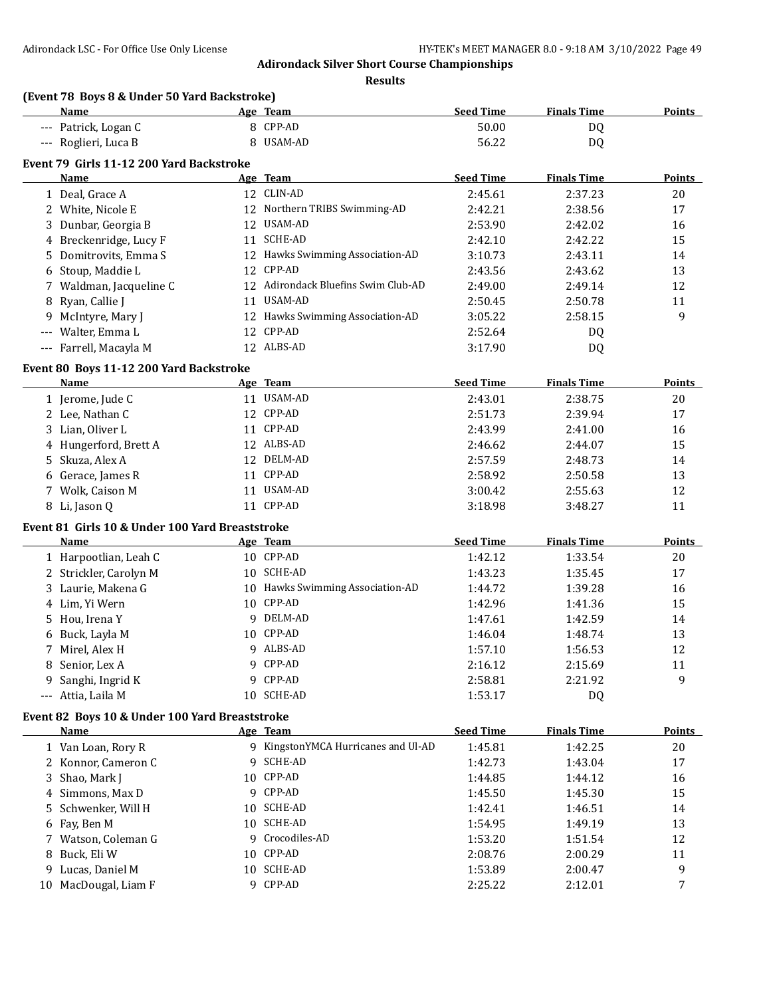**Results**

# **(Event 78 Boys 8 & Under 50 Yard Backstroke)**

| Name                 | Team<br>Age | Seed Time | <b>Finals Time</b> | <b>Points</b> |
|----------------------|-------------|-----------|--------------------|---------------|
| --- Patrick, Logan C | 8 CPP-AD    | 50.00     | D <sub>0</sub>     |               |
| --- Roglieri, Luca B | USAM-AD     | 56.22     | D <sub>0</sub>     |               |

# **Event 79 Girls 11-12 200 Yard Backstroke**

| Name                    |    | Age Team                            | <b>Seed Time</b> | <b>Finals Time</b> | Points |
|-------------------------|----|-------------------------------------|------------------|--------------------|--------|
| 1 Deal, Grace A         |    | 12 CLIN-AD                          | 2:45.61          | 2:37.23            | 20     |
| 2 White, Nicole E       |    | 12 Northern TRIBS Swimming-AD       | 2:42.21          | 2:38.56            | 17     |
| 3 Dunbar, Georgia B     |    | 12 USAM-AD                          | 2:53.90          | 2:42.02            | 16     |
| 4 Breckenridge, Lucy F  | 11 | SCHE-AD                             | 2:42.10          | 2:42.22            | 15     |
| 5 Domitrovits, Emma S   |    | 12 Hawks Swimming Association-AD    | 3:10.73          | 2:43.11            | 14     |
| 6 Stoup, Maddie L       |    | 12 CPP-AD                           | 2:43.56          | 2:43.62            | 13     |
| 7 Waldman, Jacqueline C |    | 12 Adirondack Bluefins Swim Club-AD | 2:49.00          | 2:49.14            | 12     |
| 8 Ryan, Callie J        | 11 | USAM-AD                             | 2:50.45          | 2:50.78            | 11     |
| 9 McIntyre, Mary J      | 12 | Hawks Swimming Association-AD       | 3:05.22          | 2:58.15            | 9      |
| --- Walter, Emma L      |    | 12 CPP-AD                           | 2:52.64          | DQ                 |        |
| --- Farrell, Macayla M  |    | 12 ALBS-AD                          | 3:17.90          | D <sub>0</sub>     |        |

#### **Event 80 Boys 11-12 200 Yard Backstroke**

| Name                  | Age Team      | <b>Seed Time</b> | <b>Finals Time</b> | <b>Points</b> |
|-----------------------|---------------|------------------|--------------------|---------------|
| 1 Jerome, Jude C      | USAM-AD<br>11 | 2:43.01          | 2:38.75            | 20            |
| 2 Lee, Nathan C       | 12 CPP-AD     | 2:51.73          | 2:39.94            | 17            |
| 3 Lian. Oliver L      | 11 CPP-AD     | 2:43.99          | 2:41.00            | 16            |
| 4 Hungerford, Brett A | 12 ALBS-AD    | 2:46.62          | 2:44.07            | 15            |
| 5 Skuza, Alex A       | 12 DELM-AD    | 2:57.59          | 2:48.73            | 14            |
| 6 Gerace, James R     | CPP-AD<br>11  | 2:58.92          | 2:50.58            | 13            |
| 7 Wolk, Caison M      | USAM-AD<br>11 | 3:00.42          | 2:55.63            | 12            |
| 8 Li, Jason Q         | CPP-AD        | 3:18.98          | 3:48.27            | 11            |

#### **Event 81 Girls 10 & Under 100 Yard Breaststroke**

| Name                   | Age Team                         | <b>Seed Time</b> | <b>Finals Time</b> | Points |
|------------------------|----------------------------------|------------------|--------------------|--------|
| 1 Harpootlian, Leah C  | 10 CPP-AD                        | 1:42.12          | 1:33.54            | 20     |
| 2 Strickler, Carolyn M | 10 SCHE-AD                       | 1:43.23          | 1:35.45            | 17     |
| 3 Laurie, Makena G     | 10 Hawks Swimming Association-AD | 1:44.72          | 1:39.28            | 16     |
| 4 Lim, Yi Wern         | 10 CPP-AD                        | 1:42.96          | 1:41.36            | 15     |
| 5 Hou, Irena Y         | 9 DELM-AD                        | 1:47.61          | 1:42.59            | 14     |
| 6 Buck, Layla M        | 10 CPP-AD                        | 1:46.04          | 1:48.74            | 13     |
| 7 Mirel, Alex H        | 9 ALBS-AD                        | 1:57.10          | 1:56.53            | 12     |
| 8 Senior, Lex A        | 9 CPP-AD                         | 2:16.12          | 2:15.69            | 11     |
| 9 Sanghi, Ingrid K     | 9 CPP-AD                         | 2:58.81          | 2:21.92            | 9      |
| --- Attia, Laila M     | 10 SCHE-AD                       | 1:53.17          | DQ                 |        |

# **Event 82 Boys 10 & Under 100 Yard Breaststroke**

|    | <b>Name</b>         |     | Age Team                          | <b>Seed Time</b> | <b>Finals Time</b> | <b>Points</b> |
|----|---------------------|-----|-----------------------------------|------------------|--------------------|---------------|
|    | 1 Van Loan, Rory R  |     | KingstonYMCA Hurricanes and Ul-AD | 1:45.81          | 1:42.25            | 20            |
|    | 2 Konnor, Cameron C | q   | SCHE-AD                           | 1:42.73          | 1:43.04            | 17            |
|    | 3 Shao, Mark J      |     | 10 CPP-AD                         | 1:44.85          | 1:44.12            | 16            |
|    | 4 Simmons, Max D    | Q.  | CPP-AD                            | 1:45.50          | 1:45.30            | 15            |
|    | 5 Schwenker, Will H |     | 10 SCHE-AD                        | 1:42.41          | 1:46.51            | 14            |
|    | 6 Fay, Ben M        |     | 10 SCHE-AD                        | 1:54.95          | 1:49.19            | 13            |
|    | 7 Watson, Coleman G | 9.  | Crocodiles-AD                     | 1:53.20          | 1:51.54            | 12            |
|    | 8 Buck, Eli W       | 10. | CPP-AD                            | 2:08.76          | 2:00.29            | 11            |
|    | 9 Lucas, Daniel M   | 10  | SCHE-AD                           | 1:53.89          | 2:00.47            | 9             |
| 10 | MacDougal, Liam F   | Q.  | CPP-AD                            | 2:25.22          | 2:12.01            |               |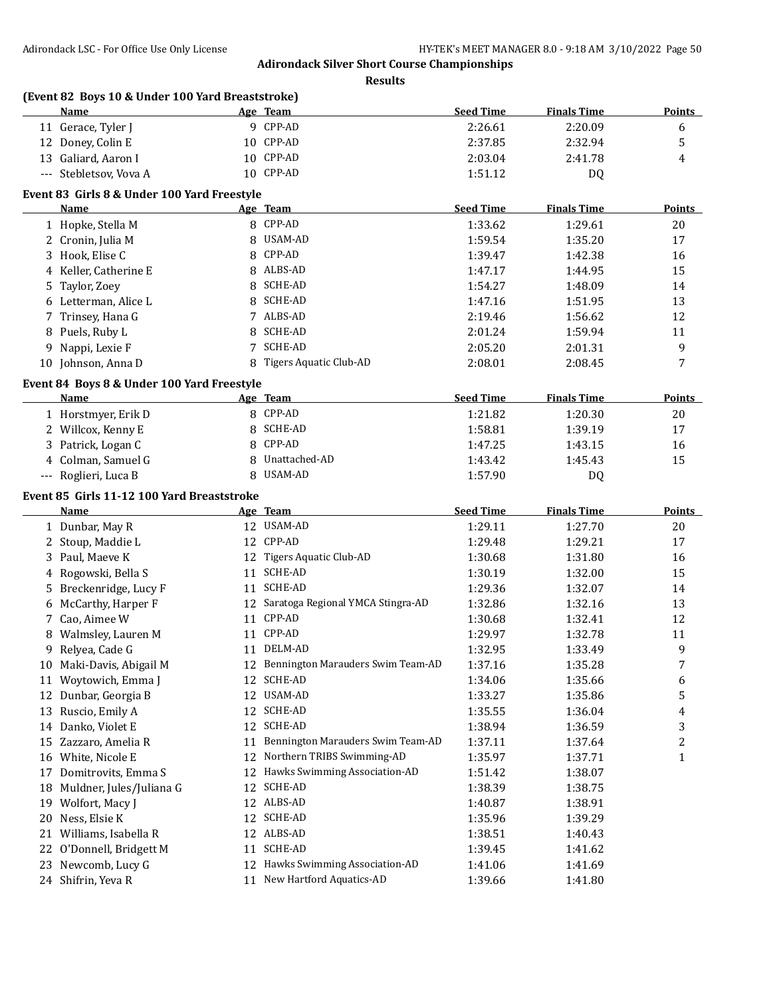**Results**

|    | (Event 82 Boys 10 & Under 100 Yard Breaststroke)<br>Name |    | Age Team                             | <b>Seed Time</b> | <b>Finals Time</b> | <b>Points</b> |
|----|----------------------------------------------------------|----|--------------------------------------|------------------|--------------------|---------------|
|    | 11 Gerace, Tyler J                                       |    | 9 CPP-AD                             | 2:26.61          | 2:20.09            | 6             |
|    | 12 Doney, Colin E                                        |    | 10 CPP-AD                            | 2:37.85          | 2:32.94            | 5             |
|    | 13 Galiard, Aaron I                                      |    | 10 CPP-AD                            | 2:03.04          | 2:41.78            | 4             |
|    | --- Stebletsov, Vova A                                   |    | 10 CPP-AD                            | 1:51.12          | DQ                 |               |
|    | Event 83 Girls 8 & Under 100 Yard Freestyle              |    |                                      |                  |                    |               |
|    | Name                                                     |    | Age Team                             | <b>Seed Time</b> | <b>Finals Time</b> | <b>Points</b> |
|    | 1 Hopke, Stella M                                        |    | 8 CPP-AD                             | 1:33.62          | 1:29.61            | 20            |
|    | 2 Cronin, Julia M                                        | 8  | USAM-AD                              | 1:59.54          | 1:35.20            | 17            |
|    | 3 Hook, Elise C                                          | 8  | CPP-AD                               | 1:39.47          | 1:42.38            | 16            |
|    | 4 Keller, Catherine E                                    | 8  | ALBS-AD                              | 1:47.17          | 1:44.95            | 15            |
| 5  | Taylor, Zoey                                             | 8  | SCHE-AD                              | 1:54.27          | 1:48.09            | 14            |
|    | 6 Letterman, Alice L                                     | 8  | <b>SCHE-AD</b>                       | 1:47.16          | 1:51.95            | 13            |
| 7  | Trinsey, Hana G                                          | 7  | ALBS-AD                              | 2:19.46          | 1:56.62            | 12            |
| 8  | Puels, Ruby L                                            | 8  | <b>SCHE-AD</b>                       | 2:01.24          | 1:59.94            | 11            |
| 9  | Nappi, Lexie F                                           | 7  | <b>SCHE-AD</b>                       | 2:05.20          | 2:01.31            | 9             |
|    | 10 Johnson, Anna D                                       | 8  | Tigers Aquatic Club-AD               | 2:08.01          | 2:08.45            | 7             |
|    | Event 84 Boys 8 & Under 100 Yard Freestyle               |    |                                      |                  |                    |               |
|    | Name                                                     |    | Age Team                             | <b>Seed Time</b> | <b>Finals Time</b> | Points        |
|    | 1 Horstmyer, Erik D                                      |    | 8 CPP-AD                             | 1:21.82          | 1:20.30            | 20            |
|    | 2 Willcox, Kenny E                                       | 8  | SCHE-AD                              | 1:58.81          | 1:39.19            | 17            |
|    | 3 Patrick, Logan C                                       | 8  | CPP-AD                               | 1:47.25          | 1:43.15            | 16            |
|    | 4 Colman, Samuel G                                       | 8  | Unattached-AD                        | 1:43.42          | 1:45.43            | 15            |
|    | --- Roglieri, Luca B                                     | 8  | USAM-AD                              | 1:57.90          | DQ                 |               |
|    | Event 85 Girls 11-12 100 Yard Breaststroke               |    |                                      |                  |                    |               |
|    | Name                                                     |    | Age Team                             | <b>Seed Time</b> | <b>Finals Time</b> | <b>Points</b> |
|    | 1 Dunbar, May R                                          |    | 12 USAM-AD                           | 1:29.11          | 1:27.70            | 20            |
|    | 2 Stoup, Maddie L                                        |    | 12 CPP-AD                            | 1:29.48          | 1:29.21            | 17            |
| 3  | Paul, Maeve K                                            |    | 12 Tigers Aquatic Club-AD            | 1:30.68          | 1:31.80            | 16            |
| 4  | Rogowski, Bella S                                        |    | 11 SCHE-AD                           | 1:30.19          | 1:32.00            | 15            |
| 5  | Breckenridge, Lucy F                                     | 11 | <b>SCHE-AD</b>                       | 1:29.36          | 1:32.07            | 14            |
| 6  | McCarthy, Harper F                                       |    | 12 Saratoga Regional YMCA Stingra-AD | 1:32.86          | 1:32.16            | 13            |
| 7  | Cao, Aimee W                                             | 11 | CPP-AD                               | 1:30.68          | 1:32.41            | 12            |
|    | 8 Walmsley, Lauren M                                     |    | 11 CPP-AD                            | 1:29.97          | 1:32.78            | 11            |
|    | 9 Relyea, Cade G                                         |    | 11 DELM-AD                           | 1:32.95          | 1:33.49            | 9             |
|    | 10 Maki-Davis, Abigail M                                 |    | 12 Bennington Marauders Swim Team-AD | 1:37.16          | 1:35.28            | 7             |
|    | 11 Woytowich, Emma J                                     | 12 | SCHE-AD                              | 1:34.06          | 1:35.66            | 6             |
|    | 12 Dunbar, Georgia B                                     |    | 12 USAM-AD                           | 1:33.27          | 1:35.86            | 5             |
|    | 13 Ruscio, Emily A                                       | 12 | SCHE-AD                              | 1:35.55          | 1:36.04            | 4             |
|    | 14 Danko, Violet E                                       | 12 | SCHE-AD                              | 1:38.94          | 1:36.59            | 3             |
|    | 15 Zazzaro, Amelia R                                     | 11 | Bennington Marauders Swim Team-AD    | 1:37.11          | 1:37.64            | 2             |
|    | 16 White, Nicole E                                       | 12 | Northern TRIBS Swimming-AD           | 1:35.97          | 1:37.71            | $\mathbf{1}$  |
|    | 17 Domitrovits, Emma S                                   |    | 12 Hawks Swimming Association-AD     | 1:51.42          | 1:38.07            |               |
|    | 18 Muldner, Jules/Juliana G                              | 12 | SCHE-AD                              | 1:38.39          | 1:38.75            |               |
|    | 19 Wolfort, Macy J                                       |    | 12 ALBS-AD                           | 1:40.87          | 1:38.91            |               |
| 20 | Ness, Elsie K                                            | 12 | SCHE-AD                              | 1:35.96          | 1:39.29            |               |
| 21 | Williams, Isabella R                                     | 12 | ALBS-AD                              | 1:38.51          | 1:40.43            |               |
| 22 | O'Donnell, Bridgett M                                    | 11 | <b>SCHE-AD</b>                       | 1:39.45          | 1:41.62            |               |
|    | 23 Newcomb, Lucy G                                       | 12 | Hawks Swimming Association-AD        | 1:41.06          | 1:41.69            |               |
|    |                                                          |    |                                      |                  |                    |               |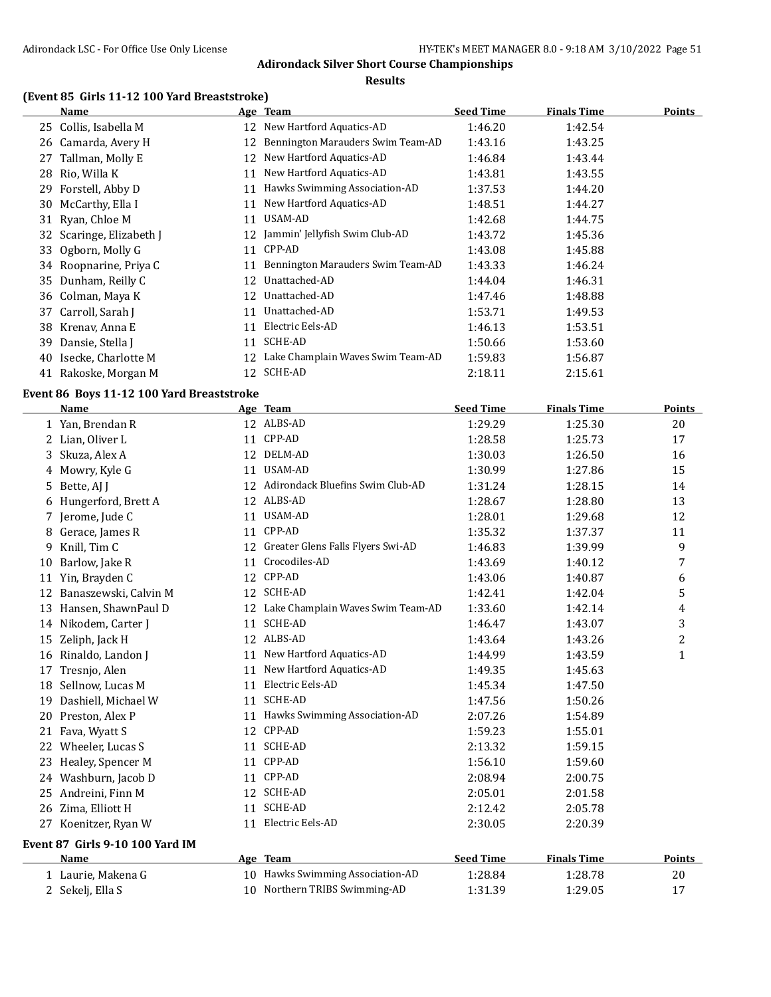#### **Results**

# **(Event 85 Girls 11-12 100 Yard Breaststroke)**

|    | Name                     |    | Age Team                          | <b>Seed Time</b> | <b>Finals Time</b> | <b>Points</b> |
|----|--------------------------|----|-----------------------------------|------------------|--------------------|---------------|
| 25 | Collis, Isabella M       | 12 | New Hartford Aquatics-AD          | 1:46.20          | 1:42.54            |               |
| 26 | Camarda, Avery H         | 12 | Bennington Marauders Swim Team-AD | 1:43.16          | 1:43.25            |               |
| 27 | Tallman, Molly E         | 12 | New Hartford Aquatics-AD          | 1:46.84          | 1:43.44            |               |
| 28 | Rio, Willa K             | 11 | New Hartford Aquatics-AD          | 1:43.81          | 1:43.55            |               |
| 29 | Forstell, Abby D         | 11 | Hawks Swimming Association-AD     | 1:37.53          | 1:44.20            |               |
|    | 30 McCarthy, Ella I      | 11 | New Hartford Aquatics-AD          | 1:48.51          | 1:44.27            |               |
|    | 31 Ryan, Chloe M         | 11 | USAM-AD                           | 1:42.68          | 1:44.75            |               |
|    | 32 Scaringe, Elizabeth J | 12 | Jammin' Jellyfish Swim Club-AD    | 1:43.72          | 1:45.36            |               |
|    | 33 Ogborn, Molly G       | 11 | CPP-AD                            | 1:43.08          | 1:45.88            |               |
|    | 34 Roopnarine, Priya C   | 11 | Bennington Marauders Swim Team-AD | 1:43.33          | 1:46.24            |               |
|    | 35 Dunham, Reilly C      | 12 | Unattached-AD                     | 1:44.04          | 1:46.31            |               |
|    | 36 Colman, Maya K        | 12 | Unattached-AD                     | 1:47.46          | 1:48.88            |               |
| 37 | Carroll, Sarah J         | 11 | Unattached-AD                     | 1:53.71          | 1:49.53            |               |
| 38 | Krenav, Anna E           | 11 | Electric Eels-AD                  | 1:46.13          | 1:53.51            |               |
| 39 | Dansie, Stella J         | 11 | SCHE-AD                           | 1:50.66          | 1:53.60            |               |
| 40 | Isecke, Charlotte M      | 12 | Lake Champlain Waves Swim Team-AD | 1:59.83          | 1:56.87            |               |
| 41 | Rakoske, Morgan M        | 12 | SCHE-AD                           | 2:18.11          | 2:15.61            |               |

#### **Event 86 Boys 11-12 100 Yard Breaststroke**

|    | <b>Name</b>                     |    | Age Team                          | <b>Seed Time</b> | <b>Finals Time</b> | <b>Points</b> |
|----|---------------------------------|----|-----------------------------------|------------------|--------------------|---------------|
|    | 1 Yan, Brendan R                |    | 12 ALBS-AD                        | 1:29.29          | 1:25.30            | 20            |
| 2  | Lian, Oliver L                  | 11 | CPP-AD                            | 1:28.58          | 1:25.73            | 17            |
| 3  | Skuza, Alex A                   | 12 | DELM-AD                           | 1:30.03          | 1:26.50            | 16            |
| 4  | Mowry, Kyle G                   | 11 | <b>USAM-AD</b>                    | 1:30.99          | 1:27.86            | 15            |
| 5  | Bette, AJ J                     | 12 | Adirondack Bluefins Swim Club-AD  | 1:31.24          | 1:28.15            | 14            |
| 6  | Hungerford, Brett A             |    | 12 ALBS-AD                        | 1:28.67          | 1:28.80            | 13            |
|    | Jerome, Jude C                  | 11 | <b>USAM-AD</b>                    | 1:28.01          | 1:29.68            | 12            |
| 8  | Gerace, James R                 | 11 | CPP-AD                            | 1:35.32          | 1:37.37            | 11            |
| 9  | Knill, Tim C                    | 12 | Greater Glens Falls Flyers Swi-AD | 1:46.83          | 1:39.99            | 9             |
| 10 | Barlow, Jake R                  | 11 | Crocodiles-AD                     | 1:43.69          | 1:40.12            | 7             |
| 11 | Yin, Brayden C                  | 12 | CPP-AD                            | 1:43.06          | 1:40.87            | 6             |
| 12 | Banaszewski, Calvin M           | 12 | <b>SCHE-AD</b>                    | 1:42.41          | 1:42.04            | 5             |
| 13 | Hansen, ShawnPaul D             | 12 | Lake Champlain Waves Swim Team-AD | 1:33.60          | 1:42.14            | 4             |
|    | 14 Nikodem, Carter J            | 11 | <b>SCHE-AD</b>                    | 1:46.47          | 1:43.07            | 3             |
| 15 | Zeliph, Jack H                  |    | 12 ALBS-AD                        | 1:43.64          | 1:43.26            | 2             |
| 16 | Rinaldo, Landon J               | 11 | New Hartford Aquatics-AD          | 1:44.99          | 1:43.59            | $\mathbf{1}$  |
| 17 | Tresnjo, Alen                   | 11 | New Hartford Aquatics-AD          | 1:49.35          | 1:45.63            |               |
| 18 | Sellnow, Lucas M                | 11 | Electric Eels-AD                  | 1:45.34          | 1:47.50            |               |
| 19 | Dashiell, Michael W             | 11 | <b>SCHE-AD</b>                    | 1:47.56          | 1:50.26            |               |
| 20 | Preston, Alex P                 | 11 | Hawks Swimming Association-AD     | 2:07.26          | 1:54.89            |               |
| 21 | Fava, Wyatt S                   |    | 12 CPP-AD                         | 1:59.23          | 1:55.01            |               |
| 22 | Wheeler, Lucas S                | 11 | <b>SCHE-AD</b>                    | 2:13.32          | 1:59.15            |               |
| 23 | Healey, Spencer M               |    | 11 CPP-AD                         | 1:56.10          | 1:59.60            |               |
|    | 24 Washburn, Jacob D            | 11 | CPP-AD                            | 2:08.94          | 2:00.75            |               |
| 25 | Andreini, Finn M                | 12 | SCHE-AD                           | 2:05.01          | 2:01.58            |               |
| 26 | Zima, Elliott H                 | 11 | SCHE-AD                           | 2:12.42          | 2:05.78            |               |
| 27 | Koenitzer, Ryan W               | 11 | Electric Eels-AD                  | 2:30.05          | 2:20.39            |               |
|    | Event 87 Girls 9-10 100 Yard IM |    |                                   |                  |                    |               |
|    | Name                            |    | Age Team                          | <b>Seed Time</b> | <b>Finals Time</b> | <b>Points</b> |
|    | 1 Laurie, Makena G              |    | 10 Hawks Swimming Association-AD  | 1:28.84          | 1:28.78            | 20            |
|    | 2 Sekelj, Ella S                | 10 | Northern TRIBS Swimming-AD        | 1:31.39          | 1:29.05            | 17            |
|    |                                 |    |                                   |                  |                    |               |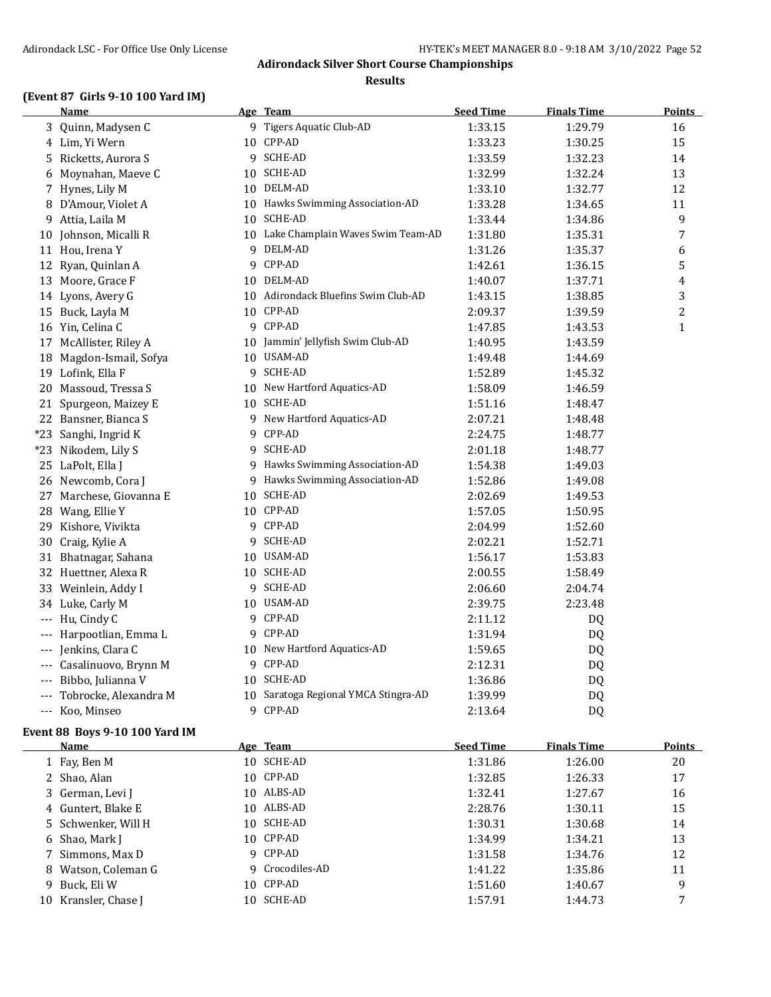#### **Results**

# **(Event 87 Girls 9-10 100 Yard IM)**

|    | <b>Name</b>               |   | Age Team                             | <b>Seed Time</b> | <b>Finals Time</b> | <b>Points</b>  |
|----|---------------------------|---|--------------------------------------|------------------|--------------------|----------------|
|    | 3 Quinn, Madysen C        |   | 9 Tigers Aquatic Club-AD             | 1:33.15          | 1:29.79            | 16             |
|    | 4 Lim, Yi Wern            |   | 10 CPP-AD                            | 1:33.23          | 1:30.25            | 15             |
|    | 5 Ricketts, Aurora S      |   | 9 SCHE-AD                            | 1:33.59          | 1:32.23            | 14             |
| 6  | Moynahan, Maeve C         |   | 10 SCHE-AD                           | 1:32.99          | 1:32.24            | 13             |
|    | 7 Hynes, Lily M           |   | 10 DELM-AD                           | 1:33.10          | 1:32.77            | 12             |
|    | 8 D'Amour, Violet A       |   | 10 Hawks Swimming Association-AD     | 1:33.28          | 1:34.65            | 11             |
| 9  | Attia, Laila M            |   | 10 SCHE-AD                           | 1:33.44          | 1:34.86            | 9              |
| 10 | Johnson, Micalli R        |   | 10 Lake Champlain Waves Swim Team-AD | 1:31.80          | 1:35.31            | 7              |
|    | 11 Hou, Irena Y           |   | 9 DELM-AD                            | 1:31.26          | 1:35.37            | 6              |
|    | 12 Ryan, Quinlan A        |   | 9 CPP-AD                             | 1:42.61          | 1:36.15            | 5              |
|    | 13 Moore, Grace F         |   | 10 DELM-AD                           | 1:40.07          | 1:37.71            | 4              |
|    | 14 Lyons, Avery G         |   | 10 Adirondack Bluefins Swim Club-AD  | 1:43.15          | 1:38.85            | 3              |
|    | 15 Buck, Layla M          |   | 10 CPP-AD                            | 2:09.37          | 1:39.59            | $\overline{c}$ |
|    | 16 Yin, Celina C          |   | 9 CPP-AD                             | 1:47.85          | 1:43.53            | $\mathbf{1}$   |
|    | 17 McAllister, Riley A    |   | 10 Jammin' Jellyfish Swim Club-AD    | 1:40.95          | 1:43.59            |                |
| 18 | Magdon-Ismail, Sofya      |   | 10 USAM-AD                           | 1:49.48          | 1:44.69            |                |
|    | 19 Lofink, Ella F         |   | 9 SCHE-AD                            | 1:52.89          | 1:45.32            |                |
|    | 20 Massoud, Tressa S      |   | 10 New Hartford Aquatics-AD          | 1:58.09          | 1:46.59            |                |
|    | 21 Spurgeon, Maizey E     |   | 10 SCHE-AD                           | 1:51.16          | 1:48.47            |                |
|    | 22 Bansner, Bianca S      |   | 9 New Hartford Aquatics-AD           | 2:07.21          | 1:48.48            |                |
|    | *23 Sanghi, Ingrid K      |   | 9 CPP-AD                             | 2:24.75          | 1:48.77            |                |
|    | *23 Nikodem, Lily S       |   | 9 SCHE-AD                            | 2:01.18          | 1:48.77            |                |
|    | 25 LaPolt, Ella J         |   | 9 Hawks Swimming Association-AD      | 1:54.38          | 1:49.03            |                |
|    | 26 Newcomb, Cora J        |   | 9 Hawks Swimming Association-AD      | 1:52.86          | 1:49.08            |                |
|    | 27 Marchese, Giovanna E   |   | 10 SCHE-AD                           | 2:02.69          | 1:49.53            |                |
| 28 | Wang, Ellie Y             |   | 10 CPP-AD                            | 1:57.05          | 1:50.95            |                |
|    | 29 Kishore, Vivikta       |   | 9 CPP-AD                             | 2:04.99          | 1:52.60            |                |
| 30 | Craig, Kylie A            |   | 9 SCHE-AD                            | 2:02.21          | 1:52.71            |                |
|    | 31 Bhatnagar, Sahana      |   | 10 USAM-AD                           | 1:56.17          | 1:53.83            |                |
|    | 32 Huettner, Alexa R      |   | 10 SCHE-AD                           | 2:00.55          | 1:58.49            |                |
|    | 33 Weinlein, Addy I       |   | 9 SCHE-AD                            | 2:06.60          | 2:04.74            |                |
|    | 34 Luke, Carly M          |   | 10 USAM-AD                           | 2:39.75          | 2:23.48            |                |
|    | --- Hu, Cindy C           |   | 9 CPP-AD                             | 2:11.12          | DQ                 |                |
|    | Harpootlian, Emma L       |   | 9 CPP-AD                             | 1:31.94          | DQ                 |                |
|    | --- Jenkins, Clara C      |   | 10 New Hartford Aquatics-AD          | 1:59.65          | <b>DQ</b>          |                |
|    | --- Casalinuovo, Brynn M  |   | 9 CPP-AD                             | 2:12.31          | DQ                 |                |
|    | --- Bibbo, Julianna V     |   | 10 SCHE-AD                           | 1:36.86          | DQ                 |                |
|    | --- Tobrocke, Alexandra M |   | 10 Saratoga Regional YMCA Stingra-AD | 1:39.99          | DQ                 |                |
|    | --- Koo, Minseo           | 9 | CPP-AD                               | 2:13.64          | DQ                 |                |

# **Event 88 Boys 9-10 100 Yard IM**

| <b>Name</b>          | Age Team        | <b>Seed Time</b> | <b>Finals Time</b> | <b>Points</b> |
|----------------------|-----------------|------------------|--------------------|---------------|
| 1 Fay, Ben M         | 10 SCHE-AD      | 1:31.86          | 1:26.00            | 20            |
| 2 Shao, Alan         | 10 CPP-AD       | 1:32.85          | 1:26.33            | 17            |
| 3 German, Levi J     | 10 ALBS-AD      | 1:32.41          | 1:27.67            | 16            |
| 4 Guntert, Blake E   | 10 ALBS-AD      | 2:28.76          | 1:30.11            | 15            |
| 5 Schwenker, Will H  | 10 SCHE-AD      | 1:30.31          | 1:30.68            | 14            |
| 6 Shao, Mark J       | 10 CPP-AD       | 1:34.99          | 1:34.21            | 13            |
| 7 Simmons, Max D     | 9 CPP-AD        | 1:31.58          | 1:34.76            | 12            |
| 8 Watson, Coleman G  | 9 Crocodiles-AD | 1:41.22          | 1:35.86            | 11            |
| 9 Buck, Eli W        | 10 CPP-AD       | 1:51.60          | 1:40.67            | 9             |
| 10 Kransler, Chase I | 10 SCHE-AD      | 1:57.91          | 1:44.73            |               |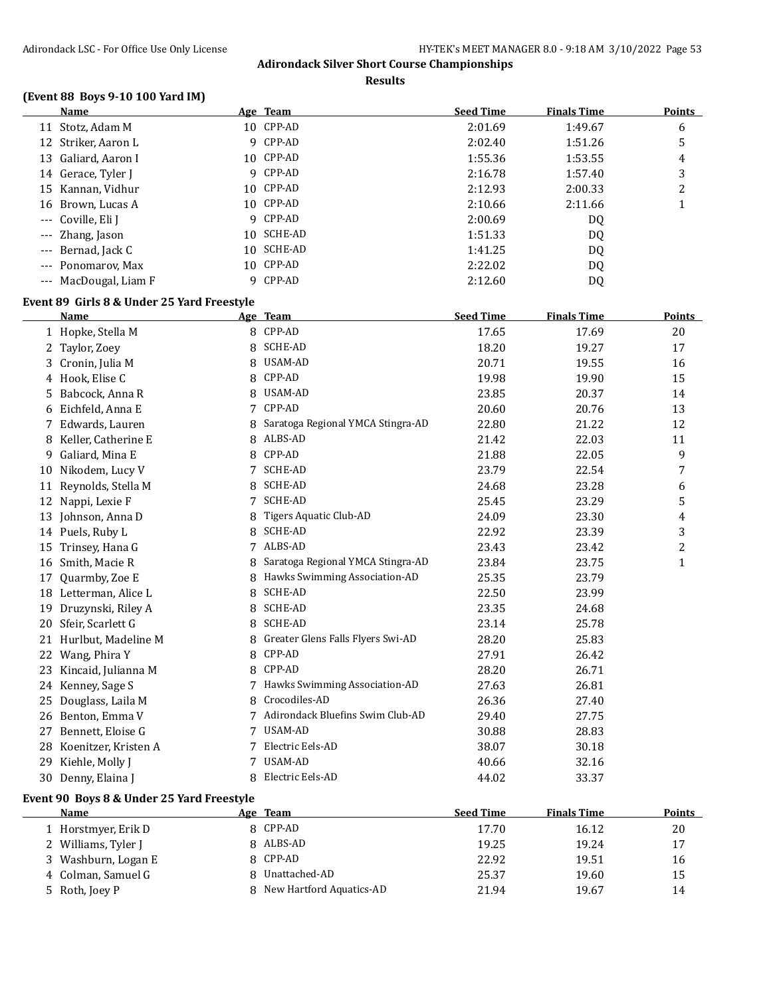**Results**

# **(Event 88 Boys 9-10 100 Yard IM)**

| Name                  |   | <u>Age Team</u> | <b>Seed Time</b> | <b>Finals Time</b> | Points |
|-----------------------|---|-----------------|------------------|--------------------|--------|
| 11 Stotz, Adam M      |   | 10 CPP-AD       | 2:01.69          | 1:49.67            | 6      |
| 12 Striker, Aaron L   |   | 9 CPP-AD        | 2:02.40          | 1:51.26            | 5      |
| 13 Galiard, Aaron I   |   | 10 CPP-AD       | 1:55.36          | 1:53.55            | 4      |
| 14 Gerace, Tyler J    |   | 9 CPP-AD        | 2:16.78          | 1:57.40            | 3      |
| 15 Kannan, Vidhur     |   | 10 CPP-AD       | 2:12.93          | 2:00.33            | າ<br>∠ |
| 16 Brown, Lucas A     |   | 10 CPP-AD       | 2:10.66          | 2:11.66            |        |
| --- Coville, Eli J    |   | 9 CPP-AD        | 2:00.69          | DQ                 |        |
| --- Zhang, Jason      |   | 10 SCHE-AD      | 1:51.33          | DQ                 |        |
| --- Bernad, Jack C    |   | 10 SCHE-AD      | 1:41.25          | DQ                 |        |
| --- Ponomarov, Max    |   | 10 CPP-AD       | 2:22.02          | DQ                 |        |
| --- MacDougal, Liam F | q | CPP-AD          | 2:12.60          | DQ                 |        |

#### **Event 89 Girls 8 & Under 25 Yard Freestyle**

|    | <b>Name</b>           |   | Age Team                          | <b>Seed Time</b> | <b>Finals Time</b> | Points |
|----|-----------------------|---|-----------------------------------|------------------|--------------------|--------|
|    | 1 Hopke, Stella M     | 8 | CPP-AD                            | 17.65            | 17.69              | 20     |
| 2  | Taylor, Zoey          | 8 | <b>SCHE-AD</b>                    | 18.20            | 19.27              | 17     |
| 3  | Cronin, Julia M       | 8 | USAM-AD                           | 20.71            | 19.55              | 16     |
|    | 4 Hook, Elise C       | 8 | CPP-AD                            | 19.98            | 19.90              | 15     |
| 5. | Babcock, Anna R       | 8 | USAM-AD                           | 23.85            | 20.37              | 14     |
| 6  | Eichfeld, Anna E      | 7 | CPP-AD                            | 20.60            | 20.76              | 13     |
|    | Edwards, Lauren       | 8 | Saratoga Regional YMCA Stingra-AD | 22.80            | 21.22              | 12     |
| 8  | Keller, Catherine E   | 8 | ALBS-AD                           | 21.42            | 22.03              | 11     |
| 9  | Galiard, Mina E       | 8 | CPP-AD                            | 21.88            | 22.05              | 9      |
| 10 | Nikodem, Lucy V       |   | <b>SCHE-AD</b>                    | 23.79            | 22.54              | 7      |
| 11 | Reynolds, Stella M    | 8 | <b>SCHE-AD</b>                    | 24.68            | 23.28              | 6      |
| 12 | Nappi, Lexie F        |   | <b>SCHE-AD</b>                    | 25.45            | 23.29              | 5      |
| 13 | Johnson, Anna D       | 8 | Tigers Aquatic Club-AD            | 24.09            | 23.30              | 4      |
|    | 14 Puels, Ruby L      | 8 | <b>SCHE-AD</b>                    | 22.92            | 23.39              | 3      |
| 15 | Trinsey, Hana G       | 7 | ALBS-AD                           | 23.43            | 23.42              | 2      |
| 16 | Smith, Macie R        | 8 | Saratoga Regional YMCA Stingra-AD | 23.84            | 23.75              | 1      |
| 17 | Quarmby, Zoe E        |   | Hawks Swimming Association-AD     | 25.35            | 23.79              |        |
|    | 18 Letterman, Alice L | 8 | <b>SCHE-AD</b>                    | 22.50            | 23.99              |        |
| 19 | Druzynski, Riley A    | 8 | <b>SCHE-AD</b>                    | 23.35            | 24.68              |        |
| 20 | Sfeir, Scarlett G     | 8 | <b>SCHE-AD</b>                    | 23.14            | 25.78              |        |
| 21 | Hurlbut, Madeline M   | 8 | Greater Glens Falls Flyers Swi-AD | 28.20            | 25.83              |        |
| 22 | Wang, Phira Y         | 8 | CPP-AD                            | 27.91            | 26.42              |        |
| 23 | Kincaid, Julianna M   | 8 | CPP-AD                            | 28.20            | 26.71              |        |
| 24 | Kenney, Sage S        |   | Hawks Swimming Association-AD     | 27.63            | 26.81              |        |
| 25 | Douglass, Laila M     | 8 | Crocodiles-AD                     | 26.36            | 27.40              |        |
|    | 26 Benton, Emma V     |   | Adirondack Bluefins Swim Club-AD  | 29.40            | 27.75              |        |
| 27 | Bennett, Eloise G     | 7 | <b>USAM-AD</b>                    | 30.88            | 28.83              |        |
| 28 | Koenitzer, Kristen A  |   | Electric Eels-AD                  | 38.07            | 30.18              |        |
| 29 | Kiehle, Molly J       |   | <b>USAM-AD</b>                    | 40.66            | 32.16              |        |
|    | 30 Denny, Elaina J    | 8 | Electric Eels-AD                  | 44.02            | 33.37              |        |

# **Event 90 Boys 8 & Under 25 Yard Freestyle**

| Name                | Age Team                   | <b>Seed Time</b> | <b>Finals Time</b> | <b>Points</b> |
|---------------------|----------------------------|------------------|--------------------|---------------|
| 1 Horstmyer, Erik D | 8 CPP-AD                   | 17.70            | 16.12              | 20            |
| 2 Williams, Tyler J | 8 ALBS-AD                  | 19.25            | 19.24              | 17            |
| 3 Washburn, Logan E | 8 CPP-AD                   | 22.92            | 19.51              | 16            |
| 4 Colman, Samuel G  | Unattached-AD              | 25.37            | 19.60              | 15            |
| 5 Roth, Joey P      | 8 New Hartford Aquatics-AD | 21.94            | 19.67              | 14            |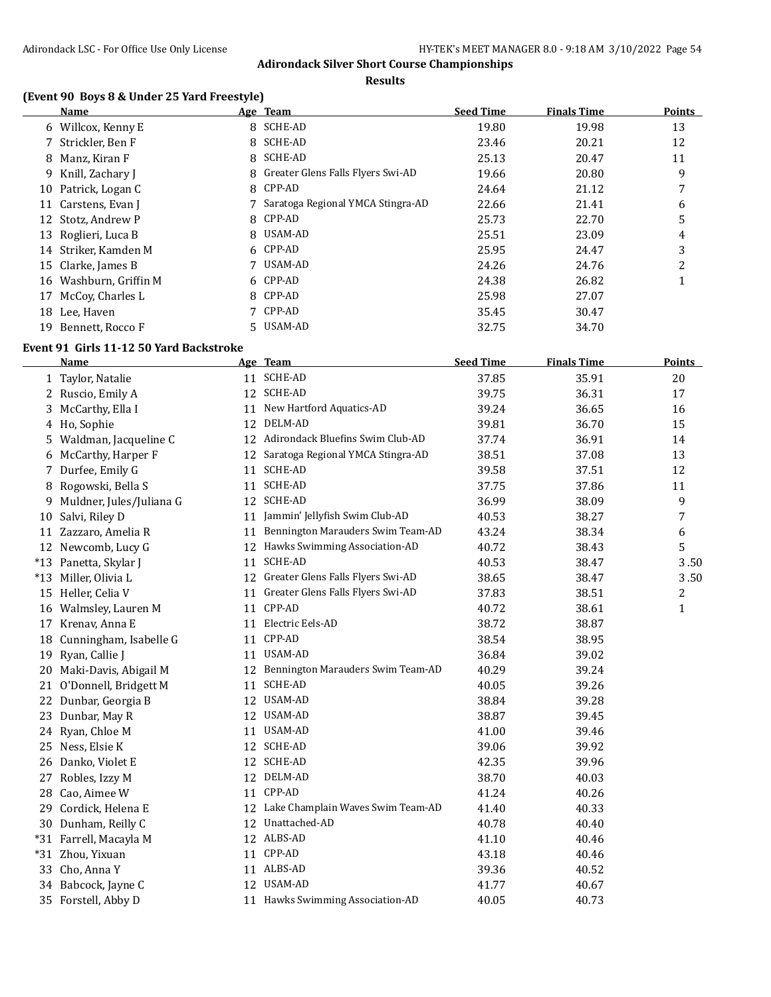**Results**

# **(Event 90 Boys 8 & Under 25 Yard Freestyle)**

|    | Name                   |   | Age Team                            | <b>Seed Time</b> | <b>Finals Time</b> | <b>Points</b> |
|----|------------------------|---|-------------------------------------|------------------|--------------------|---------------|
|    | 6 Willcox, Kenny E     |   | 8 SCHE-AD                           | 19.80            | 19.98              | 13            |
|    | 7 Strickler, Ben F     |   | 8 SCHE-AD                           | 23.46            | 20.21              | 12            |
|    | 8 Manz, Kiran F        |   | 8 SCHE-AD                           | 25.13            | 20.47              | 11            |
|    | 9 Knill, Zachary J     |   | 8 Greater Glens Falls Flyers Swi-AD | 19.66            | 20.80              | 9             |
|    | 10 Patrick, Logan C    |   | 8 CPP-AD                            | 24.64            | 21.12              | 7             |
| 11 | Carstens, Evan J       |   | 7 Saratoga Regional YMCA Stingra-AD | 22.66            | 21.41              | 6             |
|    | 12 Stotz, Andrew P     |   | 8 CPP-AD                            | 25.73            | 22.70              | 5             |
| 13 | Roglieri, Luca B       | 8 | USAM-AD                             | 25.51            | 23.09              | 4             |
|    | 14 Striker, Kamden M   |   | 6 CPP-AD                            | 25.95            | 24.47              | 3             |
|    | 15 Clarke, James B     |   | USAM-AD                             | 24.26            | 24.76              | 2             |
|    | 16 Washburn, Griffin M |   | 6 CPP-AD                            | 24.38            | 26.82              | 1             |
| 17 | McCoy, Charles L       |   | 8 CPP-AD                            | 25.98            | 27.07              |               |
| 18 | Lee, Haven             |   | CPP-AD                              | 35.45            | 30.47              |               |
|    | 19 Bennett, Rocco F    |   | 5 USAM-AD                           | 32.75            | 34.70              |               |

#### **Event 91 Girls 11-12 50 Yard Backstroke**

|    | Name                     |    | Age Team                             | <b>Seed Time</b> | <b>Finals Time</b> | <b>Points</b>           |
|----|--------------------------|----|--------------------------------------|------------------|--------------------|-------------------------|
|    | 1 Taylor, Natalie        |    | 11 SCHE-AD                           | 37.85            | 35.91              | 20                      |
|    | 2 Ruscio, Emily A        |    | 12 SCHE-AD                           | 39.75            | 36.31              | 17                      |
| 3  | McCarthy, Ella I         |    | 11 New Hartford Aquatics-AD          | 39.24            | 36.65              | 16                      |
| 4  | Ho, Sophie               | 12 | DELM-AD                              | 39.81            | 36.70              | 15                      |
| 5  | Waldman, Jacqueline C    | 12 | Adirondack Bluefins Swim Club-AD     | 37.74            | 36.91              | 14                      |
| 6  | McCarthy, Harper F       | 12 | Saratoga Regional YMCA Stingra-AD    | 38.51            | 37.08              | 13                      |
|    | 7 Durfee, Emily G        |    | 11 SCHE-AD                           | 39.58            | 37.51              | 12                      |
| 8  | Rogowski, Bella S        |    | 11 SCHE-AD                           | 37.75            | 37.86              | 11                      |
| 9  | Muldner, Jules/Juliana G |    | 12 SCHE-AD                           | 36.99            | 38.09              | 9                       |
| 10 | Salvi, Riley D           | 11 | Jammin' Jellyfish Swim Club-AD       | 40.53            | 38.27              | 7                       |
|    | 11 Zazzaro, Amelia R     | 11 | Bennington Marauders Swim Team-AD    | 43.24            | 38.34              | 6                       |
|    | 12 Newcomb, Lucy G       |    | 12 Hawks Swimming Association-AD     | 40.72            | 38.43              | 5                       |
|    | *13 Panetta, Skylar J    | 11 | <b>SCHE-AD</b>                       | 40.53            | 38.47              | 3.50                    |
|    | *13 Miller, Olivia L     |    | 12 Greater Glens Falls Flyers Swi-AD | 38.65            | 38.47              | 3.50                    |
| 15 | Heller, Celia V          | 11 | Greater Glens Falls Flyers Swi-AD    | 37.83            | 38.51              | $\overline{\mathbf{c}}$ |
| 16 | Walmsley, Lauren M       |    | 11 CPP-AD                            | 40.72            | 38.61              | $\mathbf{1}$            |
| 17 | Krenav, Anna E           |    | 11 Electric Eels-AD                  | 38.72            | 38.87              |                         |
| 18 | Cunningham, Isabelle G   |    | 11 CPP-AD                            | 38.54            | 38.95              |                         |
| 19 | Ryan, Callie J           | 11 | USAM-AD                              | 36.84            | 39.02              |                         |
| 20 | Maki-Davis, Abigail M    |    | 12 Bennington Marauders Swim Team-AD | 40.29            | 39.24              |                         |
|    | 21 O'Donnell, Bridgett M | 11 | SCHE-AD                              | 40.05            | 39.26              |                         |
| 22 | Dunbar, Georgia B        | 12 | USAM-AD                              | 38.84            | 39.28              |                         |
| 23 | Dunbar, May R            |    | 12 USAM-AD                           | 38.87            | 39.45              |                         |
|    | 24 Ryan, Chloe M         |    | 11 USAM-AD                           | 41.00            | 39.46              |                         |
| 25 | Ness, Elsie K            |    | 12 SCHE-AD                           | 39.06            | 39.92              |                         |
| 26 | Danko, Violet E          |    | 12 SCHE-AD                           | 42.35            | 39.96              |                         |
| 27 | Robles, Izzy M           | 12 | DELM-AD                              | 38.70            | 40.03              |                         |
| 28 | Cao, Aimee W             |    | 11 CPP-AD                            | 41.24            | 40.26              |                         |
| 29 | Cordick, Helena E        |    | 12 Lake Champlain Waves Swim Team-AD | 41.40            | 40.33              |                         |
| 30 | Dunham, Reilly C         |    | 12 Unattached-AD                     | 40.78            | 40.40              |                         |
|    | *31 Farrell, Macayla M   |    | 12 ALBS-AD                           | 41.10            | 40.46              |                         |
|    | *31 Zhou, Yixuan         |    | 11 CPP-AD                            | 43.18            | 40.46              |                         |
| 33 | Cho, Anna Y              |    | 11 ALBS-AD                           | 39.36            | 40.52              |                         |
| 34 | Babcock, Jayne C         |    | 12 USAM-AD                           | 41.77            | 40.67              |                         |
|    | 35 Forstell, Abby D      |    | 11 Hawks Swimming Association-AD     | 40.05            | 40.73              |                         |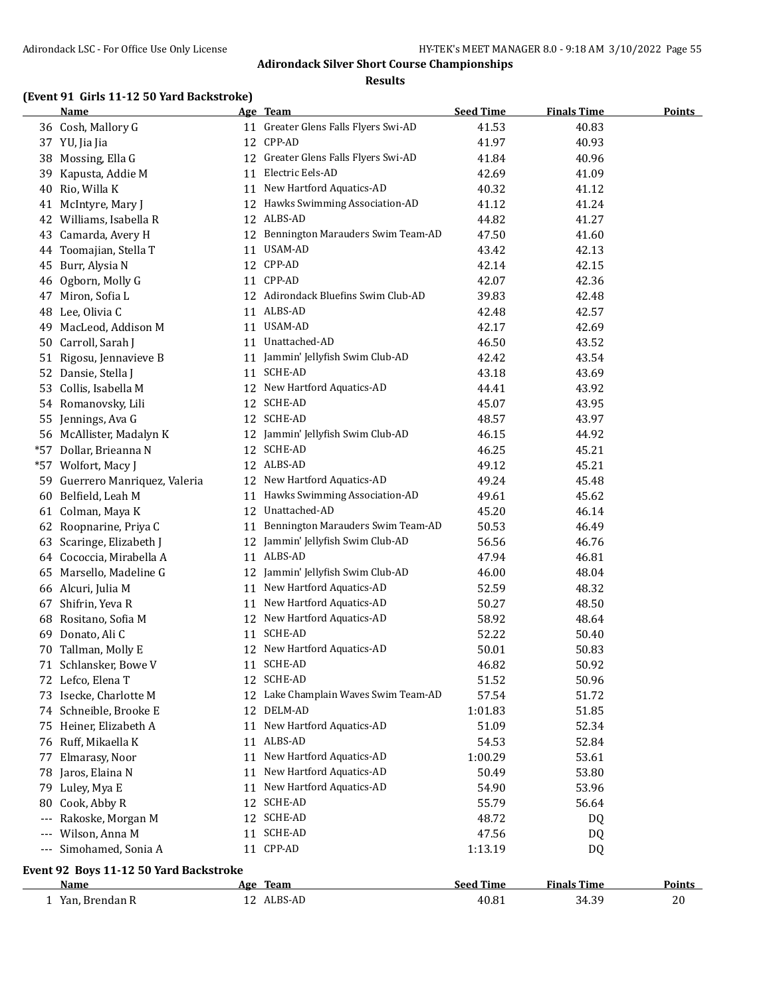#### **Results**

# **(Event 91 Girls 11-12 50 Yard Backstroke)**

|                     | <b>Name</b>                            |    | Age Team                             | <b>Seed Time</b> | <b>Finals Time</b> | <b>Points</b> |
|---------------------|----------------------------------------|----|--------------------------------------|------------------|--------------------|---------------|
|                     | 36 Cosh, Mallory G                     |    | 11 Greater Glens Falls Flyers Swi-AD | 41.53            | 40.83              |               |
|                     | 37 YU, Jia Jia                         |    | 12 CPP-AD                            | 41.97            | 40.93              |               |
| 38                  | Mossing, Ella G                        | 12 | Greater Glens Falls Flyers Swi-AD    | 41.84            | 40.96              |               |
| 39                  | Kapusta, Addie M                       | 11 | Electric Eels-AD                     | 42.69            | 41.09              |               |
| 40                  | Rio, Willa K                           |    | 11 New Hartford Aquatics-AD          | 40.32            | 41.12              |               |
|                     | 41 McIntyre, Mary J                    |    | 12 Hawks Swimming Association-AD     | 41.12            | 41.24              |               |
|                     | 42 Williams, Isabella R                | 12 | ALBS-AD                              | 44.82            | 41.27              |               |
| 43                  | Camarda, Avery H                       | 12 | Bennington Marauders Swim Team-AD    | 47.50            | 41.60              |               |
| 44                  | Toomajian, Stella T                    | 11 | USAM-AD                              | 43.42            | 42.13              |               |
| 45                  | Burr, Alysia N                         |    | 12 CPP-AD                            | 42.14            | 42.15              |               |
| 46                  | Ogborn, Molly G                        |    | 11 CPP-AD                            | 42.07            | 42.36              |               |
| 47                  | Miron, Sofia L                         |    | 12 Adirondack Bluefins Swim Club-AD  | 39.83            | 42.48              |               |
| 48                  | Lee, Olivia C                          | 11 | ALBS-AD                              | 42.48            | 42.57              |               |
| 49                  | MacLeod, Addison M                     | 11 | USAM-AD                              | 42.17            | 42.69              |               |
| 50                  | Carroll, Sarah J                       | 11 | Unattached-AD                        | 46.50            | 43.52              |               |
|                     | 51 Rigosu, Jennavieve B                |    | 11 Jammin' Jellyfish Swim Club-AD    | 42.42            | 43.54              |               |
| 52                  | Dansie, Stella J                       |    | 11 SCHE-AD                           | 43.18            | 43.69              |               |
| 53                  | Collis, Isabella M                     |    | 12 New Hartford Aquatics-AD          | 44.41            | 43.92              |               |
|                     | 54 Romanovsky, Lili                    | 12 | SCHE-AD                              | 45.07            | 43.95              |               |
| 55                  | Jennings, Ava G                        |    | 12 SCHE-AD                           | 48.57            | 43.97              |               |
|                     | 56 McAllister, Madalyn K               |    | 12 Jammin' Jellyfish Swim Club-AD    | 46.15            | 44.92              |               |
| *57                 | Dollar, Brieanna N                     |    | 12 SCHE-AD                           | 46.25            | 45.21              |               |
|                     | *57 Wolfort, Macy J                    |    | 12 ALBS-AD                           | 49.12            | 45.21              |               |
| 59.                 | Guerrero Manriquez, Valeria            |    | 12 New Hartford Aquatics-AD          | 49.24            | 45.48              |               |
| 60                  | Belfield, Leah M                       |    | 11 Hawks Swimming Association-AD     | 49.61            | 45.62              |               |
| 61                  | Colman, Maya K                         |    | 12 Unattached-AD                     | 45.20            | 46.14              |               |
|                     | 62 Roopnarine, Priya C                 | 11 | Bennington Marauders Swim Team-AD    | 50.53            | 46.49              |               |
| 63                  | Scaringe, Elizabeth J                  | 12 | Jammin' Jellyfish Swim Club-AD       | 56.56            | 46.76              |               |
|                     | 64 Cococcia, Mirabella A               |    | 11 ALBS-AD                           | 47.94            | 46.81              |               |
| 65                  | Marsello, Madeline G                   | 12 | Jammin' Jellyfish Swim Club-AD       | 46.00            | 48.04              |               |
|                     | 66 Alcuri, Julia M                     | 11 | New Hartford Aquatics-AD             | 52.59            | 48.32              |               |
| 67                  | Shifrin, Yeva R                        | 11 | New Hartford Aquatics-AD             | 50.27            | 48.50              |               |
|                     |                                        |    | New Hartford Aquatics-AD             |                  |                    |               |
| 68<br>69            | Rositano, Sofia M<br>Donato, Ali C     | 12 | 11 SCHE-AD                           | 58.92<br>52.22   | 48.64              |               |
|                     |                                        |    | 12 New Hartford Aquatics-AD          |                  | 50.40              |               |
| 70                  | Tallman, Molly E                       |    | 11 SCHE-AD                           | 50.01            | 50.83              |               |
|                     | 71 Schlansker, Bowe V                  |    |                                      | 46.82            | 50.92              |               |
|                     | 72 Lefco, Elena T                      |    | 12 SCHE-AD                           | 51.52            | 50.96              |               |
|                     | 73 Isecke, Charlotte M                 |    | 12 Lake Champlain Waves Swim Team-AD | 57.54            | 51.72              |               |
|                     | 74 Schneible, Brooke E                 | 12 | DELM-AD                              | 1:01.83          | 51.85              |               |
|                     | 75 Heiner, Elizabeth A                 |    | 11 New Hartford Aquatics-AD          | 51.09            | 52.34              |               |
|                     | 76 Ruff, Mikaella K                    | 11 | ALBS-AD                              | 54.53            | 52.84              |               |
| 77                  | Elmarasy, Noor                         | 11 | New Hartford Aquatics-AD             | 1:00.29          | 53.61              |               |
| 78                  | Jaros, Elaina N                        | 11 | New Hartford Aquatics-AD             | 50.49            | 53.80              |               |
| 79                  | Luley, Mya E                           | 11 | New Hartford Aquatics-AD             | 54.90            | 53.96              |               |
| 80                  | Cook, Abby R                           | 12 | SCHE-AD                              | 55.79            | 56.64              |               |
| $---$               | Rakoske, Morgan M                      | 12 | SCHE-AD                              | 48.72            | DQ                 |               |
|                     | Wilson, Anna M                         |    | 11 SCHE-AD                           | 47.56            | DQ                 |               |
| $\qquad \qquad - -$ | Simohamed, Sonia A                     |    | 11 CPP-AD                            | 1:13.19          | DQ                 |               |
|                     | Event 92 Boys 11-12 50 Yard Backstroke |    |                                      |                  |                    |               |
|                     | <u>Name</u>                            |    | Age Team                             | <b>Seed Time</b> | <b>Finals Time</b> | <b>Points</b> |
|                     | 1 Yan, Brendan R                       |    | 12 ALBS-AD                           | 40.81            | 34.39              | 20            |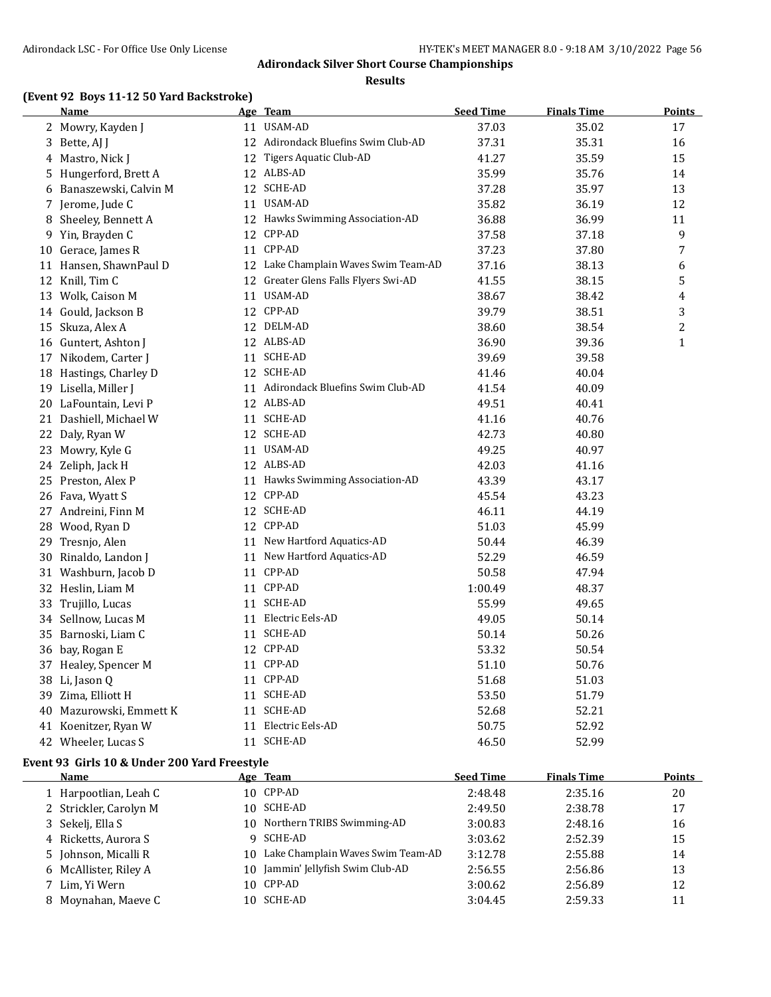#### **Results**

# **(Event 92 Boys 11-12 50 Yard Backstroke)**

|    | <b>Name</b>                                  |    | Age Team                             | <b>Seed Time</b> | <b>Finals Time</b> | <b>Points</b> |
|----|----------------------------------------------|----|--------------------------------------|------------------|--------------------|---------------|
|    | 2 Mowry, Kayden J                            |    | 11 USAM-AD                           | 37.03            | 35.02              | 17            |
| 3  | Bette, AJ J                                  |    | 12 Adirondack Bluefins Swim Club-AD  | 37.31            | 35.31              | 16            |
| 4  | Mastro, Nick J                               | 12 | Tigers Aquatic Club-AD               | 41.27            | 35.59              | 15            |
| 5  | Hungerford, Brett A                          |    | 12 ALBS-AD                           | 35.99            | 35.76              | 14            |
|    | 6 Banaszewski, Calvin M                      |    | 12 SCHE-AD                           | 37.28            | 35.97              | 13            |
|    | 7 Jerome, Jude C                             |    | 11 USAM-AD                           | 35.82            | 36.19              | 12            |
| 8  | Sheeley, Bennett A                           |    | 12 Hawks Swimming Association-AD     | 36.88            | 36.99              | 11            |
| 9  | Yin, Brayden C                               |    | 12 CPP-AD                            | 37.58            | 37.18              | 9             |
|    | 10 Gerace, James R                           |    | 11 CPP-AD                            | 37.23            | 37.80              | 7             |
|    | 11 Hansen, ShawnPaul D                       |    | 12 Lake Champlain Waves Swim Team-AD | 37.16            | 38.13              | 6             |
|    | 12 Knill, Tim C                              | 12 | Greater Glens Falls Flyers Swi-AD    | 41.55            | 38.15              | 5             |
|    | 13 Wolk, Caison M                            |    | 11 USAM-AD                           | 38.67            | 38.42              | 4             |
|    | 14 Gould, Jackson B                          |    | 12 CPP-AD                            | 39.79            | 38.51              | 3             |
|    | 15 Skuza, Alex A                             |    | 12 DELM-AD                           | 38.60            | 38.54              | 2             |
|    | 16 Guntert, Ashton J                         |    | 12 ALBS-AD                           | 36.90            | 39.36              | $\mathbf{1}$  |
|    | 17 Nikodem, Carter J                         |    | 11 SCHE-AD                           | 39.69            | 39.58              |               |
|    | 18 Hastings, Charley D                       |    | 12 SCHE-AD                           | 41.46            | 40.04              |               |
|    | 19 Lisella, Miller J                         |    | 11 Adirondack Bluefins Swim Club-AD  | 41.54            | 40.09              |               |
|    | 20 LaFountain, Levi P                        |    | 12 ALBS-AD                           | 49.51            | 40.41              |               |
|    | 21 Dashiell, Michael W                       |    | 11 SCHE-AD                           | 41.16            | 40.76              |               |
|    | 22 Daly, Ryan W                              |    | 12 SCHE-AD                           | 42.73            | 40.80              |               |
|    | 23 Mowry, Kyle G                             |    | 11 USAM-AD                           | 49.25            | 40.97              |               |
|    | 24 Zeliph, Jack H                            |    | 12 ALBS-AD                           | 42.03            | 41.16              |               |
|    | 25 Preston, Alex P                           |    | 11 Hawks Swimming Association-AD     | 43.39            | 43.17              |               |
|    | 26 Fava, Wyatt S                             |    | 12 CPP-AD                            | 45.54            | 43.23              |               |
|    | 27 Andreini, Finn M                          |    | 12 SCHE-AD                           | 46.11            | 44.19              |               |
|    | 28 Wood, Ryan D                              |    | 12 CPP-AD                            | 51.03            | 45.99              |               |
| 29 | Tresnjo, Alen                                |    | 11 New Hartford Aquatics-AD          | 50.44            | 46.39              |               |
|    | 30 Rinaldo, Landon J                         |    | 11 New Hartford Aquatics-AD          | 52.29            | 46.59              |               |
|    | 31 Washburn, Jacob D                         |    | 11 CPP-AD                            | 50.58            | 47.94              |               |
|    | 32 Heslin, Liam M                            |    | 11 CPP-AD                            | 1:00.49          | 48.37              |               |
| 33 | Trujillo, Lucas                              |    | 11 SCHE-AD                           | 55.99            | 49.65              |               |
|    | 34 Sellnow, Lucas M                          |    | 11 Electric Eels-AD                  | 49.05            | 50.14              |               |
| 35 | Barnoski, Liam C                             |    | 11 SCHE-AD                           | 50.14            | 50.26              |               |
|    | 36 bay, Rogan E                              |    | 12 CPP-AD                            | 53.32            | 50.54              |               |
|    | 37 Healey, Spencer M                         |    | 11 CPP-AD                            | 51.10            | 50.76              |               |
|    | 38 Li, Jason Q                               |    | 11 CPP-AD                            | 51.68            | 51.03              |               |
|    | 39 Zima, Elliott H                           |    | 11 SCHE-AD                           | 53.50            | 51.79              |               |
|    | 40 Mazurowski, Emmett K                      |    | 11 SCHE-AD                           | 52.68            | 52.21              |               |
|    | 41 Koenitzer, Ryan W                         |    | 11 Electric Eels-AD                  | 50.75            | 52.92              |               |
|    | 42 Wheeler, Lucas S                          |    | 11 SCHE-AD                           | 46.50            | 52.99              |               |
|    | Event 93 Girls 10 & Under 200 Yard Freestyle |    |                                      |                  |                    |               |
|    | Name                                         |    | Age Team                             | <b>Seed Time</b> | <b>Finals Time</b> | <b>Points</b> |
|    | 1 Harpootlian, Leah C                        |    | 10 CPP-AD                            | 2:48.48          | 2:35.16            | 20            |
|    |                                              |    |                                      |                  |                    |               |

| 1 Harpootlian, Leah C  |   | 10 CPP-AD                            | 2:48.48 | 2:35.16 | 20 |
|------------------------|---|--------------------------------------|---------|---------|----|
| 2 Strickler, Carolyn M |   | 10 SCHE-AD                           | 2:49.50 | 2:38.78 | 17 |
| 3 Sekelj, Ella S       |   | 10 Northern TRIBS Swimming-AD        | 3:00.83 | 2:48.16 | 16 |
| 4 Ricketts, Aurora S   | Q | SCHE-AD                              | 3:03.62 | 2:52.39 | 15 |
| 5 Johnson, Micalli R   |   | 10 Lake Champlain Waves Swim Team-AD | 3:12.78 | 2:55.88 | 14 |
| 6 McAllister, Riley A  |   | 10 Jammin' Jellyfish Swim Club-AD    | 2:56.55 | 2:56.86 | 13 |
| 7 Lim, Yi Wern         |   | 10 CPP-AD                            | 3:00.62 | 2:56.89 | 12 |
| 8 Moynahan, Maeye C    |   | 10 SCHE-AD                           | 3:04.45 | 2:59.33 | 11 |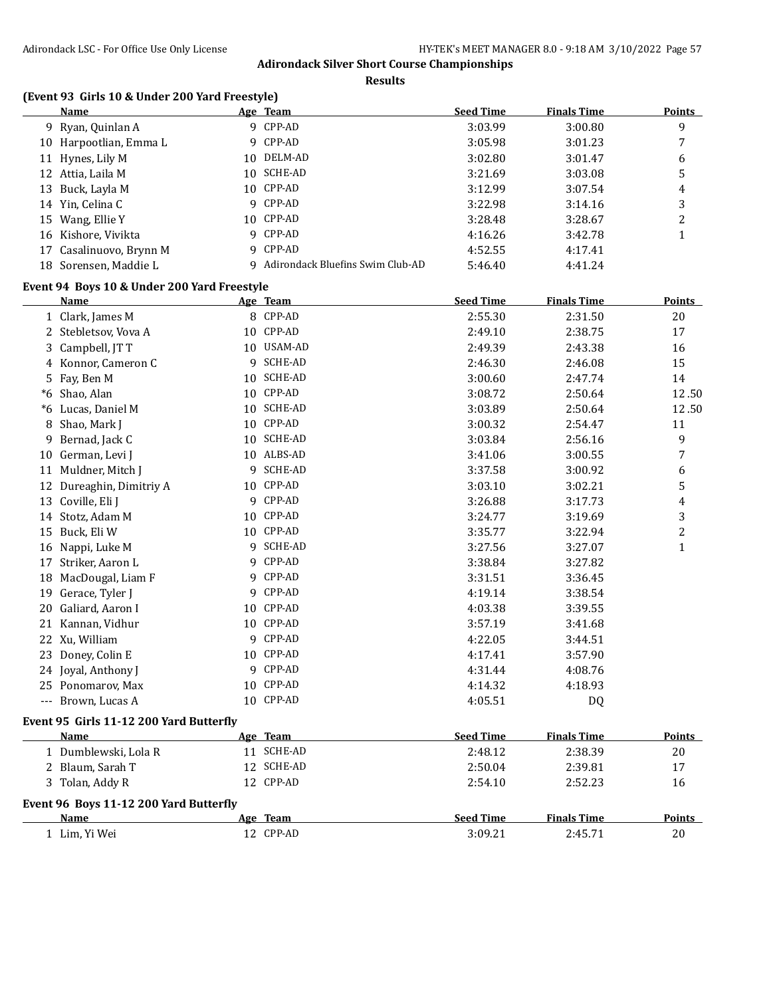**Results**

# **(Event 93 Girls 10 & Under 200 Yard Freestyle)**

| Name                    |     | Age Team                         | <b>Seed Time</b> | <b>Finals Time</b> | <b>Points</b> |
|-------------------------|-----|----------------------------------|------------------|--------------------|---------------|
| 9 Ryan, Quinlan A       |     | 9 CPP-AD                         | 3:03.99          | 3:00.80            | 9             |
| 10 Harpootlian, Emma L  |     | 9 CPP-AD                         | 3:05.98          | 3:01.23            |               |
| 11 Hynes, Lily M        | 10. | DELM-AD                          | 3:02.80          | 3:01.47            | 6             |
| 12 Attia, Laila M       | 10. | SCHE-AD                          | 3:21.69          | 3:03.08            | 5             |
| 13 Buck, Layla M        |     | 10 CPP-AD                        | 3:12.99          | 3:07.54            | 4             |
| 14 Yin, Celina C        |     | 9 CPP-AD                         | 3:22.98          | 3:14.16            | 3             |
| 15 Wang, Ellie Y        |     | 10 CPP-AD                        | 3:28.48          | 3:28.67            | າ<br>∠        |
| 16 Kishore, Vivikta     |     | 9 CPP-AD                         | 4:16.26          | 3:42.78            |               |
| 17 Casalinuovo, Brynn M |     | 9 CPP-AD                         | 4:52.55          | 4:17.41            |               |
| 18 Sorensen, Maddie L   | 9   | Adirondack Bluefins Swim Club-AD | 5:46.40          | 4:41.24            |               |

# **Event 94 Boys 10 & Under 200 Yard Freestyle**

|       | Name                                    |    | Age Team       | <b>Seed Time</b> | <b>Finals Time</b> | <b>Points</b>  |
|-------|-----------------------------------------|----|----------------|------------------|--------------------|----------------|
|       | 1 Clark, James M                        |    | 8 CPP-AD       | 2:55.30          | 2:31.50            | 20             |
| 2     | Stebletsov, Vova A                      | 10 | CPP-AD         | 2:49.10          | 2:38.75            | 17             |
| 3     | Campbell, JT T                          | 10 | USAM-AD        | 2:49.39          | 2:43.38            | 16             |
|       | 4 Konnor, Cameron C                     | 9  | <b>SCHE-AD</b> | 2:46.30          | 2:46.08            | 15             |
| 5     | Fay, Ben M                              | 10 | <b>SCHE-AD</b> | 3:00.60          | 2:47.74            | 14             |
| *6    | Shao, Alan                              | 10 | CPP-AD         | 3:08.72          | 2:50.64            | 12.50          |
| *6    | Lucas, Daniel M                         | 10 | <b>SCHE-AD</b> | 3:03.89          | 2:50.64            | 12.50          |
| 8     | Shao, Mark J                            | 10 | CPP-AD         | 3:00.32          | 2:54.47            | 11             |
| 9     | Bernad, Jack C                          | 10 | <b>SCHE-AD</b> | 3:03.84          | 2:56.16            | 9              |
| 10    | German, Levi J                          | 10 | ALBS-AD        | 3:41.06          | 3:00.55            | 7              |
| 11    | Muldner, Mitch J                        | 9  | <b>SCHE-AD</b> | 3:37.58          | 3:00.92            | 6              |
| 12    | Dureaghin, Dimitriy A                   | 10 | CPP-AD         | 3:03.10          | 3:02.21            | 5              |
| 13    | Coville, Eli J                          | 9  | CPP-AD         | 3:26.88          | 3:17.73            | 4              |
| 14    | Stotz, Adam M                           | 10 | CPP-AD         | 3:24.77          | 3:19.69            | 3              |
| 15    | Buck, Eli W                             | 10 | CPP-AD         | 3:35.77          | 3:22.94            | $\overline{c}$ |
| 16    | Nappi, Luke M                           | 9  | <b>SCHE-AD</b> | 3:27.56          | 3:27.07            | 1              |
| 17    | Striker, Aaron L                        | 9  | CPP-AD         | 3:38.84          | 3:27.82            |                |
| 18    | MacDougal, Liam F                       | 9  | CPP-AD         | 3:31.51          | 3:36.45            |                |
| 19    | Gerace, Tyler J                         | 9  | CPP-AD         | 4:19.14          | 3:38.54            |                |
| 20    | Galiard, Aaron I                        | 10 | CPP-AD         | 4:03.38          | 3:39.55            |                |
| 21    | Kannan, Vidhur                          |    | 10 CPP-AD      | 3:57.19          | 3:41.68            |                |
| 22    | Xu, William                             | 9  | CPP-AD         | 4:22.05          | 3:44.51            |                |
| 23    | Doney, Colin E                          | 10 | CPP-AD         | 4:17.41          | 3:57.90            |                |
|       | 24 Joyal, Anthony J                     | 9  | CPP-AD         | 4:31.44          | 4:08.76            |                |
| 25    | Ponomarov, Max                          | 10 | CPP-AD         | 4:14.32          | 4:18.93            |                |
| $---$ | Brown, Lucas A                          |    | 10 CPP-AD      | 4:05.51          | DQ                 |                |
|       | Event 95 Girls 11-12 200 Yard Butterfly |    |                |                  |                    |                |
|       | Name                                    |    | Age Team       | <b>Seed Time</b> | <b>Finals Time</b> | <b>Points</b>  |

| машс                                   | лес каш    | эсси типс        | гшагэ гипс         | т оннь        |
|----------------------------------------|------------|------------------|--------------------|---------------|
| 1 Dumblewski, Lola R                   | SCHE-AD    | 2:48.12          | 2:38.39            | 20            |
| 2 Blaum, Sarah T                       | 12 SCHE-AD | 2:50.04          | 2:39.81            | 17            |
| 3 Tolan, Addy R                        | 12 CPP-AD  | 2:54.10          | 2:52.23            | 16            |
| Event 96 Boys 11-12 200 Yard Butterfly |            |                  |                    |               |
| <b>Name</b>                            | Age Team   | <b>Seed Time</b> | <b>Finals Time</b> | <b>Points</b> |
| Lim. Yi Wei                            | 12 CPP-AD  | 3:09.21          | 2:45.71            | 20            |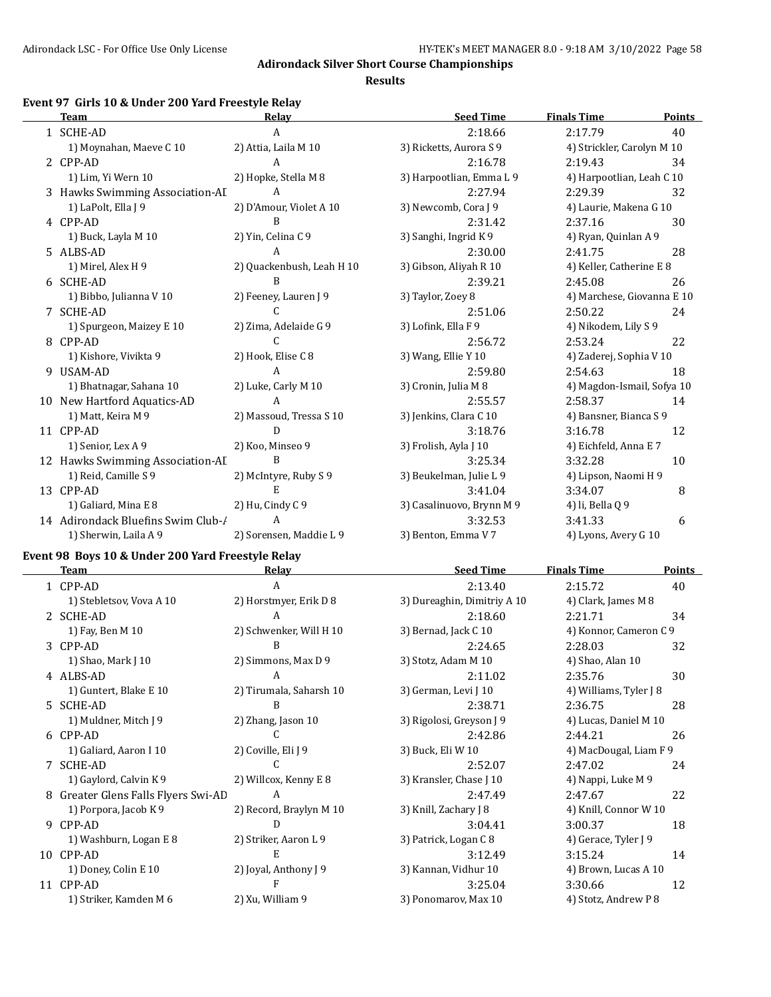**Results**

# **Event 97 Girls 10 & Under 200 Yard Freestyle Relay**

| <b>Team</b>                        | Relay                     | <b>Seed Time</b>          | <b>Finals Time</b>         | <b>Points</b> |
|------------------------------------|---------------------------|---------------------------|----------------------------|---------------|
| 1 SCHE-AD                          | A                         | 2:18.66                   | 2:17.79                    | 40            |
| 1) Moynahan, Maeve C 10            | 2) Attia, Laila M 10      | 3) Ricketts, Aurora S 9   | 4) Strickler, Carolyn M 10 |               |
| 2 CPP-AD                           | A                         | 2:16.78                   | 2:19.43                    | 34            |
| 1) Lim, Yi Wern 10                 | 2) Hopke, Stella M 8      | 3) Harpootlian, Emma L 9  | 4) Harpootlian, Leah C 10  |               |
| 3 Hawks Swimming Association-AI    | A                         | 2:27.94                   | 2:29.39                    | 32            |
| 1) LaPolt, Ella J 9                | 2) D'Amour, Violet A 10   | 3) Newcomb, Cora J 9      | 4) Laurie, Makena G 10     |               |
| 4 CPP-AD                           | B                         | 2:31.42                   | 2:37.16                    | 30            |
| 1) Buck, Layla M 10                | 2) Yin, Celina C 9        | 3) Sanghi, Ingrid K 9     | 4) Ryan, Quinlan A 9       |               |
| 5 ALBS-AD                          | A                         | 2:30.00                   | 2:41.75                    | 28            |
| 1) Mirel, Alex H 9                 | 2) Quackenbush, Leah H 10 | 3) Gibson, Aliyah R 10    | 4) Keller, Catherine E 8   |               |
| 6 SCHE-AD                          | B                         | 2:39.21                   | 2:45.08                    | 26            |
| 1) Bibbo, Julianna V 10            | 2) Feeney, Lauren J 9     | 3) Taylor, Zoey 8         | 4) Marchese, Giovanna E 10 |               |
| 7 SCHE-AD                          | C                         | 2:51.06                   | 2:50.22                    | 24            |
| 1) Spurgeon, Maizey E 10           | 2) Zima, Adelaide G 9     | 3) Lofink, Ella F 9       | 4) Nikodem, Lily S 9       |               |
| 8 CPP-AD                           | C                         | 2:56.72                   | 2:53.24                    | 22            |
| 1) Kishore, Vivikta 9              | 2) Hook, Elise C 8        | 3) Wang, Ellie Y 10       | 4) Zaderej, Sophia V 10    |               |
| 9 USAM-AD                          | A                         | 2:59.80                   | 2:54.63                    | 18            |
| 1) Bhatnagar, Sahana 10            | 2) Luke, Carly M 10       | 3) Cronin, Julia M 8      | 4) Magdon-Ismail, Sofya 10 |               |
| 10 New Hartford Aquatics-AD        | $\mathbf{A}$              | 2:55.57                   | 2:58.37                    | 14            |
| 1) Matt, Keira M 9                 | 2) Massoud, Tressa S 10   | 3) Jenkins, Clara C 10    | 4) Bansner, Bianca S 9     |               |
| 11 CPP-AD                          | D                         | 3:18.76                   | 3:16.78                    | 12            |
| 1) Senior, Lex A 9                 | 2) Koo, Minseo 9          | 3) Frolish, Ayla J 10     | 4) Eichfeld, Anna E 7      |               |
| 12 Hawks Swimming Association-AI   | B                         | 3:25.34                   | 3:32.28                    | 10            |
| 1) Reid, Camille S 9               | 2) McIntyre, Ruby S 9     | 3) Beukelman, Julie L 9   | 4) Lipson, Naomi H 9       |               |
| 13 CPP-AD                          | E                         | 3:41.04                   | 3:34.07                    | 8             |
| 1) Galiard, Mina E 8               | 2) Hu, Cindy C 9          | 3) Casalinuovo, Brynn M 9 | 4) li, Bella Q 9           |               |
| 14 Adirondack Bluefins Swim Club-/ | A                         | 3:32.53                   | 3:41.33                    | 6             |
| 1) Sherwin, Laila A 9              | 2) Sorensen, Maddie L 9   | 3) Benton, Emma V 7       | 4) Lyons, Avery G 10       |               |

# **Event 98 Boys 10 & Under 200 Yard Freestyle Relay**

|    | <b>Team</b>                       | Relay                   | <b>Seed Time</b>            | <b>Finals Time</b>     | Points |
|----|-----------------------------------|-------------------------|-----------------------------|------------------------|--------|
|    | 1 CPP-AD                          | A                       | 2:13.40                     | 2:15.72                | 40     |
|    | 1) Stebletsov, Vova A 10          | 2) Horstmyer, Erik D 8  | 3) Dureaghin, Dimitriy A 10 | 4) Clark, James M 8    |        |
|    | 2 SCHE-AD                         | A                       | 2:18.60                     | 2:21.71                | 34     |
|    | 1) Fay, Ben M 10                  | 2) Schwenker, Will H 10 | 3) Bernad, Jack C 10        | 4) Konnor, Cameron C 9 |        |
|    | 3 CPP-AD                          | B                       | 2:24.65                     | 2:28.03                | 32     |
|    | 1) Shao, Mark J 10                | 2) Simmons, Max D 9     | 3) Stotz, Adam M 10         | 4) Shao, Alan 10       |        |
|    | 4 ALBS-AD                         | A                       | 2:11.02                     | 2:35.76                | 30     |
|    | 1) Guntert, Blake E 10            | 2) Tirumala, Saharsh 10 | 3) German, Levi J 10        | 4) Williams, Tyler J 8 |        |
|    | 5 SCHE-AD                         | B                       | 2:38.71                     | 2:36.75                | 28     |
|    | 1) Muldner, Mitch J 9             | 2) Zhang, Jason 10      | 3) Rigolosi, Greyson J 9    | 4) Lucas, Daniel M 10  |        |
|    | 6 CPP-AD                          |                         | 2:42.86                     | 2:44.21                | 26     |
|    | 1) Galiard, Aaron I 10            | 2) Coville, Eli J 9     | 3) Buck, Eli W 10           | 4) MacDougal, Liam F 9 |        |
|    | 7 SCHE-AD                         |                         | 2:52.07                     | 2:47.02                | 24     |
|    | 1) Gaylord, Calvin K 9            | 2) Willcox, Kenny E 8   | 3) Kransler, Chase J 10     | 4) Nappi, Luke M 9     |        |
| 8  | Greater Glens Falls Flyers Swi-AD | A                       | 2:47.49                     | 2:47.67                | 22     |
|    | 1) Porpora, Jacob K9              | 2) Record, Braylyn M 10 | 3) Knill, Zachary J 8       | 4) Knill, Connor W 10  |        |
| 9  | CPP-AD                            | D                       | 3:04.41                     | 3:00.37                | 18     |
|    | 1) Washburn, Logan E 8            | 2) Striker, Aaron L 9   | 3) Patrick, Logan C 8       | 4) Gerace, Tyler J 9   |        |
| 10 | CPP-AD                            | E                       | 3:12.49                     | 3:15.24                | 14     |
|    | 1) Doney, Colin E 10              | 2) Joyal, Anthony J 9   | 3) Kannan, Vidhur 10        | 4) Brown, Lucas A 10   |        |
|    | 11 CPP-AD                         | F                       | 3:25.04                     | 3:30.66                | 12     |
|    | 1) Striker, Kamden M 6            | 2) Xu, William 9        | 3) Ponomarov, Max 10        | 4) Stotz, Andrew P 8   |        |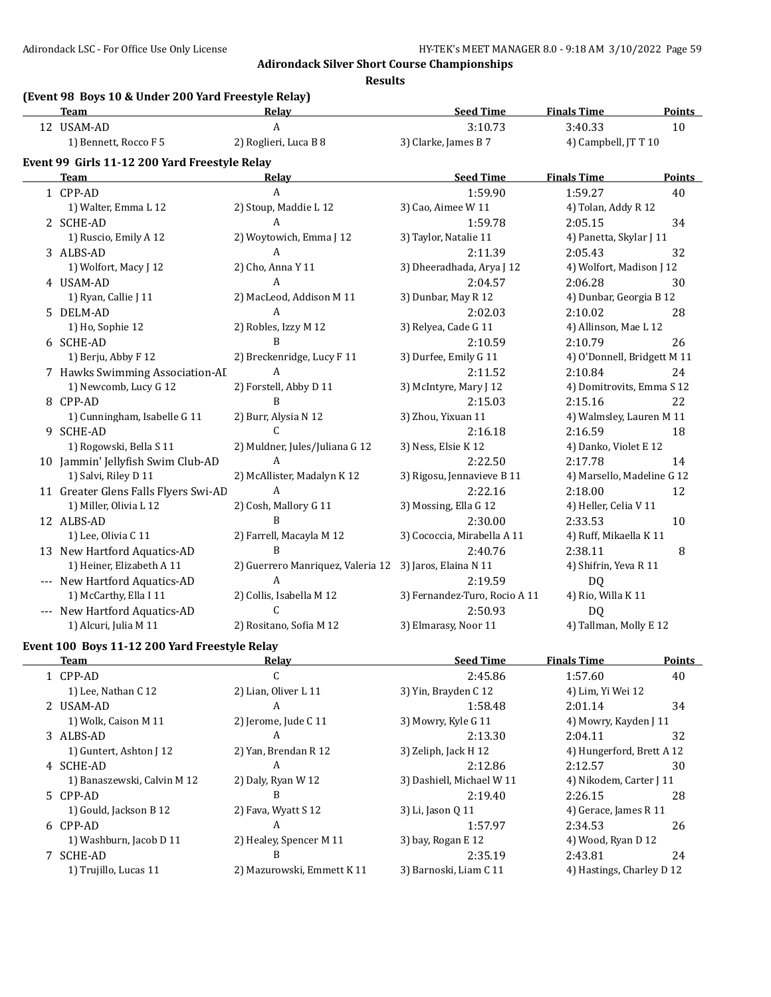**Results**

# **(Event 98 Boys 10 & Under 200 Yard Freestyle Relay)**

| <b>Team</b>                                   | <b>Relay</b>                      | <b>Seed Time</b>              | <b>Finals Time</b>          | <b>Points</b> |
|-----------------------------------------------|-----------------------------------|-------------------------------|-----------------------------|---------------|
| 12 USAM-AD                                    | A                                 | 3:10.73                       | 3:40.33                     | 10            |
| 1) Bennett, Rocco F 5                         | 2) Roglieri, Luca B 8             | 3) Clarke, James B 7          | 4) Campbell, JT T 10        |               |
| Event 99 Girls 11-12 200 Yard Freestyle Relay |                                   |                               |                             |               |
| <b>Team</b>                                   | Relay                             | <b>Seed Time</b>              | <b>Finals Time</b>          | Points        |
| 1 CPP-AD                                      | $\mathbf{A}$                      | 1:59.90                       | 1:59.27                     | 40            |
| 1) Walter, Emma L 12                          | 2) Stoup, Maddie L 12             | 3) Cao, Aimee W 11            | 4) Tolan, Addy R 12         |               |
| 2 SCHE-AD                                     | A                                 | 1:59.78                       | 2:05.15                     | 34            |
| 1) Ruscio, Emily A 12                         | 2) Woytowich, Emma J 12           | 3) Taylor, Natalie 11         | 4) Panetta, Skylar J 11     |               |
| 3 ALBS-AD                                     | $\mathbf{A}$                      | 2:11.39                       | 2:05.43                     | 32            |
| 1) Wolfort, Macy J 12                         | 2) Cho, Anna Y 11                 | 3) Dheeradhada, Arya J 12     | 4) Wolfort, Madison J 12    |               |
| 4 USAM-AD                                     | $\mathsf{A}$                      | 2:04.57                       | 2:06.28                     | 30            |
| 1) Ryan, Callie J 11                          | 2) MacLeod, Addison M 11          | 3) Dunbar, May R 12           | 4) Dunbar, Georgia B 12     |               |
| 5 DELM-AD                                     | A                                 | 2:02.03                       | 2:10.02                     | 28            |
| 1) Ho, Sophie 12                              | 2) Robles, Izzy M 12              | 3) Relyea, Cade G 11          | 4) Allinson, Mae L 12       |               |
| 6 SCHE-AD                                     | B                                 | 2:10.59                       | 2:10.79                     | 26            |
| 1) Berju, Abby F 12                           | 2) Breckenridge, Lucy F 11        | 3) Durfee, Emily G 11         | 4) O'Donnell, Bridgett M 11 |               |
| 7 Hawks Swimming Association-AI               | $\mathsf{A}$                      | 2:11.52                       | 2:10.84                     | 24            |
| 1) Newcomb, Lucy G 12                         | 2) Forstell, Abby D 11            | 3) McIntyre, Mary J 12        | 4) Domitrovits, Emma S 12   |               |
| 8 CPP-AD                                      | B                                 | 2:15.03                       | 2:15.16                     | 22            |
| 1) Cunningham, Isabelle G 11                  | 2) Burr, Alysia N 12              | 3) Zhou, Yixuan 11            | 4) Walmsley, Lauren M 11    |               |
| 9 SCHE-AD                                     | $\mathsf{C}$                      | 2:16.18                       | 2:16.59                     | 18            |
| 1) Rogowski, Bella S 11                       | 2) Muldner, Jules/Juliana G 12    | 3) Ness, Elsie K 12           | 4) Danko, Violet E 12       |               |
| 10 Jammin' Jellyfish Swim Club-AD             | $\mathbf{A}$                      | 2:22.50                       | 2:17.78                     | 14            |
| 1) Salvi, Riley D 11                          | 2) McAllister, Madalyn K 12       | 3) Rigosu, Jennavieve B 11    | 4) Marsello, Madeline G 12  |               |
| 11 Greater Glens Falls Flyers Swi-AD          | $\mathbf{A}$                      | 2:22.16                       | 2:18.00                     | 12            |
| 1) Miller, Olivia L 12                        | 2) Cosh, Mallory G 11             | 3) Mossing, Ella G 12         | 4) Heller, Celia V 11       |               |
| 12 ALBS-AD                                    | B                                 | 2:30.00                       | 2:33.53                     | 10            |
| 1) Lee, Olivia C 11                           | 2) Farrell, Macayla M 12          | 3) Cococcia, Mirabella A 11   | 4) Ruff, Mikaella K 11      |               |
| 13 New Hartford Aquatics-AD                   | $\overline{B}$                    | 2:40.76                       | 2:38.11                     | 8             |
| 1) Heiner, Elizabeth A 11                     | 2) Guerrero Manriquez, Valeria 12 | 3) Jaros, Elaina N 11         | 4) Shifrin, Yeva R 11       |               |
| --- New Hartford Aquatics-AD                  | A                                 | 2:19.59                       | DQ                          |               |
| 1) McCarthy, Ella I 11                        | 2) Collis, Isabella M 12          | 3) Fernandez-Turo, Rocio A 11 | 4) Rio, Willa K 11          |               |
| --- New Hartford Aquatics-AD                  | C                                 | 2:50.93                       | DQ                          |               |
| 1) Alcuri, Julia M 11                         | 2) Rositano, Sofia M 12           | 3) Elmarasy, Noor 11          | 4) Tallman, Molly E 12      |               |

# **Event 100 Boys 11-12 200 Yard Freestyle Relay**

|                            |                           |                  | <b>Points</b>                                                                                                                                                                                        |
|----------------------------|---------------------------|------------------|------------------------------------------------------------------------------------------------------------------------------------------------------------------------------------------------------|
| ι.                         | 2:45.86                   | 1:57.60          | 40                                                                                                                                                                                                   |
| 2) Lian, Oliver L 11       | 3) Yin, Brayden C 12      |                  |                                                                                                                                                                                                      |
| A                          | 1:58.48                   | 2:01.14          | 34                                                                                                                                                                                                   |
| 2) Jerome, Jude C 11       | 3) Mowry, Kyle G 11       |                  |                                                                                                                                                                                                      |
| A                          | 2:13.30                   | 2:04.11          | 32                                                                                                                                                                                                   |
| 2) Yan, Brendan R 12       | 3) Zeliph, Jack H 12      |                  |                                                                                                                                                                                                      |
| A                          | 2:12.86                   | 2:12.57          | 30                                                                                                                                                                                                   |
| 2) Daly, Ryan W 12         | 3) Dashiell, Michael W 11 |                  |                                                                                                                                                                                                      |
| B                          | 2:19.40                   | 2:26.15          | 28                                                                                                                                                                                                   |
| 2) Fava, Wyatt S 12        | 3) Li, Jason 0 11         |                  |                                                                                                                                                                                                      |
| A                          | 1:57.97                   | 2:34.53          | 26                                                                                                                                                                                                   |
| 2) Healey, Spencer M 11    | 3) bay, Rogan E 12        |                  |                                                                                                                                                                                                      |
| В                          | 2:35.19                   | 2:43.81          | 24                                                                                                                                                                                                   |
| 2) Mazurowski, Emmett K 11 | 3) Barnoski, Liam C 11    |                  |                                                                                                                                                                                                      |
|                            | Relay                     | <b>Seed Time</b> | <b>Finals Time</b><br>4) Lim, Yi Wei 12<br>4) Mowry, Kayden J 11<br>4) Hungerford, Brett A 12<br>4) Nikodem, Carter J 11<br>4) Gerace, James R 11<br>4) Wood, Ryan D 12<br>4) Hastings, Charley D 12 |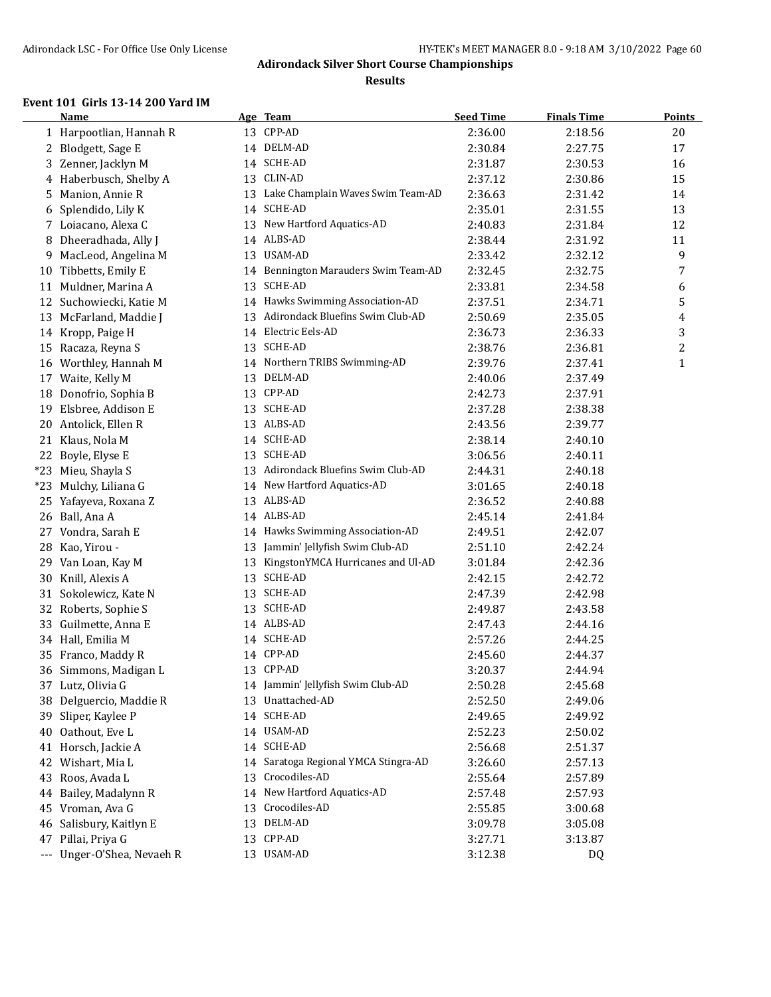#### **Results**

#### **Event 101 Girls 13-14 200 Yard IM**

|       | <b>Name</b>                |    | Age Team                             | <b>Seed Time</b> | <b>Finals Time</b> | Points       |
|-------|----------------------------|----|--------------------------------------|------------------|--------------------|--------------|
|       | 1 Harpootlian, Hannah R    |    | 13 CPP-AD                            | 2:36.00          | 2:18.56            | 20           |
| 2     | Blodgett, Sage E           |    | 14 DELM-AD                           | 2:30.84          | 2:27.75            | 17           |
| 3     | Zenner, Jacklyn M          |    | 14 SCHE-AD                           | 2:31.87          | 2:30.53            | 16           |
| 4     | Haberbusch, Shelby A       | 13 | CLIN-AD                              | 2:37.12          | 2:30.86            | 15           |
| 5     | Manion, Annie R            |    | 13 Lake Champlain Waves Swim Team-AD | 2:36.63          | 2:31.42            | 14           |
| 6     | Splendido, Lily K          |    | 14 SCHE-AD                           | 2:35.01          | 2:31.55            | 13           |
|       | 7 Loiacano, Alexa C        |    | 13 New Hartford Aquatics-AD          | 2:40.83          | 2:31.84            | 12           |
| 8     | Dheeradhada, Ally J        |    | 14 ALBS-AD                           | 2:38.44          | 2:31.92            | 11           |
| 9     | MacLeod, Angelina M        |    | 13 USAM-AD                           | 2:33.42          | 2:32.12            | 9            |
| 10    | Tibbetts, Emily E          |    | 14 Bennington Marauders Swim Team-AD | 2:32.45          | 2:32.75            | 7            |
|       | 11 Muldner, Marina A       | 13 | <b>SCHE-AD</b>                       | 2:33.81          | 2:34.58            | 6            |
|       | 12 Suchowiecki, Katie M    |    | 14 Hawks Swimming Association-AD     | 2:37.51          | 2:34.71            | 5            |
| 13    | McFarland, Maddie J        |    | 13 Adirondack Bluefins Swim Club-AD  | 2:50.69          | 2:35.05            | 4            |
|       | 14 Kropp, Paige H          |    | 14 Electric Eels-AD                  | 2:36.73          | 2:36.33            | 3            |
|       | 15 Racaza, Reyna S         |    | 13 SCHE-AD                           | 2:38.76          | 2:36.81            | 2            |
|       | 16 Worthley, Hannah M      |    | 14 Northern TRIBS Swimming-AD        | 2:39.76          | 2:37.41            | $\mathbf{1}$ |
|       | 17 Waite, Kelly M          | 13 | DELM-AD                              | 2:40.06          | 2:37.49            |              |
| 18    | Donofrio, Sophia B         |    | 13 CPP-AD                            | 2:42.73          | 2:37.91            |              |
| 19    | Elsbree, Addison E         |    | 13 SCHE-AD                           | 2:37.28          | 2:38.38            |              |
|       | 20 Antolick, Ellen R       |    | 13 ALBS-AD                           | 2:43.56          | 2:39.77            |              |
|       | 21 Klaus, Nola M           |    | 14 SCHE-AD                           | 2:38.14          | 2:40.10            |              |
|       | 22 Boyle, Elyse E          |    | 13 SCHE-AD                           | 3:06.56          | 2:40.11            |              |
|       | *23 Mieu, Shayla S         | 13 | Adirondack Bluefins Swim Club-AD     | 2:44.31          | 2:40.18            |              |
| $*23$ | Mulchy, Liliana G          |    | 14 New Hartford Aquatics-AD          | 3:01.65          | 2:40.18            |              |
| 25    | Yafayeva, Roxana Z         |    | 13 ALBS-AD                           | 2:36.52          | 2:40.88            |              |
| 26    | Ball, Ana A                |    | 14 ALBS-AD                           | 2:45.14          | 2:41.84            |              |
| 27    | Vondra, Sarah E            |    | 14 Hawks Swimming Association-AD     | 2:49.51          | 2:42.07            |              |
| 28    | Kao, Yirou -               | 13 | Jammin' Jellyfish Swim Club-AD       | 2:51.10          | 2:42.24            |              |
| 29    | Van Loan, Kay M            | 13 | KingstonYMCA Hurricanes and Ul-AD    | 3:01.84          | 2:42.36            |              |
| 30    | Knill, Alexis A            | 13 | SCHE-AD                              | 2:42.15          | 2:42.72            |              |
| 31    | Sokolewicz, Kate N         | 13 | SCHE-AD                              | 2:47.39          | 2:42.98            |              |
| 32    | Roberts, Sophie S          | 13 | SCHE-AD                              | 2:49.87          | 2:43.58            |              |
| 33    | Guilmette, Anna E          |    | 14 ALBS-AD                           | 2:47.43          | 2:44.16            |              |
| 34    | Hall, Emilia M             |    | 14 SCHE-AD                           | 2:57.26          | 2:44.25            |              |
|       | 35 Franco, Maddy R         |    | 14 CPP-AD                            | 2:45.60          | 2:44.37            |              |
|       | 36 Simmons, Madigan L      |    | 13 CPP-AD                            | 3:20.37          | 2:44.94            |              |
|       | 37 Lutz, Olivia G          |    | 14 Jammin' Jellyfish Swim Club-AD    | 2:50.28          | 2:45.68            |              |
| 38    | Delguercio, Maddie R       |    | 13 Unattached-AD                     | 2:52.50          | 2:49.06            |              |
| 39    | Sliper, Kaylee P           |    | 14 SCHE-AD                           | 2:49.65          | 2:49.92            |              |
| 40    | Oathout, Eve L             |    | 14 USAM-AD                           | 2:52.23          | 2:50.02            |              |
|       | 41 Horsch, Jackie A        |    | 14 SCHE-AD                           | 2:56.68          | 2:51.37            |              |
|       | 42 Wishart, Mia L          |    | 14 Saratoga Regional YMCA Stingra-AD | 3:26.60          | 2:57.13            |              |
| 43    | Roos, Avada L              | 13 | Crocodiles-AD                        | 2:55.64          | 2:57.89            |              |
|       | 44 Bailey, Madalynn R      | 14 | New Hartford Aquatics-AD             | 2:57.48          | 2:57.93            |              |
|       | 45 Vroman, Ava G           | 13 | Crocodiles-AD                        | 2:55.85          | 3:00.68            |              |
|       | 46 Salisbury, Kaitlyn E    | 13 | DELM-AD                              | 3:09.78          | 3:05.08            |              |
|       | 47 Pillai, Priya G         | 13 | CPP-AD                               | 3:27.71          | 3:13.87            |              |
|       | --- Unger-O'Shea, Nevaeh R |    | 13 USAM-AD                           | 3:12.38          | DQ                 |              |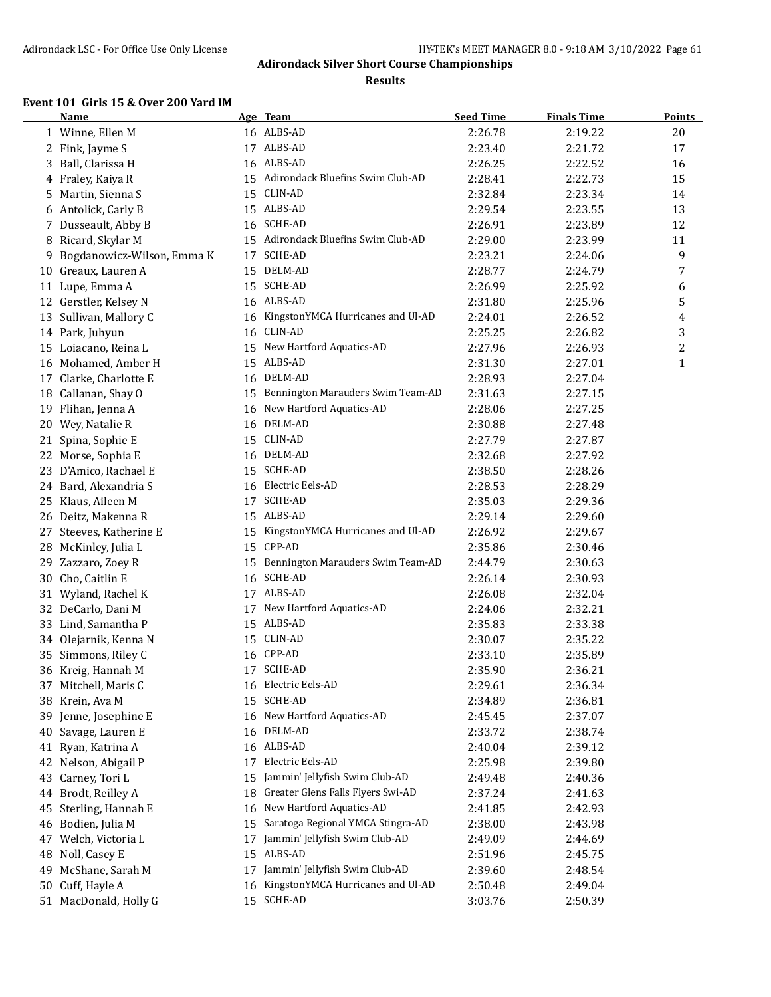**Results**

#### **Event 101 Girls 15 & Over 200 Yard IM**

|    | <b>Name</b>                |    | Age Team                             | <b>Seed Time</b> | <b>Finals Time</b> | <b>Points</b> |
|----|----------------------------|----|--------------------------------------|------------------|--------------------|---------------|
|    | 1 Winne, Ellen M           |    | 16 ALBS-AD                           | 2:26.78          | 2:19.22            | 20            |
|    | 2 Fink, Jayme S            |    | 17 ALBS-AD                           | 2:23.40          | 2:21.72            | 17            |
| 3  | Ball, Clarissa H           |    | 16 ALBS-AD                           | 2:26.25          | 2:22.52            | 16            |
| 4  | Fraley, Kaiya R            |    | 15 Adirondack Bluefins Swim Club-AD  | 2:28.41          | 2:22.73            | 15            |
| 5  | Martin, Sienna S           | 15 | CLIN-AD                              | 2:32.84          | 2:23.34            | 14            |
| 6  | Antolick, Carly B          |    | 15 ALBS-AD                           | 2:29.54          | 2:23.55            | 13            |
| 7  | Dusseault, Abby B          |    | 16 SCHE-AD                           | 2:26.91          | 2:23.89            | 12            |
| 8  | Ricard, Skylar M           |    | 15 Adirondack Bluefins Swim Club-AD  | 2:29.00          | 2:23.99            | 11            |
| 9  | Bogdanowicz-Wilson, Emma K | 17 | <b>SCHE-AD</b>                       | 2:23.21          | 2:24.06            | 9             |
| 10 | Greaux, Lauren A           | 15 | DELM-AD                              | 2:28.77          | 2:24.79            | 7             |
|    | 11 Lupe, Emma A            | 15 | SCHE-AD                              | 2:26.99          | 2:25.92            | 6             |
|    | 12 Gerstler, Kelsey N      |    | 16 ALBS-AD                           | 2:31.80          | 2:25.96            | 5             |
| 13 | Sullivan, Mallory C        | 16 | KingstonYMCA Hurricanes and Ul-AD    | 2:24.01          | 2:26.52            | 4             |
|    | 14 Park, Juhyun            | 16 | CLIN-AD                              | 2:25.25          | 2:26.82            | 3             |
|    | 15 Loiacano, Reina L       |    | 15 New Hartford Aquatics-AD          | 2:27.96          | 2:26.93            | 2             |
|    | 16 Mohamed, Amber H        |    | 15 ALBS-AD                           | 2:31.30          | 2:27.01            | $\mathbf{1}$  |
| 17 | Clarke, Charlotte E        |    | 16 DELM-AD                           | 2:28.93          | 2:27.04            |               |
|    | 18 Callanan, Shay O        |    | 15 Bennington Marauders Swim Team-AD | 2:31.63          | 2:27.15            |               |
|    | 19 Flihan, Jenna A         | 16 | New Hartford Aquatics-AD             | 2:28.06          | 2:27.25            |               |
|    | 20 Wey, Natalie R          |    | 16 DELM-AD                           | 2:30.88          | 2:27.48            |               |
| 21 | Spina, Sophie E            |    | 15 CLIN-AD                           | 2:27.79          | 2:27.87            |               |
| 22 | Morse, Sophia E            |    | 16 DELM-AD                           | 2:32.68          | 2:27.92            |               |
| 23 | D'Amico, Rachael E         |    | 15 SCHE-AD                           | 2:38.50          | 2:28.26            |               |
|    | 24 Bard, Alexandria S      |    | 16 Electric Eels-AD                  | 2:28.53          | 2:28.29            |               |
| 25 | Klaus, Aileen M            |    | 17 SCHE-AD                           | 2:35.03          | 2:29.36            |               |
|    | 26 Deitz, Makenna R        |    | 15 ALBS-AD                           | 2:29.14          | 2:29.60            |               |
| 27 | Steeves, Katherine E       | 15 | KingstonYMCA Hurricanes and Ul-AD    | 2:26.92          | 2:29.67            |               |
| 28 | McKinley, Julia L          | 15 | CPP-AD                               | 2:35.86          | 2:30.46            |               |
| 29 | Zazzaro, Zoey R            | 15 | Bennington Marauders Swim Team-AD    | 2:44.79          | 2:30.63            |               |
|    | 30 Cho, Caitlin E          |    | 16 SCHE-AD                           | 2:26.14          | 2:30.93            |               |
|    | 31 Wyland, Rachel K        |    | 17 ALBS-AD                           | 2:26.08          | 2:32.04            |               |
|    | 32 DeCarlo, Dani M         |    | 17 New Hartford Aquatics-AD          | 2:24.06          | 2:32.21            |               |
| 33 | Lind, Samantha P           |    | 15 ALBS-AD                           | 2:35.83          | 2:33.38            |               |
| 34 | Olejarnik, Kenna N         |    | 15 CLIN-AD                           | 2:30.07          | 2:35.22            |               |
| 35 | Simmons, Riley C           |    | 16 CPP-AD                            | 2:33.10          | 2:35.89            |               |
|    | 36 Kreig, Hannah M         | 17 | SCHE-AD                              | 2:35.90          | 2:36.21            |               |
| 37 | Mitchell, Maris C          |    | 16 Electric Eels-AD                  | 2:29.61          | 2:36.34            |               |
| 38 | Krein, Ava M               | 15 | SCHE-AD                              | 2:34.89          | 2:36.81            |               |
| 39 | Jenne, Josephine E         | 16 | New Hartford Aquatics-AD             | 2:45.45          | 2:37.07            |               |
| 40 | Savage, Lauren E           | 16 | DELM-AD                              | 2:33.72          | 2:38.74            |               |
| 41 | Ryan, Katrina A            |    | 16 ALBS-AD                           | 2:40.04          | 2:39.12            |               |
| 42 | Nelson, Abigail P          | 17 | Electric Eels-AD                     | 2:25.98          | 2:39.80            |               |
| 43 | Carney, Tori L             | 15 | Jammin' Jellyfish Swim Club-AD       | 2:49.48          | 2:40.36            |               |
|    | 44 Brodt, Reilley A        | 18 | Greater Glens Falls Flyers Swi-AD    | 2:37.24          | 2:41.63            |               |
| 45 | Sterling, Hannah E         | 16 | New Hartford Aquatics-AD             | 2:41.85          | 2:42.93            |               |
| 46 | Bodien, Julia M            | 15 | Saratoga Regional YMCA Stingra-AD    | 2:38.00          | 2:43.98            |               |
| 47 | Welch, Victoria L          | 17 | Jammin' Jellyfish Swim Club-AD       | 2:49.09          | 2:44.69            |               |
| 48 | Noll, Casey E              |    | 15 ALBS-AD                           | 2:51.96          | 2:45.75            |               |
| 49 | McShane, Sarah M           | 17 | Jammin' Jellyfish Swim Club-AD       | 2:39.60          | 2:48.54            |               |
| 50 | Cuff, Hayle A              | 16 | KingstonYMCA Hurricanes and Ul-AD    | 2:50.48          | 2:49.04            |               |
|    | 51 MacDonald, Holly G      |    | 15 SCHE-AD                           | 3:03.76          | 2:50.39            |               |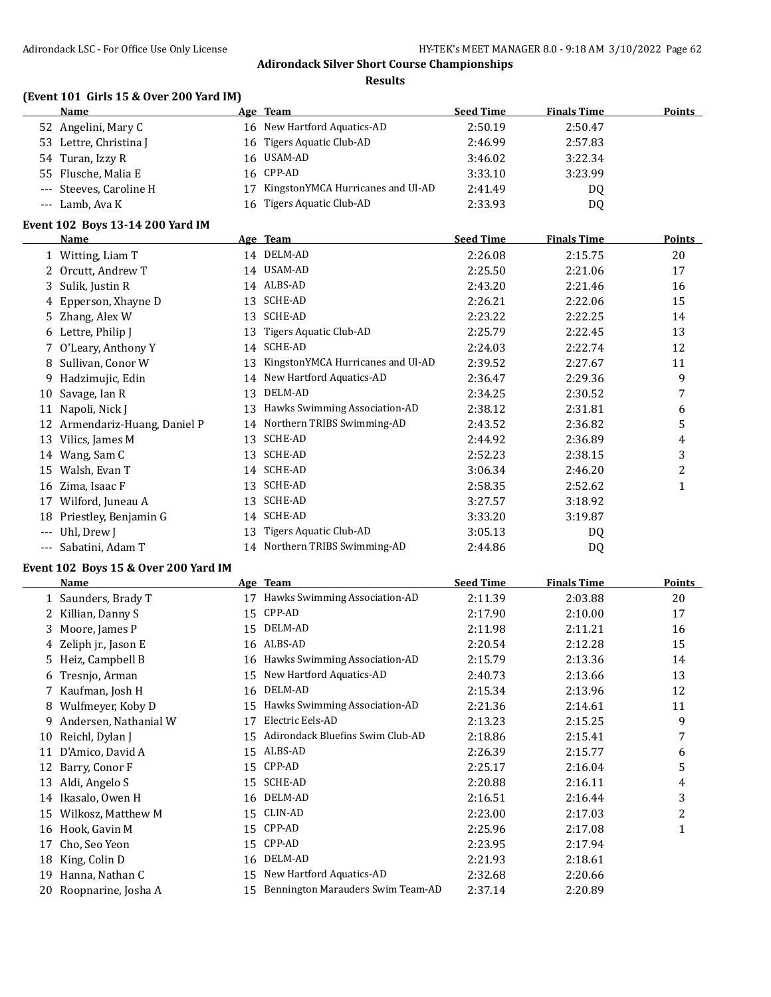#### **Results**

# **(Event 101 Girls 15 & Over 200 Yard IM)**

| Name                    |    | Age Team                          | <b>Seed Time</b> | <b>Finals Time</b> | Points |
|-------------------------|----|-----------------------------------|------------------|--------------------|--------|
| 52 Angelini, Mary C     |    | 16 New Hartford Aquatics-AD       | 2:50.19          | 2:50.47            |        |
| 53 Lettre, Christina J  |    | 16 Tigers Aquatic Club-AD         | 2:46.99          | 2:57.83            |        |
| 54 Turan, Izzy R        |    | 16 USAM-AD                        | 3:46.02          | 3:22.34            |        |
| 55 Flusche, Malia E     |    | 16 CPP-AD                         | 3:33.10          | 3:23.99            |        |
| --- Steeves, Caroline H | 17 | KingstonYMCA Hurricanes and Ul-AD | 2:41.49          | DQ                 |        |
| --- Lamb, Ava K         |    | 16 Tigers Aquatic Club-AD         | 2:33.93          | D <sub>0</sub>     |        |
|                         |    |                                   |                  |                    |        |

#### **Event 102 Boys 13-14 200 Yard IM**

|       | <b>Name</b>                |    | Age Team                          | <b>Seed Time</b> | <b>Finals Time</b> | <b>Points</b> |
|-------|----------------------------|----|-----------------------------------|------------------|--------------------|---------------|
|       | Witting, Liam T            |    | 14 DELM-AD                        | 2:26.08          | 2:15.75            | 20            |
| 2     | Orcutt, Andrew T           |    | 14 USAM-AD                        | 2:25.50          | 2:21.06            | 17            |
| 3     | Sulik, Justin R            |    | 14 ALBS-AD                        | 2:43.20          | 2:21.46            | 16            |
| 4     | Epperson, Xhayne D         |    | 13 SCHE-AD                        | 2:26.21          | 2:22.06            | 15            |
|       | 5 Zhang, Alex W            | 13 | SCHE-AD                           | 2:23.22          | 2:22.25            | 14            |
|       | 6 Lettre, Philip J         | 13 | Tigers Aquatic Club-AD            | 2:25.79          | 2:22.45            | 13            |
|       | O'Leary, Anthony Y         | 14 | SCHE-AD                           | 2:24.03          | 2:22.74            | 12            |
| 8     | Sullivan, Conor W          | 13 | KingstonYMCA Hurricanes and Ul-AD | 2:39.52          | 2:27.67            | 11            |
| 9.    | Hadzimujic, Edin           | 14 | New Hartford Aquatics-AD          | 2:36.47          | 2:29.36            | 9             |
| 10    | Savage, Ian R              | 13 | DELM-AD                           | 2:34.25          | 2:30.52            | 7             |
| 11    | Napoli, Nick J             | 13 | Hawks Swimming Association-AD     | 2:38.12          | 2:31.81            | 6             |
| 12    | Armendariz-Huang, Daniel P | 14 | Northern TRIBS Swimming-AD        | 2:43.52          | 2:36.82            | 5             |
| 13    | Vilics, James M            | 13 | SCHE-AD                           | 2:44.92          | 2:36.89            | 4             |
| 14    | Wang, Sam C                | 13 | <b>SCHE-AD</b>                    | 2:52.23          | 2:38.15            | 3             |
| 15    | Walsh, Evan T              |    | 14 SCHE-AD                        | 3:06.34          | 2:46.20            | 2             |
| 16    | Zima, Isaac F              | 13 | <b>SCHE-AD</b>                    | 2:58.35          | 2:52.62            | 1             |
| 17    | Wilford, Juneau A          | 13 | <b>SCHE-AD</b>                    | 3:27.57          | 3:18.92            |               |
| 18    | Priestley, Benjamin G      | 14 | <b>SCHE-AD</b>                    | 3:33.20          | 3:19.87            |               |
| $---$ | Uhl, Drew J                | 13 | Tigers Aquatic Club-AD            | 3:05.13          | DQ                 |               |
| ---   | Sabatini, Adam T           |    | 14 Northern TRIBS Swimming-AD     | 2:44.86          | D <sub>0</sub>     |               |

#### **Event 102 Boys 15 & Over 200 Yard IM**

|    | <b>Name</b>           |    | Age Team                          | <b>Seed Time</b> | <b>Finals Time</b> | <b>Points</b> |
|----|-----------------------|----|-----------------------------------|------------------|--------------------|---------------|
|    | 1 Saunders, Brady T   | 17 | Hawks Swimming Association-AD     | 2:11.39          | 2:03.88            | 20            |
|    | 2 Killian, Danny S    | 15 | CPP-AD                            | 2:17.90          | 2:10.00            | 17            |
| 3. | Moore, James P        | 15 | DELM-AD                           | 2:11.98          | 2:11.21            | 16            |
|    | 4 Zeliph jr., Jason E |    | 16 ALBS-AD                        | 2:20.54          | 2:12.28            | 15            |
| 5. | Heiz, Campbell B      |    | 16 Hawks Swimming Association-AD  | 2:15.79          | 2:13.36            | 14            |
| 6  | Tresnjo, Arman        | 15 | New Hartford Aquatics-AD          | 2:40.73          | 2:13.66            | 13            |
|    | 7 Kaufman, Josh H     | 16 | DELM-AD                           | 2:15.34          | 2:13.96            | 12            |
| 8  | Wulfmeyer, Koby D     | 15 | Hawks Swimming Association-AD     | 2:21.36          | 2:14.61            | 11            |
| 9. | Andersen, Nathanial W | 17 | Electric Eels-AD                  | 2:13.23          | 2:15.25            | 9             |
| 10 | Reichl, Dylan J       | 15 | Adirondack Bluefins Swim Club-AD  | 2:18.86          | 2:15.41            | 7             |
| 11 | D'Amico, David A      | 15 | ALBS-AD                           | 2:26.39          | 2:15.77            | 6             |
| 12 | Barry, Conor F        | 15 | CPP-AD                            | 2:25.17          | 2:16.04            | 5             |
| 13 | Aldi, Angelo S        | 15 | SCHE-AD                           | 2:20.88          | 2:16.11            | 4             |
| 14 | Ikasalo, Owen H       |    | 16 DELM-AD                        | 2:16.51          | 2:16.44            | 3             |
| 15 | Wilkosz, Matthew M    | 15 | CLIN-AD                           | 2:23.00          | 2:17.03            | 2             |
| 16 | Hook, Gavin M         |    | 15 CPP-AD                         | 2:25.96          | 2:17.08            | 1             |
| 17 | Cho, Seo Yeon         | 15 | CPP-AD                            | 2:23.95          | 2:17.94            |               |
| 18 | King, Colin D         | 16 | DELM-AD                           | 2:21.93          | 2:18.61            |               |
| 19 | Hanna, Nathan C       | 15 | New Hartford Aquatics-AD          | 2:32.68          | 2:20.66            |               |
| 20 | Roopnarine, Josha A   | 15 | Bennington Marauders Swim Team-AD | 2:37.14          | 2:20.89            |               |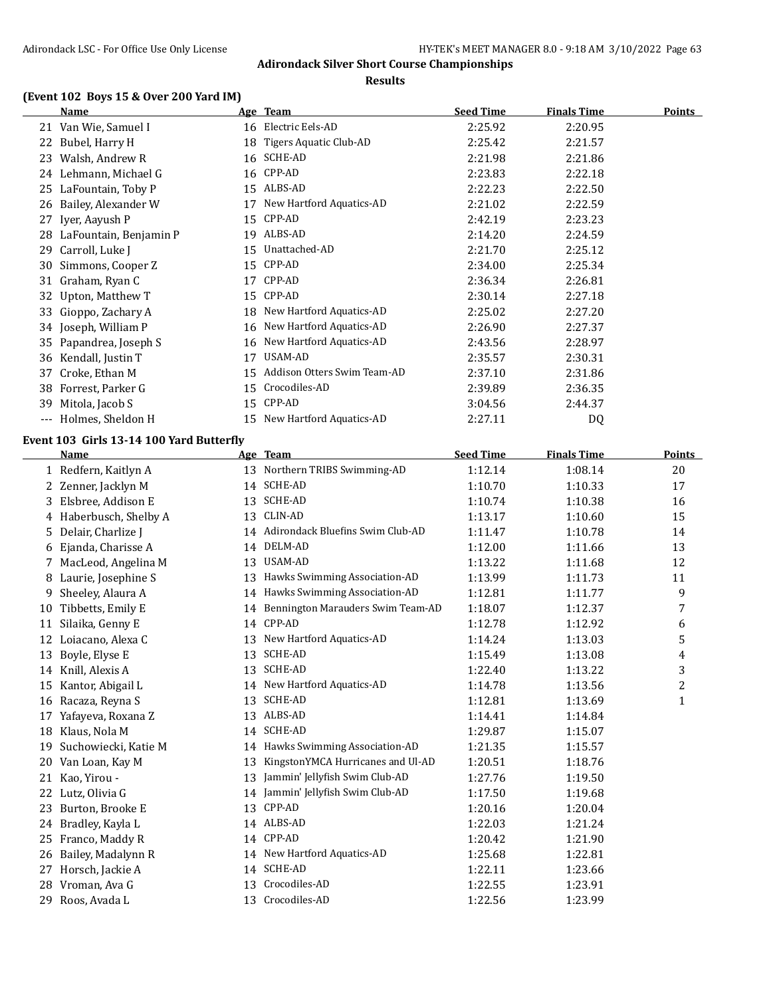#### **Results**

# **(Event 102 Boys 15 & Over 200 Yard IM)**

|    | <b>Name</b>                              |    | Age Team                             | <b>Seed Time</b> | <b>Finals Time</b> | <b>Points</b> |
|----|------------------------------------------|----|--------------------------------------|------------------|--------------------|---------------|
|    | 21 Van Wie, Samuel I                     |    | 16 Electric Eels-AD                  | 2:25.92          | 2:20.95            |               |
|    | 22 Bubel, Harry H                        | 18 | Tigers Aquatic Club-AD               | 2:25.42          | 2:21.57            |               |
|    | 23 Walsh, Andrew R                       |    | 16 SCHE-AD                           | 2:21.98          | 2:21.86            |               |
|    | 24 Lehmann, Michael G                    | 16 | CPP-AD                               | 2:23.83          | 2:22.18            |               |
|    | 25 LaFountain, Toby P                    |    | 15 ALBS-AD                           | 2:22.23          | 2:22.50            |               |
|    | 26 Bailey, Alexander W                   | 17 | New Hartford Aquatics-AD             | 2:21.02          | 2:22.59            |               |
|    | 27 Iyer, Aayush P                        | 15 | CPP-AD                               | 2:42.19          | 2:23.23            |               |
|    | 28 LaFountain, Benjamin P                |    | 19 ALBS-AD                           | 2:14.20          | 2:24.59            |               |
| 29 | Carroll, Luke J                          | 15 | Unattached-AD                        | 2:21.70          | 2:25.12            |               |
|    | 30 Simmons, Cooper Z                     | 15 | CPP-AD                               | 2:34.00          | 2:25.34            |               |
|    | 31 Graham, Ryan C                        | 17 | CPP-AD                               | 2:36.34          | 2:26.81            |               |
| 32 | Upton, Matthew T                         | 15 | CPP-AD                               | 2:30.14          | 2:27.18            |               |
|    | 33 Gioppo, Zachary A                     | 18 | New Hartford Aquatics-AD             | 2:25.02          | 2:27.20            |               |
|    | 34 Joseph, William P                     |    | 16 New Hartford Aquatics-AD          | 2:26.90          | 2:27.37            |               |
|    | 35 Papandrea, Joseph S                   | 16 | New Hartford Aquatics-AD             | 2:43.56          | 2:28.97            |               |
|    | 36 Kendall, Justin T                     | 17 | USAM-AD                              | 2:35.57          | 2:30.31            |               |
|    | 37 Croke, Ethan M                        |    | 15 Addison Otters Swim Team-AD       | 2:37.10          | 2:31.86            |               |
|    | 38 Forrest, Parker G                     | 15 | Crocodiles-AD                        | 2:39.89          | 2:36.35            |               |
|    | 39 Mitola, Jacob S                       |    | 15 CPP-AD                            |                  | 2:44.37            |               |
|    |                                          |    | 15 New Hartford Aquatics-AD          | 3:04.56          |                    |               |
|    | --- Holmes, Sheldon H                    |    |                                      | 2:27.11          | DQ                 |               |
|    | Event 103 Girls 13-14 100 Yard Butterfly |    |                                      |                  |                    |               |
|    | Name                                     |    | Age Team                             | <b>Seed Time</b> | <b>Finals Time</b> | <b>Points</b> |
|    | 1 Redfern, Kaitlyn A                     |    | 13 Northern TRIBS Swimming-AD        | 1:12.14          | 1:08.14            | 20            |
|    | 2 Zenner, Jacklyn M                      |    | 14 SCHE-AD                           | 1:10.70          | 1:10.33            | 17            |
|    | 3 Elsbree, Addison E                     | 13 | SCHE-AD                              | 1:10.74          | 1:10.38            | 16            |
|    | 4 Haberbusch, Shelby A                   | 13 | CLIN-AD                              | 1:13.17          | 1:10.60            | 15            |
|    | 5 Delair, Charlize J                     |    | 14 Adirondack Bluefins Swim Club-AD  | 1:11.47          | 1:10.78            | 14            |
|    | 6 Ejanda, Charisse A                     |    | 14 DELM-AD                           | 1:12.00          | 1:11.66            | 13            |
|    | 7 MacLeod, Angelina M                    |    | 13 USAM-AD                           | 1:13.22          | 1:11.68            | 12            |
|    | 8 Laurie, Josephine S                    |    | 13 Hawks Swimming Association-AD     | 1:13.99          | 1:11.73            | 11            |
| 9  | Sheeley, Alaura A                        |    | 14 Hawks Swimming Association-AD     | 1:12.81          | 1:11.77            | 9             |
|    | 10 Tibbetts, Emily E                     |    | 14 Bennington Marauders Swim Team-AD | 1:18.07          | 1:12.37            | 7             |
| 11 | Silaika, Genny E                         |    | 14 CPP-AD                            | 1:12.78          | 1:12.92            | 6             |
|    | 12 Loiacano, Alexa C                     |    | 13 New Hartford Aquatics-AD          | 1:14.24          | 1:13.03            | 5             |
|    | 13 Boyle, Elyse E                        |    | 13 SCHE-AD                           | 1:15.49          | 1:13.08            | 4             |
|    | 14 Knill, Alexis A                       |    | 13 SCHE-AD                           | 1:22.40          | 1:13.22            | 3             |
|    | 15 Kantor, Abigail L                     |    | 14 New Hartford Aquatics-AD          | 1:14.78          | 1:13.56            | 2             |
|    | 16 Racaza, Reyna S                       | 13 | SCHE-AD                              | 1:12.81          | 1:13.69            | $\mathbf{1}$  |
|    | 17 Yafayeva, Roxana Z                    |    | 13 ALBS-AD                           | 1:14.41          | 1:14.84            |               |
|    | 18 Klaus, Nola M                         |    | 14 SCHE-AD                           | 1:29.87          | 1:15.07            |               |
|    | 19 Suchowiecki, Katie M                  |    | 14 Hawks Swimming Association-AD     | 1:21.35          | 1:15.57            |               |
|    | 20 Van Loan, Kay M                       | 13 | KingstonYMCA Hurricanes and Ul-AD    | 1:20.51          | 1:18.76            |               |
|    | 21 Kao, Yirou -                          | 13 | Jammin' Jellyfish Swim Club-AD       | 1:27.76          | 1:19.50            |               |
|    | 22 Lutz, Olivia G                        |    | 14 Jammin' Jellyfish Swim Club-AD    | 1:17.50          | 1:19.68            |               |
| 23 | Burton, Brooke E                         |    | 13 CPP-AD                            | 1:20.16          | 1:20.04            |               |
|    | 24 Bradley, Kayla L                      |    | 14 ALBS-AD                           | 1:22.03          | 1:21.24            |               |
|    | 25 Franco, Maddy R                       |    | 14 CPP-AD                            |                  |                    |               |
|    |                                          |    | 14 New Hartford Aquatics-AD          | 1:20.42          | 1:21.90            |               |
|    | 26 Bailey, Madalynn R                    |    | 14 SCHE-AD                           | 1:25.68          | 1:22.81            |               |
|    | 27 Horsch, Jackie A                      |    | Crocodiles-AD                        | 1:22.11          | 1:23.66            |               |
|    | 28 Vroman, Ava G                         | 13 |                                      | 1:22.55          | 1:23.91            |               |
|    | 29 Roos, Avada L                         |    | 13 Crocodiles-AD                     | 1:22.56          | 1:23.99            |               |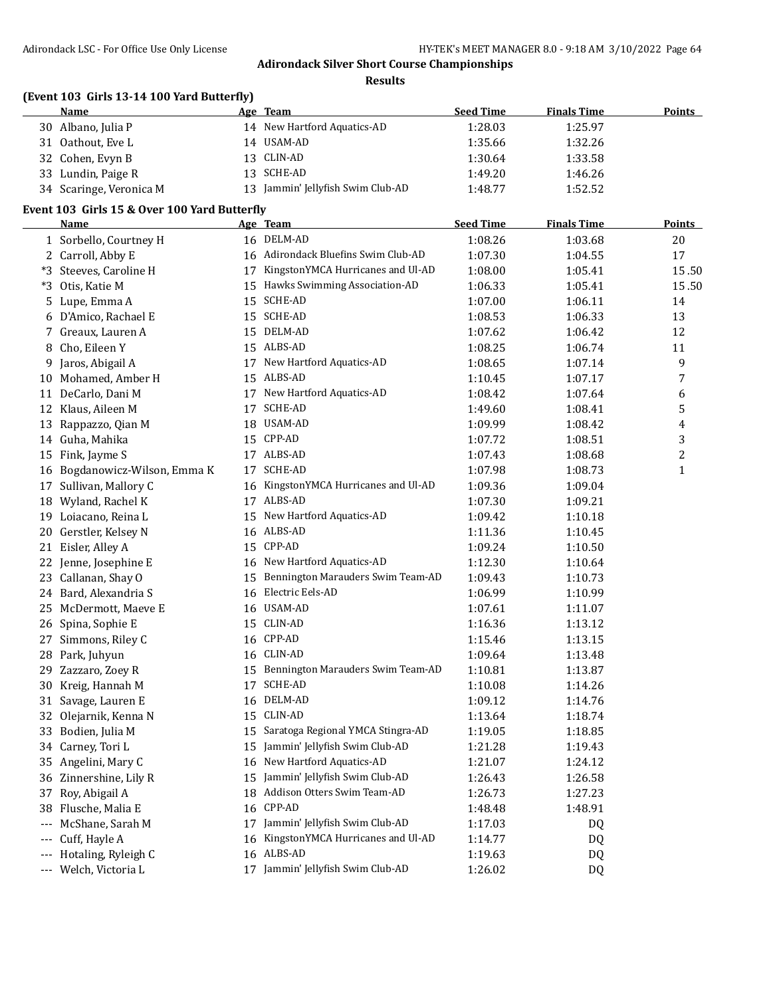**Results**

# **(Event 103 Girls 13-14 100 Yard Butterfly)**

| Name                    | Age Team                       | <b>Seed Time</b> | <b>Finals Time</b> | <b>Points</b> |
|-------------------------|--------------------------------|------------------|--------------------|---------------|
| 30 Albano, Julia P      | 14 New Hartford Aquatics-AD    | 1:28.03          | 1:25.97            |               |
| 31 Oathout, Eve L       | 14 USAM-AD                     | 1:35.66          | 1:32.26            |               |
| 32 Cohen, Evyn B        | 13 CLIN-AD                     | 1:30.64          | 1:33.58            |               |
| 33 Lundin, Paige R      | 13 SCHE-AD                     | 1:49.20          | 1:46.26            |               |
| 34 Scaringe, Veronica M | Jammin' Jellyfish Swim Club-AD | 1:48.77          | 1:52.52            |               |

# **Event 103 Girls 15 & Over 100 Yard Butterfly**

|          | Name                          | <u>Age Team</u>                      | <b>Seed Time</b> | <b>Finals Time</b> | <u>Points</u>           |
|----------|-------------------------------|--------------------------------------|------------------|--------------------|-------------------------|
|          | 1 Sorbello, Courtney H        | 16 DELM-AD                           | 1:08.26          | 1:03.68            | 20                      |
|          | 2 Carroll, Abby E             | 16 Adirondack Bluefins Swim Club-AD  | 1:07.30          | 1:04.55            | 17                      |
|          | *3 Steeves, Caroline H        | 17 KingstonYMCA Hurricanes and Ul-AD | 1:08.00          | 1:05.41            | 15.50                   |
|          | *3 Otis, Katie M              | 15 Hawks Swimming Association-AD     | 1:06.33          | 1:05.41            | 15.50                   |
|          | 5 Lupe, Emma A                | 15 SCHE-AD                           | 1:07.00          | 1:06.11            | 14                      |
|          | 6 D'Amico, Rachael E          | 15 SCHE-AD                           | 1:08.53          | 1:06.33            | 13                      |
|          | 7 Greaux, Lauren A            | 15 DELM-AD                           | 1:07.62          | 1:06.42            | 12                      |
| 8        | Cho, Eileen Y                 | 15 ALBS-AD                           | 1:08.25          | 1:06.74            | 11                      |
| 9        | Jaros, Abigail A              | 17 New Hartford Aquatics-AD          | 1:08.65          | 1:07.14            | 9                       |
|          | 10 Mohamed, Amber H           | 15 ALBS-AD                           | 1:10.45          | 1:07.17            | 7                       |
|          | 11 DeCarlo, Dani M            | 17 New Hartford Aquatics-AD          | 1:08.42          | 1:07.64            | 6                       |
|          | 12 Klaus, Aileen M            | 17 SCHE-AD                           | 1:49.60          | 1:08.41            | 5                       |
|          | 13 Rappazzo, Qian M           | 18 USAM-AD                           | 1:09.99          | 1:08.42            | 4                       |
|          | 14 Guha, Mahika               | 15 CPP-AD                            | 1:07.72          | 1:08.51            | 3                       |
|          | 15 Fink, Jayme S              | 17 ALBS-AD                           | 1:07.43          | 1:08.68            | $\overline{\mathbf{c}}$ |
|          | 16 Bogdanowicz-Wilson, Emma K | 17 SCHE-AD                           | 1:07.98          | 1:08.73            | $\mathbf{1}$            |
|          | 17 Sullivan, Mallory C        | 16 KingstonYMCA Hurricanes and Ul-AD | 1:09.36          | 1:09.04            |                         |
|          | 18 Wyland, Rachel K           | 17 ALBS-AD                           | 1:07.30          | 1:09.21            |                         |
|          | 19 Loiacano, Reina L          | 15 New Hartford Aquatics-AD          | 1:09.42          | 1:10.18            |                         |
|          | 20 Gerstler, Kelsey N         | 16 ALBS-AD                           | 1:11.36          | 1:10.45            |                         |
|          | 21 Eisler, Alley A            | 15 CPP-AD                            | 1:09.24          | 1:10.50            |                         |
|          | 22 Jenne, Josephine E         | 16 New Hartford Aquatics-AD          | 1:12.30          | 1:10.64            |                         |
|          | 23 Callanan, Shay O           | 15 Bennington Marauders Swim Team-AD | 1:09.43          | 1:10.73            |                         |
|          | 24 Bard, Alexandria S         | 16 Electric Eels-AD                  | 1:06.99          | 1:10.99            |                         |
|          | 25 McDermott, Maeve E         | 16 USAM-AD                           | 1:07.61          | 1:11.07            |                         |
|          | 26 Spina, Sophie E            | 15 CLIN-AD                           | 1:16.36          | 1:13.12            |                         |
|          | 27 Simmons, Riley C           | 16 CPP-AD                            | 1:15.46          | 1:13.15            |                         |
|          | 28 Park, Juhyun               | 16 CLIN-AD                           | 1:09.64          | 1:13.48            |                         |
|          | 29 Zazzaro, Zoey R            | 15 Bennington Marauders Swim Team-AD | 1:10.81          | 1:13.87            |                         |
|          | 30 Kreig, Hannah M            | 17 SCHE-AD                           | 1:10.08          | 1:14.26            |                         |
|          | 31 Savage, Lauren E           | 16 DELM-AD                           | 1:09.12          | 1:14.76            |                         |
|          | 32 Olejarnik, Kenna N         | 15 CLIN-AD                           | 1:13.64          | 1:18.74            |                         |
|          | 33 Bodien, Julia M            | 15 Saratoga Regional YMCA Stingra-AD | 1:19.05          | 1:18.85            |                         |
|          | 34 Carney, Tori L             | 15 Jammin' Jellyfish Swim Club-AD    | 1:21.28          | 1:19.43            |                         |
|          | 35 Angelini, Mary C           | 16 New Hartford Aquatics-AD          | 1:21.07          | 1:24.12            |                         |
|          | 36 Zinnershine, Lily R        | 15 Jammin' Jellyfish Swim Club-AD    | 1:26.43          | 1:26.58            |                         |
|          | 37 Roy, Abigail A             | 18 Addison Otters Swim Team-AD       | 1:26.73          | 1:27.23            |                         |
|          | 38 Flusche, Malia E           | 16 CPP-AD                            | 1:48.48          | 1:48.91            |                         |
| $\cdots$ | McShane, Sarah M              | 17 Jammin' Jellyfish Swim Club-AD    | 1:17.03          | DQ                 |                         |
| $---$    | Cuff, Hayle A                 | 16 KingstonYMCA Hurricanes and Ul-AD | 1:14.77          | DQ                 |                         |
|          | Hotaling, Ryleigh C           | 16 ALBS-AD                           | 1:19.63          | DQ                 |                         |
| $\cdots$ | Welch, Victoria L             | 17 Jammin' Jellyfish Swim Club-AD    | 1:26.02          | DQ                 |                         |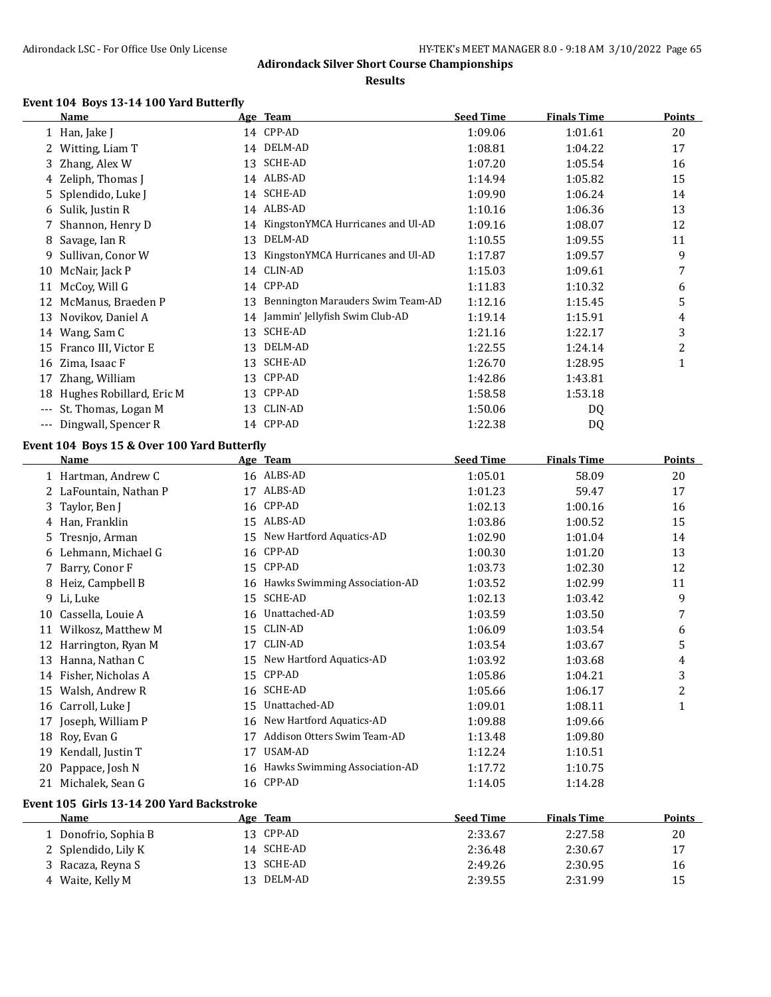#### **Results**

# **Event 104 Boys 13-14 100 Yard Butterfly**

|    | <b>Name</b>                                 |    | Age Team                                                   | <b>Seed Time</b>   | <b>Finals Time</b> | <b>Points</b> |
|----|---------------------------------------------|----|------------------------------------------------------------|--------------------|--------------------|---------------|
|    | 1 Han, Jake J                               |    | 14 CPP-AD                                                  | 1:09.06            | 1:01.61            | 20            |
|    | 2 Witting, Liam T                           |    | 14 DELM-AD                                                 | 1:08.81            | 1:04.22            | 17            |
| 3  | Zhang, Alex W                               |    | 13 SCHE-AD                                                 | 1:07.20            | 1:05.54            | 16            |
| 4  | Zeliph, Thomas J                            |    | 14 ALBS-AD                                                 | 1:14.94            | 1:05.82            | 15            |
|    | 5 Splendido, Luke J                         |    | 14 SCHE-AD                                                 | 1:09.90            | 1:06.24            | 14            |
|    | 6 Sulik, Justin R                           |    | 14 ALBS-AD                                                 | 1:10.16            | 1:06.36            | 13            |
| 7  | Shannon, Henry D                            |    | 14 KingstonYMCA Hurricanes and Ul-AD                       | 1:09.16            | 1:08.07            | 12            |
| 8  | Savage, Ian R                               | 13 | DELM-AD                                                    | 1:10.55            | 1:09.55            | 11            |
| 9. | Sullivan, Conor W                           | 13 | KingstonYMCA Hurricanes and Ul-AD                          | 1:17.87            | 1:09.57            | 9             |
|    | 10 McNair, Jack P                           | 14 | CLIN-AD                                                    | 1:15.03            | 1:09.61            | 7             |
| 11 | McCoy, Will G                               |    | 14 CPP-AD                                                  | 1:11.83            | 1:10.32            | 6             |
|    | 12 McManus, Braeden P                       | 13 | Bennington Marauders Swim Team-AD                          | 1:12.16            | 1:15.45            | 5             |
|    | 13 Novikov, Daniel A                        |    | 14 Jammin' Jellyfish Swim Club-AD                          | 1:19.14            | 1:15.91            | 4             |
|    | 14 Wang, Sam C                              | 13 | SCHE-AD                                                    | 1:21.16            | 1:22.17            | 3             |
|    | 15 Franco III, Victor E                     | 13 | DELM-AD                                                    | 1:22.55            | 1:24.14            | 2             |
|    | 16 Zima, Isaac F                            | 13 | SCHE-AD                                                    | 1:26.70            | 1:28.95            | $\mathbf{1}$  |
| 17 | Zhang, William                              |    | 13 CPP-AD                                                  | 1:42.86            | 1:43.81            |               |
|    | 18 Hughes Robillard, Eric M                 |    | 13 CPP-AD                                                  | 1:58.58            | 1:53.18            |               |
|    | --- St. Thomas, Logan M                     |    | 13 CLIN-AD                                                 | 1:50.06            | DQ                 |               |
|    | --- Dingwall, Spencer R                     |    | 14 CPP-AD                                                  | 1:22.38            | DQ                 |               |
|    | Event 104 Boys 15 & Over 100 Yard Butterfly |    |                                                            |                    |                    |               |
|    | Name                                        |    | Age Team                                                   | <b>Seed Time</b>   | <b>Finals Time</b> | <b>Points</b> |
|    | 1 Hartman, Andrew C                         |    | 16 ALBS-AD                                                 | 1:05.01            | 58.09              | 20            |
|    | 2 LaFountain, Nathan P                      |    | 17 ALBS-AD                                                 | 1:01.23            | 59.47              | 17            |
| 3  | Taylor, Ben J                               |    | 16 CPP-AD                                                  | 1:02.13            | 1:00.16            | 16            |
|    | 4 Han, Franklin                             |    | 15 ALBS-AD                                                 |                    |                    |               |
|    |                                             |    |                                                            |                    |                    |               |
|    |                                             |    |                                                            | 1:03.86            | 1:00.52            | 15            |
|    | 5 Tresnjo, Arman                            |    | 15 New Hartford Aquatics-AD                                | 1:02.90            | 1:01.04            | 14            |
|    | 6 Lehmann, Michael G                        |    | 16 CPP-AD                                                  | 1:00.30            | 1:01.20            | 13            |
|    | 7 Barry, Conor F                            |    | 15 CPP-AD                                                  | 1:03.73            | 1:02.30            | 12            |
|    | 8 Heiz, Campbell B                          |    | 16 Hawks Swimming Association-AD                           | 1:03.52            | 1:02.99            | 11            |
| 9. | Li, Luke                                    |    | 15 SCHE-AD                                                 | 1:02.13            | 1:03.42            | 9             |
|    | 10 Cassella, Louie A                        |    | 16 Unattached-AD                                           | 1:03.59            | 1:03.50            | 7             |
|    | 11 Wilkosz, Matthew M                       |    | 15 CLIN-AD                                                 | 1:06.09            | 1:03.54            | 6             |
|    | 12 Harrington, Ryan M                       |    | 17 CLIN-AD                                                 | 1:03.54            | 1:03.67            | 5             |
|    | 13 Hanna, Nathan C                          |    | 15 New Hartford Aquatics-AD                                | 1:03.92            | 1:03.68            | 4             |
|    | 14 Fisher, Nicholas A                       |    | 15 CPP-AD                                                  | 1:05.86            | 1:04.21            | 3             |
|    | 15 Walsh, Andrew R                          |    | 16 SCHE-AD                                                 | 1:05.66            | 1:06.17            | 2             |
|    | 16 Carroll, Luke J                          |    | 15 Unattached-AD                                           | 1:09.01            | 1:08.11            | 1             |
|    | 17 Joseph, William P                        |    | 16 New Hartford Aquatics-AD<br>Addison Otters Swim Team-AD | 1:09.88            | 1:09.66            |               |
|    | 18 Roy, Evan G                              | 17 |                                                            | 1:13.48            | 1:09.80            |               |
|    | 19 Kendall, Justin T                        | 17 | USAM-AD                                                    | 1:12.24            | 1:10.51            |               |
|    | 20 Pappace, Josh N<br>21 Michalek, Sean G   |    | 16 Hawks Swimming Association-AD<br>16 CPP-AD              | 1:17.72<br>1:14.05 | 1:10.75<br>1:14.28 |               |

# **Event 105 Girls 13-14 200 Yard Backstroke**

| Name                 | Age Team   | <b>Seed Time</b> | <b>Finals Time</b> | <b>Points</b> |
|----------------------|------------|------------------|--------------------|---------------|
| 1 Donofrio, Sophia B | 13 CPP-AD  | 2:33.67          | 2:27.58            | 20            |
| 2 Splendido, Lily K  | 14 SCHE-AD | 2:36.48          | 2:30.67            | 17            |
| 3 Racaza, Reyna S    | 13 SCHE-AD | 2:49.26          | 2:30.95            | 16            |
| 4 Waite, Kelly M     | 13 DELM-AD | 2:39.55          | 2:31.99            | 15            |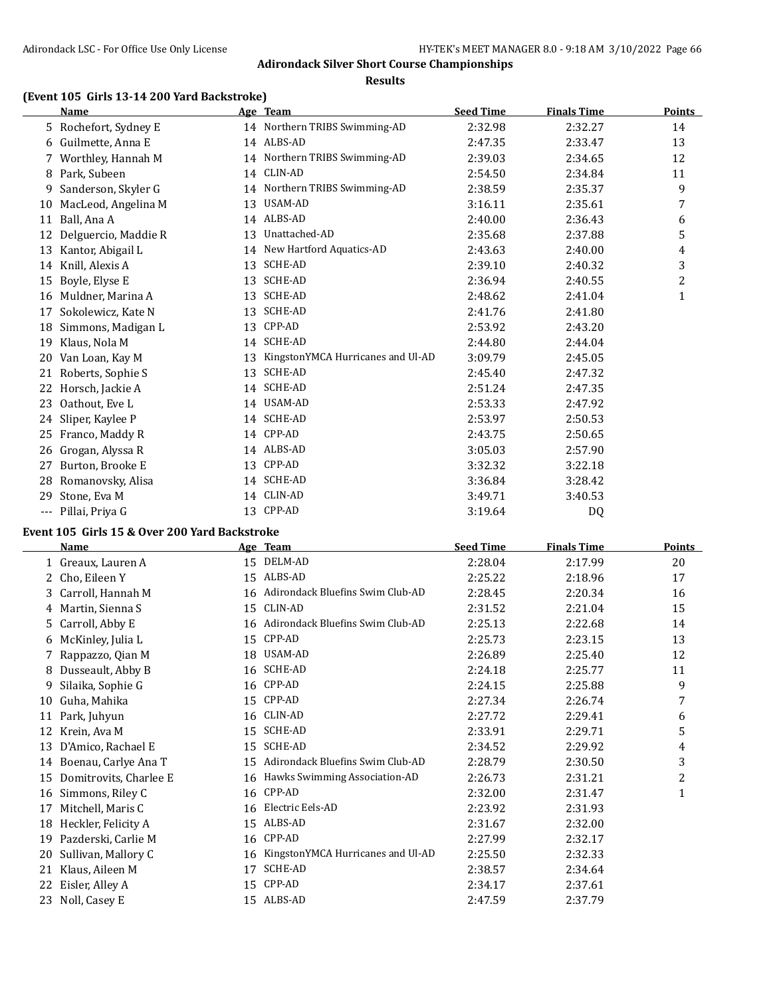#### **Results**

# **(Event 105 Girls 13-14 200 Yard Backstroke)**

|       | <b>Name</b>           |    | Age Team                          | <b>Seed Time</b> | <b>Finals Time</b> | <b>Points</b> |
|-------|-----------------------|----|-----------------------------------|------------------|--------------------|---------------|
|       | 5 Rochefort, Sydney E |    | 14 Northern TRIBS Swimming-AD     | 2:32.98          | 2:32.27            | 14            |
| 6     | Guilmette, Anna E     |    | 14 ALBS-AD                        | 2:47.35          | 2:33.47            | 13            |
|       | 7 Worthley, Hannah M  |    | 14 Northern TRIBS Swimming-AD     | 2:39.03          | 2:34.65            | 12            |
| 8     | Park, Subeen          | 14 | CLIN-AD                           | 2:54.50          | 2:34.84            | 11            |
| 9     | Sanderson, Skyler G   | 14 | Northern TRIBS Swimming-AD        | 2:38.59          | 2:35.37            | 9             |
| 10    | MacLeod, Angelina M   | 13 | <b>USAM-AD</b>                    | 3:16.11          | 2:35.61            | 7             |
| 11    | Ball, Ana A           |    | 14 ALBS-AD                        | 2:40.00          | 2:36.43            | 6             |
| 12    | Delguercio, Maddie R  | 13 | Unattached-AD                     | 2:35.68          | 2:37.88            | 5             |
| 13    | Kantor, Abigail L     |    | 14 New Hartford Aquatics-AD       | 2:43.63          | 2:40.00            | 4             |
| 14    | Knill, Alexis A       | 13 | <b>SCHE-AD</b>                    | 2:39.10          | 2:40.32            | 3             |
| 15    | Boyle, Elyse E        | 13 | <b>SCHE-AD</b>                    | 2:36.94          | 2:40.55            | 2             |
| 16    | Muldner, Marina A     | 13 | <b>SCHE-AD</b>                    | 2:48.62          | 2:41.04            | 1             |
| 17    | Sokolewicz, Kate N    | 13 | SCHE-AD                           | 2:41.76          | 2:41.80            |               |
| 18    | Simmons, Madigan L    | 13 | CPP-AD                            | 2:53.92          | 2:43.20            |               |
| 19    | Klaus, Nola M         | 14 | <b>SCHE-AD</b>                    | 2:44.80          | 2:44.04            |               |
| 20    | Van Loan, Kay M       | 13 | KingstonYMCA Hurricanes and Ul-AD | 3:09.79          | 2:45.05            |               |
| 21    | Roberts, Sophie S     | 13 | <b>SCHE-AD</b>                    | 2:45.40          | 2:47.32            |               |
| 22    | Horsch, Jackie A      |    | 14 SCHE-AD                        | 2:51.24          | 2:47.35            |               |
| 23    | Oathout, Eve L        | 14 | USAM-AD                           | 2:53.33          | 2:47.92            |               |
| 24    | Sliper, Kaylee P      | 14 | <b>SCHE-AD</b>                    | 2:53.97          | 2:50.53            |               |
| 25    | Franco, Maddy R       |    | 14 CPP-AD                         | 2:43.75          | 2:50.65            |               |
| 26    | Grogan, Alyssa R      |    | 14 ALBS-AD                        | 3:05.03          | 2:57.90            |               |
| 27    | Burton, Brooke E      | 13 | CPP-AD                            | 3:32.32          | 3:22.18            |               |
| 28    | Romanovsky, Alisa     | 14 | <b>SCHE-AD</b>                    | 3:36.84          | 3:28.42            |               |
| 29    | Stone, Eva M          | 14 | CLIN-AD                           | 3:49.71          | 3:40.53            |               |
| $---$ | Pillai, Priya G       | 13 | CPP-AD                            | 3:19.64          | DQ                 |               |

# **Event 105 Girls 15 & Over 200 Yard Backstroke**

 $\overline{\phantom{0}}$ 

|    | <b>Name</b>            |    | Age Team                            | <b>Seed Time</b> | <b>Finals Time</b> | Points |
|----|------------------------|----|-------------------------------------|------------------|--------------------|--------|
|    | 1 Greaux, Lauren A     | 15 | DELM-AD                             | 2:28.04          | 2:17.99            | 20     |
| 2  | Cho, Eileen Y          |    | 15 ALBS-AD                          | 2:25.22          | 2:18.96            | 17     |
| 3  | Carroll, Hannah M      |    | 16 Adirondack Bluefins Swim Club-AD | 2:28.45          | 2:20.34            | 16     |
| 4  | Martin, Sienna S       |    | 15 CLIN-AD                          | 2:31.52          | 2:21.04            | 15     |
| 5. | Carroll, Abby E        |    | 16 Adirondack Bluefins Swim Club-AD | 2:25.13          | 2:22.68            | 14     |
| 6  | McKinley, Julia L      | 15 | CPP-AD                              | 2:25.73          | 2:23.15            | 13     |
|    | Rappazzo, Qian M       |    | 18 USAM-AD                          | 2:26.89          | 2:25.40            | 12     |
| 8  | Dusseault, Abby B      |    | 16 SCHE-AD                          | 2:24.18          | 2:25.77            | 11     |
| 9  | Silaika, Sophie G      |    | 16 CPP-AD                           | 2:24.15          | 2:25.88            | 9      |
| 10 | Guha, Mahika           |    | 15 CPP-AD                           | 2:27.34          | 2:26.74            | 7      |
| 11 | Park, Juhyun           |    | 16 CLIN-AD                          | 2:27.72          | 2:29.41            | 6      |
| 12 | Krein, Ava M           | 15 | <b>SCHE-AD</b>                      | 2:33.91          | 2:29.71            | 5      |
| 13 | D'Amico, Rachael E     | 15 | <b>SCHE-AD</b>                      | 2:34.52          | 2:29.92            | 4      |
| 14 | Boenau, Carlye Ana T   | 15 | Adirondack Bluefins Swim Club-AD    | 2:28.79          | 2:30.50            | 3      |
| 15 | Domitrovits, Charlee E |    | 16 Hawks Swimming Association-AD    | 2:26.73          | 2:31.21            | 2      |
| 16 | Simmons, Riley C       |    | 16 CPP-AD                           | 2:32.00          | 2:31.47            | 1      |
| 17 | Mitchell, Maris C      | 16 | Electric Eels-AD                    | 2:23.92          | 2:31.93            |        |
| 18 | Heckler, Felicity A    |    | 15 ALBS-AD                          | 2:31.67          | 2:32.00            |        |
| 19 | Pazderski, Carlie M    |    | 16 CPP-AD                           | 2:27.99          | 2:32.17            |        |
| 20 | Sullivan, Mallory C    | 16 | KingstonYMCA Hurricanes and Ul-AD   | 2:25.50          | 2:32.33            |        |
| 21 | Klaus, Aileen M        | 17 | <b>SCHE-AD</b>                      | 2:38.57          | 2:34.64            |        |
| 22 | Eisler, Alley A        | 15 | CPP-AD                              | 2:34.17          | 2:37.61            |        |
| 23 | Noll, Casey E          |    | 15 ALBS-AD                          | 2:47.59          | 2:37.79            |        |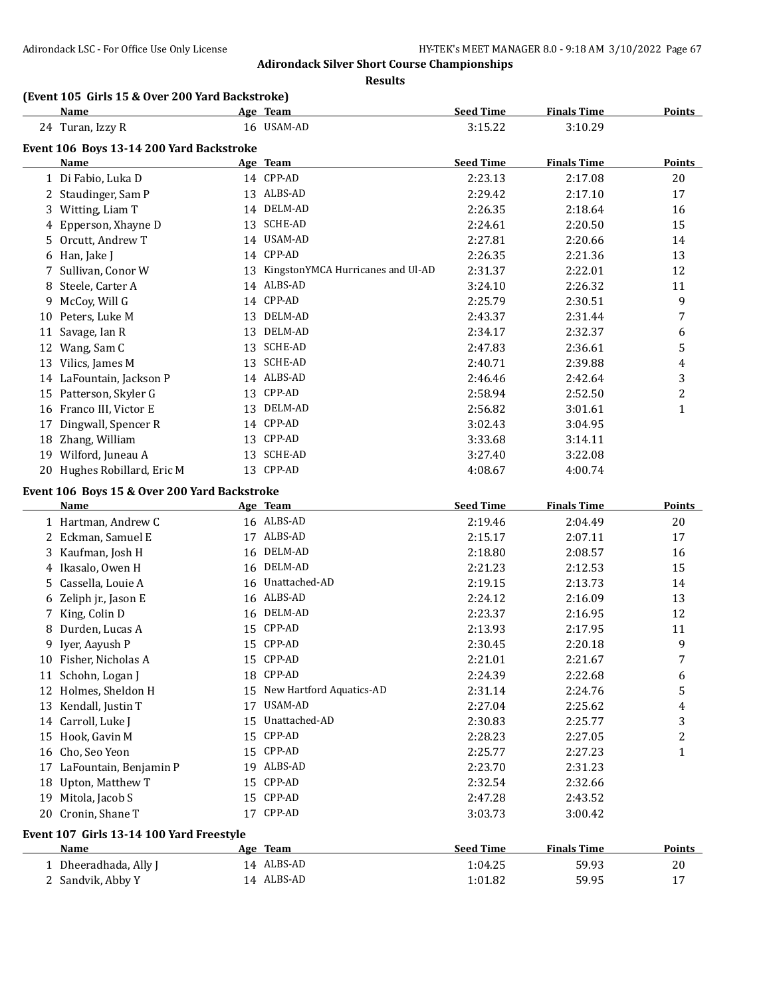**Results**

# **(Event 105 Girls 15 & Over 200 Yard Backstroke)**

|    | <b>Name</b>                                  |    | Age Team                          | <b>Seed Time</b> | <b>Finals Time</b> | <b>Points</b> |
|----|----------------------------------------------|----|-----------------------------------|------------------|--------------------|---------------|
|    | 24 Turan, Izzy R                             |    | 16 USAM-AD                        | 3:15.22          | 3:10.29            |               |
|    | Event 106 Boys 13-14 200 Yard Backstroke     |    |                                   |                  |                    |               |
|    | Name                                         |    | Age Team                          | <b>Seed Time</b> | <b>Finals Time</b> | <b>Points</b> |
|    | 1 Di Fabio, Luka D                           |    | 14 CPP-AD                         | 2:23.13          | 2:17.08            | 20            |
|    | 2 Staudinger, Sam P                          |    | 13 ALBS-AD                        | 2:29.42          | 2:17.10            | 17            |
|    | 3 Witting, Liam T                            |    | 14 DELM-AD                        | 2:26.35          | 2:18.64            | 16            |
|    | 4 Epperson, Xhayne D                         |    | 13 SCHE-AD                        | 2:24.61          | 2:20.50            | 15            |
|    | 5 Orcutt, Andrew T                           |    | 14 USAM-AD                        | 2:27.81          | 2:20.66            | 14            |
|    | 6 Han, Jake J                                |    | 14 CPP-AD                         | 2:26.35          | 2:21.36            | 13            |
|    | 7 Sullivan, Conor W                          | 13 | KingstonYMCA Hurricanes and Ul-AD | 2:31.37          | 2:22.01            | 12            |
|    | 8 Steele, Carter A                           |    | 14 ALBS-AD                        | 3:24.10          | 2:26.32            | 11            |
|    | 9 McCoy, Will G                              |    | 14 CPP-AD                         | 2:25.79          | 2:30.51            | 9             |
|    | 10 Peters, Luke M                            |    | 13 DELM-AD                        | 2:43.37          | 2:31.44            | 7             |
|    | 11 Savage, Ian R                             |    | 13 DELM-AD                        | 2:34.17          | 2:32.37            | 6             |
|    | 12 Wang, Sam C                               |    | 13 SCHE-AD                        | 2:47.83          | 2:36.61            | 5             |
|    | 13 Vilics, James M                           |    | 13 SCHE-AD                        | 2:40.71          | 2:39.88            | 4             |
|    | 14 LaFountain, Jackson P                     |    | 14 ALBS-AD                        | 2:46.46          | 2:42.64            | 3             |
|    | 15 Patterson, Skyler G                       |    | 13 CPP-AD                         | 2:58.94          | 2:52.50            | 2             |
|    | 16 Franco III, Victor E                      |    | 13 DELM-AD                        | 2:56.82          | 3:01.61            | 1             |
|    | 17 Dingwall, Spencer R                       |    | 14 CPP-AD                         | 3:02.43          | 3:04.95            |               |
|    | 18 Zhang, William                            |    | 13 CPP-AD                         | 3:33.68          | 3:14.11            |               |
|    | 19 Wilford, Juneau A                         |    | 13 SCHE-AD                        | 3:27.40          | 3:22.08            |               |
|    | 20 Hughes Robillard, Eric M                  |    | 13 CPP-AD                         | 4:08.67          | 4:00.74            |               |
|    | Event 106 Boys 15 & Over 200 Yard Backstroke |    |                                   |                  |                    |               |
|    | <b>Name</b>                                  |    | Age Team                          | <b>Seed Time</b> | <b>Finals Time</b> | Points        |
|    | 1 Hartman, Andrew C                          |    | 16 ALBS-AD                        | 2:19.46          | 2:04.49            | $20\,$        |
|    | 2 Eckman, Samuel E                           |    | 17 ALBS-AD                        | 2:15.17          | 2:07.11            | 17            |
|    | 3 Kaufman, Josh H                            |    | 16 DELM-AD                        | 2:18.80          | 2:08.57            | 16            |
|    | 4 Ikasalo, Owen H                            |    | 16 DELM-AD                        | 2:21.23          | 2:12.53            | 15            |
|    | 5 Cassella, Louie A                          |    | 16 Unattached-AD                  | 2:19.15          | 2:13.73            | 14            |
|    | 6 Zeliph jr., Jason E                        |    | 16 ALBS-AD                        | 2:24.12          | 2:16.09            | 13            |
|    | 7 King, Colin D                              |    | 16 DELM-AD                        | 2:23.37          | 2:16.95            | 12            |
| 8  | Durden, Lucas A                              | 15 | CPP-AD                            | 2:13.93          | 2:17.95            | 11            |
| 9  | Iyer, Aayush P                               | 15 | CPP-AD                            | 2:30.45          | 2:20.18            | 9             |
|    | 10 Fisher, Nicholas A                        |    | 15 CPP-AD                         | 2:21.01          | 2:21.67            | 7             |
|    | 11 Schohn, Logan J                           |    | 18 CPP-AD                         | 2:24.39          | 2:22.68            | 6             |
|    | 12 Holmes, Sheldon H                         |    | 15 New Hartford Aquatics-AD       | 2:31.14          | 2:24.76            | 5             |
|    | 13 Kendall, Justin T                         |    | 17 USAM-AD                        | 2:27.04          | 2:25.62            | 4             |
|    | 14 Carroll, Luke J                           | 15 | Unattached-AD                     | 2:30.83          | 2:25.77            | 3             |
|    | 15 Hook, Gavin M                             |    | 15 CPP-AD                         | 2:28.23          | 2:27.05            | 2             |
|    | 16 Cho, Seo Yeon                             |    | 15 CPP-AD                         | 2:25.77          | 2:27.23            | 1             |
|    | 17 LaFountain, Benjamin P                    |    | 19 ALBS-AD                        | 2:23.70          | 2:31.23            |               |
| 18 | Upton, Matthew T                             |    | 15 CPP-AD                         | 2:32.54          | 2:32.66            |               |
|    | 19 Mitola, Jacob S                           |    | 15 CPP-AD                         | 2:47.28          | 2:43.52            |               |
|    | 20 Cronin, Shane T                           |    | 17 CPP-AD                         |                  |                    |               |
|    |                                              |    |                                   | 3:03.73          | 3:00.42            |               |
|    | Event 107 Girls 13-14 100 Yard Freestyle     |    |                                   |                  |                    |               |
|    | <b>Name</b>                                  |    | Age Team                          | <b>Seed Time</b> | <b>Finals Time</b> | <b>Points</b> |
|    | 1 Dheeradhada, Ally J                        |    | 14 ALBS-AD                        | 1:04.25          | 59.93              | 20            |
|    | 2 Sandvik, Abby Y                            |    | 14 ALBS-AD                        | 1:01.82          | 59.95              | 17            |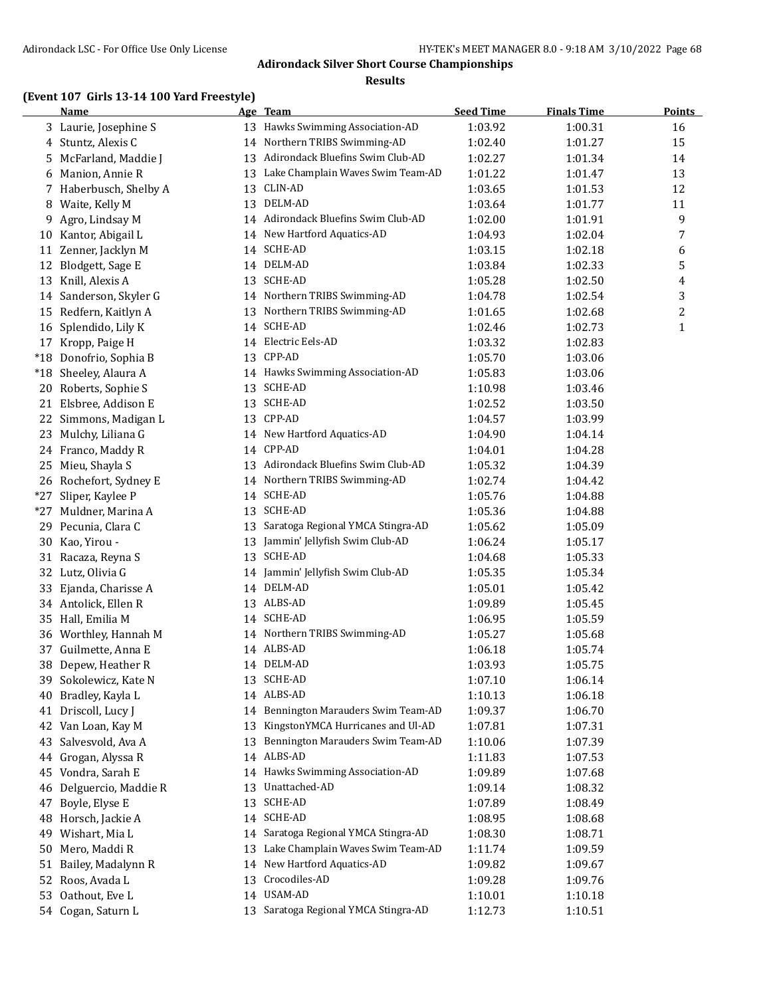#### **Results**

# **(Event 107 Girls 13-14 100 Yard Freestyle)**

|     | <b>Name</b>            |    | Age Team                             | <b>Seed Time</b> | <b>Finals Time</b> | <b>Points</b> |
|-----|------------------------|----|--------------------------------------|------------------|--------------------|---------------|
|     | 3 Laurie, Josephine S  |    | 13 Hawks Swimming Association-AD     | 1:03.92          | 1:00.31            | 16            |
| 4   | Stuntz, Alexis C       |    | 14 Northern TRIBS Swimming-AD        | 1:02.40          | 1:01.27            | 15            |
| 5.  | McFarland, Maddie J    |    | 13 Adirondack Bluefins Swim Club-AD  | 1:02.27          | 1:01.34            | 14            |
| 6   | Manion, Annie R        | 13 | Lake Champlain Waves Swim Team-AD    | 1:01.22          | 1:01.47            | 13            |
|     | 7 Haberbusch, Shelby A | 13 | CLIN-AD                              | 1:03.65          | 1:01.53            | 12            |
| 8   | Waite, Kelly M         | 13 | DELM-AD                              | 1:03.64          | 1:01.77            | 11            |
| 9   | Agro, Lindsay M        |    | 14 Adirondack Bluefins Swim Club-AD  | 1:02.00          | 1:01.91            | 9             |
| 10  | Kantor, Abigail L      |    | 14 New Hartford Aquatics-AD          | 1:04.93          | 1:02.04            | 7             |
|     | 11 Zenner, Jacklyn M   | 14 | SCHE-AD                              | 1:03.15          | 1:02.18            | 6             |
| 12  | Blodgett, Sage E       |    | 14 DELM-AD                           | 1:03.84          | 1:02.33            | 5             |
|     | 13 Knill, Alexis A     | 13 | SCHE-AD                              | 1:05.28          | 1:02.50            | 4             |
|     | 14 Sanderson, Skyler G |    | 14 Northern TRIBS Swimming-AD        | 1:04.78          | 1:02.54            | 3             |
|     | 15 Redfern, Kaitlyn A  | 13 | Northern TRIBS Swimming-AD           | 1:01.65          | 1:02.68            | 2             |
|     | 16 Splendido, Lily K   |    | 14 SCHE-AD                           | 1:02.46          | 1:02.73            | $\mathbf{1}$  |
|     | 17 Kropp, Paige H      |    | 14 Electric Eels-AD                  | 1:03.32          | 1:02.83            |               |
|     | *18 Donofrio, Sophia B |    | 13 CPP-AD                            | 1:05.70          | 1:03.06            |               |
|     | *18 Sheeley, Alaura A  |    | 14 Hawks Swimming Association-AD     | 1:05.83          | 1:03.06            |               |
|     | Roberts, Sophie S      |    | 13 SCHE-AD                           |                  |                    |               |
| 20  | 21 Elsbree, Addison E  |    | 13 SCHE-AD                           | 1:10.98          | 1:03.46            |               |
|     |                        |    | 13 CPP-AD                            | 1:02.52          | 1:03.50            |               |
|     | 22 Simmons, Madigan L  |    |                                      | 1:04.57          | 1:03.99            |               |
|     | 23 Mulchy, Liliana G   |    | 14 New Hartford Aquatics-AD          | 1:04.90          | 1:04.14            |               |
|     | 24 Franco, Maddy R     |    | 14 CPP-AD                            | 1:04.01          | 1:04.28            |               |
|     | 25 Mieu, Shayla S      |    | 13 Adirondack Bluefins Swim Club-AD  | 1:05.32          | 1:04.39            |               |
|     | 26 Rochefort, Sydney E |    | 14 Northern TRIBS Swimming-AD        | 1:02.74          | 1:04.42            |               |
|     | *27 Sliper, Kaylee P   |    | 14 SCHE-AD                           | 1:05.76          | 1:04.88            |               |
|     | *27 Muldner, Marina A  |    | 13 SCHE-AD                           | 1:05.36          | 1:04.88            |               |
|     | 29 Pecunia, Clara C    | 13 | Saratoga Regional YMCA Stingra-AD    | 1:05.62          | 1:05.09            |               |
|     | 30 Kao, Yirou -        | 13 | Jammin' Jellyfish Swim Club-AD       | 1:06.24          | 1:05.17            |               |
|     | 31 Racaza, Reyna S     |    | 13 SCHE-AD                           | 1:04.68          | 1:05.33            |               |
|     | 32 Lutz, Olivia G      |    | 14 Jammin' Jellyfish Swim Club-AD    | 1:05.35          | 1:05.34            |               |
|     | 33 Ejanda, Charisse A  |    | 14 DELM-AD                           | 1:05.01          | 1:05.42            |               |
|     | 34 Antolick, Ellen R   |    | 13 ALBS-AD                           | 1:09.89          | 1:05.45            |               |
|     | 35 Hall, Emilia M      |    | 14 SCHE-AD                           | 1:06.95          | 1:05.59            |               |
|     | 36 Worthley, Hannah M  |    | 14 Northern TRIBS Swimming-AD        | 1:05.27          | 1:05.68            |               |
| 37  | Guilmette, Anna E      |    | 14 ALBS-AD                           | 1:06.18          | 1:05.74            |               |
| 38  | Depew, Heather R       |    | 14 DELM-AD                           | 1:03.93          | 1:05.75            |               |
| 39. | Sokolewicz, Kate N     | 13 | SCHE-AD                              | 1:07.10          | 1:06.14            |               |
| 40  | Bradley, Kayla L       |    | 14 ALBS-AD                           | 1:10.13          | 1:06.18            |               |
|     | 41 Driscoll, Lucy J    | 14 | Bennington Marauders Swim Team-AD    | 1:09.37          | 1:06.70            |               |
| 42  | Van Loan, Kay M        | 13 | KingstonYMCA Hurricanes and Ul-AD    | 1:07.81          | 1:07.31            |               |
| 43  | Salvesvold, Ava A      | 13 | Bennington Marauders Swim Team-AD    | 1:10.06          | 1:07.39            |               |
| 44  | Grogan, Alyssa R       | 14 | ALBS-AD                              | 1:11.83          | 1:07.53            |               |
| 45  | Vondra, Sarah E        | 14 | Hawks Swimming Association-AD        | 1:09.89          | 1:07.68            |               |
| 46  | Delguercio, Maddie R   | 13 | Unattached-AD                        | 1:09.14          | 1:08.32            |               |
| 47  | Boyle, Elyse E         | 13 | SCHE-AD                              | 1:07.89          | 1:08.49            |               |
| 48  | Horsch, Jackie A       |    | 14 SCHE-AD                           | 1:08.95          | 1:08.68            |               |
| 49  | Wishart, Mia L         |    | 14 Saratoga Regional YMCA Stingra-AD | 1:08.30          | 1:08.71            |               |
| 50  | Mero, Maddi R          | 13 | Lake Champlain Waves Swim Team-AD    | 1:11.74          | 1:09.59            |               |
| 51  | Bailey, Madalynn R     | 14 | New Hartford Aquatics-AD             | 1:09.82          | 1:09.67            |               |
| 52  | Roos, Avada L          | 13 | Crocodiles-AD                        | 1:09.28          | 1:09.76            |               |
| 53  | Oathout, Eve L         |    | 14 USAM-AD                           | 1:10.01          | 1:10.18            |               |
|     | 54 Cogan, Saturn L     | 13 | Saratoga Regional YMCA Stingra-AD    | 1:12.73          | 1:10.51            |               |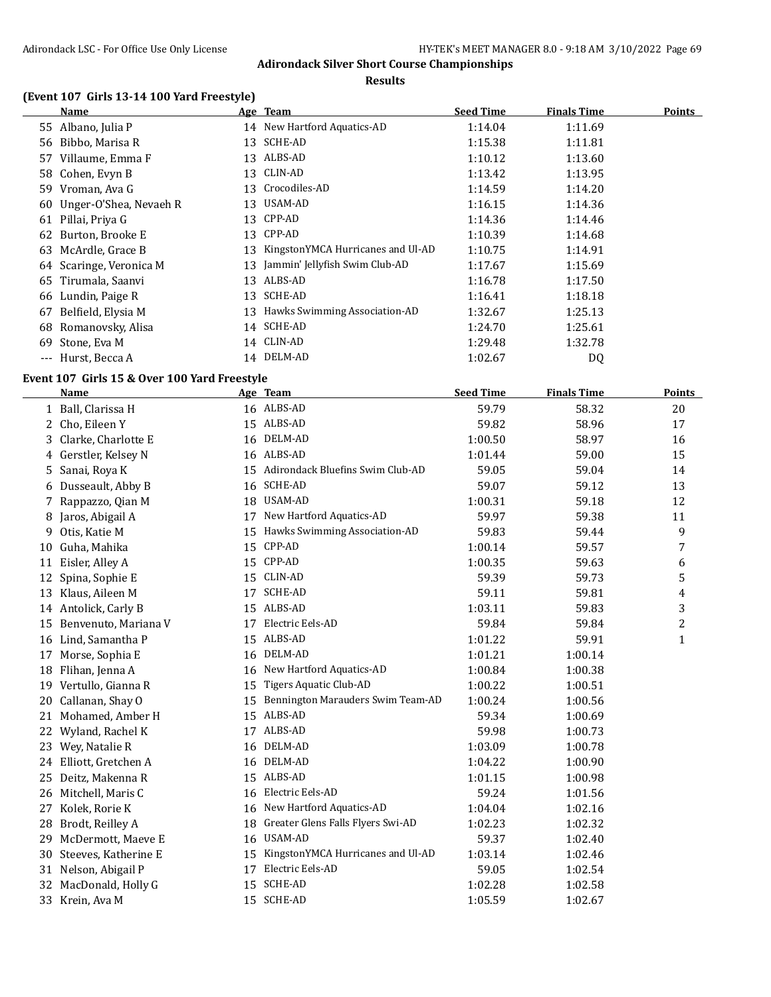#### **Results**

# **(Event 107 Girls 13-14 100 Yard Freestyle)**

|       | Name                   |    | Age Team                          | <b>Seed Time</b> | Finals Time    | Points |
|-------|------------------------|----|-----------------------------------|------------------|----------------|--------|
|       | 55 Albano, Julia P     | 14 | New Hartford Aquatics-AD          | 1:14.04          | 1:11.69        |        |
| 56    | Bibbo, Marisa R        | 13 | SCHE-AD                           | 1:15.38          | 1:11.81        |        |
| 57    | Villaume, Emma F       | 13 | ALBS-AD                           | 1:10.12          | 1:13.60        |        |
| 58    | Cohen, Evyn B          | 13 | CLIN-AD                           | 1:13.42          | 1:13.95        |        |
| 59    | Vroman, Ava G          | 13 | Crocodiles-AD                     | 1:14.59          | 1:14.20        |        |
| 60    | Unger-O'Shea, Nevaeh R | 13 | USAM-AD                           | 1:16.15          | 1:14.36        |        |
| 61    | Pillai, Priya G        | 13 | CPP-AD                            | 1:14.36          | 1:14.46        |        |
| 62    | Burton, Brooke E       | 13 | CPP-AD                            | 1:10.39          | 1:14.68        |        |
| 63    | McArdle, Grace B       | 13 | KingstonYMCA Hurricanes and Ul-AD | 1:10.75          | 1:14.91        |        |
| 64    | Scaringe, Veronica M   | 13 | Jammin' Jellyfish Swim Club-AD    | 1:17.67          | 1:15.69        |        |
|       | 65 Tirumala, Saanvi    | 13 | ALBS-AD                           | 1:16.78          | 1:17.50        |        |
| 66    | Lundin, Paige R        | 13 | SCHE-AD                           | 1:16.41          | 1:18.18        |        |
| 67    | Belfield, Elysia M     | 13 | Hawks Swimming Association-AD     | 1:32.67          | 1:25.13        |        |
| 68    | Romanovsky, Alisa      | 14 | SCHE-AD                           | 1:24.70          | 1:25.61        |        |
| 69    | Stone, Eva M           |    | 14 CLIN-AD                        | 1:29.48          | 1:32.78        |        |
| $---$ | Hurst, Becca A         |    | 14 DELM-AD                        | 1:02.67          | D <sub>0</sub> |        |

# **Event 107 Girls 15 & Over 100 Yard Freestyle**

|    | <b>Name</b>            |    | Age Team                            | <b>Seed Time</b> | <b>Finals Time</b> | <b>Points</b> |
|----|------------------------|----|-------------------------------------|------------------|--------------------|---------------|
|    | 1 Ball, Clarissa H     |    | 16 ALBS-AD                          | 59.79            | 58.32              | 20            |
| 2  | Cho, Eileen Y          |    | 15 ALBS-AD                          | 59.82            | 58.96              | 17            |
| 3. | Clarke, Charlotte E    |    | 16 DELM-AD                          | 1:00.50          | 58.97              | 16            |
|    | 4 Gerstler, Kelsey N   |    | 16 ALBS-AD                          | 1:01.44          | 59.00              | 15            |
|    | 5 Sanai, Roya K        |    | 15 Adirondack Bluefins Swim Club-AD | 59.05            | 59.04              | 14            |
| 6  | Dusseault, Abby B      |    | 16 SCHE-AD                          | 59.07            | 59.12              | 13            |
| 7. | Rappazzo, Qian M       | 18 | USAM-AD                             | 1:00.31          | 59.18              | 12            |
| 8  | Jaros, Abigail A       | 17 | New Hartford Aquatics-AD            | 59.97            | 59.38              | 11            |
| 9. | Otis, Katie M          | 15 | Hawks Swimming Association-AD       | 59.83            | 59.44              | 9             |
| 10 | Guha, Mahika           | 15 | CPP-AD                              | 1:00.14          | 59.57              | 7             |
| 11 | Eisler, Alley A        | 15 | CPP-AD                              | 1:00.35          | 59.63              | 6             |
| 12 | Spina, Sophie E        | 15 | CLIN-AD                             | 59.39            | 59.73              | 5             |
|    | 13 Klaus, Aileen M     | 17 | SCHE-AD                             | 59.11            | 59.81              | 4             |
|    | 14 Antolick, Carly B   |    | 15 ALBS-AD                          | 1:03.11          | 59.83              | 3             |
| 15 | Benvenuto, Mariana V   | 17 | Electric Eels-AD                    | 59.84            | 59.84              | 2             |
|    | 16 Lind, Samantha P    | 15 | ALBS-AD                             | 1:01.22          | 59.91              | $\mathbf{1}$  |
| 17 | Morse, Sophia E        | 16 | DELM-AD                             | 1:01.21          | 1:00.14            |               |
| 18 | Flihan, Jenna A        | 16 | New Hartford Aquatics-AD            | 1:00.84          | 1:00.38            |               |
| 19 | Vertullo, Gianna R     | 15 | <b>Tigers Aquatic Club-AD</b>       | 1:00.22          | 1:00.51            |               |
| 20 | Callanan, Shay O       | 15 | Bennington Marauders Swim Team-AD   | 1:00.24          | 1:00.56            |               |
|    | 21 Mohamed, Amber H    | 15 | ALBS-AD                             | 59.34            | 1:00.69            |               |
|    | 22 Wyland, Rachel K    | 17 | ALBS-AD                             | 59.98            | 1:00.73            |               |
|    | 23 Wey, Natalie R      |    | 16 DELM-AD                          | 1:03.09          | 1:00.78            |               |
|    | 24 Elliott, Gretchen A |    | 16 DELM-AD                          | 1:04.22          | 1:00.90            |               |
| 25 | Deitz, Makenna R       |    | 15 ALBS-AD                          | 1:01.15          | 1:00.98            |               |
|    | 26 Mitchell, Maris C   | 16 | Electric Eels-AD                    | 59.24            | 1:01.56            |               |
|    | 27 Kolek, Rorie K      | 16 | New Hartford Aquatics-AD            | 1:04.04          | 1:02.16            |               |
|    | 28 Brodt, Reilley A    | 18 | Greater Glens Falls Flyers Swi-AD   | 1:02.23          | 1:02.32            |               |
| 29 | McDermott, Maeve E     | 16 | <b>USAM-AD</b>                      | 59.37            | 1:02.40            |               |
| 30 | Steeves, Katherine E   | 15 | KingstonYMCA Hurricanes and Ul-AD   | 1:03.14          | 1:02.46            |               |
|    | 31 Nelson, Abigail P   | 17 | Electric Eels-AD                    | 59.05            | 1:02.54            |               |
| 32 | MacDonald, Holly G     | 15 | SCHE-AD                             | 1:02.28          | 1:02.58            |               |
|    | 33 Krein, Ava M        |    | 15 SCHE-AD                          | 1:05.59          | 1:02.67            |               |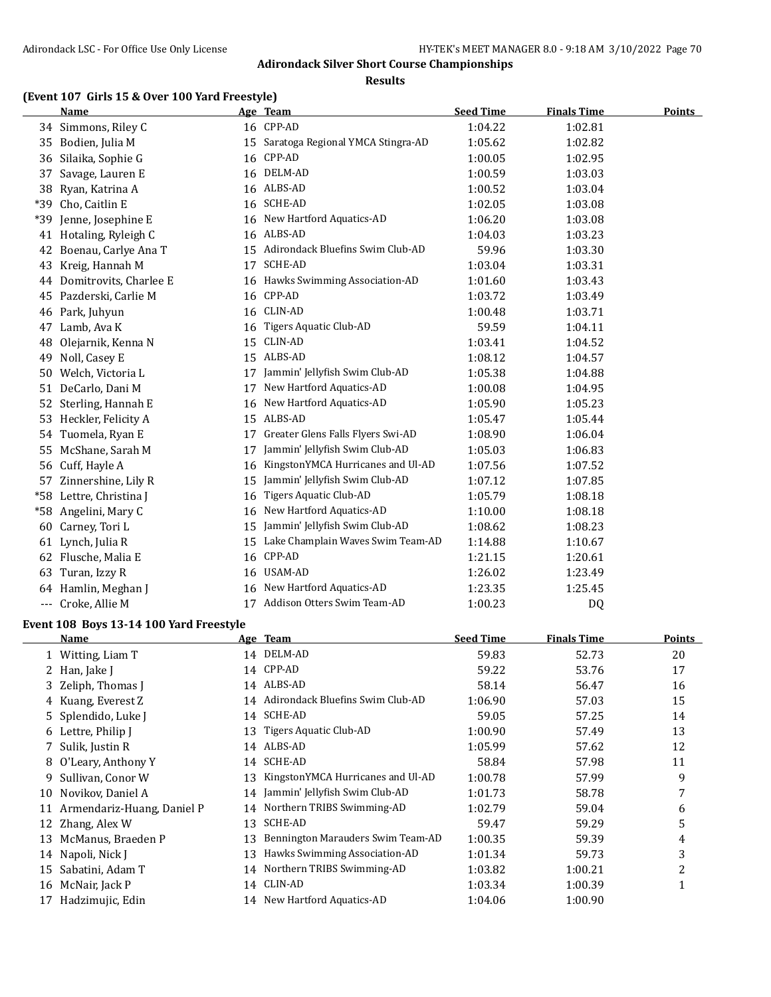**Results**

# **(Event 107 Girls 15 & Over 100 Yard Freestyle)**

|       | <b>Name</b>            |    | Age Team                          | <b>Seed Time</b> | <b>Finals Time</b> | <b>Points</b> |
|-------|------------------------|----|-----------------------------------|------------------|--------------------|---------------|
|       | 34 Simmons, Riley C    |    | 16 CPP-AD                         | 1:04.22          | 1:02.81            |               |
| 35    | Bodien, Julia M        | 15 | Saratoga Regional YMCA Stingra-AD | 1:05.62          | 1:02.82            |               |
| 36    | Silaika, Sophie G      |    | 16 CPP-AD                         | 1:00.05          | 1:02.95            |               |
| 37    | Savage, Lauren E       | 16 | DELM-AD                           | 1:00.59          | 1:03.03            |               |
| 38    | Ryan, Katrina A        | 16 | ALBS-AD                           | 1:00.52          | 1:03.04            |               |
| *39   | Cho, Caitlin E         | 16 | <b>SCHE-AD</b>                    | 1:02.05          | 1:03.08            |               |
| *39   | Jenne, Josephine E     | 16 | New Hartford Aquatics-AD          | 1:06.20          | 1:03.08            |               |
|       | 41 Hotaling, Ryleigh C | 16 | ALBS-AD                           | 1:04.03          | 1:03.23            |               |
| 42    | Boenau, Carlye Ana T   | 15 | Adirondack Bluefins Swim Club-AD  | 59.96            | 1:03.30            |               |
| 43    | Kreig, Hannah M        | 17 | <b>SCHE-AD</b>                    | 1:03.04          | 1:03.31            |               |
| 44    | Domitrovits, Charlee E |    | 16 Hawks Swimming Association-AD  | 1:01.60          | 1:03.43            |               |
| 45    | Pazderski, Carlie M    | 16 | CPP-AD                            | 1:03.72          | 1:03.49            |               |
| 46    | Park, Juhyun           | 16 | CLIN-AD                           | 1:00.48          | 1:03.71            |               |
| 47    | Lamb, Ava K            | 16 | Tigers Aquatic Club-AD            | 59.59            | 1:04.11            |               |
| 48    | Olejarnik, Kenna N     | 15 | CLIN-AD                           | 1:03.41          | 1:04.52            |               |
| 49    | Noll, Casey E          | 15 | ALBS-AD                           | 1:08.12          | 1:04.57            |               |
| 50    | Welch, Victoria L      | 17 | Jammin' Jellyfish Swim Club-AD    | 1:05.38          | 1:04.88            |               |
| 51    | DeCarlo, Dani M        | 17 | New Hartford Aquatics-AD          | 1:00.08          | 1:04.95            |               |
| 52    | Sterling, Hannah E     | 16 | New Hartford Aquatics-AD          | 1:05.90          | 1:05.23            |               |
| 53    | Heckler, Felicity A    | 15 | ALBS-AD                           | 1:05.47          | 1:05.44            |               |
| 54    | Tuomela, Ryan E        | 17 | Greater Glens Falls Flyers Swi-AD | 1:08.90          | 1:06.04            |               |
| 55    | McShane, Sarah M       | 17 | Jammin' Jellyfish Swim Club-AD    | 1:05.03          | 1:06.83            |               |
| 56    | Cuff, Hayle A          | 16 | KingstonYMCA Hurricanes and Ul-AD | 1:07.56          | 1:07.52            |               |
| 57    | Zinnershine, Lily R    | 15 | Jammin' Jellyfish Swim Club-AD    | 1:07.12          | 1:07.85            |               |
| $*58$ | Lettre, Christina J    | 16 | Tigers Aquatic Club-AD            | 1:05.79          | 1:08.18            |               |
| *58   | Angelini, Mary C       | 16 | New Hartford Aquatics-AD          | 1:10.00          | 1:08.18            |               |
| 60    | Carney, Tori L         | 15 | Jammin' Jellyfish Swim Club-AD    | 1:08.62          | 1:08.23            |               |
| 61    | Lynch, Julia R         | 15 | Lake Champlain Waves Swim Team-AD | 1:14.88          | 1:10.67            |               |
| 62    | Flusche, Malia E       | 16 | CPP-AD                            | 1:21.15          | 1:20.61            |               |
| 63    | Turan, Izzy R          | 16 | USAM-AD                           | 1:26.02          | 1:23.49            |               |
| 64    | Hamlin, Meghan J       | 16 | New Hartford Aquatics-AD          | 1:23.35          | 1:25.45            |               |
|       | Croke, Allie M         | 17 | Addison Otters Swim Team-AD       | 1:00.23          | <b>DQ</b>          |               |
|       |                        |    |                                   |                  |                    |               |

# **Event 108 Boys 13-14 100 Yard Freestyle**

|    | Name                       |    | Age Team                          | <b>Seed Time</b> | <b>Finals Time</b> | <b>Points</b> |
|----|----------------------------|----|-----------------------------------|------------------|--------------------|---------------|
|    | Witting, Liam T            |    | 14 DELM-AD                        | 59.83            | 52.73              | 20            |
|    | Han, Jake J                |    | 14 CPP-AD                         | 59.22            | 53.76              | 17            |
|    | 3 Zeliph, Thomas J         |    | 14 ALBS-AD                        | 58.14            | 56.47              | 16            |
|    | 4 Kuang, Everest Z         | 14 | Adirondack Bluefins Swim Club-AD  | 1:06.90          | 57.03              | 15            |
|    | 5 Splendido, Luke J        | 14 | SCHE-AD                           | 59.05            | 57.25              | 14            |
|    | 6 Lettre, Philip I         | 13 | Tigers Aquatic Club-AD            | 1:00.90          | 57.49              | 13            |
|    | 7 Sulik, Justin R          | 14 | ALBS-AD                           | 1:05.99          | 57.62              | 12            |
| 8  | O'Leary, Anthony Y         | 14 | SCHE-AD                           | 58.84            | 57.98              | 11            |
| 9. | Sullivan, Conor W          | 13 | KingstonYMCA Hurricanes and Ul-AD | 1:00.78          | 57.99              | 9             |
| 10 | Novikov, Daniel A          | 14 | Jammin' Jellyfish Swim Club-AD    | 1:01.73          | 58.78              | 7             |
| 11 | Armendariz-Huang, Daniel P |    | 14 Northern TRIBS Swimming-AD     | 1:02.79          | 59.04              | 6             |
| 12 | Zhang, Alex W              | 13 | SCHE-AD                           | 59.47            | 59.29              | 5             |
| 13 | McManus, Braeden P         | 13 | Bennington Marauders Swim Team-AD | 1:00.35          | 59.39              | 4             |
| 14 | Napoli, Nick J             | 13 | Hawks Swimming Association-AD     | 1:01.34          | 59.73              | 3             |
| 15 | Sabatini, Adam T           | 14 | Northern TRIBS Swimming-AD        | 1:03.82          | 1:00.21            | 2             |
| 16 | McNair, Jack P             |    | 14 CLIN-AD                        | 1:03.34          | 1:00.39            | 1             |
| 17 | Hadzimujic, Edin           |    | 14 New Hartford Aquatics-AD       | 1:04.06          | 1:00.90            |               |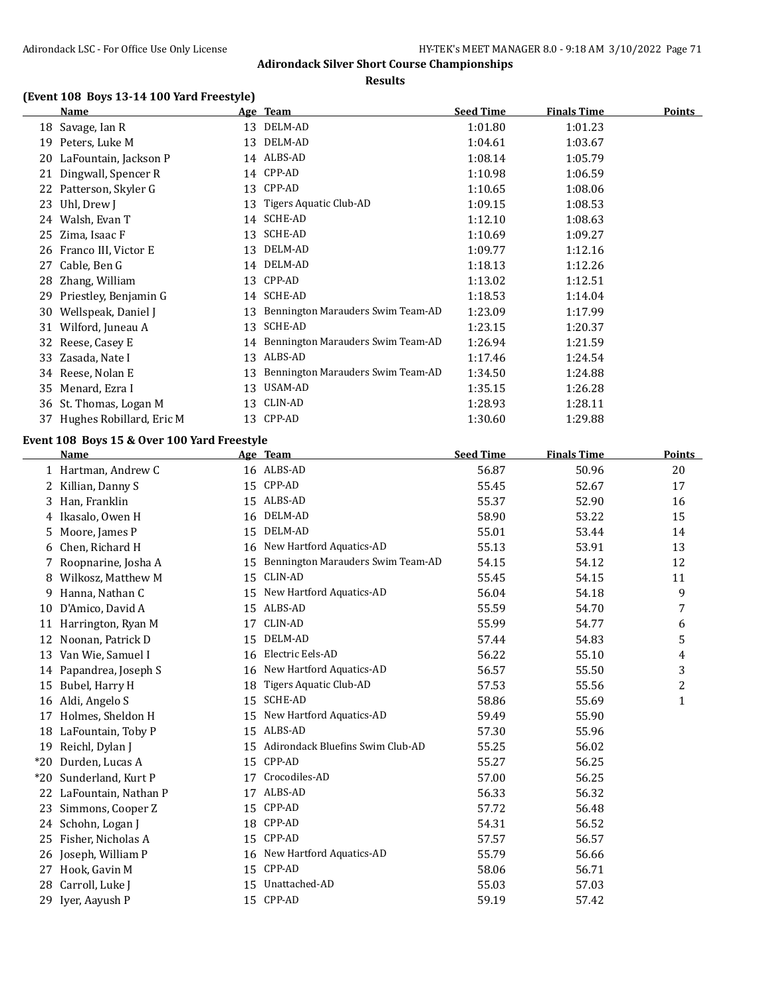#### **Results**

# **(Event 108 Boys 13-14 100 Yard Freestyle)**

|    | Name                     |    | <u>Age Team</u>                      | <b>Seed Time</b> | <b>Finals Time</b> | Points |
|----|--------------------------|----|--------------------------------------|------------------|--------------------|--------|
| 18 | Savage, Ian R            | 13 | DELM-AD                              | 1:01.80          | 1:01.23            |        |
| 19 | Peters, Luke M           | 13 | DELM-AD                              | 1:04.61          | 1:03.67            |        |
| 20 | LaFountain, Jackson P    |    | 14 ALBS-AD                           | 1:08.14          | 1:05.79            |        |
| 21 | Dingwall, Spencer R      |    | 14 CPP-AD                            | 1:10.98          | 1:06.59            |        |
| 22 | Patterson, Skyler G      | 13 | CPP-AD                               | 1:10.65          | 1:08.06            |        |
| 23 | Uhl, Drew J              | 13 | Tigers Aquatic Club-AD               | 1:09.15          | 1:08.53            |        |
| 24 | Walsh, Evan T            | 14 | SCHE-AD                              | 1:12.10          | 1:08.63            |        |
| 25 | Zima, Isaac F            | 13 | SCHE-AD                              | 1:10.69          | 1:09.27            |        |
| 26 | Franco III, Victor E     | 13 | DELM-AD                              | 1:09.77          | 1:12.16            |        |
| 27 | Cable, Ben G             |    | 14 DELM-AD                           | 1:18.13          | 1:12.26            |        |
| 28 | Zhang, William           |    | 13 CPP-AD                            | 1:13.02          | 1:12.51            |        |
| 29 | Priestley, Benjamin G    | 14 | <b>SCHE-AD</b>                       | 1:18.53          | 1:14.04            |        |
| 30 | Wellspeak, Daniel J      | 13 | Bennington Marauders Swim Team-AD    | 1:23.09          | 1:17.99            |        |
| 31 | Wilford, Juneau A        | 13 | SCHE-AD                              | 1:23.15          | 1:20.37            |        |
|    | 32 Reese, Casey E        |    | 14 Bennington Marauders Swim Team-AD | 1:26.94          | 1:21.59            |        |
| 33 | Zasada, Nate I           | 13 | ALBS-AD                              | 1:17.46          | 1:24.54            |        |
|    | 34 Reese, Nolan E        | 13 | Bennington Marauders Swim Team-AD    | 1:34.50          | 1:24.88            |        |
| 35 | Menard, Ezra I           | 13 | USAM-AD                              | 1:35.15          | 1:26.28            |        |
| 36 | St. Thomas, Logan M      | 13 | CLIN-AD                              | 1:28.93          | 1:28.11            |        |
| 37 | Hughes Robillard, Eric M |    | 13 CPP-AD                            | 1:30.60          | 1:29.88            |        |

# **Event 108 Boys 15 & Over 100 Yard Freestyle**

|       | <b>Name</b>          |    | Age Team                          | <b>Seed Time</b> | <b>Finals Time</b> | <b>Points</b> |
|-------|----------------------|----|-----------------------------------|------------------|--------------------|---------------|
|       | 1 Hartman, Andrew C  |    | 16 ALBS-AD                        | 56.87            | 50.96              | 20            |
| 2     | Killian, Danny S     | 15 | CPP-AD                            | 55.45            | 52.67              | 17            |
| 3     | Han, Franklin        | 15 | ALBS-AD                           | 55.37            | 52.90              | 16            |
| 4     | Ikasalo, Owen H      | 16 | DELM-AD                           | 58.90            | 53.22              | 15            |
| 5     | Moore, James P       | 15 | DELM-AD                           | 55.01            | 53.44              | 14            |
| 6     | Chen, Richard H      | 16 | New Hartford Aquatics-AD          | 55.13            | 53.91              | 13            |
| 7     | Roopnarine, Josha A  | 15 | Bennington Marauders Swim Team-AD | 54.15            | 54.12              | 12            |
| 8     | Wilkosz, Matthew M   | 15 | CLIN-AD                           | 55.45            | 54.15              | 11            |
| 9     | Hanna, Nathan C      | 15 | New Hartford Aquatics-AD          | 56.04            | 54.18              | 9             |
| 10    | D'Amico, David A     | 15 | ALBS-AD                           | 55.59            | 54.70              | 7             |
| 11    | Harrington, Ryan M   | 17 | CLIN-AD                           | 55.99            | 54.77              | 6             |
| 12    | Noonan, Patrick D    | 15 | DELM-AD                           | 57.44            | 54.83              | 5             |
| 13    | Van Wie, Samuel I    | 16 | Electric Eels-AD                  | 56.22            | 55.10              | 4             |
| 14    | Papandrea, Joseph S  | 16 | New Hartford Aquatics-AD          | 56.57            | 55.50              | 3             |
| 15    | Bubel, Harry H       | 18 | Tigers Aquatic Club-AD            | 57.53            | 55.56              | 2             |
| 16    | Aldi, Angelo S       | 15 | <b>SCHE-AD</b>                    | 58.86            | 55.69              | $\mathbf{1}$  |
| 17    | Holmes, Sheldon H    | 15 | New Hartford Aquatics-AD          | 59.49            | 55.90              |               |
| 18    | LaFountain, Toby P   | 15 | ALBS-AD                           | 57.30            | 55.96              |               |
| 19    | Reichl, Dylan J      | 15 | Adirondack Bluefins Swim Club-AD  | 55.25            | 56.02              |               |
| $*20$ | Durden, Lucas A      | 15 | CPP-AD                            | 55.27            | 56.25              |               |
| $*20$ | Sunderland, Kurt P   | 17 | Crocodiles-AD                     | 57.00            | 56.25              |               |
| 22    | LaFountain, Nathan P | 17 | ALBS-AD                           | 56.33            | 56.32              |               |
| 23    | Simmons, Cooper Z    | 15 | CPP-AD                            | 57.72            | 56.48              |               |
| 24    | Schohn, Logan J      | 18 | CPP-AD                            | 54.31            | 56.52              |               |
| 25    | Fisher, Nicholas A   | 15 | CPP-AD                            | 57.57            | 56.57              |               |
| 26    | Joseph, William P    | 16 | New Hartford Aquatics-AD          | 55.79            | 56.66              |               |
| 27    | Hook, Gavin M        | 15 | CPP-AD                            | 58.06            | 56.71              |               |
| 28    | Carroll, Luke J      | 15 | Unattached-AD                     | 55.03            | 57.03              |               |
| 29    | Iyer, Aayush P       | 15 | CPP-AD                            | 59.19            | 57.42              |               |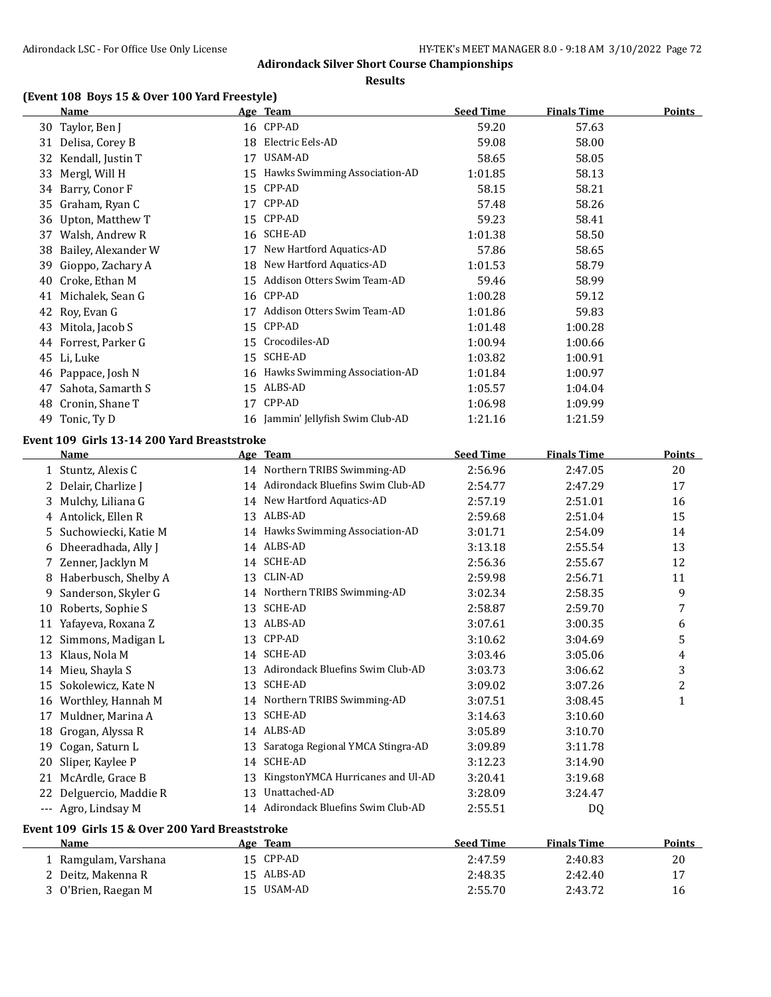**Results**

# **(Event 108 Boys 15 & Over 100 Yard Freestyle)**

|    | <b>Name</b>                                     |    | Age Team                             | <b>Seed Time</b> | <b>Finals Time</b> | <b>Points</b>  |
|----|-------------------------------------------------|----|--------------------------------------|------------------|--------------------|----------------|
|    | 30 Taylor, Ben J                                |    | 16 CPP-AD                            | 59.20            | 57.63              |                |
|    | 31 Delisa, Corey B                              | 18 | Electric Eels-AD                     | 59.08            | 58.00              |                |
|    | 32 Kendall, Justin T                            |    | 17 USAM-AD                           | 58.65            | 58.05              |                |
|    | 33 Mergl, Will H                                | 15 | Hawks Swimming Association-AD        | 1:01.85          | 58.13              |                |
|    | 34 Barry, Conor F                               | 15 | CPP-AD                               | 58.15            | 58.21              |                |
| 35 | Graham, Ryan C                                  | 17 | CPP-AD                               | 57.48            | 58.26              |                |
|    | 36 Upton, Matthew T                             | 15 | CPP-AD                               | 59.23            | 58.41              |                |
|    | 37 Walsh, Andrew R                              |    | 16 SCHE-AD                           | 1:01.38          | 58.50              |                |
|    | 38 Bailey, Alexander W                          | 17 | New Hartford Aquatics-AD             | 57.86            | 58.65              |                |
|    | 39 Gioppo, Zachary A                            |    | 18 New Hartford Aquatics-AD          | 1:01.53          | 58.79              |                |
|    | 40 Croke, Ethan M                               |    | 15 Addison Otters Swim Team-AD       | 59.46            | 58.99              |                |
|    | 41 Michalek, Sean G                             |    | 16 CPP-AD                            | 1:00.28          | 59.12              |                |
|    | 42 Roy, Evan G                                  |    | 17 Addison Otters Swim Team-AD       | 1:01.86          | 59.83              |                |
|    | 43 Mitola, Jacob S                              |    | 15 CPP-AD                            | 1:01.48          | 1:00.28            |                |
|    | 44 Forrest, Parker G                            |    | 15 Crocodiles-AD                     | 1:00.94          | 1:00.66            |                |
|    | 45 Li, Luke                                     |    | 15 SCHE-AD                           | 1:03.82          | 1:00.91            |                |
|    | 46 Pappace, Josh N                              |    | 16 Hawks Swimming Association-AD     | 1:01.84          | 1:00.97            |                |
| 47 | Sahota, Samarth S                               |    | 15 ALBS-AD                           | 1:05.57          | 1:04.04            |                |
|    | 48 Cronin, Shane T                              |    | 17 CPP-AD                            | 1:06.98          | 1:09.99            |                |
|    | 49 Tonic, Ty D                                  |    | 16 Jammin' Jellyfish Swim Club-AD    | 1:21.16          | 1:21.59            |                |
|    | Event 109 Girls 13-14 200 Yard Breaststroke     |    |                                      |                  |                    |                |
|    | Name                                            |    | Age Team                             | <b>Seed Time</b> | <b>Finals Time</b> | <b>Points</b>  |
|    | 1 Stuntz, Alexis C                              |    | 14 Northern TRIBS Swimming-AD        | 2:56.96          | 2:47.05            | 20             |
|    | 2 Delair, Charlize J                            |    | 14 Adirondack Bluefins Swim Club-AD  | 2:54.77          | 2:47.29            | 17             |
|    | 3 Mulchy, Liliana G                             |    | 14 New Hartford Aquatics-AD          | 2:57.19          | 2:51.01            | 16             |
|    | 4 Antolick, Ellen R                             |    | 13 ALBS-AD                           | 2:59.68          | 2:51.04            | 15             |
|    | 5 Suchowiecki, Katie M                          |    | 14 Hawks Swimming Association-AD     | 3:01.71          | 2:54.09            | 14             |
|    | 6 Dheeradhada, Ally J                           |    | 14 ALBS-AD                           | 3:13.18          | 2:55.54            | 13             |
|    | 7 Zenner, Jacklyn M                             |    | 14 SCHE-AD                           | 2:56.36          | 2:55.67            | 12             |
|    | 8 Haberbusch, Shelby A                          |    | 13 CLIN-AD                           | 2:59.98          | 2:56.71            | 11             |
| 9  | Sanderson, Skyler G                             |    | 14 Northern TRIBS Swimming-AD        | 3:02.34          | 2:58.35            | 9              |
|    | 10 Roberts, Sophie S                            |    | 13 SCHE-AD                           | 2:58.87          | 2:59.70            | 7              |
|    | 11 Yafayeva, Roxana Z                           |    | 13 ALBS-AD                           | 3:07.61          | 3:00.35            | 6              |
|    | 12 Simmons, Madigan L                           |    | 13 CPP-AD                            | 3:10.62          | 3:04.69            | 5              |
|    | 13 Klaus, Nola M                                |    | 14 SCHE-AD                           | 3:03.46          | 3:05.06            | 4              |
|    | 14 Mieu, Shayla S                               |    | 13 Adirondack Bluefins Swim Club-AD  | 3:03.73          | 3:06.62            | 3              |
|    | 15 Sokolewicz, Kate N                           |    | 13 SCHE-AD                           | 3:09.02          | 3:07.26            | $\overline{c}$ |
|    | 16 Worthley, Hannah M                           |    | 14 Northern TRIBS Swimming-AD        | 3:07.51          | 3:08.45            | $\mathbf{1}$   |
|    | 17 Muldner, Marina A                            |    | 13 SCHE-AD                           | 3:14.63          | 3:10.60            |                |
|    | 18 Grogan, Alyssa R                             |    | 14 ALBS-AD                           | 3:05.89          | 3:10.70            |                |
|    | 19 Cogan, Saturn L                              |    | 13 Saratoga Regional YMCA Stingra-AD | 3:09.89          | 3:11.78            |                |
|    | 20 Sliper, Kaylee P                             |    | 14 SCHE-AD                           | 3:12.23          | 3:14.90            |                |
|    | 21 McArdle, Grace B                             | 13 | KingstonYMCA Hurricanes and Ul-AD    | 3:20.41          | 3:19.68            |                |
|    | 22 Delguercio, Maddie R                         |    | 13 Unattached-AD                     | 3:28.09          | 3:24.47            |                |
|    | --- Agro, Lindsay M                             |    | 14 Adirondack Bluefins Swim Club-AD  | 2:55.51          | DQ                 |                |
|    |                                                 |    |                                      |                  |                    |                |
|    | Event 109 Girls 15 & Over 200 Yard Breaststroke |    |                                      |                  |                    |                |
|    | <b>Name</b>                                     |    | Age Team                             | <b>Seed Time</b> | <b>Finals Time</b> | <b>Points</b>  |
|    | 1 Ramgulam, Varshana                            |    | 15 CPP-AD                            | 2:47.59          | 2:40.83            | 20             |
|    | 2 Deitz, Makenna R                              |    | 15 ALBS-AD                           | 2:48.35          | 2:42.40            | 17             |

O'Brien, Raegan M 15 USAM-AD 2:55.70 2:43.72 16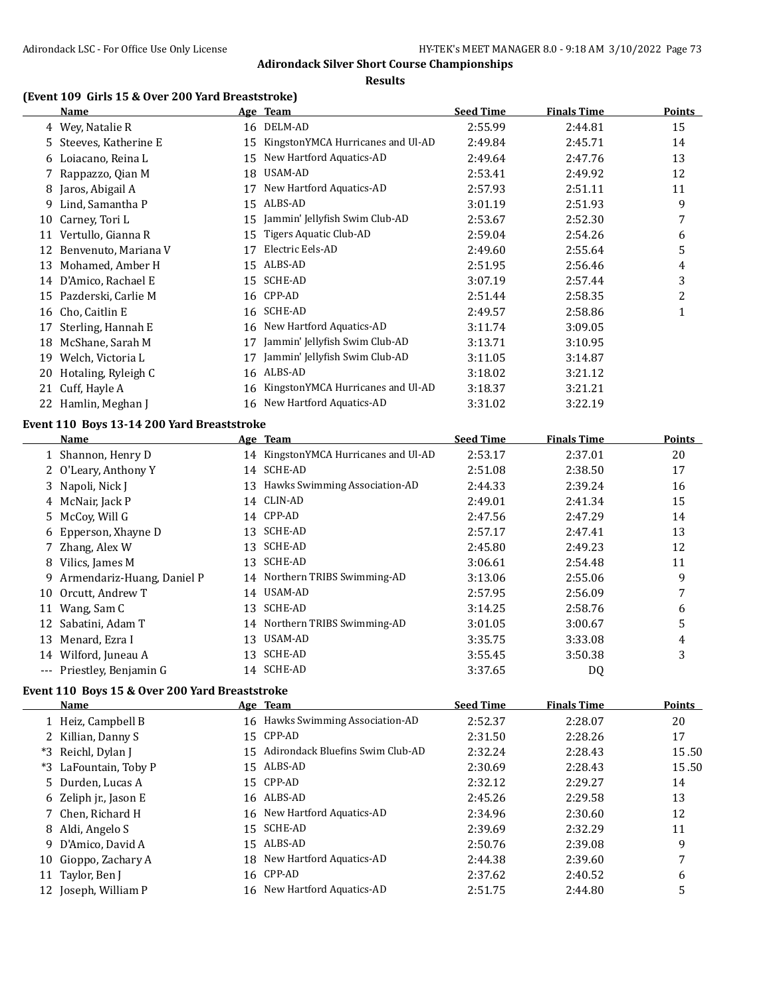### **Adirondack Silver Short Course Championships**

#### **Results**

# **(Event 109 Girls 15 & Over 200 Yard Breaststroke)**

|    | Name                 |    | Age Team                          | <b>Seed Time</b> | <b>Finals Time</b> | Points |
|----|----------------------|----|-----------------------------------|------------------|--------------------|--------|
|    | 4 Wey, Natalie R     |    | 16 DELM-AD                        | 2:55.99          | 2:44.81            | 15     |
| 5. | Steeves, Katherine E | 15 | KingstonYMCA Hurricanes and Ul-AD | 2:49.84          | 2:45.71            | 14     |
| 6  | Loiacano, Reina L    | 15 | New Hartford Aquatics-AD          | 2:49.64          | 2:47.76            | 13     |
|    | 7 Rappazzo, Qian M   | 18 | USAM-AD                           | 2:53.41          | 2:49.92            | 12     |
| 8  | Jaros, Abigail A     | 17 | New Hartford Aquatics-AD          | 2:57.93          | 2:51.11            | 11     |
| 9. | Lind, Samantha P     | 15 | ALBS-AD                           | 3:01.19          | 2:51.93            | 9      |
| 10 | Carney, Tori L       | 15 | Jammin' Jellyfish Swim Club-AD    | 2:53.67          | 2:52.30            | 7      |
| 11 | Vertullo, Gianna R   | 15 | Tigers Aquatic Club-AD            | 2:59.04          | 2:54.26            | 6      |
| 12 | Benvenuto, Mariana V | 17 | Electric Eels-AD                  | 2:49.60          | 2:55.64            | 5      |
| 13 | Mohamed, Amber H     | 15 | ALBS-AD                           | 2:51.95          | 2:56.46            | 4      |
| 14 | D'Amico, Rachael E   | 15 | SCHE-AD                           | 3:07.19          | 2:57.44            | 3      |
| 15 | Pazderski, Carlie M  |    | 16 CPP-AD                         | 2:51.44          | 2:58.35            | 2      |
| 16 | Cho, Caitlin E       | 16 | SCHE-AD                           | 2:49.57          | 2:58.86            | 1      |
| 17 | Sterling, Hannah E   | 16 | New Hartford Aquatics-AD          | 3:11.74          | 3:09.05            |        |
| 18 | McShane, Sarah M     | 17 | Jammin' Jellyfish Swim Club-AD    | 3:13.71          | 3:10.95            |        |
| 19 | Welch, Victoria L    | 17 | Jammin' Jellyfish Swim Club-AD    | 3:11.05          | 3:14.87            |        |
| 20 | Hotaling, Ryleigh C  | 16 | ALBS-AD                           | 3:18.02          | 3:21.12            |        |
| 21 | Cuff, Hayle A        | 16 | KingstonYMCA Hurricanes and Ul-AD | 3:18.37          | 3:21.21            |        |
|    | 22 Hamlin, Meghan J  |    | 16 New Hartford Aquatics-AD       | 3:31.02          | 3:22.19            |        |

#### **Event 110 Boys 13-14 200 Yard Breaststroke**

|    | Name                         |    | Age Team                          | <b>Seed Time</b> | <b>Finals Time</b> | <b>Points</b> |
|----|------------------------------|----|-----------------------------------|------------------|--------------------|---------------|
|    | 1 Shannon, Henry D           | 14 | KingstonYMCA Hurricanes and Ul-AD | 2:53.17          | 2:37.01            | 20            |
|    | 2 O'Leary, Anthony Y         | 14 | SCHE-AD                           | 2:51.08          | 2:38.50            | 17            |
|    | 3 Napoli, Nick J             | 13 | Hawks Swimming Association-AD     | 2:44.33          | 2:39.24            | 16            |
|    | 4 McNair, Jack P             | 14 | CLIN-AD                           | 2:49.01          | 2:41.34            | 15            |
|    | 5 McCov, Will G              |    | 14 CPP-AD                         | 2:47.56          | 2:47.29            | 14            |
|    | 6 Epperson, Xhayne D         | 13 | SCHE-AD                           | 2:57.17          | 2:47.41            | 13            |
|    | 7 Zhang, Alex W              | 13 | <b>SCHE-AD</b>                    | 2:45.80          | 2:49.23            | 12            |
|    | 8 Vilics, James M            | 13 | SCHE-AD                           | 3:06.61          | 2:54.48            | 11            |
|    | 9 Armendariz-Huang, Daniel P | 14 | Northern TRIBS Swimming-AD        | 3:13.06          | 2:55.06            | 9             |
|    | 10 Orcutt, Andrew T          | 14 | USAM-AD                           | 2:57.95          | 2:56.09            | 7             |
| 11 | Wang, Sam C                  | 13 | <b>SCHE-AD</b>                    | 3:14.25          | 2:58.76            | 6             |
|    | 12 Sabatini, Adam T          |    | 14 Northern TRIBS Swimming-AD     | 3:01.05          | 3:00.67            | 5             |
| 13 | Menard, Ezra I               | 13 | USAM-AD                           | 3:35.75          | 3:33.08            | 4             |
|    | 14 Wilford, Juneau A         | 13 | SCHE-AD                           | 3:55.45          | 3:50.38            | 3             |
|    | --- Priestley, Benjamin G    | 14 | <b>SCHE-AD</b>                    | 3:37.65          | DQ                 |               |

## **Event 110 Boys 15 & Over 200 Yard Breaststroke**

|    | Name                  | Age Team                            | <b>Seed Time</b> | <b>Finals Time</b> | <b>Points</b> |
|----|-----------------------|-------------------------------------|------------------|--------------------|---------------|
|    | 1 Heiz, Campbell B    | 16 Hawks Swimming Association-AD    | 2:52.37          | 2:28.07            | 20            |
|    | 2 Killian, Danny S    | 15 CPP-AD                           | 2:31.50          | 2:28.26            | 17            |
|    | *3 Reichl, Dylan J    | 15 Adirondack Bluefins Swim Club-AD | 2:32.24          | 2:28.43            | 15.50         |
|    | *3 LaFountain, Toby P | 15 ALBS-AD                          | 2:30.69          | 2:28.43            | 15.50         |
|    | 5 Durden, Lucas A     | 15 CPP-AD                           | 2:32.12          | 2:29.27            | 14            |
|    | 6 Zeliph jr., Jason E | 16 ALBS-AD                          | 2:45.26          | 2:29.58            | 13            |
|    | 7 Chen, Richard H     | 16 New Hartford Aquatics-AD         | 2:34.96          | 2:30.60            | 12            |
|    | 8 Aldi, Angelo S      | 15 SCHE-AD                          | 2:39.69          | 2:32.29            | 11            |
|    | 9 D'Amico, David A    | 15 ALBS-AD                          | 2:50.76          | 2:39.08            | 9             |
|    | 10 Gioppo, Zachary A  | 18 New Hartford Aquatics-AD         | 2:44.38          | 2:39.60            |               |
| 11 | Taylor, Ben J         | 16 CPP-AD                           | 2:37.62          | 2:40.52            | 6             |
| 12 | Joseph, William P     | 16 New Hartford Aquatics-AD         | 2:51.75          | 2:44.80            | 5             |
|    |                       |                                     |                  |                    |               |